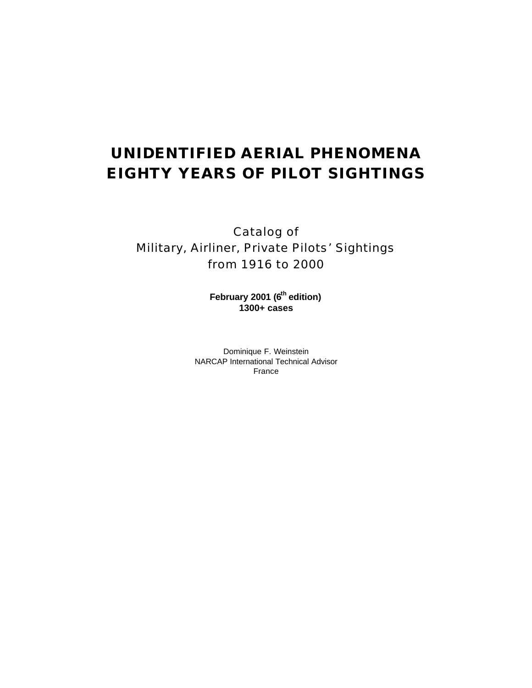# **UNIDENTIFIED AERIAL PHENOMENA EIGHTY YEARS OF PILOT SIGHTINGS**

Catalog of Military, Airliner, Private Pilots' Sightings from 1916 to 2000

> **February 2001 (6th edition) 1300+ cases**

Dominique F. Weinstein NARCAP International Technical Advisor France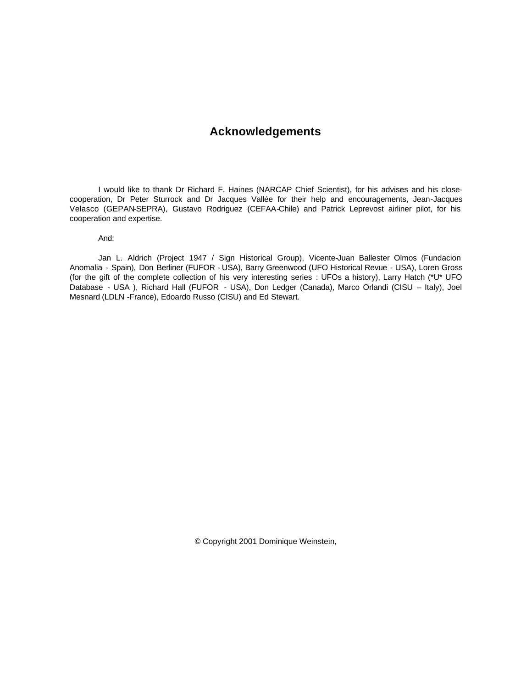# **Acknowledgements**

I would like to thank Dr Richard F. Haines (NARCAP Chief Scientist), for his advises and his closecooperation, Dr Peter Sturrock and Dr Jacques Vallée for their help and encouragements, Jean-Jacques Velasco (GEPAN-SEPRA), Gustavo Rodriguez (CEFAA-Chile) and Patrick Leprevost airliner pilot, for his cooperation and expertise.

And:

Jan L. Aldrich (Project 1947 / Sign Historical Group), Vicente-Juan Ballester Olmos (Fundacion Anomalia - Spain), Don Berliner (FUFOR - USA), Barry Greenwood (UFO Historical Revue - USA), Loren Gross (for the gift of the complete collection of his very interesting series : UFOs a history), Larry Hatch (\*U\* UFO Database - USA ), Richard Hall (FUFOR - USA), Don Ledger (Canada), Marco Orlandi (CISU – Italy), Joel Mesnard (LDLN -France), Edoardo Russo (CISU) and Ed Stewart.

© Copyright 2001 Dominique Weinstein,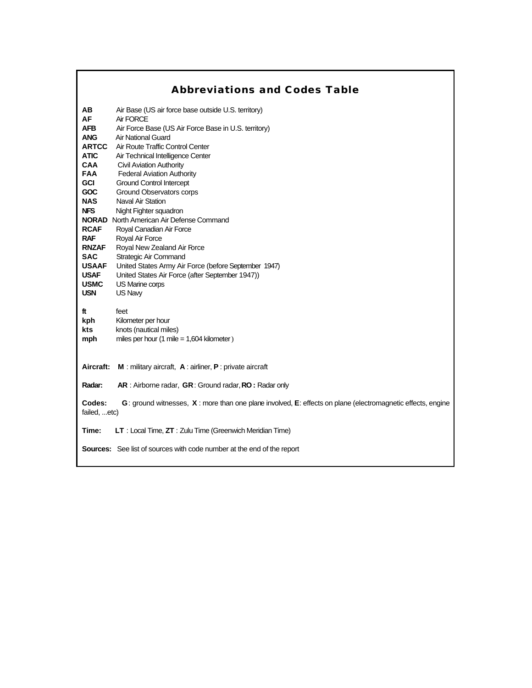# **Abbreviations and Codes Table**

| AB<br><b>AF</b><br><b>AFB</b><br><b>ANG</b><br><b>ARTCC</b><br><b>ATIC</b><br><b>CAA</b><br><b>FAA</b><br><b>GCI</b><br><b>GOC</b><br><b>NAS</b><br><b>NFS</b><br><b>RCAF</b><br><b>RAF</b><br><b>RNZAF</b><br><b>SAC</b><br><b>USAAF</b><br><b>USAF</b> | Air Base (US air force base outside U.S. territory)<br>Air FORCE<br>Air Force Base (US Air Force Base in U.S. territory)<br><b>Air National Guard</b><br>Air Route Traffic Control Center<br>Air Technical Intelligence Center<br><b>Civil Aviation Authority</b><br><b>Federal Aviation Authority</b><br><b>Ground Control Intercept</b><br>Ground Observators corps<br><b>Naval Air Station</b><br>Night Fighter squadron<br><b>NORAD</b> North American Air Defense Command<br>Royal Canadian Air Force<br>Royal Air Force<br>Royal New Zealand Air Force<br>Strategic Air Command<br>United States Army Air Force (before September 1947)<br>United States Air Force (after September 1947)) |
|----------------------------------------------------------------------------------------------------------------------------------------------------------------------------------------------------------------------------------------------------------|--------------------------------------------------------------------------------------------------------------------------------------------------------------------------------------------------------------------------------------------------------------------------------------------------------------------------------------------------------------------------------------------------------------------------------------------------------------------------------------------------------------------------------------------------------------------------------------------------------------------------------------------------------------------------------------------------|
| <b>USMC</b><br><b>USN</b>                                                                                                                                                                                                                                | US Marine corps<br>US Navy                                                                                                                                                                                                                                                                                                                                                                                                                                                                                                                                                                                                                                                                       |
| ft<br>kph<br>kts<br>mph                                                                                                                                                                                                                                  | feet<br>Kilometer per hour<br>knots (nautical miles)<br>miles per hour (1 mile = $1,604$ kilometer)                                                                                                                                                                                                                                                                                                                                                                                                                                                                                                                                                                                              |
| Aircraft:                                                                                                                                                                                                                                                | <b>M</b> : military aircraft, $A$ : airliner, $P$ : private aircraft                                                                                                                                                                                                                                                                                                                                                                                                                                                                                                                                                                                                                             |
| Radar:                                                                                                                                                                                                                                                   | AR: Airborne radar, GR: Ground radar, RO: Radar only                                                                                                                                                                                                                                                                                                                                                                                                                                                                                                                                                                                                                                             |
| Codes:<br>failed, etc)                                                                                                                                                                                                                                   | G: ground witnesses, X: more than one plane involved, E: effects on plane (electromagnetic effects, engine                                                                                                                                                                                                                                                                                                                                                                                                                                                                                                                                                                                       |
| Time:                                                                                                                                                                                                                                                    | LT : Local Time, ZT : Zulu Time (Greenwich Meridian Time)                                                                                                                                                                                                                                                                                                                                                                                                                                                                                                                                                                                                                                        |
|                                                                                                                                                                                                                                                          | <b>Sources:</b> See list of sources with code number at the end of the report                                                                                                                                                                                                                                                                                                                                                                                                                                                                                                                                                                                                                    |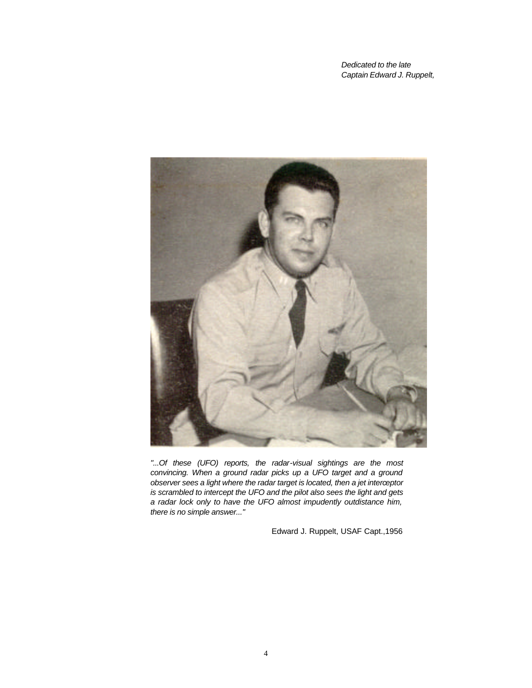*Dedicated to the late Captain Edward J. Ruppelt,*



*"...Of these (UFO) reports, the radar-visual sightings are the most convincing. When a ground radar picks up a UFO target and a ground observer sees a light where the radar target is located, then a jet interceptor is scrambled to intercept the UFO and the pilot also sees the light and gets a radar lock only to have the UFO almost impudently outdistance him, there is no simple answer..."*

Edward J. Ruppelt, USAF Capt.,1956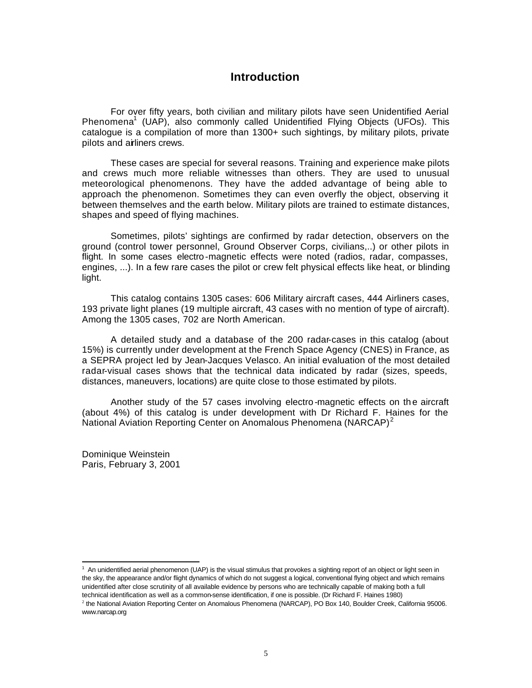# **Introduction**

For over fifty years, both civilian and military pilots have seen Unidentified Aerial Phenomena<sup>1</sup> (UAP), also commonly called Unidentified Flying Objects (UFOs). This catalogue is a compilation of more than 1300+ such sightings, by military pilots, private pilots and airliners crews.

These cases are special for several reasons. Training and experience make pilots and crews much more reliable witnesses than others. They are used to unusual meteorological phenomenons. They have the added advantage of being able to approach the phenomenon. Sometimes they can even overfly the object, observing it between themselves and the earth below. Military pilots are trained to estimate distances, shapes and speed of flying machines.

Sometimes, pilots' sightings are confirmed by radar detection, observers on the ground (control tower personnel, Ground Observer Corps, civilians,..) or other pilots in flight. In some cases electro-magnetic effects were noted (radios, radar, compasses, engines, ...). In a few rare cases the pilot or crew felt physical effects like heat, or blinding light.

This catalog contains 1305 cases: 606 Military aircraft cases, 444 Airliners cases, 193 private light planes (19 multiple aircraft, 43 cases with no mention of type of aircraft). Among the 1305 cases, 702 are North American.

A detailed study and a database of the 200 radar-cases in this catalog (about 15%) is currently under development at the French Space Agency (CNES) in France, as a SEPRA project led by Jean-Jacques Velasco. An initial evaluation of the most detailed radar-visual cases shows that the technical data indicated by radar (sizes, speeds, distances, maneuvers, locations) are quite close to those estimated by pilots.

Another study of the 57 cases involving electro -magnetic effects on th e aircraft (about 4%) of this catalog is under development with Dr Richard F. Haines for the National Aviation Reporting Center on Anomalous Phenomena (NARCAP)<sup>2</sup>

Dominique Weinstein Paris, February 3, 2001

 1 An unidentified aerial phenomenon (UAP) is the visual stimulus that provokes a sighting report of an object or light seen in the sky, the appearance and/or flight dynamics of which do not suggest a logical, conventional flying object and which remains unidentified after close scrutinity of all available evidence by persons who are technically capable of making both a full technical identification as well as a common-sense identification, if one is possible. (Dr Richard F. Haines 1980) 2 the National Aviation Reporting Center on Anomalous Phenomena (NARCAP), PO Box 140, Boulder Creek, California 95006. www.narcap.org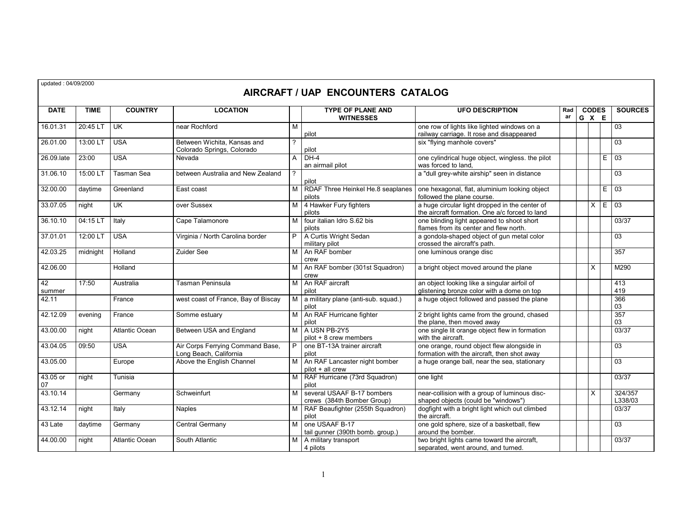updated : 04/09/2000

# **AIRCRAFT / UAP ENCOUNTERS CATALOG**

| <b>DATE</b>    | <b>TIME</b> | <b>COUNTRY</b>        | <b>LOCATION</b>                                            |                | <b>TYPE OF PLANE AND</b><br><b>WITNESSES</b>             | <b>UFO DESCRIPTION</b>                                                                           | Rad<br>ar | <b>CODES</b><br>G X E |   | <b>SOURCES</b>     |
|----------------|-------------|-----------------------|------------------------------------------------------------|----------------|----------------------------------------------------------|--------------------------------------------------------------------------------------------------|-----------|-----------------------|---|--------------------|
| 16.01.31       | 20:45 LT    | UK                    | near Rochford                                              | M              | pilot                                                    | one row of lights like lighted windows on a<br>railway carriage. It rose and disappeared         |           |                       |   | 03                 |
| 26.01.00       | 13:00 LT    | <b>USA</b>            | Between Wichita, Kansas and<br>Colorado Springs, Colorado  | 2              | pilot                                                    | six "flying manhole covers"                                                                      |           |                       |   | 03                 |
| 26.09.late     | 23:00       | <b>USA</b>            | Nevada                                                     | A              | $DH-4$<br>an airmail pilot                               | one cylindrical huge object, wingless. the pilot<br>was forced to land,                          |           |                       | E | 03                 |
| 31.06.10       | 15:00 LT    | Tasman Sea            | between Australia and New Zealand                          | $\overline{?}$ | pilot                                                    | a "dull grey-white airship" seen in distance                                                     |           |                       |   | 03                 |
| 32.00.00       | daytime     | Greenland             | East coast                                                 | M <sub>1</sub> | RDAF Three Heinkel He.8 seaplanes<br>pilots              | one hexagonal, flat, aluminium looking object<br>followed the plane course.                      |           |                       | E | $\overline{03}$    |
| 33.07.05       | night       | UK                    | over Sussex                                                |                | M 4 Hawker Fury fighters<br>pilots                       | a huge circular light dropped in the center of<br>the aircraft formation. One a/c forced to land |           | $\times$              | E | 03                 |
| 36.10.10       | 04:15 LT    | Italy                 | Cape Talamonore                                            | м              | four italian Idro S.62 bis<br>pilots                     | one blinding light appeared to shoot short<br>flames from its center and flew north.             |           |                       |   | 03/37              |
| 37.01.01       | 12:00 LT    | <b>USA</b>            | Virginia / North Carolina border                           |                | P A Curtis Wright Sedan<br>military pilot                | a gondola-shaped object of gun metal color<br>crossed the aircraft's path.                       |           |                       |   | $\overline{03}$    |
| 42.03.25       | midnight    | Holland               | Zuider See                                                 |                | M An RAF bomber<br>crew                                  | one luminous orange disc                                                                         |           |                       |   | 357                |
| 42.06.00       |             | Holland               |                                                            |                | M   An RAF bomber (301st Squadron)<br>crew               | a bright object moved around the plane                                                           |           | X                     |   | M290               |
| 42<br>summer   | 17:50       | Australia             | Tasman Peninsula                                           |                | M An RAF aircraft<br>pilot                               | an object looking like a singular airfoil of<br>glistening bronze color with a dome on top       |           |                       |   | 413<br>419         |
| 42.11          |             | France                | west coast of France, Bay of Biscay                        | M              | a military plane (anti-sub. squad.)<br>pilot             | a huge object followed and passed the plane                                                      |           |                       |   | 366<br>03          |
| 42.12.09       | evening     | France                | Somme estuary                                              |                | M   An RAF Hurricane fighter<br>pilot                    | 2 bright lights came from the ground, chased<br>the plane, then moved away                       |           |                       |   | 357<br>03          |
| 43.00.00       | night       | <b>Atlantic Ocean</b> | Between USA and England                                    |                | M A USN PB-2Y5<br>pilot + 8 crew members                 | one single lit orange object flew in formation<br>with the aircraft.                             |           |                       |   | 03/37              |
| 43.04.05       | 09:50       | <b>USA</b>            | Air Corps Ferrying Command Base,<br>Long Beach, California | P              | one BT-13A trainer aircraft<br>pilot                     | one orange, round object flew alongside in<br>formation with the aircraft, then shot away        |           |                       |   | $\overline{03}$    |
| 43.05.00       |             | Europe                | Above the English Channel                                  |                | M An RAF Lancaster night bomber<br>pilot + all crew      | a huge orange ball, near the sea, stationary                                                     |           |                       |   | $\overline{03}$    |
| 43.05 or<br>07 | night       | Tunisia               |                                                            | M I            | RAF Hurricane (73rd Squadron)<br>pilot                   | one light                                                                                        |           |                       |   | 03/37              |
| 43.10.14       |             | Germany               | Schweinfurt                                                | м              | several USAAF B-17 bombers<br>crews (384th Bomber Group) | near-collision with a group of luminous disc-<br>shaped objects (could be "windows")             |           | X                     |   | 324/357<br>L338/03 |
| 43.12.14       | night       | Italy                 | <b>Naples</b>                                              | M.             | RAF Beaufighter (255th Squadron)<br>pilot                | dogfight with a bright light which out climbed<br>the aircraft.                                  |           |                       |   | 03/37              |
| 43 Late        | daytime     | Germany               | Central Germany                                            | м              | one USAAF B-17<br>tail gunner (390th bomb. group.)       | one gold sphere, size of a basketball, flew<br>around the bomber.                                |           |                       |   | 03                 |
| 44.00.00       | night       | Atlantic Ocean        | South Atlantic                                             |                | M   A military transport<br>4 pilots                     | two bright lights came toward the aircraft,<br>separated, went around, and turned.               |           |                       |   | 03/37              |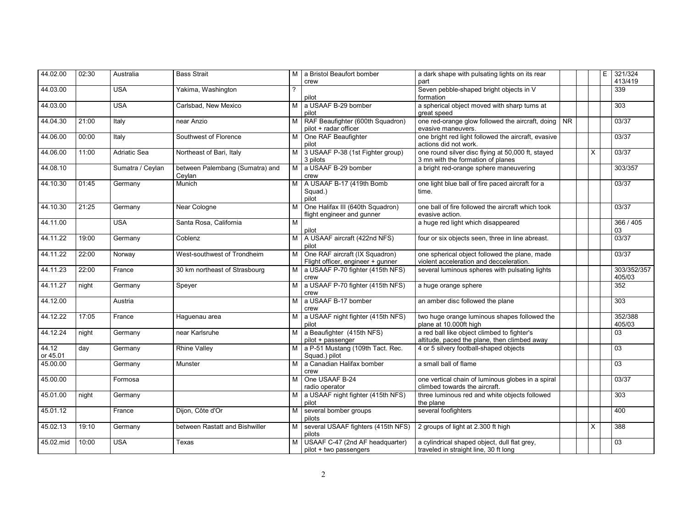| 44.02.00          | 02:30 | Australia           | <b>Bass Strait</b>                        | M I | a Bristol Beaufort bomber<br>crew                                   | a dark shape with pulsating lights on its rear<br>part                                      |           |          | E | 321/324<br>413/419    |
|-------------------|-------|---------------------|-------------------------------------------|-----|---------------------------------------------------------------------|---------------------------------------------------------------------------------------------|-----------|----------|---|-----------------------|
| 44.03.00          |       | <b>USA</b>          | Yakima, Washington                        |     | pilot                                                               | Seven pebble-shaped bright objects in V<br>formation                                        |           |          |   | 339                   |
| 44.03.00          |       | <b>USA</b>          | Carlsbad, New Mexico                      | м   | a USAAF B-29 bomber<br>pilot                                        | a spherical object moved with sharp turns at<br>great speed                                 |           |          |   | 303                   |
| 44.04.30          | 21:00 | Italy               | near Anzio                                | M   | RAF Beaufighter (600th Squadron)<br>pilot + radar officer           | one red-orange glow followed the aircraft, doing<br>evasive maneuvers.                      | <b>NR</b> |          |   | 03/37                 |
| 44.06.00          | 00:00 | Italy               | Southwest of Florence                     | м   | One RAF Beaufighter<br>pilot                                        | one bright red light followed the aircraft, evasive<br>actions did not work.                |           |          |   | 03/37                 |
| 44.06.00          | 11:00 | <b>Adriatic Sea</b> | Northeast of Bari, Italy                  | M I | 3 USAAF P-38 (1st Fighter group)<br>3 pilots                        | one round silver disc flying at 50,000 ft, stayed<br>3 mn with the formation of planes      |           | $\times$ |   | 03/37                 |
| 44.08.10          |       | Sumatra / Ceylan    | between Palembang (Sumatra) and<br>Ceylan | M I | a USAAF B-29 bomber<br>crew                                         | a bright red-orange sphere maneuvering                                                      |           |          |   | 303/357               |
| 44.10.30          | 01:45 | Germany             | Munich                                    | М   | A USAAF B-17 (419th Bomb<br>Squad.)<br>pilot                        | one light blue ball of fire paced aircraft for a<br>time.                                   |           |          |   | 03/37                 |
| 44.10.30          | 21:25 | Germany             | Near Cologne                              | м   | One Halifax III (640th Squadron)<br>flight engineer and gunner      | one ball of fire followed the aircraft which took<br>evasive action.                        |           |          |   | 03/37                 |
| 44.11.00          |       | <b>USA</b>          | Santa Rosa, California                    | M   | pilot                                                               | a huge red light which disappeared                                                          |           |          |   | 366 / 405<br>03       |
| 44.11.22          | 19:00 | Germany             | Coblenz                                   | M I | A USAAF aircraft (422nd NFS)<br>pilot                               | four or six objects seen, three in line abreast.                                            |           |          |   | 03/37                 |
| 44.11.22          | 22:00 | Norway              | West-southwest of Trondheim               | M   | One RAF aircraft (IX Squadron)<br>Flight officer, engineer + gunner | one spherical object followed the plane, made<br>violent acceleration and decceleration.    |           |          |   | 03/37                 |
| 44.11.23          | 22:00 | France              | 30 km northeast of Strasbourg             | M   | a USAAF P-70 fighter (415th NFS)<br>crew                            | several luminous spheres with pulsating lights                                              |           |          |   | 303/352/357<br>405/03 |
| 44.11.27          | night | Germany             | Speyer                                    | M   | a USAAF P-70 fighter (415th NFS)<br>crew                            | a huge orange sphere                                                                        |           |          |   | 352                   |
| 44.12.00          |       | Austria             |                                           | м   | a USAAF B-17 bomber<br>crew                                         | an amber disc followed the plane                                                            |           |          |   | 303                   |
| 44.12.22          | 17:05 | France              | Haquenau area                             | M   | a USAAF night fighter (415th NFS)<br>pilot                          | two huge orange luminous shapes followed the<br>plane at 10.000ft high                      |           |          |   | 352/388<br>405/03     |
| 44.12.24          | night | Germany             | near Karlsruhe                            | м   | a Beaufighter (415th NFS)<br>pilot + passenger                      | a red ball like object climbed to fighter's<br>altitude, paced the plane, then climbed away |           |          |   | 03                    |
| 44.12<br>or 45.01 | day   | Germany             | <b>Rhine Valley</b>                       |     | M   a P-51 Mustang (109th Tact. Rec.<br>Squad.) pilot               | 4 or 5 silvery football-shaped objects                                                      |           |          |   | 03                    |
| 45.00.00          |       | Germany             | Munster                                   | м   | a Canadian Halifax bomber<br>crew                                   | a small ball of flame                                                                       |           |          |   | 03                    |
| 45.00.00          |       | Formosa             |                                           | M   | One USAAF B-24<br>radio operator                                    | one vertical chain of luminous globes in a spiral<br>climbed towards the aircraft.          |           |          |   | 03/37                 |
| 45.01.00          | night | Germany             |                                           | м   | a USAAF night fighter (415th NFS)<br>pilot                          | three luminous red and white objects followed<br>the plane                                  |           |          |   | 303                   |
| 45.01.12          |       | France              | Dijon, Côte d'Or                          | M   | several bomber groups<br>pilots                                     | several foofighters                                                                         |           |          |   | 400                   |
| 45.02.13          | 19:10 | Germany             | between Rastatt and Bishwiller            | M   | several USAAF fighters (415th NFS)<br>pilots                        | 2 groups of light at 2.300 ft high                                                          |           | X        |   | 388                   |
| 45.02.mid         | 10:00 | <b>USA</b>          | Texas                                     | м   | USAAF C-47 (2nd AF headquarter)<br>pilot + two passengers           | a cylindrical shaped object, dull flat grey,<br>traveled in straight line, 30 ft long       |           |          |   | 03                    |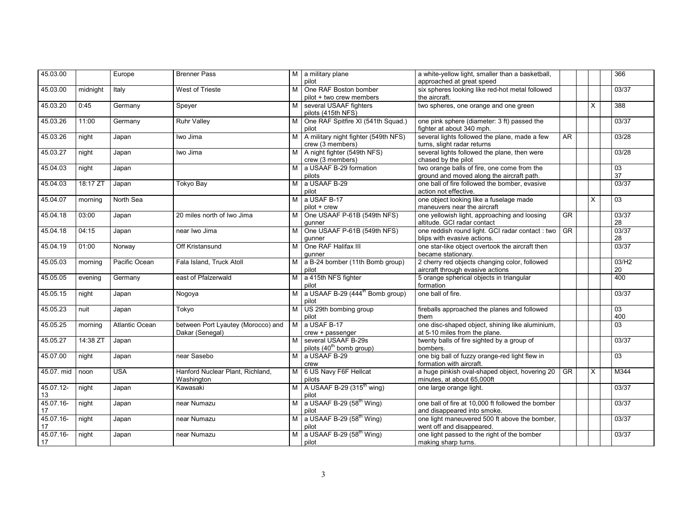| 45.03.00   |            | Europe                | <b>Brenner Pass</b>                |                | M a military plane                          | a white-yellow light, smaller than a basketball,                         |                        |          | 366             |
|------------|------------|-----------------------|------------------------------------|----------------|---------------------------------------------|--------------------------------------------------------------------------|------------------------|----------|-----------------|
|            |            |                       |                                    |                | pilot                                       | approached at great speed                                                |                        |          |                 |
| 45.03.00   | midnight   | Italy                 | West of Trieste                    | м              | One RAF Boston bomber                       | six spheres looking like red-hot metal followed                          |                        |          | 03/37           |
|            |            |                       |                                    |                | pilot + two crew members                    | the aircraft.                                                            |                        |          |                 |
| 45.03.20   | 0:45       | Germany               | Speyer                             | м              | several USAAF fighters                      | two spheres, one orange and one green                                    |                        | X        | 388             |
|            |            |                       |                                    |                | pilots (415th NFS)                          |                                                                          |                        |          |                 |
| 45.03.26   | 11:00      | Germany               | <b>Ruhr Valley</b>                 | м              | One RAF Spitfire XI (541th Squad.)<br>pilot | one pink sphere (diameter: 3 ft) passed the<br>fighter at about 340 mph. |                        |          | 03/37           |
| 45.03.26   | night      | Japan                 | Iwo Jima                           | M I            | A military night fighter (549th NFS)        | several lights followed the plane, made a few                            | <b>AR</b>              |          | 03/28           |
|            |            |                       |                                    |                | crew (3 members)                            | turns, slight radar returns                                              |                        |          |                 |
| 45.03.27   | night      | Japan                 | Iwo Jima                           | M I            | A night fighter (549th NFS)                 | several lights followed the plane, then were                             |                        |          | 03/28           |
|            |            |                       |                                    |                | crew (3 members)                            | chased by the pilot                                                      |                        |          |                 |
| 45.04.03   | night      | Japan                 |                                    | M              | a USAAF B-29 formation                      | two orange balls of fire, one come from the                              |                        |          | 03              |
|            |            |                       |                                    |                | pilots                                      | ground and moved along the aircraft path.                                |                        |          | 37              |
| 45.04.03   | 18:17 ZT   | Japan                 | Tokyo Bay                          | м              | a USAAF B-29                                | one ball of fire followed the bomber, evasive                            |                        |          | 03/37           |
|            |            |                       |                                    |                | pilot                                       | action not effective.                                                    |                        |          |                 |
| 45.04.07   | morning    | North Sea             |                                    | M              | a USAF B-17                                 | one object looking like a fuselage made                                  |                        | $\times$ | $\overline{03}$ |
|            |            |                       |                                    |                | pilot + crew                                | maneuvers near the aircraft                                              |                        |          |                 |
| 45.04.18   | 03:00      | Japan                 | 20 miles north of Iwo Jima         | М              | One USAAF P-61B (549th NFS)                 | one yellowish light, approaching and loosing                             | $\overline{\text{GR}}$ |          | 03/37           |
|            |            |                       |                                    |                | gunner                                      | altitude. GCI radar contact                                              |                        |          | 28              |
| 45.04.18   | 04:15      | Japan                 | near Iwo Jima                      | м              | One USAAF P-61B (549th NFS)                 | one reddish round light. GCI radar contact : two                         | <b>GR</b>              |          | 03/37           |
|            |            |                       |                                    |                | qunner                                      | blips with evasive actions.                                              |                        |          | 28              |
| 45.04.19   | 01:00      | Norway                | Off Kristansund                    | м              | One RAF Halifax III                         | one star-like object overtook the aircraft then                          |                        |          | 03/37           |
|            |            |                       |                                    |                | qunner                                      | became stationary.                                                       |                        |          |                 |
| 45.05.03   | morning    | Pacific Ocean         | Fala Island, Truck Atoll           |                | a B-24 bomber (11th Bomb group)             | 2 cherry red objects changing color, followed                            |                        |          | 03/H2           |
|            |            |                       |                                    |                | pilot                                       | aircraft through evasive actions                                         |                        |          | 20              |
| 45.05.05   | evening    | Germany               | east of Pfalzerwald                | M I            | a 415th NFS fighter                         | 5 orange spherical objects in triangular                                 |                        |          | 400             |
|            |            |                       |                                    |                | pilot                                       | formation                                                                |                        |          |                 |
| 45.05.15   | night      | Japan                 | Nogoya                             | M <sub>1</sub> | a USAAF B-29 $(444th$ Bomb group)           | one ball of fire.                                                        |                        |          | 03/37           |
|            |            |                       |                                    |                | pilot                                       |                                                                          |                        |          |                 |
| 45.05.23   | nuit       | Japan                 | Tokyo                              |                | M US 29th bombing group                     | fireballs approached the planes and followed                             |                        |          | $\overline{03}$ |
|            |            |                       |                                    |                | pilot                                       | them                                                                     |                        |          | 400             |
| 45.05.25   | morning    | <b>Atlantic Ocean</b> | between Port Lyautey (Morocco) and | M              | a USAF B-17                                 | one disc-shaped object, shining like aluminium,                          |                        |          | $\overline{03}$ |
|            |            |                       | Dakar (Senegal)                    |                | crew + passenger                            | at 5-10 miles from the plane.                                            |                        |          |                 |
| 45.05.27   | $14:38$ ZT | Japan                 |                                    |                | several USAAF B-29s                         | twenty balls of fire sighted by a group of                               |                        |          | 03/37           |
|            |            |                       |                                    |                | pilots (40 <sup>th</sup> bomb group)        | bombers.                                                                 |                        |          |                 |
| 45.07.00   | night      | Japan                 | near Sasebo                        | M <sub>1</sub> | a USAAF B-29                                | one big ball of fuzzy orange-red light flew in                           |                        |          | $\overline{03}$ |
|            |            |                       |                                    |                | crew                                        | formation with aircraft.                                                 |                        |          |                 |
| 45.07. mid | noon       | <b>USA</b>            | Hanford Nuclear Plant, Richland,   | M <sub>1</sub> | 6 US Navy F6F Hellcat                       | a huge pinkish oval-shaped object, hovering 20                           | <b>GR</b>              | $\times$ | M344            |
|            |            |                       | Washington                         |                | pilots                                      | minutes, at about 65,000ft                                               |                        |          |                 |
| 45.07.12-  | night      | Japan                 | Kawasaki                           |                | M A USAAF B-29 (315 <sup>th</sup> wing)     | one large orange light.                                                  |                        |          | 03/37           |
| 13         |            |                       |                                    |                | pilot                                       |                                                                          |                        |          |                 |
| 45.07.16-  | night      | Japan                 | near Numazu                        | M              | a USAAF B-29 $(58th Wing)$                  | one ball of fire at 10,000 ft followed the bomber                        |                        |          | 03/37           |
| 17         |            |                       |                                    |                | pilot                                       | and disappeared into smoke.                                              |                        |          |                 |
| 45.07.16-  | night      | Japan                 | near Numazu                        |                | M a USAAF B-29 $(58^{th}$ Wing)             | one light maneuvered 500 ft above the bomber,                            |                        |          | 03/37           |
| 17         |            |                       |                                    |                | pilot                                       | went off and disappeared.                                                |                        |          |                 |
| 45.07.16-  | night      | Japan                 | near Numazu                        |                | M a USAAF B-29 $(58th Wing)$                | one light passed to the right of the bomber                              |                        |          | 03/37           |
| 17         |            |                       |                                    |                | pilot                                       | making sharp turns.                                                      |                        |          |                 |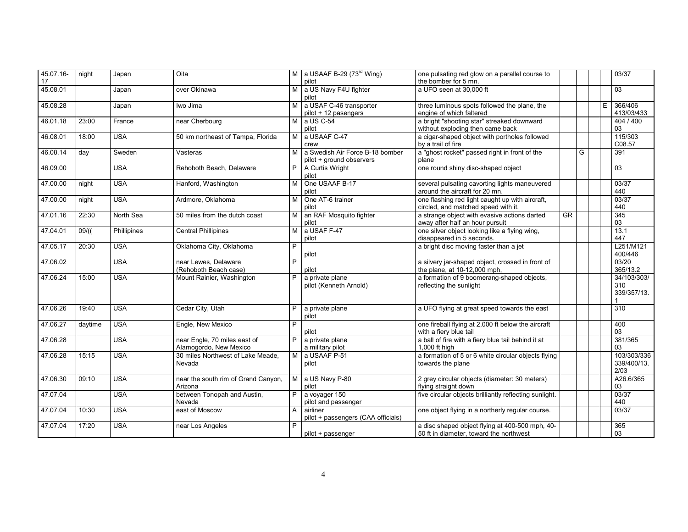| 45.07.16-<br>17 | night   | Japan       | Oita                                                   |                | M a USAAF B-29 $(73^{rd}$ Wing)<br>pilot                    | one pulsating red glow on a parallel course to<br>the bomber for 5 mn.                     |           |   |   | 03/37                              |
|-----------------|---------|-------------|--------------------------------------------------------|----------------|-------------------------------------------------------------|--------------------------------------------------------------------------------------------|-----------|---|---|------------------------------------|
| 45.08.01        |         | Japan       | over Okinawa                                           |                | M a US Navy F4U fighter<br>pilot                            | a UFO seen at 30,000 ft                                                                    |           |   |   | 03                                 |
| 45.08.28        |         | Japan       | Iwo Jima                                               |                | M a USAF C-46 transporter<br>pilot + 12 pasengers           | three luminous spots followed the plane, the<br>engine of which faltered                   |           |   | E | 366/406<br>413/03/433              |
| 46.01.18        | 23:00   | France      | near Cherbourg                                         |                | M a US C-54<br>pilot                                        | a bright "shooting star" streaked downward<br>without exploding then came back             |           |   |   | 404 / 400<br>03                    |
| 46.08.01        | 18:00   | <b>USA</b>  | 50 km northeast of Tampa, Florida                      | M              | a USAAF C-47<br>crew                                        | a cigar-shaped object with portholes followed<br>by a trail of fire                        |           |   |   | 115/303<br>C08.57                  |
| 46.08.14        | day     | Sweden      | Vasteras                                               | M I            | a Swedish Air Force B-18 bomber<br>pilot + ground observers | a "ghost rocket" passed right in front of the<br>plane                                     |           | G |   | 391                                |
| 46.09.00        |         | <b>USA</b>  | Rehoboth Beach, Delaware                               |                | P A Curtis Wright<br>pilot                                  | one round shiny disc-shaped object                                                         |           |   |   | $\overline{03}$                    |
| 47.00.00        | night   | <b>USA</b>  | Hanford, Washington                                    | М              | One USAAF B-17<br>pilot                                     | several pulsating cavorting lights maneuvered<br>around the aircraft for 20 mn.            |           |   |   | 03/37<br>440                       |
| 47.00.00        | night   | <b>USA</b>  | Ardmore, Oklahoma                                      | М              | One AT-6 trainer<br>pilot                                   | one flashing red light caught up with aircraft,<br>circled, and matched speed with it.     |           |   |   | 03/37<br>440                       |
| 47.01.16        | 22:30   | North Sea   | 50 miles from the dutch coast                          | M <sub>1</sub> | an RAF Mosquito fighter<br>pilot                            | a strange object with evasive actions darted<br>away after half an hour pursuit            | <b>GR</b> |   |   | 345<br>03                          |
| 47.04.01        | $09/$ ( | Phillipines | <b>Central Phillipines</b>                             | M              | a USAF F-47<br>pilot                                        | one silver object looking like a flying wing,<br>disappeared in 5 seconds.                 |           |   |   | 13.1<br>447                        |
| 47.05.17        | 20:30   | <b>USA</b>  | Oklahoma City, Oklahoma                                | P              | pilot                                                       | a bright disc moving faster than a jet                                                     |           |   |   | L251/M121<br>400/446               |
| 47.06.02        |         | <b>USA</b>  | near Lewes, Delaware<br>(Rehoboth Beach case)          | P              | pilot                                                       | a silvery jar-shaped object, crossed in front of<br>the plane, at 10-12,000 mph,           |           |   |   | 03/20<br>365/13.2                  |
| 47.06.24        | 15:00   | <b>USA</b>  | Mount Rainier, Washington                              |                | a private plane<br>pilot (Kenneth Arnold)                   | a formation of 9 boomerang-shaped objects,<br>reflecting the sunlight                      |           |   |   | 34/103/303/<br>310<br>339/357/13.  |
| 47.06.26        | 19:40   | <b>USA</b>  | Cedar City, Utah                                       | P              | a private plane<br>pilot                                    | a UFO flying at great speed towards the east                                               |           |   |   | 310                                |
| 47.06.27        | daytime | <b>USA</b>  | Engle, New Mexico                                      | P              | pilot                                                       | one fireball flying at 2,000 ft below the aircraft<br>with a fiery blue tail               |           |   |   | 400<br>03                          |
| 47.06.28        |         | <b>USA</b>  | near Engle, 70 miles east of<br>Alamogordo, New Mexico | P              | a private plane<br>a military pilot                         | a ball of fire with a fiery blue tail behind it at<br>1.000 ft high                        |           |   |   | 381/365<br>03                      |
| 47.06.28        | 15:15   | <b>USA</b>  | 30 miles Northwest of Lake Meade,<br>Nevada            | M I            | a USAAF P-51<br>pilot                                       | a formation of 5 or 6 white circular objects flying<br>towards the plane                   |           |   |   | 103/303/336<br>339/400/13.<br>2/03 |
| 47.06.30        | 09:10   | <b>USA</b>  | near the south rim of Grand Canyon,<br>Arizona         | M              | a US Navy P-80<br>pilot                                     | 2 grey circular objects (diameter: 30 meters)<br>flying straight down                      |           |   |   | A26.6/365<br>03                    |
| 47.07.04        |         | <b>USA</b>  | between Tonopah and Austin,<br>Nevada                  | P              | a voyager 150<br>pilot and passenger                        | five circular objects brilliantly reflecting sunlight.                                     |           |   |   | 03/37<br>440                       |
| 47.07.04        | 10:30   | <b>USA</b>  | east of Moscow                                         | A              | airliner<br>pilot + passengers (CAA officials)              | one object flying in a northerly regular course.                                           |           |   |   | 03/37                              |
| 47.07.04        | 17:20   | <b>USA</b>  | near Los Angeles                                       | P              | pilot + passenger                                           | a disc shaped object flying at 400-500 mph, 40-<br>50 ft in diameter, toward the northwest |           |   |   | 365<br>03                          |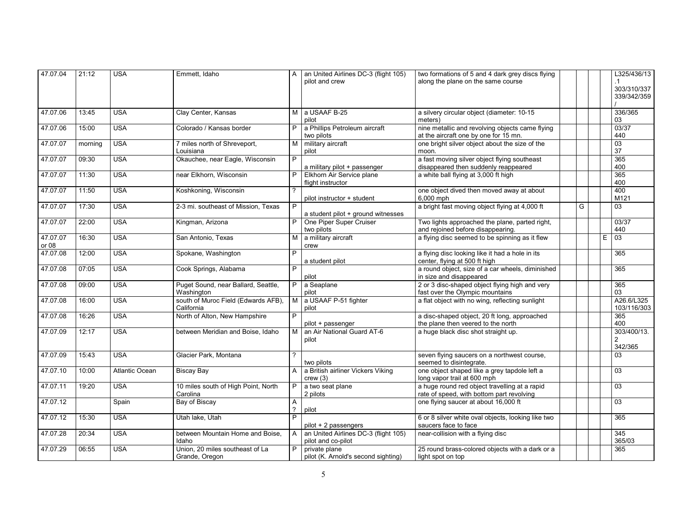| 47.07.04          | 21:12   | <b>USA</b>            | Emmett, Idaho                                     |                     | A an United Airlines DC-3 (flight 105)<br>pilot and crew   | two formations of 5 and 4 dark grey discs flying<br>along the plane on the same course     |   |   | L325/436/13<br>$\cdot$ 1<br>303/310/337<br>339/342/359 |
|-------------------|---------|-----------------------|---------------------------------------------------|---------------------|------------------------------------------------------------|--------------------------------------------------------------------------------------------|---|---|--------------------------------------------------------|
| 47.07.06          | 13:45   | <b>USA</b>            | Clay Center, Kansas                               |                     | M a USAAF B-25<br>pilot                                    | a silvery circular object (diameter: 10-15<br>meters)                                      |   |   | 336/365<br>03                                          |
| 47.07.06          | 15:00   | <b>USA</b>            | Colorado / Kansas border                          | P.                  | a Phillips Petroleum aircraft<br>two pilots                | nine metallic and revolving objects came flying<br>at the aircraft one by one for 15 mn.   |   |   | 03/37<br>440                                           |
| 47.07.07          | morning | <b>USA</b>            | 7 miles north of Shreveport,<br>Louisiana         | м                   | military aircraft<br>pilot                                 | one bright silver object about the size of the<br>moon.                                    |   |   | 03<br>37                                               |
| 47.07.07          | 09:30   | <b>USA</b>            | Okauchee, near Eagle, Wisconsin                   | P                   | a military pilot + passenger                               | a fast moving silver object flying southeast<br>disappeared then suddenly reappeared       |   |   | 365<br>400                                             |
| 47.07.07          | 11:30   | <b>USA</b>            | near Elkhorn, Wisconsin                           |                     | Elkhorn Air Service plane<br>flight instructor             | a white ball flying at 3,000 ft high                                                       |   |   | 365<br>400                                             |
| 47.07.07          | 11:50   | <b>USA</b>            | Koshkoning, Wisconsin                             |                     | pilot instructor + student                                 | one object dived then moved away at about<br>6,000 mph                                     |   |   | 400<br>M121                                            |
| 47.07.07          | 17:30   | <b>USA</b>            | 2-3 mi. southeast of Mission, Texas               | P                   | a student pilot + ground witnesses                         | a bright fast moving object flying at 4,000 ft                                             | G |   | 03                                                     |
| 47.07.07          | 22:00   | <b>USA</b>            | Kingman, Arizona                                  |                     | One Piper Super Cruiser<br>two pilots                      | Two lights approached the plane, parted right,<br>and rejoined before disappearing.        |   |   | 03/37<br>440                                           |
| 47.07.07<br>or 08 | 16:30   | <b>USA</b>            | San Antonio, Texas                                | м                   | a military aircraft<br>crew                                | a flying disc seemed to be spinning as it flew                                             |   | E | 03                                                     |
| 47.07.08          | 12:00   | <b>USA</b>            | Spokane, Washington                               | P                   | a student pilot                                            | a flying disc looking like it had a hole in its<br>center, flying at 500 ft high           |   |   | 365                                                    |
| 47.07.08          | 07:05   | <b>USA</b>            | Cook Springs, Alabama                             | P                   | pilot                                                      | a round object, size of a car wheels, diminished<br>in size and disappeared                |   |   | 365                                                    |
| 47.07.08          | 09:00   | <b>USA</b>            | Puget Sound, near Ballard, Seattle,<br>Washington | P.                  | a Seaplane<br>pilot                                        | 2 or 3 disc-shaped object flying high and very<br>fast over the Olympic mountains          |   |   | 365<br>03                                              |
| 47.07.08          | 16:00   | <b>USA</b>            | south of Muroc Field (Edwards AFB),<br>California | M <sub>1</sub>      | a USAAF P-51 fighter<br>pilot                              | a flat object with no wing, reflecting sunlight                                            |   |   | A26.6/L325<br>103/116/303                              |
| 47.07.08          | 16:26   | <b>USA</b>            | North of Alton, New Hampshire                     | P.                  | pilot + passenger                                          | a disc-shaped object, 20 ft long, approached<br>the plane then veered to the north         |   |   | 365<br>400                                             |
| 47.07.09          | 12:17   | <b>USA</b>            | between Meridian and Boise, Idaho                 | M <sub>1</sub>      | an Air National Guard AT-6<br>pilot                        | a huge black disc shot straight up.                                                        |   |   | 303/400/13.<br>$\overline{2}$<br>342/365               |
| 47.07.09          | 15:43   | <b>USA</b>            | Glacier Park, Montana                             |                     | two pilots                                                 | seven flying saucers on a northwest course,<br>seemed to disintegrate.                     |   |   | 03                                                     |
| 47.07.10          | 10:00   | <b>Atlantic Ocean</b> | <b>Biscay Bay</b>                                 | $\mathsf{A}$        | a British airliner Vickers Viking<br>crew(3)               | one object shaped like a grey tapdole left a<br>long vapor trail at 600 mph                |   |   | 03                                                     |
| 47.07.11          | 19:20   | <b>USA</b>            | 10 miles south of High Point, North<br>Carolina   | P                   | a two seat plane<br>2 pilots                               | a huge round red object travelling at a rapid<br>rate of speed, with bottom part revolving |   |   | 03                                                     |
| 47.07.12          |         | Spain                 | Bay of Biscay                                     | A<br>$\overline{?}$ | pilot                                                      | one flying saucer at about 16,000 ft                                                       |   |   | $\overline{03}$                                        |
| 47.07.12          | 15:30   | <b>USA</b>            | Utah lake, Utah                                   | P                   | pilot + 2 passengers                                       | 6 or 8 silver white oval objects, looking like two<br>saucers face to face                 |   |   | 365                                                    |
| 47.07.28          | 20:34   | <b>USA</b>            | between Mountain Home and Boise,<br>Idaho         | $\mathsf{A}$        | an United Airlines DC-3 (flight 105)<br>pilot and co-pilot | near-collision with a flying disc                                                          |   |   | 345<br>365/03                                          |
| 47.07.29          | 06:55   | <b>USA</b>            | Union, 20 miles southeast of La<br>Grande, Oregon | P                   | private plane<br>pilot (K. Arnold's second sighting)       | 25 round brass-colored objects with a dark or a<br>light spot on top                       |   |   | 365                                                    |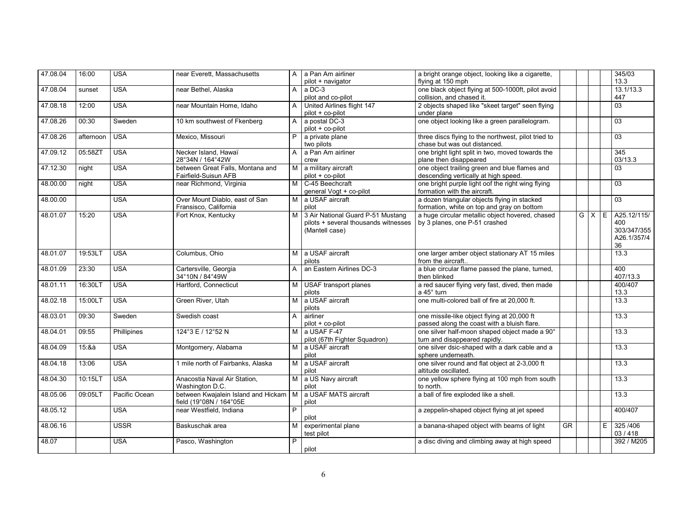| 47.08.04 | 16:00     | <b>USA</b>    | near Everett. Massachusetts             | $\mathsf{A}$   | a Pan Am airliner                    | a bright orange object, looking like a cigarette,   |                        |             |    | 345/03          |
|----------|-----------|---------------|-----------------------------------------|----------------|--------------------------------------|-----------------------------------------------------|------------------------|-------------|----|-----------------|
|          |           |               |                                         |                | pilot + navigator                    | flying at 150 mph                                   |                        |             |    | 13.3            |
| 47.08.04 | sunset    | <b>USA</b>    | near Bethel, Alaska                     | A              | a DC-3                               | one black object flying at 500-1000ft, pilot avoid  |                        |             |    | 13.1/13.3       |
|          |           |               |                                         |                | pilot and co-pilot                   | collision, and chased it.                           |                        |             |    | 447             |
| 47.08.18 | 12:00     | <b>USA</b>    | near Mountain Home, Idaho               | A              | United Airlines flight 147           | 2 objects shaped like "skeet target" seen flying    |                        |             |    | 03              |
|          |           |               |                                         |                | pilot + co-pilot                     | under plane                                         |                        |             |    |                 |
| 47.08.26 | 00:30     | Sweden        | 10 km southwest of Fkenberg             | A              | a postal DC-3                        | one object looking like a green parallelogram.      |                        |             |    | 03              |
|          |           |               |                                         |                | pilot + co-pilot                     |                                                     |                        |             |    |                 |
| 47.08.26 | afternoon | <b>USA</b>    | Mexico, Missouri                        | P              | a private plane                      | three discs flying to the northwest, pilot tried to |                        |             |    | 03              |
|          |           |               |                                         |                | two pilots                           | chase but was out distanced.                        |                        |             |    |                 |
| 47.09.12 | 05:58ZT   | <b>USA</b>    | Necker Island, Hawaï                    | A              | a Pan Am airliner                    | one bright light split in two, moved towards the    |                        |             |    | 345             |
|          |           |               | 28°34N / 164°42W                        |                | crew                                 | plane then disappeared                              |                        |             |    | 03/13.3         |
|          |           |               |                                         |                |                                      |                                                     |                        |             |    |                 |
| 47.12.30 | night     | <b>USA</b>    | between Great Falls, Montana and        | M              | a military aircraft                  | one object trailing green and blue flames and       |                        |             |    | 03              |
|          |           |               | Fairfield-Suisun AFB                    |                | pilot + co-pilot                     | descending vertically at high speed.                |                        |             |    |                 |
| 48.00.00 | night     | <b>USA</b>    | near Richmond, Virginia                 | M              | C-45 Beechcraft                      | one bright purple light oof the right wing flying   |                        |             |    | 03              |
|          |           |               |                                         |                | general Vogt + co-pilot              | formation with the aircraft.                        |                        |             |    |                 |
| 48.00.00 |           | <b>USA</b>    | Over Mount Diablo, east of San          | M I            | a USAF aircraft                      | a dozen triangular objects flying in stacked        |                        |             |    | $\overline{03}$ |
|          |           |               | Fransisco, California                   |                | pilot                                | formation, white on top and gray on bottom          |                        |             |    |                 |
| 48.01.07 | 15:20     | <b>USA</b>    | Fort Knox, Kentucky                     | M I            | 3 Air National Guard P-51 Mustang    | a huge circular metallic object hovered, chased     |                        | $G$ $X$ $E$ |    | A25.12/115/     |
|          |           |               |                                         |                | pilots + several thousands witnesses | by 3 planes, one P-51 crashed                       |                        |             |    | 400             |
|          |           |               |                                         |                | (Mantell case)                       |                                                     |                        |             |    | 303/347/355     |
|          |           |               |                                         |                |                                      |                                                     |                        |             |    | A26.1/357/4     |
|          |           |               |                                         |                |                                      |                                                     |                        |             |    | 36              |
| 48.01.07 | 19:53LT   | <b>USA</b>    | Columbus, Ohio                          | M I            | a USAF aircraft                      |                                                     |                        |             |    | 13.3            |
|          |           |               |                                         |                |                                      | one larger amber object stationary AT 15 miles      |                        |             |    |                 |
|          |           |               |                                         |                | pilots                               | from the aircraft                                   |                        |             |    |                 |
| 48.01.09 | 23:30     | <b>USA</b>    | Cartersville, Georgia                   | A              | an Eastern Airlines DC-3             | a blue circular flame passed the plane, turned,     |                        |             |    | 400             |
|          |           |               | 34°10N / 84°49W                         |                |                                      | then blinked                                        |                        |             |    | 407/13.3        |
| 48.01.11 | 16:30LT   | <b>USA</b>    | Hartford, Connecticut                   | M              | USAF transport planes                | a red saucer flying very fast, dived, then made     |                        |             |    | 400/407         |
|          |           |               |                                         |                | pilots                               | a 45° turn                                          |                        |             |    | 13.3            |
| 48.02.18 | 15:00LT   | <b>USA</b>    | Green River, Utah                       | M              | a USAF aircraft                      | one multi-colored ball of fire at 20,000 ft.        |                        |             |    | 13.3            |
|          |           |               |                                         |                | pilots                               |                                                     |                        |             |    |                 |
| 48.03.01 | 09:30     | Sweden        | Swedish coast                           | A              | airliner                             | one missile-like object flying at 20,000 ft         |                        |             |    | 13.3            |
|          |           |               |                                         |                | pilot + co-pilot                     | passed along the coast with a bluish flare.         |                        |             |    |                 |
| 48.04.01 | 09:55     | Phillipines   | 124°3 E / 12°52 N                       | М              | a USAF F-47                          | one silver half-moon shaped object made a 90°       |                        |             |    | 13.3            |
|          |           |               |                                         |                | pilot (67th Fighter Squadron)        | turn and disappeared rapidly.                       |                        |             |    |                 |
| 48.04.09 | 15:8a     | <b>USA</b>    | Montgomery, Alabama                     | M              | a USAF aircraft                      | one silver dsic-shaped with a dark cable and a      |                        |             |    | 13.3            |
|          |           |               |                                         |                | pilot                                | sphere underneath.                                  |                        |             |    |                 |
|          | 13:06     | <b>USA</b>    |                                         | M <sub>1</sub> | a USAF aircraft                      |                                                     |                        |             |    | 13.3            |
| 48.04.18 |           |               | 1 mile north of Fairbanks, Alaska       |                |                                      | one silver round and flat object at 2-3,000 ft      |                        |             |    |                 |
|          |           |               |                                         |                | pilot                                | altitude oscillated.                                |                        |             |    |                 |
| 48.04.30 | 10:15LT   | <b>USA</b>    | Anacostia Naval Air Station,            |                | M a US Navy aircraft                 | one yellow sphere flying at 100 mph from south      |                        |             |    | 13.3            |
|          |           |               | Washington D.C.                         |                | pilot                                | to north.                                           |                        |             |    |                 |
| 48.05.06 | 09:05LT   | Pacific Ocean | between Kwajalein Island and Hickam   M |                | a USAF MATS aircraft                 | a ball of fire exploded like a shell.               |                        |             |    | 13.3            |
|          |           |               | field (19°08N / 164°05E                 |                | pilot                                |                                                     |                        |             |    |                 |
| 48.05.12 |           | <b>USA</b>    | near Westfield, Indiana                 | $\overline{P}$ |                                      | a zeppelin-shaped object flying at jet speed        |                        |             |    | 400/407         |
|          |           |               |                                         |                | pilot                                |                                                     |                        |             |    |                 |
| 48.06.16 |           | <b>USSR</b>   | Baskuschak area                         | M              | experimental plane                   | a banana-shaped object with beams of light          | $\overline{\text{GR}}$ |             | E. | 325 / 406       |
|          |           |               |                                         |                | test pilot                           |                                                     |                        |             |    | 03 / 418        |
| 48.07    |           | <b>USA</b>    | Pasco, Washington                       | P              |                                      | a disc diving and climbing away at high speed       |                        |             |    | 392 / M205      |
|          |           |               |                                         |                | pilot                                |                                                     |                        |             |    |                 |
|          |           |               |                                         |                |                                      |                                                     |                        |             |    |                 |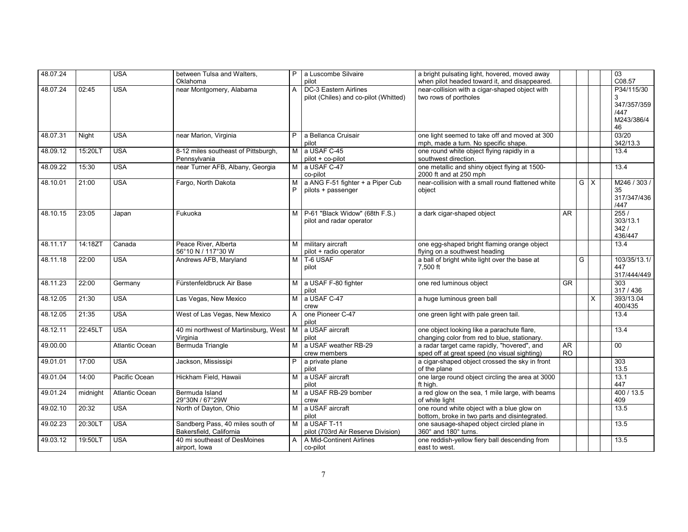| 48.07.24 |          | <b>USA</b>            | between Tulsa and Walters.               | P              | a Luscombe Silvaire                   | a bright pulsating light, hovered, moved away                  |           |     |              | $\overline{03}$     |
|----------|----------|-----------------------|------------------------------------------|----------------|---------------------------------------|----------------------------------------------------------------|-----------|-----|--------------|---------------------|
|          |          |                       | Oklahoma                                 |                | pilot                                 | when pilot headed toward it, and disappeared.                  |           |     |              | C08.57              |
| 48.07.24 | 02:45    | <b>USA</b>            | near Montgomery, Alabama                 | A              | DC-3 Eastern Airlines                 | near-collision with a cigar-shaped object with                 |           |     |              | P34/115/30          |
|          |          |                       |                                          |                | pilot (Chiles) and co-pilot (Whitted) | two rows of portholes                                          |           |     |              | 3                   |
|          |          |                       |                                          |                |                                       |                                                                |           |     |              | 347/357/359<br>/447 |
|          |          |                       |                                          |                |                                       |                                                                |           |     |              | M243/386/4          |
|          |          |                       |                                          |                |                                       |                                                                |           |     |              | 46                  |
| 48.07.31 | Night    | <b>USA</b>            | near Marion, Virginia                    | P              | a Bellanca Cruisair                   | one light seemed to take off and moved at 300                  |           |     |              | 03/20               |
|          |          |                       |                                          |                | pilot                                 | mph, made a turn. No specific shape.                           |           |     |              | 342/13.3            |
| 48.09.12 | 15:20LT  | <b>USA</b>            | 8-12 miles southeast of Pittsburgh,      | м              | a USAF C-45                           | one round white object flying rapidly in a                     |           |     |              | 13.4                |
|          |          |                       | Pennsylvania                             |                | pilot + co-pilot                      | southwest direction.                                           |           |     |              |                     |
| 48.09.22 | 15:30    | <b>USA</b>            | near Turner AFB, Albany, Georgia         | M              | a USAF C-47                           | one metallic and shiny object flying at 1500-                  |           |     |              | 13.4                |
|          |          |                       |                                          |                | co-pilot                              | 2000 ft and at 250 mph                                         |           |     |              |                     |
| 48.10.01 | 21:00    | <b>USA</b>            | Fargo, North Dakota                      | M              | a ANG F-51 fighter + a Piper Cub      | near-collision with a small round flattened white              |           | G I | $\mathsf{X}$ | M246 / 303 /        |
|          |          |                       |                                          |                | pilots + passenger                    | object                                                         |           |     |              | 35<br>317/347/436   |
|          |          |                       |                                          |                |                                       |                                                                |           |     |              | /447                |
| 48.10.15 | 23:05    | Japan                 | Fukuoka                                  | M              | P-61 "Black Widow" (68th F.S.)        | a dark cigar-shaped object                                     | AR        |     |              | 255/                |
|          |          |                       |                                          |                | pilot and radar operator              |                                                                |           |     |              | 303/13.1            |
|          |          |                       |                                          |                |                                       |                                                                |           |     |              | 342/                |
|          |          |                       |                                          |                |                                       |                                                                |           |     |              | 436/447             |
| 48.11.17 | 14:18ZT  | Canada                | Peace River, Alberta                     | M              | military aircraft                     | one egg-shaped bright flaming orange object                    |           |     |              | 13.4                |
|          |          |                       | 56°10 N / 117°30 W                       |                | pilot + radio operator                | flying on a southwest heading                                  |           |     |              |                     |
| 48.11.18 | 22:00    | <b>USA</b>            | Andrews AFB, Maryland                    | м              | T-6 USAF                              | a ball of bright white light over the base at                  |           | G   |              | 103/35/13.1/        |
|          |          |                       |                                          |                | pilot                                 | 7,500 ft                                                       |           |     |              | 447                 |
| 48.11.23 | 22:00    | Germany               | Fürstenfeldbruck Air Base                | M I            | a USAF F-80 fighter                   | one red luminous object                                        | <b>GR</b> |     |              | 317/444/449<br>303  |
|          |          |                       |                                          |                | pilot                                 |                                                                |           |     |              | 317/436             |
| 48.12.05 | 21:30    | <b>USA</b>            | Las Vegas, New Mexico                    | M              | a USAF C-47                           | a huge luminous green ball                                     |           |     | X            | 393/13.04           |
|          |          |                       |                                          |                | crew                                  |                                                                |           |     |              | 400/435             |
| 48.12.05 | 21:35    | <b>USA</b>            | West of Las Vegas, New Mexico            | А              | one Pioneer C-47                      | one green light with pale green tail.                          |           |     |              | 13.4                |
|          |          |                       |                                          |                | pilot                                 |                                                                |           |     |              |                     |
| 48.12.11 | 22:45LT  | <b>USA</b>            | 40 mi northwest of Martinsburg, West   M |                | a USAF aircraft                       | one object looking like a parachute flare,                     |           |     |              | 13.4                |
|          |          |                       | Virginia                                 |                | pilot                                 | changing color from red to blue, stationary.                   |           |     |              |                     |
| 49.00.00 |          | <b>Atlantic Ocean</b> | Bermuda Triangle                         | M              | a USAF weather RB-29                  | a radar target came rapidly, "hovered", and                    | AR        |     |              | $\overline{00}$     |
|          |          |                       |                                          |                | crew members                          | sped off at great speed (no visual sighting)                   | <b>RO</b> |     |              |                     |
| 49.01.01 | 17:00    | <b>USA</b>            | Jackson, Mississipi                      |                | a private plane<br>pilot              | a cigar-shaped object crossed the sky in front<br>of the plane |           |     |              | 303<br>13.5         |
| 49.01.04 | 14:00    | Pacific Ocean         | Hickham Field, Hawaii                    | м              | a USAF aircraft                       | one large round object circling the area at 3000               |           |     |              | 13.1                |
|          |          |                       |                                          |                | pilot                                 | ft high.                                                       |           |     |              | 447                 |
| 49.01.24 | midnight | Atlantic Ocean        | Bermuda Island                           | M              | a USAF RB-29 bomber                   | a red glow on the sea, 1 mile large, with beams                |           |     |              | 400 / 13.5          |
|          |          |                       | 29°30N / 67°29W                          |                | crew                                  | of white light                                                 |           |     |              | 409                 |
| 49.02.10 | 20:32    | <b>USA</b>            | North of Dayton, Ohio                    | M              | a USAF aircraft                       | one round white object with a blue glow on                     |           |     |              | 13.5                |
|          |          |                       |                                          |                | pilot                                 | bottom, broke in two parts and disintegrated.                  |           |     |              |                     |
| 49.02.23 | 20:30LT  | <b>USA</b>            | Sandberg Pass, 40 miles south of         | $\overline{M}$ | a USAF T-11                           | one sausage-shaped object circled plane in                     |           |     |              | 13.5                |
|          |          |                       | Bakersfield, California                  |                | pilot (703rd Air Reserve Division)    | 360° and 180° turns.                                           |           |     |              |                     |
| 49.03.12 | 19:50LT  | <b>USA</b>            | 40 mi southeast of DesMoines             | A              | A Mid-Continent Airlines              | one reddish-yellow fiery ball descending from                  |           |     |              | 13.5                |
|          |          |                       | airport, Iowa                            |                | co-pilot                              | east to west.                                                  |           |     |              |                     |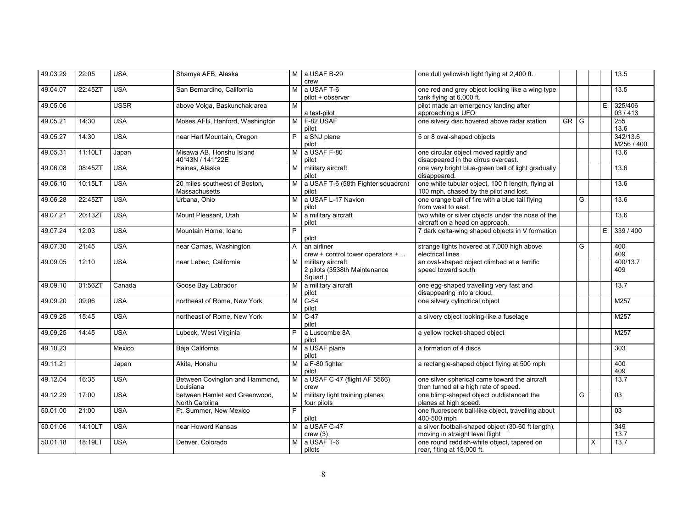| 49.03.29 | 22:05   | <b>USA</b>  | Shamya AFB, Alaska                              |                | M a USAF B-29                                                | one dull yellowish light flying at 2,400 ft.                                                 |    |   |   |    | 13.5                |
|----------|---------|-------------|-------------------------------------------------|----------------|--------------------------------------------------------------|----------------------------------------------------------------------------------------------|----|---|---|----|---------------------|
|          |         |             |                                                 |                | crew                                                         |                                                                                              |    |   |   |    |                     |
| 49.04.07 | 22:45ZT | <b>USA</b>  | San Bernardino, California                      | M I            | a USAF T-6<br>pilot + observer                               | one red and grey object looking like a wing type<br>tank flying at 6,000 ft.                 |    |   |   |    | 13.5                |
| 49.05.06 |         | <b>USSR</b> | above Volga, Baskunchak area                    | M              | a test-pilot                                                 | pilot made an emergency landing after<br>approaching a UFO                                   |    |   |   | E  | 325/406<br>03 / 413 |
| 49.05.21 | 14:30   | <b>USA</b>  | Moses AFB, Hanford, Washington                  | M              | F-82 USAF                                                    | one silvery disc hovered above radar station                                                 | GR | G |   |    | 255<br>13.6         |
| 49.05.27 | 14:30   | <b>USA</b>  | near Hart Mountain, Oregon                      | P.             | pilot<br>a SNJ plane                                         | 5 or 8 oval-shaped objects                                                                   |    |   |   |    | 342/13.6            |
| 49.05.31 | 11:10LT | Japan       | Misawa AB. Honshu Island                        | M <sub>1</sub> | pilot<br>a USAF F-80                                         | one circular object moved rapidly and                                                        |    |   |   |    | M256 / 400<br>13.6  |
|          |         |             | 40°43N / 141°22E                                |                | pilot                                                        | disappeared in the cirrus overcast.                                                          |    |   |   |    |                     |
| 49.06.08 | 08:45ZT | <b>USA</b>  | Haines, Alaska                                  | м              | military aircraft<br>pilot                                   | one very bright blue-green ball of light gradually<br>disappeared.                           |    |   |   |    | 13.6                |
| 49.06.10 | 10:15LT | <b>USA</b>  | 20 miles southwest of Boston.<br>Massachusetts  | M              | a USAF T-6 (58th Fighter squadron)<br>pilot                  | one white tubular object, 100 ft length, flying at<br>100 mph, chased by the pilot and lost. |    |   |   |    | 13.6                |
| 49.06.28 | 22:45ZT | <b>USA</b>  | Urbana, Ohio                                    | M I            | a USAF L-17 Navion<br>pilot                                  | one orange ball of fire with a blue tail flying<br>from west to east.                        |    | G |   |    | 13.6                |
| 49.07.21 | 20:13ZT | <b>USA</b>  | Mount Pleasant, Utah                            | м              | a military aircraft<br>pilot                                 | two white or silver objects under the nose of the<br>aircraft on a head on approach.         |    |   |   |    | 13.6                |
| 49.07.24 | 12:03   | <b>USA</b>  | Mountain Home, Idaho                            | P              | pilot                                                        | 7 dark delta-wing shaped objects in V formation                                              |    |   |   | E. | 339 / 400           |
| 49.07.30 | 21:45   | <b>USA</b>  | near Camas, Washington                          | $\overline{A}$ | an airliner<br>crew + control tower operators +              | strange lights hovered at 7,000 high above<br>electrical lines                               |    | G |   |    | 400<br>409          |
| 49.09.05 | 12:10   | <b>USA</b>  | near Lebec. California                          | M              | military aircraft<br>2 pilots (3538th Maintenance<br>Squad.) | an oval-shaped object climbed at a terrific<br>speed toward south                            |    |   |   |    | 400/13.7<br>409     |
| 49.09.10 | 01:56ZT | Canada      | Goose Bay Labrador                              |                | M a military aircraft<br>pilot                               | one egg-shaped travelling very fast and<br>disappearing into a cloud.                        |    |   |   |    | 13.7                |
| 49.09.20 | 09:06   | <b>USA</b>  | northeast of Rome, New York                     | M              | $C-54$<br>pilot                                              | one silvery cylindrical object                                                               |    |   |   |    | M257                |
| 49.09.25 | 15:45   | <b>USA</b>  | northeast of Rome, New York                     | M              | $C-47$<br>pilot                                              | a silvery object looking-like a fuselage                                                     |    |   |   |    | M257                |
| 49.09.25 | 14:45   | <b>USA</b>  | Lubeck, West Virginia                           | P              | a Luscombe 8A<br>pilot                                       | a yellow rocket-shaped object                                                                |    |   |   |    | M257                |
| 49.10.23 |         | Mexico      | Baja California                                 | M              | a USAF plane<br>pilot                                        | a formation of 4 discs                                                                       |    |   |   |    | 303                 |
| 49.11.21 |         | Japan       | Akita, Honshu                                   |                | M a F-80 fighter<br>pilot                                    | a rectangle-shaped object flying at 500 mph                                                  |    |   |   |    | 400<br>409          |
| 49.12.04 | 16:35   | <b>USA</b>  | Between Covington and Hammond,<br>Louisiana     | M <sub>1</sub> | a USAF C-47 (flight AF 5566)<br>crew                         | one silver spherical came toward the aircraft<br>then turned at a high rate of speed.        |    |   |   |    | 13.7                |
| 49.12.29 | 17:00   | <b>USA</b>  | between Hamlet and Greenwood,<br>North Carolina | M              | military light training planes<br>four pilots                | one blimp-shaped object outdistanced the<br>planes at high speed.                            |    | G |   |    | 03                  |
| 50.01.00 | 21:00   | <b>USA</b>  | Ft. Summer, New Mexico                          | $\overline{P}$ |                                                              | one fluorescent ball-like object, travelling about<br>400-500 mph                            |    |   |   |    | $\overline{03}$     |
| 50.01.06 | 14:10LT | <b>USA</b>  | near Howard Kansas                              |                | pilot<br>M a USAF C-47                                       | a silver football-shaped object (30-60 ft length),                                           |    |   |   |    | 349                 |
|          |         |             |                                                 |                | crew(3)                                                      | moving in straight level flight                                                              |    |   |   |    | 13.7                |
| 50.01.18 | 18:19LT | <b>USA</b>  | Denver, Colorado                                | M              | a USAF T-6                                                   | one round reddish-white object, tapered on                                                   |    |   | X |    | 13.7                |
|          |         |             |                                                 |                | pilots                                                       | rear, fiting at 15,000 ft.                                                                   |    |   |   |    |                     |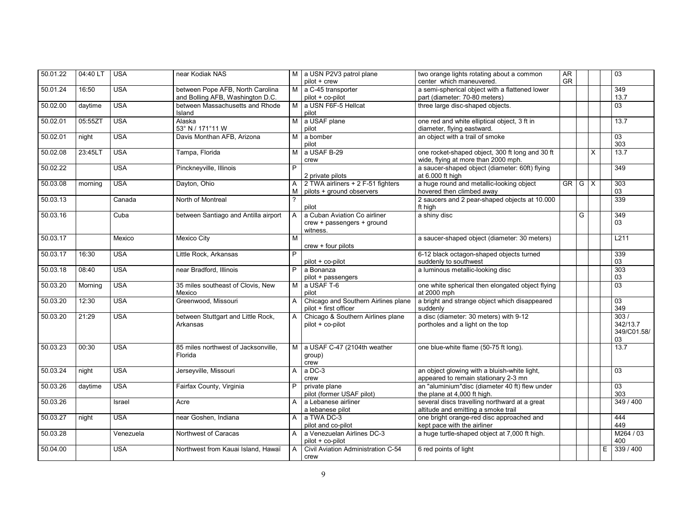| 50.01.22 | 04:40 LT | <b>USA</b> | near Kodiak NAS                                                      |                | M a USN P2V3 patrol plane<br>pilot + crew                              | two orange lights rotating about a common<br>center which maneuvered.                  | AR<br>GR  |     |   |    | 03                                    |
|----------|----------|------------|----------------------------------------------------------------------|----------------|------------------------------------------------------------------------|----------------------------------------------------------------------------------------|-----------|-----|---|----|---------------------------------------|
|          |          |            |                                                                      |                |                                                                        |                                                                                        |           |     |   |    |                                       |
| 50.01.24 | 16:50    | <b>USA</b> | between Pope AFB, North Carolina<br>and Bolling AFB, Washington D.C. |                | M a C-45 transporter<br>pilot + co-pilot                               | a semi-spherical object with a flattened lower<br>part (diameter: 70-80 meters)        |           |     |   |    | 349<br>13.7                           |
| 50.02.00 | daytime  | <b>USA</b> | between Massachusetts and Rhode<br>Island                            | M I            | a USN F6F-5 Hellcat<br>pilot                                           | three large disc-shaped objects.                                                       |           |     |   |    | $\overline{03}$                       |
| 50.02.01 | 05:55ZT  | <b>USA</b> | Alaska<br>53° N / 171°11 W                                           | M <sub>1</sub> | a USAF plane<br>pilot                                                  | one red and white elliptical object, 3 ft in<br>diameter, flying eastward.             |           |     |   |    | 13.7                                  |
| 50.02.01 | night    | <b>USA</b> | Davis Monthan AFB, Arizona                                           | M              | a bomber<br>pilot                                                      | an object with a trail of smoke                                                        |           |     |   |    | 03<br>303                             |
| 50.02.08 | 23:45LT  | <b>USA</b> | Tampa, Florida                                                       | м              | a USAF B-29<br>crew                                                    | one rocket-shaped object, 300 ft long and 30 ft<br>wide, flying at more than 2000 mph. |           |     | X |    | 13.7                                  |
| 50.02.22 |          | <b>USA</b> | Pinckneyville, Illinois                                              | P              | 2 private pilots                                                       | a saucer-shaped object (diameter: 60ft) flying<br>at 6.000 ft high                     |           |     |   |    | 349                                   |
| 50.03.08 | morning  | <b>USA</b> | Dayton, Ohio                                                         | A<br>M         | 2 TWA airliners + 2 F-51 fighters<br>pilots + ground observers         | a huge round and metallic-looking object<br>hovered then climbed away                  | <b>GR</b> | G X |   |    | 303<br>03                             |
| 50.03.13 |          | Canada     | North of Montreal                                                    |                | pilot                                                                  | 2 saucers and 2 pear-shaped objects at 10.000<br>ft high                               |           |     |   |    | 339                                   |
| 50.03.16 |          | Cuba       | between Santiago and Antilla airport                                 | $\overline{A}$ | a Cuban Aviation Co airliner<br>crew + passengers + ground<br>witness. | a shiny disc                                                                           |           | G   |   |    | $\overline{349}$<br>03                |
| 50.03.17 |          | Mexico     | <b>Mexico City</b>                                                   | M              | $crew + four$ pilots                                                   | a saucer-shaped object (diameter: 30 meters)                                           |           |     |   |    | L211                                  |
| 50.03.17 | 16:30    | <b>USA</b> | Little Rock, Arkansas                                                | P              | pilot + co-pilot                                                       | 6-12 black octagon-shaped objects turned<br>suddenly to southwest                      |           |     |   |    | 339<br>03                             |
| 50.03.18 | 08:40    | <b>USA</b> | near Bradford, Illinois                                              | P              | a Bonanza<br>pilot + passengers                                        | a luminous metallic-looking disc                                                       |           |     |   |    | 303<br>03                             |
| 50.03.20 | Morning  | <b>USA</b> | 35 miles southeast of Clovis, New<br>Mexico                          | M              | a USAF T-6<br>pilot                                                    | one white spherical then elongated object flying<br>at 2000 mph                        |           |     |   |    | 03                                    |
| 50.03.20 | 12:30    | <b>USA</b> | Greenwood, Missouri                                                  |                | Chicago and Southern Airlines plane<br>pilot + first officer           | a bright and strange object which disappeared<br>suddenly                              |           |     |   |    | $\overline{03}$<br>349                |
| 50.03.20 | 21:29    | <b>USA</b> | between Stuttgart and Little Rock,<br>Arkansas                       | A              | Chicago & Southern Airlines plane<br>pilot + co-pilot                  | a disc (diameter: 30 meters) with 9-12<br>portholes and a light on the top             |           |     |   |    | 303/<br>342/13.7<br>349/C01.58/<br>03 |
| 50.03.23 | 00:30    | <b>USA</b> | 85 miles northwest of Jacksonville,<br>Florida                       | M I            | a USAF C-47 (2104th weather<br>group)<br>crew                          | one blue-white flame (50-75 ft long).                                                  |           |     |   |    | 13.7                                  |
| 50.03.24 | night    | <b>USA</b> | Jerseyville, Missouri                                                | A              | a DC-3<br>crew                                                         | an object glowing with a bluish-white light,<br>appeared to remain stationary 2-3 mn   |           |     |   |    | 03                                    |
| 50.03.26 | daytime  | <b>USA</b> | Fairfax County, Virginia                                             | P              | private plane<br>pilot (former USAF pilot)                             | an "aluminium"disc (diameter 40 ft) flew under<br>the plane at 4,000 ft high.          |           |     |   |    | $\overline{03}$<br>303                |
| 50.03.26 |          | Israel     | Acre                                                                 | $\mathsf{A}$   | a Lebanese airliner<br>a lebanese pilot                                | several discs travelling northward at a great<br>altitude and emitting a smoke trail   |           |     |   |    | 349 / 400                             |
| 50.03.27 | night    | <b>USA</b> | near Goshen, Indiana                                                 | $\mathsf{A}$   | a TWA DC-3<br>pilot and co-pilot                                       | one bright orange-red disc approached and<br>kept pace with the airliner               |           |     |   |    | 444<br>449                            |
| 50.03.28 |          | Venezuela  | Northwest of Caracas                                                 |                | A a Venezuelan Airlines DC-3<br>pilot + co-pilot                       | a huge turtle-shaped object at 7,000 ft high.                                          |           |     |   |    | M264 / 03<br>400                      |
| 50.04.00 |          | <b>USA</b> | Northwest from Kauai Island, Hawaï                                   | $\overline{A}$ | Civil Aviation Administration C-54<br>crew                             | 6 red points of light                                                                  |           |     |   | E. | 339 / 400                             |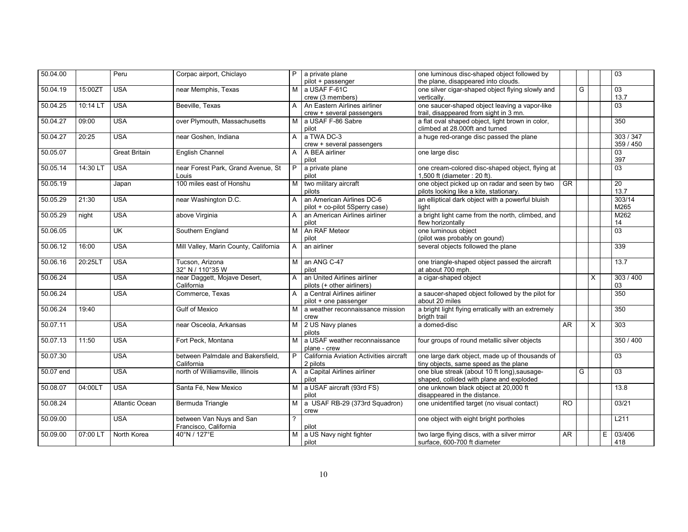| 50.04.00  |          | Peru                 | Corpac airport, Chiclayo              | P.             | a private plane                         | one luminous disc-shaped object followed by         |                 |   |                         | 03               |
|-----------|----------|----------------------|---------------------------------------|----------------|-----------------------------------------|-----------------------------------------------------|-----------------|---|-------------------------|------------------|
|           |          |                      |                                       |                | pilot + passenger                       | the plane, disappeared into clouds.                 |                 |   |                         |                  |
| 50.04.19  | 15:00ZT  | <b>USA</b>           | near Memphis, Texas                   | М              | a USAF F-61C                            | one silver cigar-shaped object flying slowly and    |                 | G |                         | 03               |
|           |          |                      |                                       |                | crew (3 members)                        | vertically.                                         |                 |   |                         | 13.7             |
| 50.04.25  | 10:14 LT | <b>USA</b>           | Beeville, Texas                       | A              | An Eastern Airlines airliner            | one saucer-shaped object leaving a vapor-like       |                 |   |                         | 03               |
|           |          |                      |                                       |                | crew + several passengers               | trail, disappeared from sight in 3 mn.              |                 |   |                         |                  |
| 50.04.27  | 09:00    | <b>USA</b>           | over Plymouth, Massachusetts          | М              | a USAF F-86 Sabre                       | a flat oval shaped object, light brown in color,    |                 |   |                         | 350              |
|           |          |                      |                                       |                | pilot                                   | climbed at 28.000ft and turned                      |                 |   |                         |                  |
| 50.04.27  | 20:25    | <b>USA</b>           | near Goshen, Indiana                  | A              | a TWA DC-3                              | a huge red-orange disc passed the plane             |                 |   |                         | 303 / 347        |
|           |          |                      |                                       |                | crew + several passengers               |                                                     |                 |   |                         | 359 / 450        |
| 50.05.07  |          | <b>Great Britain</b> | <b>English Channel</b>                | A              | A BEA airliner                          | one large disc                                      |                 |   |                         | $\overline{03}$  |
|           |          |                      |                                       |                | pilot                                   |                                                     |                 |   |                         | 397              |
| 50.05.14  | 14:30 LT | <b>USA</b>           | near Forest Park, Grand Avenue, St    | P              | a private plane                         | one cream-colored disc-shaped object, flying at     |                 |   |                         | 03               |
|           |          |                      | Louis                                 |                | pilot                                   | 1,500 ft (diameter: 20 ft).                         |                 |   |                         |                  |
| 50.05.19  |          | Japan                | 100 miles east of Honshu              | M              | two military aircraft                   | one object picked up on radar and seen by two       | <b>GR</b>       |   |                         | 20               |
|           |          |                      |                                       |                | pilots                                  | pilots looking like a kite, stationary.             |                 |   |                         | 13.7             |
| 50.05.29  | 21:30    | <b>USA</b>           | near Washington D.C.                  | A              | an American Airlines DC-6               | an elliptical dark object with a powerful bluish    |                 |   |                         | 303/14           |
|           |          |                      |                                       |                | pilot + co-pilot 5Sperry case)          | light                                               |                 |   |                         | M265             |
| 50.05.29  | night    | <b>USA</b>           | above Virginia                        | A              | an American Airlines airliner           | a bright light came from the north, climbed, and    |                 |   |                         | M262             |
|           |          |                      |                                       |                | pilot                                   | flew horizontally                                   |                 |   |                         | 14               |
| 50.06.05  |          | <b>UK</b>            | Southern England                      | M              | An RAF Meteor                           | one luminous object                                 |                 |   |                         | 03               |
|           |          |                      |                                       |                | pilot                                   | (pilot was probably on gound)                       |                 |   |                         |                  |
| 50.06.12  | 16:00    | <b>USA</b>           | Mill Valley, Marin County, California | A              | an airliner                             | several objects followed the plane                  |                 |   |                         | 339              |
|           |          |                      |                                       |                |                                         |                                                     |                 |   |                         |                  |
| 50.06.16  | 20:25LT  | <b>USA</b>           | Tucson, Arizona                       | $\overline{M}$ | an ANG C-47                             | one triangle-shaped object passed the aircraft      |                 |   |                         | 13.7             |
|           |          |                      | 32° N / 110°35 W                      |                | pilot                                   | at about 700 mph.                                   |                 |   |                         |                  |
| 50.06.24  |          | <b>USA</b>           | near Daggett, Mojave Desert,          | $\mathsf{A}$   | an United Airlines airliner             | a cigar-shaped object                               |                 |   | X                       | 303 / 400        |
|           |          |                      | California                            |                | pilots (+ other airliners)              |                                                     |                 |   |                         | 03               |
| 50.06.24  |          | <b>USA</b>           | Commerce, Texas                       | $\mathsf{A}$   | a Central Airlines airliner             | a saucer-shaped object followed by the pilot for    |                 |   |                         | 350              |
|           |          |                      |                                       |                | pilot + one passenger                   | about 20 miles                                      |                 |   |                         |                  |
| 50.06.24  | 19:40    |                      | <b>Gulf of Mexico</b>                 | M              | a weather reconnaissance mission        | a bright light flying erratically with an extremely |                 |   |                         | 350              |
|           |          |                      |                                       |                | crew                                    | brigth trail                                        |                 |   |                         |                  |
| 50.07.11  |          | <b>USA</b>           | near Osceola, Arkansas                | М              | 2 US Navy planes                        | a domed-disc                                        | <b>AR</b>       |   | $\overline{\mathsf{x}}$ | 303              |
|           |          |                      |                                       |                | pilots                                  |                                                     |                 |   |                         |                  |
| 50.07.13  | 11:50    | <b>USA</b>           | Fort Peck, Montana                    | M              | a USAF weather reconnaissance           | four groups of round metallic silver objects        |                 |   |                         | 350 / 400        |
|           |          |                      |                                       |                | plane - crew                            |                                                     |                 |   |                         |                  |
| 50.07.30  |          | <b>USA</b>           | between Palmdale and Bakersfield,     | P              | California Aviation Activities aircraft | one large dark object, made up of thousands of      |                 |   |                         | 03               |
|           |          |                      | California                            |                | 2 pilots                                | tiny objects, same speed as the plane               |                 |   |                         |                  |
| 50.07 end |          | <b>USA</b>           | north of Williamsville, Illinois      | $\mathsf{A}$   | a Capital Airlines airliner             | one blue streak (about 10 ft long), sausage-        |                 | G |                         | 03               |
|           |          |                      |                                       |                | pilot                                   | shaped, collided with plane and exploded            |                 |   |                         |                  |
| 50.08.07  | 04:00LT  | <b>USA</b>           | Santa Fé, New Mexico                  | М              | a USAF aircraft (93rd FS)               | one unknown black object at 20,000 ft               |                 |   |                         | 13.8             |
|           |          |                      |                                       |                | pilot                                   | disappeared in the distance.                        |                 |   |                         |                  |
| 50.08.24  |          | Atlantic Ocean       | Bermuda Triangle                      | м              | a USAF RB-29 (373rd Squadron)           | one unidentified target (no visual contact)         | <b>RO</b>       |   |                         | 03/21            |
|           |          |                      |                                       |                | crew                                    |                                                     |                 |   |                         |                  |
| 50.09.00  |          | <b>USA</b>           | between Van Nuys and San              | $\overline{?}$ |                                         | one object with eight bright portholes              |                 |   |                         | L <sub>211</sub> |
|           |          |                      | Francisco, California                 |                | pilot                                   |                                                     |                 |   |                         |                  |
| 50.09.00  | 07:00 LT | North Korea          | 40°N / 127°E                          | М              | a US Navy night fighter                 | two large flying discs, with a silver mirror        | $\overline{AR}$ |   |                         | 03/406<br>Ε      |
|           |          |                      |                                       |                | pilot                                   | surface, 600-700 ft diameter                        |                 |   |                         | 418              |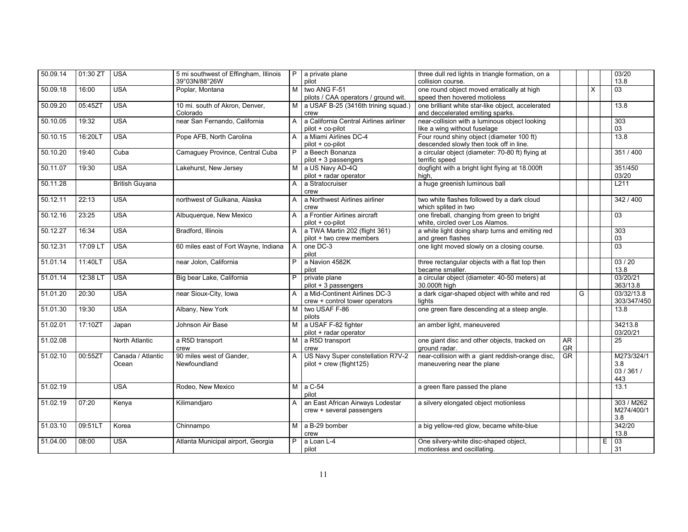| 50.09.14 | 01:30 ZT | <b>USA</b>                 | 5 mi southwest of Effingham, Illinois<br>39°03N/88°26W | P              | a private plane<br>pilot                                        | three dull red lights in triangle formation, on a<br>collision course.                |           |   |   |   | 03/20<br>13.8                          |
|----------|----------|----------------------------|--------------------------------------------------------|----------------|-----------------------------------------------------------------|---------------------------------------------------------------------------------------|-----------|---|---|---|----------------------------------------|
| 50.09.18 | 16:00    | <b>USA</b>                 | Poplar, Montana                                        | M              | two ANG F-51<br>pilots / CAA operators / ground wit.            | one round object moved erratically at high<br>speed then hovered motioless            |           |   | X |   | $\overline{03}$                        |
| 50.09.20 | 05:45ZT  | <b>USA</b>                 | 10 mi. south of Akron, Denver,<br>Colorado             | M              | a USAF B-25 (3416th trining squad.)<br>crew                     | one brilliant white star-like object, accelerated<br>and deccelerated emiting sparks. |           |   |   |   | 13.8                                   |
| 50.10.05 | 19:32    | <b>USA</b>                 | near San Fernando, California                          | A              | a California Central Airlines airliner<br>pilot + co-pilot      | near-collision with a luminous object looking<br>like a wing without fuselage         |           |   |   |   | 303<br>03                              |
| 50.10.15 | 16:20LT  | <b>USA</b>                 | Pope AFB, North Carolina                               | A              | a Miami Airlines DC-4<br>$pilot + co-pilot$                     | Four round shiny object (diameter 100 ft)<br>descended slowly then took off in line.  |           |   |   |   | 13.8                                   |
| 50.10.20 | 19:40    | Cuba                       | Camaguey Province, Central Cuba                        | P              | a Beech Bonanza<br>pilot + 3 passengers                         | a circular object (diameter: 70-80 ft) flying at<br>terrific speed                    |           |   |   |   | 351 / 400                              |
| 50.11.07 | 19:30    | <b>USA</b>                 | Lakehurst, New Jersey                                  | м              | a US Navy AD-4Q<br>pilot + radar operator                       | dogfight with a bright light flying at 18.000ft<br>high,                              |           |   |   |   | 351/450<br>03/20                       |
| 50.11.28 |          | <b>British Guyana</b>      |                                                        | A              | a Stratocruiser<br>crew                                         | a huge greenish luminous ball                                                         |           |   |   |   | L211                                   |
| 50.12.11 | 22:13    | <b>USA</b>                 | northwest of Gulkana, Alaska                           | A              | a Northwest Airlines airliner<br>crew                           | two white flashes followed by a dark cloud<br>which splited in two                    |           |   |   |   | 342 / 400                              |
| 50.12.16 | 23:25    | <b>USA</b>                 | Albuquerque, New Mexico                                | A              | a Frontier Airlines aircraft<br>pilot + co-pilot                | one fireball, changing from green to bright<br>white, circled over Los Alamos.        |           |   |   |   | 03                                     |
| 50.12.27 | 16:34    | <b>USA</b>                 | Bradford, Illinois                                     | A              | a TWA Martin 202 (flight 361)<br>pilot + two crew members       | a white light doing sharp turns and emiting red<br>and green flashes                  |           |   |   |   | 303<br>03                              |
| 50.12.31 | 17:09 LT | <b>USA</b>                 | 60 miles east of Fort Wayne, Indiana                   | $\overline{A}$ | one DC-3<br>pilot                                               | one light moved slowly on a closing course.                                           |           |   |   |   | 03                                     |
| 51.01.14 | 11:40LT  | <b>USA</b>                 | near Jolon, California                                 | P.             | a Navion 4582K<br>pilot                                         | three rectangular objects with a flat top then<br>became smaller.                     |           |   |   |   | 03/20<br>13.8                          |
| 51.01.14 | 12:38 LT | <b>USA</b>                 | Big bear Lake, California                              | P              | private plane<br>pilot + 3 passengers                           | a circular object (diameter: 40-50 meters) at<br>30.000ft high                        |           |   |   |   | 03/20/21<br>363/13.8                   |
| 51.01.20 | 20:30    | <b>USA</b>                 | near Sioux-City, Iowa                                  | $\mathsf{A}$   | a Mid-Continent Airlines DC-3<br>crew + control tower operators | a dark cigar-shaped object with white and red<br>lights                               |           | G |   |   | 03/32/13.8<br>303/347/450              |
| 51.01.30 | 19:30    | <b>USA</b>                 | Albany, New York                                       | M              | two USAF F-86<br>pilots                                         | one green flare descending at a steep angle.                                          |           |   |   |   | 13.8                                   |
| 51.02.01 | 17:10ZT  | Japan                      | Johnson Air Base                                       | M              | a USAF F-82 fighter<br>pilot + radar operator                   | an amber light, maneuvered                                                            |           |   |   |   | 34213.8<br>03/20/21                    |
| 51.02.08 |          | North Atlantic             | a R5D transport<br>crew                                | M I            | a R5D transport<br>crew                                         | one giant disc and other objects, tracked on<br>ground radar.                         | AR<br>GR  |   |   |   | 25                                     |
| 51.02.10 | 00:55ZT  | Canada / Atlantic<br>Ocean | 90 miles west of Gander,<br>Newfoundland               | A              | US Navy Super constellation R7V-2<br>pilot + crew (flight125)   | near-collision with a giant reddish-orange disc,<br>maneuvering near the plane        | <b>GR</b> |   |   |   | M273/324/1<br>3.8<br>03 / 361 /<br>443 |
| 51.02.19 |          | <b>USA</b>                 | Rodeo, New Mexico                                      |                | $M$ a C-54<br>pilot                                             | a green flare passed the plane                                                        |           |   |   |   | 13.1                                   |
| 51.02.19 | 07:20    | Kenya                      | Kilimandjaro                                           | A              | an East African Airways Lodestar<br>crew + several passengers   | a silvery elongated object motionless                                                 |           |   |   |   | 303 / M262<br>M274/400/1<br>3.8        |
| 51.03.10 | 09:51LT  | Korea                      | Chinnampo                                              | M <sub>1</sub> | a B-29 bomber<br>crew                                           | a big yellow-red glow, became white-blue                                              |           |   |   |   | 342/20<br>13.8                         |
| 51.04.00 | 08:00    | <b>USA</b>                 | Atlanta Municipal airport, Georgia                     | P.             | a Loan L-4<br>pilot                                             | One silvery-white disc-shaped object,<br>motionless and oscillating.                  |           |   |   | E | 03<br>31                               |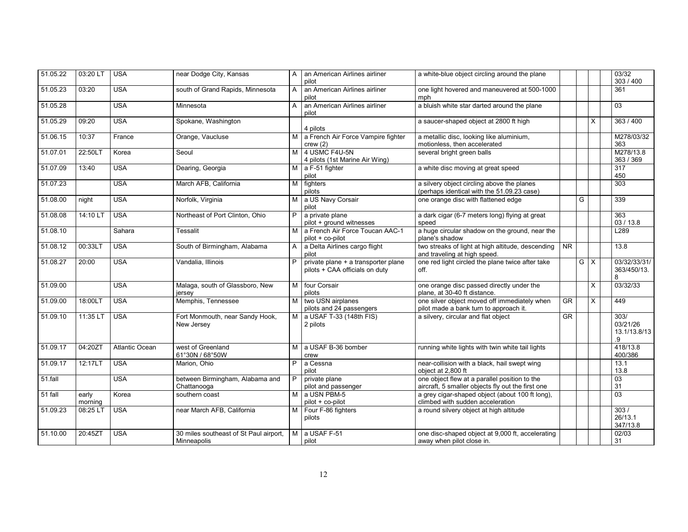| 51.05.22 | 03:20 LT         | <b>USA</b>     | near Dodge City, Kansas                               | A              | an American Airlines airliner<br>pilot                                | a white-blue object circling around the plane                                                      |           |   |              | 03/32<br>303 / 400                     |
|----------|------------------|----------------|-------------------------------------------------------|----------------|-----------------------------------------------------------------------|----------------------------------------------------------------------------------------------------|-----------|---|--------------|----------------------------------------|
| 51.05.23 | 03:20            | <b>USA</b>     | south of Grand Rapids, Minnesota                      | A              | an American Airlines airliner<br>pilot                                | one light hovered and maneuvered at 500-1000<br>mph                                                |           |   |              | 361                                    |
| 51.05.28 |                  | <b>USA</b>     | Minnesota                                             | A              | an American Airlines airliner<br>pilot                                | a bluish white star darted around the plane                                                        |           |   |              | 03                                     |
| 51.05.29 | 09:20            | <b>USA</b>     | Spokane, Washington                                   |                | 4 pilots                                                              | a saucer-shaped object at 2800 ft high                                                             |           |   | X            | 363 / 400                              |
| 51.06.15 | 10:37            | France         | Orange, Vaucluse                                      |                | M a French Air Force Vampire fighter<br>crew(2)                       | a metallic disc, looking like aluminium,<br>motionless, then accelerated                           |           |   |              | M278/03/32<br>363                      |
| 51.07.01 | 22:50LT          | Korea          | Seoul                                                 | M              | 4 USMC F4U-5N<br>4 pilots (1st Marine Air Wing)                       | several bright green balls                                                                         |           |   |              | M278/13.8<br>363 / 369                 |
| 51.07.09 | 13:40            | <b>USA</b>     | Dearing, Georgia                                      | M I            | a F-51 fighter<br>pilot                                               | a white disc moving at great speed                                                                 |           |   |              | 317<br>450                             |
| 51.07.23 |                  | <b>USA</b>     | March AFB, California                                 | M              | fighters<br>pilots                                                    | a silvery object circling above the planes<br>(perhaps identical with the 51.09.23 case)           |           |   |              | 303                                    |
| 51.08.00 | night            | <b>USA</b>     | Norfolk, Virginia                                     | M              | a US Navy Corsair<br>pilot                                            | one orange disc with flattened edge                                                                |           | G |              | 339                                    |
| 51.08.08 | 14:10 LT         | <b>USA</b>     | Northeast of Port Clinton, Ohio                       | P              | a private plane<br>pilot + ground witnesses                           | a dark cigar (6-7 meters long) flying at great<br>speed                                            |           |   |              | 363<br>03/13.8                         |
| 51.08.10 |                  | Sahara         | Tessalit                                              | м              | a French Air Force Toucan AAC-1<br>pilot + co-pilot                   | a huge circular shadow on the ground, near the<br>plane's shadow                                   |           |   |              | L289                                   |
| 51.08.12 | 00:33LT          | <b>USA</b>     | South of Birmingham, Alabama                          | A              | a Delta Airlines cargo flight<br>pilot                                | two streaks of light at high altitude, descending<br>and traveling at high speed.                  | <b>NR</b> |   |              | 13.8                                   |
| 51.08.27 | 20:00            | <b>USA</b>     | Vandalia, Illinois                                    | P              | private plane + a transporter plane<br>pilots + CAA officials on duty | one red light circled the plane twice after take<br>off.                                           |           | G | $\mathsf{X}$ | 03/32/33/31/<br>363/450/13.<br>8       |
| 51.09.00 |                  | <b>USA</b>     | Malaga, south of Glassboro, New<br>jersey             |                | M four Corsair<br>pilots                                              | one orange disc passed directly under the<br>plane, at 30-40 ft distance.                          |           |   | X            | 03/32/33                               |
| 51.09.00 | 18:00LT          | <b>USA</b>     | Memphis, Tennessee                                    | м              | two USN airplanes<br>pilots and 24 passengers                         | one silver object moved off immediately when<br>pilot made a bank turn to approach it.             | $G$ R     |   | $\times$     | 449                                    |
| 51.09.10 | 11:35 LT         | <b>USA</b>     | Fort Monmouth, near Sandy Hook,<br>New Jersey         | м              | a USAF T-33 (148th FIS)<br>2 pilots                                   | a silvery, circular and flat object                                                                | <b>GR</b> |   |              | 303/<br>03/21/26<br>13.1/13.8/13<br>.9 |
| 51.09.17 | 04:20ZT          | Atlantic Ocean | west of Greenland<br>61°30N / 68°50W                  | M <sub>1</sub> | a USAF B-36 bomber<br>crew                                            | running white lights with twin white tail lights                                                   |           |   |              | 418/13.8<br>400/386                    |
| 51.09.17 | 12:17LT          | <b>USA</b>     | Marion. Ohio                                          | P              | a Cessna<br>pilot                                                     | near-collision with a black, hail swept wing<br>object at 2,800 ft                                 |           |   |              | 13.1<br>13.8                           |
| 51.fall  |                  | <b>USA</b>     | between Birmingham, Alabama and<br>Chattanooga        | P              | private plane<br>pilot and passenger                                  | one object flew at a parallel position to the<br>aircraft, 5 smaller objects fly out the first one |           |   |              | $\overline{03}$<br>31                  |
| 51 fall  | early<br>morning | Korea          | southern coast                                        |                | M a USN PBM-5<br>pilot + co-pilot                                     | a grey cigar-shaped object (about 100 ft long),<br>climbed with sudden acceleration                |           |   |              | 03                                     |
| 51.09.23 | 08:25 LT         | <b>USA</b>     | near March AFB, California                            | M I            | Four F-86 fighters<br>pilots                                          | a round silvery object at high altitude                                                            |           |   |              | 303/<br>26/13.1<br>347/13.8            |
| 51.10.00 | 20:45ZT          | <b>USA</b>     | 30 miles southeast of St Paul airport,<br>Minneapolis | M              | a USAF F-51<br>pilot                                                  | one disc-shaped object at 9,000 ft, accelerating<br>away when pilot close in.                      |           |   |              | 02/03<br>31                            |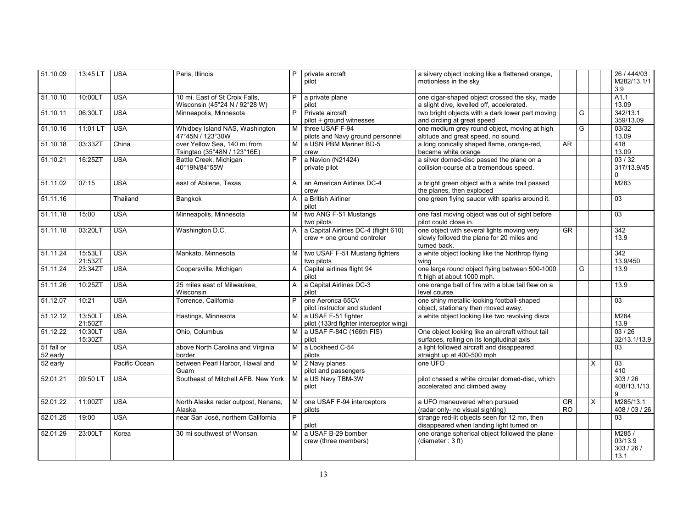| 51.10.09               | 13:45 LT           | <b>USA</b>    | Paris, Illinois                                                 | P | private aircraft<br>pilot                                           | a silvery object looking like a flattened orange,<br>motionless in the sky                               |                                     |   |              | 26 / 444/03<br>M282/13.1/1<br>3.9   |
|------------------------|--------------------|---------------|-----------------------------------------------------------------|---|---------------------------------------------------------------------|----------------------------------------------------------------------------------------------------------|-------------------------------------|---|--------------|-------------------------------------|
| 51.10.10               | 10:00LT            | <b>USA</b>    | 10 mi. East of St Croix Falls,<br>Wisconsin (45°24 N / 92°28 W) | P | a private plane<br>pilot                                            | one cigar-shaped object crossed the sky, made<br>a slight dive, levelled off, accelerated.               |                                     |   |              | A1.1<br>13.09                       |
| 51.10.11               | 06:30LT            | <b>USA</b>    | Minneapolis, Minnesota                                          | P | Private aircraft<br>pilot + ground witnesses                        | two bright objects with a dark lower part moving<br>and circling at great speed                          |                                     | G |              | 342/13.1<br>359/13.09               |
| 51.10.16               | 11:01 LT           | <b>USA</b>    | Whidbey Island NAS, Washington<br>47°45N / 123°30W              |   | M three USAF F-94<br>pilots and Navy ground personnel               | one medium grey round object, moving at high<br>altitude and great speed, no sound.                      |                                     | G |              | 03/32<br>13.09                      |
| 51.10.18               | 03:33ZT            | China         | over Yellow Sea, 140 mi from<br>Tsingtao (35°48N / 123°16E)     |   | M a USN PBM Mariner BD-5<br>crew                                    | a long conically shaped flame, orange-red,<br>became white orange                                        | AR                                  |   |              | 418<br>13.09                        |
| 51.10.21               | 16:25ZT            | <b>USA</b>    | Battle Creek, Michigan<br>40°19N/84°55W                         | P | a Navion (N21424)<br>private pilot                                  | a silver domed-disc passed the plane on a<br>collision-course at a tremendous speed.                     |                                     |   |              | 03/32<br>317/13.9/45<br>0           |
| $\overline{51.11.02}$  | 07:15              | <b>USA</b>    | east of Abilene, Texas                                          | A | an American Airlines DC-4<br>crew                                   | a bright green object with a white trail passed<br>the planes, then exploded                             |                                     |   |              | M283                                |
| $\overline{51.11.16}$  |                    | Thailand      | Bangkok                                                         | A | a British Airliner<br>pilot                                         | one green flying saucer with sparks around it.                                                           |                                     |   |              | 03                                  |
| 51.11.18               | 15:00              | <b>USA</b>    | Minneapolis, Minnesota                                          | м | two ANG F-51 Mustangs<br>two pilots                                 | one fast moving object was out of sight before<br>pilot could close in.                                  |                                     |   |              | 03                                  |
| 51.11.18               | 03:20LT            | <b>USA</b>    | Washington D.C.                                                 | A | a Capital Airlines DC-4 (flight 610)<br>crew + one ground controler | one object with several lights moving very<br>slowly folloved the plane for 20 miles and<br>turned back. | <b>GR</b>                           |   |              | 342<br>13.9                         |
| 51.11.24               | 15:53LT<br>21:53ZT | <b>USA</b>    | Mankato, Minnesota                                              | м | two USAF F-51 Mustang fighters<br>two pilots                        | a white object looking like the Northrop flying<br>wina                                                  |                                     |   |              | 342<br>13.9/450                     |
| 51.11.24               | 23:34ZT            | <b>USA</b>    | Coopersville, Michigan                                          | A | Capital airlines flight 94<br>pilot                                 | one large round object flying between 500-1000<br>ft high at about 1000 mph.                             |                                     | G |              | 13.9                                |
| 51.11.26               | 10:25ZT            | <b>USA</b>    | 25 miles east of Milwaukee,<br>Wisconsin                        | A | a Capital Airlines DC-3<br>pilot                                    | one orange ball of fire with a blue tail flew on a<br>level course.                                      |                                     |   |              | 13.9                                |
| 51.12.07               | 10:21              | <b>USA</b>    | Torrence, California                                            | P | one Aeronca 65CV<br>pilot instructor and student                    | one shiny metallic-looking football-shaped<br>object, stationary then moved away.                        |                                     |   |              | 03                                  |
| 51.12.12               | 13:50LT<br>21:50ZT | <b>USA</b>    | Hastings, Minnesota                                             | M | a USAF F-51 fighter<br>pilot (133rd fighter interceptor wing)       | a white object looking like two revolving discs                                                          |                                     |   |              | M284<br>13.9                        |
| 51.12.22               | 10:30LT<br>15:30ZT | <b>USA</b>    | Ohio, Columbus                                                  |   | M a USAF F-84C (166th FIS)<br>pilot                                 | One object looking like an aircraft without tail<br>surfaces, rolling on its longitudinal axis           |                                     |   |              | 03/26<br>32/13.1/13.9               |
| 51 fall or<br>52 early |                    | <b>USA</b>    | above North Carolina and Virginia<br>border                     |   | M a Lockheed C-54<br>pilots                                         | a light followed aircraft and disappeared<br>straight up at 400-500 mph                                  |                                     |   |              | $\overline{03}$                     |
| 52 early               |                    | Pacific Ocean | between Pearl Harbor, Hawaï and<br>Guam                         |   | M 2 Navy planes<br>pilot and passengers                             | one UFO                                                                                                  |                                     |   | X            | 03<br>410                           |
| 52.01.21               | 09:50 LT           | <b>USA</b>    | Southeast of Mitchell AFB, New York                             |   | M a US Navy TBM-3W<br>pilot                                         | pilot chased a white circular domed-disc, which<br>accelerated and climbed away                          |                                     |   |              | 303 / 26<br>408/13.1/13.<br>9       |
| 52.01.22               | 11:00ZT            | <b>USA</b>    | North Alaska radar outpost, Nenana,<br>Alaska                   | М | one USAF F-94 interceptors<br>pilots                                | a UFO maneuvered when pursued<br>(radar only- no visual sighting)                                        | $\overline{\text{GR}}$<br><b>RO</b> |   | $\mathsf{x}$ | M285/13.1<br>408 / 03 / 26          |
| 52.01.25               | 19:00              | <b>USA</b>    | near San José, northern California                              | P | pilot                                                               | strange red-lit objects seen for 12 mn, then<br>disappeared when landing light turned on                 |                                     |   |              | 03                                  |
| 52.01.29               | 23:00LT            | Korea         | 30 mi southwest of Wonsan                                       | M | a USAF B-29 bomber<br>crew (three members)                          | one orange spherical object followed the plane<br>(diameter: 3 ft)                                       |                                     |   |              | M285/<br>03/13.9<br>303/26/<br>13.1 |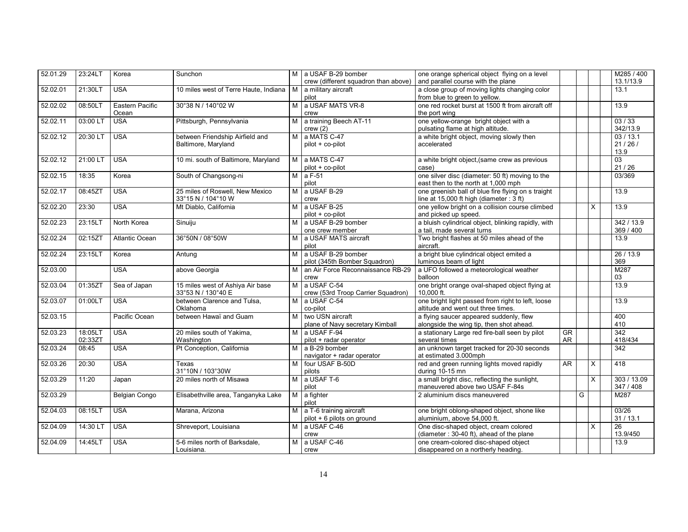| 52.01.29 | 23:24LT  | Korea           | Sunchon                               |   | M a USAF B-29 bomber                                               | one orange spherical object flying on a level                     |    |   |   | M285 / 400              |
|----------|----------|-----------------|---------------------------------------|---|--------------------------------------------------------------------|-------------------------------------------------------------------|----|---|---|-------------------------|
|          |          |                 |                                       |   | crew (different squadron than above)                               | and parallel course with the plane                                |    |   |   | 13.1/13.9               |
| 52.02.01 | 21:30LT  | <b>USA</b>      | 10 miles west of Terre Haute, Indiana | м | a military aircraft                                                | a close group of moving lights changing color                     |    |   |   | 13.1                    |
|          |          |                 |                                       |   | pilot                                                              | from blue to green to yellow.                                     |    |   |   |                         |
| 52.02.02 | 08:50LT  | Eastern Pacific | 30°38 N / 140°02 W                    | м | a USAF MATS VR-8                                                   | one red rocket burst at 1500 ft from aircraft off                 |    |   |   | 13.9                    |
|          |          | Ocean           |                                       |   | crew                                                               | the port wing                                                     |    |   |   |                         |
| 52.02.11 | 03:00 LT | <b>USA</b>      | Pittsburgh, Pennsylvania              | м | a training Beech AT-11                                             | one yellow-orange bright object with a                            |    |   |   | 03/33                   |
|          |          |                 |                                       |   | crew(2)                                                            | pulsating flame at high altitude.                                 |    |   |   | 342/13.9                |
| 52.02.12 | 20:30 LT | <b>USA</b>      | between Friendship Airfield and       | M | a MATS C-47                                                        | a white bright object, moving slowly then                         |    |   |   | 03/13.1                 |
|          |          |                 | Baltimore, Maryland                   |   | pilot + co-pilot                                                   | accelerated                                                       |    |   |   | 21/26/                  |
| 52.02.12 | 21:00 LT | <b>USA</b>      | 10 mi. south of Baltimore, Maryland   |   | M a MATS C-47                                                      |                                                                   |    |   |   | 13.9<br>$\overline{03}$ |
|          |          |                 |                                       |   | pilot + co-pilot                                                   | a white bright object, (same crew as previous<br>case)            |    |   |   | 21 / 26                 |
| 52.02.15 | 18:35    | Korea           | South of Changsong-ni                 |   | $M$ a F-51                                                         | one silver disc (diameter: 50 ft) moving to the                   |    |   |   | 03/369                  |
|          |          |                 |                                       |   | pilot                                                              | east then to the north at 1,000 mph                               |    |   |   |                         |
| 52.02.17 | 08:45ZT  | <b>USA</b>      | 25 miles of Roswell, New Mexico       |   | M a USAF B-29                                                      | one greenish ball of blue fire flying on s traight                |    |   |   | 13.9                    |
|          |          |                 | 33°15 N / 104°10 W                    |   | crew                                                               | line at $15,000$ ft high (diameter : 3 ft)                        |    |   |   |                         |
| 52.02.20 | 23:30    | <b>USA</b>      | Mt Diablo, California                 |   | M a USAF B-25                                                      | one yellow bright on a collision course climbed                   |    |   | X | 13.9                    |
|          |          |                 |                                       |   | pilot + co-pilot                                                   | and picked up speed.                                              |    |   |   |                         |
| 52.02.23 | 23:15LT  | North Korea     | Sinuiju                               |   | M a USAF B-29 bomber                                               | a bluish cylindrical object, blinking rapidly, with               |    |   |   | 342 / 13.9              |
|          |          |                 |                                       |   | one crew member                                                    | a tail, made several turns                                        |    |   |   | 369 / 400               |
| 52.02.24 | 02:15ZT  | Atlantic Ocean  | 36°50N / 08°50W                       | M | a USAF MATS aircraft                                               | Two bright flashes at 50 miles ahead of the                       |    |   |   | 13.9                    |
|          |          |                 |                                       |   | pilot                                                              | aircraft.                                                         |    |   |   |                         |
| 52.02.24 | 23:15LT  | Korea           | Antung                                | M | a USAF B-29 bomber                                                 | a bright blue cylindrical object emited a                         |    |   |   | 26 / 13.9               |
| 52.03.00 |          | <b>USA</b>      | above Georgia                         | м | pilot (345th Bomber Squadron)<br>an Air Force Reconnaissance RB-29 | luminous beam of light<br>a UFO followed a meteorological weather |    |   |   | 369<br>M287             |
|          |          |                 |                                       |   | crew                                                               | balloon                                                           |    |   |   | 03                      |
| 52.03.04 | 01:35ZT  | Sea of Japan    | 15 miles west of Ashiya Air base      | м | a USAF C-54                                                        | one bright orange oval-shaped object flying at                    |    |   |   | 13.9                    |
|          |          |                 | 33°53 N / 130°40 E                    |   | crew (53rd Troop Carrier Squadron)                                 | 10.000 ft.                                                        |    |   |   |                         |
| 52.03.07 | 01:00LT  | <b>USA</b>      | between Clarence and Tulsa,           | М | a USAF C-54                                                        | one bright light passed from right to left, loose                 |    |   |   | 13.9                    |
|          |          |                 | Oklahoma                              |   | co-pilot                                                           | altitude and went out three times.                                |    |   |   |                         |
| 52.03.15 |          | Pacific Ocean   | between Hawaï and Guam                | м | two USN aircraft                                                   | a flying saucer appeared suddenly, flew                           |    |   |   | 400                     |
|          |          |                 |                                       |   | plane of Navy secretary Kimball                                    | alongside the wing tip, then shot ahead.                          |    |   |   | 410                     |
| 52.03.23 | 18:05LT  | <b>USA</b>      | 20 miles south of Yakima,             | м | a USAF F-94                                                        | a stationary Large red fire-ball seen by pilot                    | GR |   |   | 342                     |
|          | 02:33ZT  |                 | Washington                            |   | pilot + radar operator                                             | several times                                                     | AR |   |   | 418/434                 |
| 52.03.24 | 08:45    | <b>USA</b>      | Pt Conception, California             | м | a B-29 bomber                                                      | an unknown target tracked for 20-30 seconds                       |    |   |   | $\overline{342}$        |
|          | 20:30    | <b>USA</b>      |                                       | м | navigator + radar operator<br>four USAF B-50D                      | at estimated 3.000mph                                             | AR |   |   | 418                     |
| 52.03.26 |          |                 | Texas<br>31°10N / 103°30W             |   | pilots                                                             | red and green running lights moved rapidly<br>during 10-15 mn     |    |   | X |                         |
| 52.03.29 | 11:20    | Japan           | 20 miles north of Misawa              | м | a USAF T-6                                                         | a small bright disc, reflecting the sunlight,                     |    |   | X | 303 / 13.09             |
|          |          |                 |                                       |   | pilot                                                              | maneuvered above two USAF F-84s                                   |    |   |   | 347 / 408               |
| 52.03.29 |          | Belgian Congo   | Elisabethville area, Tanganyka Lake   |   | M a fighter                                                        | 2 aluminium discs maneuvered                                      |    | G |   | M287                    |
|          |          |                 |                                       |   | pilot                                                              |                                                                   |    |   |   |                         |
| 52.04.03 | 08:15LT  | <b>USA</b>      | Marana, Arizona                       |   | M a T-6 training aircraft                                          | one bright oblong-shaped object, shone like                       |    |   |   | 03/26                   |
|          |          |                 |                                       |   | pilot + 6 pilots on ground                                         | aluminium, above 54,000 ft.                                       |    |   |   | 31 / 13.1               |
| 52.04.09 | 14:30 LT | <b>USA</b>      | Shreveport, Louisiana                 |   | M a USAF C-46                                                      | One disc-shaped object, cream colored                             |    |   | X | 26                      |
|          |          |                 |                                       |   | crew                                                               | (diameter: 30-40 ft), ahead of the plane                          |    |   |   | 13.9/450                |
| 52.04.09 | 14:45LT  | <b>USA</b>      | 5-6 miles north of Barksdale,         | М | a USAF C-46                                                        | one cream-colored disc-shaped object                              |    |   |   | 13.9                    |
|          |          |                 | Louisiana.                            |   | crew                                                               | disappeared on a northerly heading.                               |    |   |   |                         |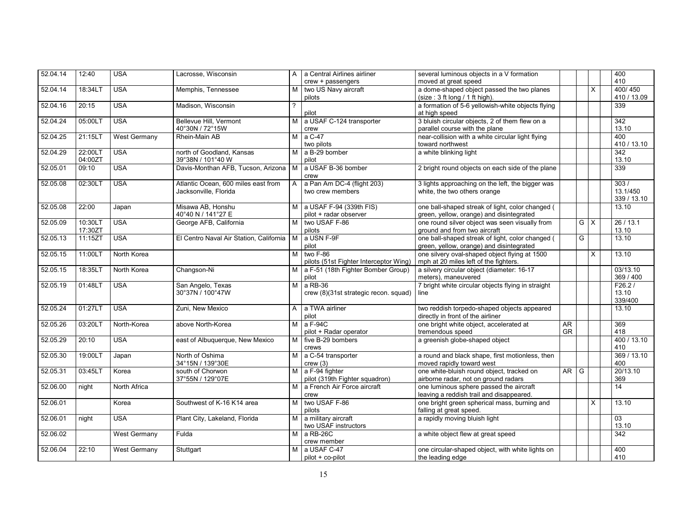| 52.04.14 | 12:40   | <b>USA</b>          | Lacrosse, Wisconsin                     | A | a Central Airlines airliner            | several luminous objects in a V formation          |           |                |              | 400         |
|----------|---------|---------------------|-----------------------------------------|---|----------------------------------------|----------------------------------------------------|-----------|----------------|--------------|-------------|
|          |         |                     |                                         |   | crew + passengers                      | moved at great speed                               |           |                |              | 410         |
| 52.04.14 | 18:34LT | <b>USA</b>          | Memphis, Tennessee                      | М | two US Navy aircraft                   | a dome-shaped object passed the two planes         |           |                | $\mathsf{x}$ | 400/450     |
|          |         |                     |                                         |   | pilots                                 | (size: 3 ft long / 1 ft high).                     |           |                |              | 410 / 13.09 |
| 52.04.16 | 20:15   | <b>USA</b>          | Madison, Wisconsin                      |   |                                        | a formation of 5-6 yellowish-white objects flying  |           |                |              | 339         |
|          |         |                     |                                         |   | pilot                                  | at high speed                                      |           |                |              |             |
| 52.04.24 | 05:00LT | <b>USA</b>          | Bellevue Hill, Vermont                  | M | a USAF C-124 transporter               | 3 bluish circular objects, 2 of them flew on a     |           |                |              | 342         |
|          |         |                     | 40°30N / 72°15W                         |   | crew                                   | parallel course with the plane                     |           |                |              | 13.10       |
| 52.04.25 | 21:15LT | <b>West Germany</b> | Rhein-Main AB                           | M | a C-47                                 | near-collision with a white circular light flying  |           |                |              | 400         |
|          |         |                     |                                         |   | two pilots                             | toward northwest                                   |           |                |              | 410 / 13.10 |
| 52.04.29 | 22:00LT | <b>USA</b>          | north of Goodland, Kansas               |   | $M$ a B-29 bomber                      | a white blinking light                             |           |                |              | 342         |
|          | 04:00ZT |                     | 39°38N / 101°40 W                       |   | pilot                                  |                                                    |           |                |              | 13.10       |
| 52.05.01 | 09:10   | <b>USA</b>          | Davis-Monthan AFB, Tucson, Arizona      | M | a USAF B-36 bomber                     | 2 bright round objects on each side of the plane   |           |                |              | 339         |
|          |         |                     |                                         |   | crew                                   |                                                    |           |                |              |             |
| 52.05.08 | 02:30LT | <b>USA</b>          | Atlantic Ocean, 600 miles east from     | A | a Pan Am DC-4 (flight 203)             | 3 lights approaching on the left, the bigger was   |           |                |              | 303/        |
|          |         |                     | Jacksonville, Florida                   |   | two crew members                       | white, the two others orange                       |           |                |              | 13.1/450    |
|          |         |                     |                                         |   |                                        |                                                    |           |                |              | 339 / 13.10 |
| 52.05.08 | 22:00   | Japan               | Misawa AB, Honshu                       |   | M a USAF F-94 (339th FIS)              | one ball-shaped streak of light, color changed (   |           |                |              | 13.10       |
|          |         |                     | 40°40 N / 141°27 E                      |   | pilot + radar observer                 | green, yellow, orange) and disintegrated           |           |                |              |             |
| 52.05.09 | 10:30LT | <b>USA</b>          | George AFB, California                  | м | two USAF F-86                          | one round silver object was seen visually from     |           |                | $G \mid X$   | 26/13.1     |
|          |         |                     |                                         |   |                                        |                                                    |           |                |              |             |
|          | 17:30ZT |                     |                                         |   | pilots                                 | ground and from two aircraft                       |           |                |              | 13.10       |
| 52.05.13 | 11:15ZT | <b>USA</b>          | El Centro Naval Air Station, California | M | a USN F-9F                             | one ball-shaped streak of light, color changed (   |           | G              |              | 13.10       |
|          |         |                     |                                         |   | pilot                                  | green, yellow, orange) and disintegrated           |           |                |              |             |
| 52.05.15 | 11:00LT | North Korea         |                                         | м | two F-86                               | one silvery oval-shaped object flying at 1500      |           |                | $\times$     | 13.10       |
|          |         |                     |                                         |   | pilots (51st Fighter Interceptor Wing) | mph at 20 miles left of the fighters.              |           |                |              |             |
| 52.05.15 | 18:35LT | North Korea         | Changson-Ni                             |   | M   a F-51 (18th Fighter Bomber Group) | a silvery circular object (diameter: 16-17         |           |                |              | 03/13.10    |
|          |         |                     |                                         |   | pilot                                  | meters), maneuvered                                |           |                |              | 369 / 400   |
| 52.05.19 | 01:48LT | <b>USA</b>          | San Angelo, Texas                       | м | a RB-36                                | 7 bright white circular objects flying in straight |           |                |              | F26.2/      |
|          |         |                     | 30°37N / 100°47W                        |   | crew (8)(31st strategic recon. squad)  | line                                               |           |                |              | 13.10       |
|          |         |                     |                                         |   |                                        |                                                    |           |                |              | 339/400     |
| 52.05.24 | 01:27LT | <b>USA</b>          | Zuni, New Mexico                        |   | A a TWA airliner                       | two reddish torpedo-shaped objects appeared        |           |                |              | 13.10       |
|          |         |                     |                                         |   | pilot                                  | directly in front of the airliner                  |           |                |              |             |
| 52.05.26 | 03:20LT | North-Korea         | above North-Korea                       |   | $M$ a F-94C                            | one bright white object, accelerated at            | AR        |                |              | 369         |
|          |         |                     |                                         |   | pilot + Radar operator                 | tremendous speed                                   | <b>GR</b> |                |              | 418         |
| 52.05.29 | 20:10   | <b>USA</b>          | east of Albuquerque, New Mexico         |   | M five B-29 bombers                    | a greenish globe-shaped object                     |           |                |              | 400 / 13.10 |
|          |         |                     |                                         |   | crews                                  |                                                    |           |                |              | 410         |
| 52.05.30 | 19:00LT | Japan               | North of Oshima                         |   | M a C-54 transporter                   | a round and black shape, first motionless, then    |           |                |              | 369 / 13.10 |
|          |         |                     | 34°15N / 139°30E                        |   | crew(3)                                | moved rapidly toward west                          |           |                |              | 400         |
| 52.05.31 | 03:45LT | Korea               | south of Chorwon                        |   | $M$ a F-94 fighter                     | one white-bluish round object, tracked on          | <b>AR</b> | $\overline{G}$ |              | 20/13.10    |
|          |         |                     | 37°55N / 129°07E                        |   | pilot (319th Fighter squadron)         | airborne radar, not on ground radars               |           |                |              | 369         |
|          |         |                     |                                         |   |                                        |                                                    |           |                |              | 14          |
| 52.06.00 | night   | North Africa        |                                         | м | a French Air Force aircraft            | one luminous sphere passed the aircraft            |           |                |              |             |
|          |         |                     |                                         |   | crew                                   | leaving a reddish trail and disappeared.           |           |                |              |             |
| 52.06.01 |         | Korea               | Southwest of K-16 K14 area              | м | two USAF F-86                          | one bright green spherical mass, burning and       |           |                | X            | 13.10       |
|          |         |                     |                                         |   | pilots                                 | falling at great speed.                            |           |                |              |             |
| 52.06.01 | night   | <b>USA</b>          | Plant City, Lakeland, Florida           |   | M a military aircraft                  | a rapidly moving bluish light                      |           |                |              | 03          |
|          |         |                     |                                         |   | two USAF instructors                   |                                                    |           |                |              | 13.10       |
| 52.06.02 |         | West Germany        | Fulda                                   |   | $M$ a RB-26C                           | a white object flew at great speed                 |           |                |              | 342         |
|          |         |                     |                                         |   | crew member                            |                                                    |           |                |              |             |
| 52.06.04 | 22:10   | <b>West Germany</b> | Stuttgart                               | M | a USAF C-47                            | one circular-shaped object, with white lights on   |           |                |              | 400         |
|          |         |                     |                                         |   | pilot + co-pilot                       | the leading edge                                   |           |                |              | 410         |
|          |         |                     |                                         |   |                                        |                                                    |           |                |              |             |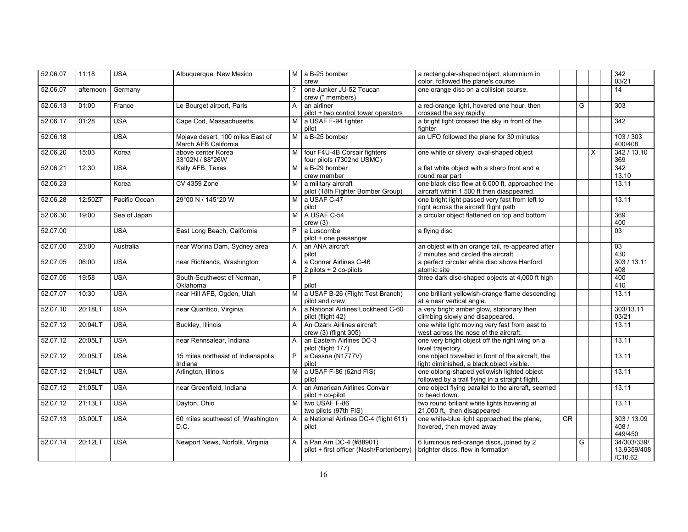| 52.06.07 | 11:18     | <b>USA</b>    | Albuquerque, New Mexico                                  |                | M a B-25 bomber<br>crew                                            | a rectangular-shaped object, aluminium in<br>color, followed the plane's course                 |    |   |          | 342<br>03/21                          |
|----------|-----------|---------------|----------------------------------------------------------|----------------|--------------------------------------------------------------------|-------------------------------------------------------------------------------------------------|----|---|----------|---------------------------------------|
| 52.06.07 | afternoon | Germany       |                                                          | ?              | one Junker JU-52 Toucan<br>crew (" members)                        | one orange disc on a collision course.                                                          |    |   |          | 14                                    |
| 52.06.13 | 01:00     | France        | Le Bourget airport, Paris                                | A              | an airliner<br>pilot + two control tower operators                 | a red-orange light, hovered one hour, then<br>crossed the sky rapidly                           |    | G |          | 303                                   |
| 52.06.17 | 01:28     | <b>USA</b>    | Cape Cod, Massachusetts                                  |                | M a USAF F-94 fighter<br>pilot                                     | a bright light crossed the sky in front of the<br>fighter                                       |    |   |          | 342                                   |
| 52.06.18 |           | <b>USA</b>    | Mojave desert, 100 miles East of<br>March AFB California | $\overline{M}$ | a B-25 bomber                                                      | an UFO followed the plane for 30 minutes                                                        |    |   |          | 103/303<br>400/408                    |
| 52.06.20 | 15:03     | Korea         | above center Korea<br>33°02N / 88°26W                    | M              | four F4U-4B Corsair fighters<br>four pilots (7302nd USMC)          | one white or silvery oval-shaped object                                                         |    |   | $\times$ | 342 / 13.10<br>369                    |
| 52.06.21 | 12:30     | <b>USA</b>    | Kelly AFB, Texas                                         | $\overline{M}$ | a B-29 bomber<br>crew member                                       | a flat white object with a sharp front and a<br>round rear part                                 |    |   |          | 342<br>13.10                          |
| 52.06.23 |           | Korea         | <b>CV 4359 Zone</b>                                      |                | M a military aircraft<br>pilot (18th Fighter Bomber Group)         | one black disc flew at 6,000 ft, approached the<br>aircraft within 1,500 ft then diasppeared.   |    |   |          | 13.11                                 |
| 52.06.28 | 12:50ZT   | Pacific Ocean | 29°00 N / 145°20 W                                       |                | M a USAF C-47<br>pilot                                             | one bright light passed very fast from left to<br>right across the aircraft flight path         |    |   |          | 13.11                                 |
| 52.06.30 | 19:00     | Sea of Japan  |                                                          |                | M A USAF C-54<br>crew(3)                                           | a circular object flattened on top and bottom                                                   |    |   |          | 369<br>400                            |
| 52.07.00 |           | <b>USA</b>    | East Long Beach, California                              | P              | a Luscombe<br>pilot + one passenger                                | a flying disc                                                                                   |    |   |          | $\overline{03}$                       |
| 52.07.00 | 23:00     | Australia     | near Worina Dam, Sydney area                             | $\mathsf{A}$   | an ANA aircraft<br>pilot                                           | an object with an orange tail, re-appeared after<br>2 minutes and circled the aircraft          |    |   |          | 03<br>430                             |
| 52.07.05 | 06:00     | <b>USA</b>    | near Richlands, Washington                               | $\mathsf{A}$   | a Conner Airlines C-46<br>2 pilots + 2 co-pilots                   | a perfect circular white disc above Hanford<br>atomic site                                      |    |   |          | 303 / 13.11<br>408                    |
| 52.07.05 | 19:58     | <b>USA</b>    | South-Southwest of Norman,<br>Oklahoma                   | P              | pilot                                                              | three dark disc-shaped objects at 4,000 ft high                                                 |    |   |          | 400<br>410                            |
| 52.07.07 | 10:30     | <b>USA</b>    | near Hill AFB, Ogden, Utah                               | M I            | a USAF B-26 (Flight Test Branch)<br>pilot and crew                 | one brilliant yellowish-orange flame descending<br>at a near vertical angle.                    |    |   |          | 13.11                                 |
| 52.07.10 | 20:18LT   | <b>USA</b>    | near Quantico, Virginia                                  | $\mathsf{A}$   | a National Airlines Lockheed C-60<br>pilot (flight 42)             | a very bright amber glow, stationary then<br>climbing slowly and disappeared.                   |    |   |          | 303/13.11<br>03/21                    |
| 52.07.12 | 20:04LT   | <b>USA</b>    | Buckley, Illinois                                        | A              | An Ozark Airlines aircraft<br>crew (3) (flight 305)                | one white light moving very fast from east to<br>west across the nose of the aircraft.          |    |   |          | 13.11                                 |
| 52.07.12 | 20:05LT   | <b>USA</b>    | near Rennsalear, Indiana                                 | $\mathsf{A}$   | an Eastern Airlines DC-3<br>pilot (flight 177)                     | one very bright object off the right wing on a<br>level trajectory.                             |    |   |          | 13.11                                 |
| 52.07.12 | 20:05LT   | <b>USA</b>    | 15 miles northeast of Indianapolis,<br>Indiana           | P.             | a Cessna (N1777V)<br>pilot                                         | one object travelled in front of the aircraft, the<br>light diminished, a black object visible. |    |   |          | 13.11                                 |
| 52.07.12 | 21:04LT   | <b>USA</b>    | Arlington, Illinois                                      |                | M $a$ USAF F-86 (62nd FIS)<br>pilot                                | one oblong-shaped yellowish lighted object<br>followed by a trail flying in a straight flight.  |    |   |          | 13.11                                 |
| 52.07.12 | 21:05LT   | <b>USA</b>    | near Greenfield, Indiana                                 | $\mathsf{A}$   | an American Airlines Convair<br>pilot + co-pilot                   | one object flying parallel to the aircraft, seemed<br>to head down.                             |    |   |          | 13.11                                 |
| 52.07.12 | 21:13LT   | <b>USA</b>    | Dayton, Ohio                                             | M              | two USAF F-86<br>two pilots (97th FIS)                             | two round briliant white lights hovering at<br>21,000 ft, then disappeared                      |    |   |          | 13.11                                 |
| 52.07.13 | 03:00LT   | <b>USA</b>    | 60 miles southwest of Washington<br>D.C.                 | A              | a National Airlines DC-4 (flight 611)<br>pilot                     | one white-blue light approached the plane,<br>hovered, then moved away                          | GR |   |          | 303 / 13.09<br>408 /<br>449/450       |
| 52.07.14 | 20:12LT   | <b>USA</b>    | Newport News, Norfolk, Virginia                          | $\overline{A}$ | a Pan Am DC-4 (#88901)<br>pilot + first officer (Nash/Fortenberry) | 6 luminous red-orange discs, joined by 2<br>brighter discs, flew in formation                   |    | G |          | 34/303/339/<br>13.9359/408<br>/C10.62 |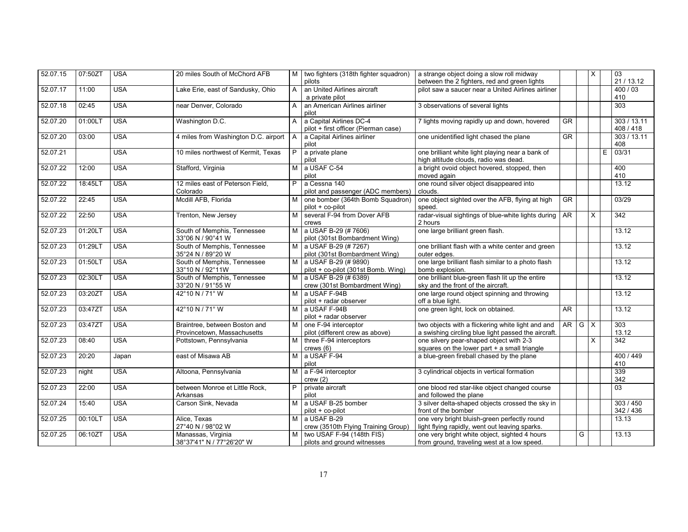| 52.07.15 | 07:50ZT | <b>USA</b> | 20 miles South of McChord AFB            | M              | two fighters (318th fighter squadron) | a strange object doing a slow roll midway           |                          |     | X            | $\overline{03}$  |
|----------|---------|------------|------------------------------------------|----------------|---------------------------------------|-----------------------------------------------------|--------------------------|-----|--------------|------------------|
|          |         |            |                                          |                | pilots                                | between the 2 fighters, red and green lights        |                          |     |              | 21 / 13.12       |
| 52.07.17 | 11:00   | <b>USA</b> | Lake Erie, east of Sandusky, Ohio        | A              | an United Airlines aircraft           | pilot saw a saucer near a United Airlines airliner  |                          |     |              | 400/03           |
|          |         |            |                                          |                | a private pilot                       |                                                     |                          |     |              | 410              |
| 52.07.18 | 02:45   | <b>USA</b> | near Denver, Colorado                    | $\mathsf{A}$   | an American Airlines airliner         | 3 observations of several lights                    |                          |     |              | 303              |
|          |         |            |                                          |                | pilot                                 |                                                     |                          |     |              |                  |
| 52.07.20 | 01:00LT | <b>USA</b> | Washington D.C.                          | $\mathsf{A}$   | a Capital Airlines DC-4               | 7 lights moving rapidly up and down, hovered        | $\overline{\mathsf{GR}}$ |     |              | 303 / 13.11      |
|          |         |            |                                          |                | pilot + first officer (Pierman case)  |                                                     |                          |     |              | 408 / 418        |
| 52.07.20 | 03:00   | <b>USA</b> | 4 miles from Washington D.C. airport   A |                | a Capital Airlines airliner           | one unidentified light chased the plane             | $\overline{\text{GR}}$   |     |              | 303 / 13.11      |
|          |         |            |                                          |                | pilot                                 |                                                     |                          |     |              | 408              |
| 52.07.21 |         | <b>USA</b> | 10 miles northwest of Kermit, Texas      | P              | a private plane                       | one brilliant white light playing near a bank of    |                          |     |              | E<br>03/31       |
|          |         |            |                                          |                | pilot                                 | high altitude clouds, radio was dead.               |                          |     |              |                  |
| 52.07.22 | 12:00   | <b>USA</b> | Stafford, Virginia                       | M <sub>1</sub> | a USAF C-54                           | a bright ovoid object hovered, stopped, then        |                          |     |              | 400              |
|          |         |            |                                          |                | pilot                                 | moved again                                         |                          |     |              | 410              |
| 52.07.22 | 18:45LT | <b>USA</b> | 12 miles east of Peterson Field,         | $\overline{P}$ | a Cessna 140                          | one round silver object disappeared into            |                          |     |              | 13.12            |
|          |         |            | Colorado                                 |                | pilot and passenger (ADC members)     | clouds.                                             |                          |     |              |                  |
| 52.07.22 | 22:45   | <b>USA</b> | Mcdill AFB, Florida                      | м              | one bomber (364th Bomb Squadron)      | one object sighted over the AFB, flying at high     | <b>GR</b>                |     |              | 03/29            |
|          |         |            |                                          |                | pilot + co-pilot                      | speed.                                              |                          |     |              |                  |
| 52.07.22 | 22:50   | <b>USA</b> | Trenton, New Jersey                      | M              | several F-94 from Dover AFB           | radar-visual sightings of blue-white lights during  | <b>AR</b>                |     | $\mathsf{x}$ | $\overline{342}$ |
|          |         |            |                                          |                | crews                                 | 2 hours                                             |                          |     |              |                  |
| 52.07.23 | 01:20LT | <b>USA</b> | South of Memphis, Tennessee              | M              | a USAF B-29 (# 7606)                  | one large brilliant green flash.                    |                          |     |              | 13.12            |
|          |         |            | 33°06 N / 90°41 W                        |                | pilot (301st Bombardment Wing)        |                                                     |                          |     |              |                  |
| 52.07.23 | 01:29LT | <b>USA</b> | South of Memphis, Tennessee              | м              | a USAF B-29 (# 7267)                  | one brilliant flash with a white center and green   |                          |     |              | 13.12            |
|          |         |            | 35°24 N / 89°20 W                        |                | pilot (301st Bombardment Wing)        | outer edges.                                        |                          |     |              |                  |
| 52.07.23 | 01:50LT | <b>USA</b> | South of Memphis, Tennessee              | M              | a USAF B-29 (# 9890)                  | one large brilliant flash similar to a photo flash  |                          |     |              | 13.12            |
|          |         |            | 33°10 N / 92°11W                         |                | pilot + co-pilot (301st Bomb. Wing)   | bomb explosion.                                     |                          |     |              |                  |
| 52.07.23 | 02:30LT | <b>USA</b> | South of Memphis, Tennessee              | М              | a USAF B-29 (# 6389)                  | one brilliant blue-green flash lit up the entire    |                          |     |              | 13.12            |
|          |         |            | 33°20 N / 91°55 W                        |                | crew (301st Bombardment Wing)         | sky and the front of the aircraft.                  |                          |     |              |                  |
| 52.07.23 | 03:20ZT | <b>USA</b> | 42°10 N / 71° W                          | M              | a USAF F-94B                          | one large round object spinning and throwing        |                          |     |              | 13.12            |
|          |         |            |                                          |                | pilot + radar observer                | off a blue light.                                   |                          |     |              |                  |
| 52.07.23 | 03:47ZT | <b>USA</b> | 42°10 N / 71° W                          | M              | a USAF F-94B                          | one green light, lock on obtained.                  | <b>AR</b>                |     |              | 13.12            |
|          |         |            |                                          |                | pilot + radar observer                |                                                     |                          |     |              |                  |
| 52.07.23 | 03:47ZT | <b>USA</b> | Braintree, between Boston and            | M              | one F-94 interceptor                  | two objects with a flickering white light and and   | <b>AR</b>                | G X |              | 303              |
|          |         |            | Provincetown, Massachusetts              |                | pilot (different crew as above)       | a swishing circling blue light passed the aircraft. |                          |     |              | 13.12            |
| 52.07.23 | 08:40   | <b>USA</b> | Pottstown, Pennsylvania                  | M              | three F-94 interceptors               | one silvery pear-shaped object with 2-3             |                          |     | $\times$     | 342              |
|          |         |            |                                          |                | crews(6)                              | squares on the lower part + a small triangle        |                          |     |              |                  |
| 52.07.23 | 20:20   | Japan      | east of Misawa AB                        | M              | a USAF F-94                           | a blue-green fireball chased by the plane           |                          |     |              | 400 / 449        |
|          |         |            |                                          |                | pilot                                 |                                                     |                          |     |              | 410              |
| 52.07.23 | night   | <b>USA</b> | Altoona, Pennsylvania                    | м              | a F-94 interceptor                    | 3 cylindrical objects in vertical formation         |                          |     |              | 339              |
|          |         |            |                                          |                | crew(2)                               |                                                     |                          |     |              | 342              |
| 52.07.23 | 22:00   | <b>USA</b> | between Monroe et Little Rock,           | P              | private aircraft                      | one blood red star-like object changed course       |                          |     |              | 03               |
|          |         |            | Arkansas                                 |                | pilot                                 | and followed the plane                              |                          |     |              |                  |
| 52.07.24 | 15:40   | <b>USA</b> | Carson Sink, Nevada                      | M              | a USAF B-25 bomber                    | 3 silver delta-shaped objects crossed the sky in    |                          |     |              | 303 / 450        |
|          |         |            |                                          |                | pilot + co-pilot                      | front of the bomber                                 |                          |     |              | 342 / 436        |
| 52.07.25 | 00:10LT | <b>USA</b> | Alice, Texas                             | м              | a USAF B-29                           | one very bright bluish-green perfectly round        |                          |     |              | 13.13            |
|          |         |            | 27°40 N / 98°02 W                        |                | crew (3510th Flying Training Group)   | light flying rapidly, went out leaving sparks.      |                          |     |              |                  |
| 52.07.25 | 06:10ZT | <b>USA</b> | Manassas, Virginia                       | М              | two USAF F-94 (148th FIS)             | one very bright white object, sighted 4 hours       |                          | G   |              | 13.13            |
|          |         |            | 38°37'41" N / 77°26'20" W                |                | pilots and ground witnesses           | from ground, traveling west at a low speed.         |                          |     |              |                  |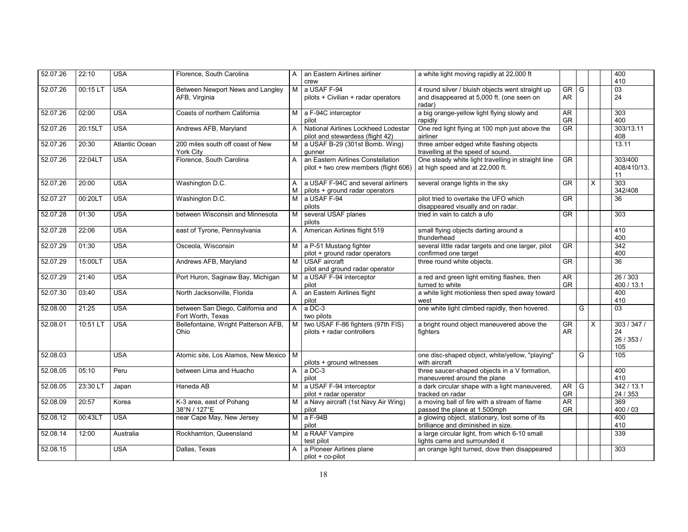| 52.07.26 | 22:10    | <b>USA</b>            | Florence, South Carolina                               | A              | an Eastern Airlines airliner                                               | a white light moving rapidly at 22,000 ft                                                               |                        |   |          | 400<br>410                          |
|----------|----------|-----------------------|--------------------------------------------------------|----------------|----------------------------------------------------------------------------|---------------------------------------------------------------------------------------------------------|------------------------|---|----------|-------------------------------------|
| 52.07.26 | 00:15 LT | <b>USA</b>            | Between Newport News and Langley<br>AFB, Virginia      | M              | crew<br>a USAF F-94<br>pilots + Civilian + radar operators                 | 4 round silver / bluish objects went straight up<br>and disappeared at 5,000 ft. (one seen on<br>radar) | GR<br>AR               | G |          | $\overline{03}$<br>24               |
| 52.07.26 | 02:00    | <b>USA</b>            | Coasts of northern California                          | M              | a F-94C interceptor<br>pilot                                               | a big orange-yellow light flying slowly and<br>rapidly                                                  | AR.<br>GR              |   |          | 303<br>400                          |
| 52.07.26 | 20:15LT  | <b>USA</b>            | Andrews AFB, Maryland                                  | A              | National Airlines Lockheed Lodestar<br>pilot and stewardess (flight 42)    | One red light flying at 100 mph just above the<br>airliner                                              | $\overline{\text{GR}}$ |   |          | 303/13.11<br>408                    |
| 52.07.26 | 20:30    | <b>Atlantic Ocean</b> | 200 miles south off coast of New<br><b>York City</b>   | м              | a USAF B-29 (301st Bomb. Wing)<br>qunner                                   | three amber edged white flashing objects<br>travelling at the speed of sound.                           |                        |   |          | 13.11                               |
| 52.07.26 | 22:04LT  | <b>USA</b>            | Florence, South Carolina                               | A              | an Eastern Airlines Constellation<br>pilot + two crew members (flight 606) | One steady white light travelling in straight line<br>at high speed and at 22,000 ft.                   | GR                     |   |          | 303/400<br>408/410/13.<br>11        |
| 52.07.26 | 20:00    | <b>USA</b>            | Washington D.C.                                        | A<br>M         | a USAF F-94C and several airliners<br>pilots + ground radar operators      | several orange lights in the sky                                                                        | $\overline{\text{GR}}$ |   | $\times$ | 303<br>342/408                      |
| 52.07.27 | 00:20LT  | <b>USA</b>            | Washington D.C.                                        | M              | a USAF F-94<br>pilots                                                      | pilot tried to overtake the UFO which<br>disappeared visually and on radar.                             | $\overline{\text{GR}}$ |   |          | 36                                  |
| 52.07.28 | 01:30    | <b>USA</b>            | between Wisconsin and Minnesota                        | M              | several USAF planes<br>pilots                                              | tried in vain to catch a ufo                                                                            | $\overline{\text{GR}}$ |   |          | 303                                 |
| 52.07.28 | 22:06    | <b>USA</b>            | east of Tyrone, Pennsylvania                           | $\mathsf{A}$   | American Airlines flight 519                                               | small flying objects darting around a<br>thunderhead                                                    |                        |   |          | 410<br>400                          |
| 52.07.29 | 01:30    | <b>USA</b>            | Osceola, Wisconsin                                     | M              | a P-51 Mustang fighter<br>pilot + ground radar operators                   | several little radar targets and one larger, pilot<br>confirmed one target                              | $\overline{\text{GR}}$ |   |          | $\overline{342}$<br>400             |
| 52.07.29 | 15:00LT  | <b>USA</b>            | Andrews AFB, Maryland                                  | M              | USAF aircraft<br>pilot and ground radar operator                           | three round white objects.                                                                              | <b>GR</b>              |   |          | 36                                  |
| 52.07.29 | 21:40    | <b>USA</b>            | Port Huron, Saginaw Bay, Michigan                      | M              | a USAF F-94 interceptor<br>pilot                                           | a red and green light emiting flashes, then<br>turned to white                                          | AR<br><b>GR</b>        |   |          | 26 / 303<br>400 / 13.1              |
| 52.07.30 | 03:40    | <b>USA</b>            | North Jacksonville, Florida                            | A              | an Eastern Airlines flight<br>pilot                                        | a white light motionless then sped away toward<br>west                                                  |                        |   |          | 400<br>410                          |
| 52.08.00 | 21:25    | <b>USA</b>            | between San Diego, California and<br>Fort Worth, Texas | $\mathsf{A}$   | $a$ DC-3<br>two pilots                                                     | one white light climbed rapidly, then hovered.                                                          |                        | G |          | $\overline{03}$                     |
| 52.08.01 | 10:51 LT | <b>USA</b>            | Bellefontaine, Wright Patterson AFB,<br>Ohio           | M              | two USAF F-86 fighters (97th FIS)<br>pilots + radar controllers            | a bright round object maneuvered above the<br>fighters                                                  | GR<br>AR.              |   | $\times$ | 303/347/<br>24<br>26 / 353 /<br>105 |
| 52.08.03 |          | <b>USA</b>            | Atomic site, Los Alamos, New Mexico                    | M              | pilots + ground witnesses                                                  | one disc-shaped object, white/yellow, "playing"<br>with aircraft                                        |                        | G |          | 105                                 |
| 52.08.05 | 05:10    | Peru                  | between Lima and Huacho                                | $\mathsf{A}$   | a DC-3<br>pilot                                                            | three saucer-shaped objects in a V formation,<br>maneuvered around the plane                            |                        |   |          | 400<br>410                          |
| 52.08.05 | 23:30 LT | Japan                 | Haneda AB                                              | M              | a USAF F-94 interceptor<br>pilot + radar operator                          | a dark circular shape with a light maneuvered,<br>tracked on radar                                      | AR <sup>1</sup><br>GR  | G |          | 342/13.1<br>24 / 353                |
| 52.08.09 | 20:57    | Korea                 | K-3 area, east of Pohang<br>38°N / 127°E               | M              | a Navy aircraft (1st Navy Air Wing)<br>pilot                               | a moving ball of fire with a stream of flame<br>passed the plane at 1.500mph                            | AR<br>GR               |   |          | 369<br>400 / 03                     |
| 52.08.12 | 00:43LT  | <b>USA</b>            | near Cape May, New Jersey                              |                | $M$ a F-94B<br>pilot                                                       | a glowing object, stationary, lost some of its<br>brilliance and diminished in size.                    |                        |   |          | 400<br>410                          |
| 52.08.14 | 12:00    | Australia             | Rockhamton, Queensland                                 | M <sub>1</sub> | a RAAF Vampire<br>test pilot                                               | a large circular light, from which 6-10 small<br>lights came and surrounded it                          |                        |   |          | 339                                 |
| 52.08.15 |          | <b>USA</b>            | Dallas, Texas                                          | A              | a Pioneer Airlines plane<br>pilot + co-pilot                               | an orange light turned, dove then disappeared                                                           |                        |   |          | 303                                 |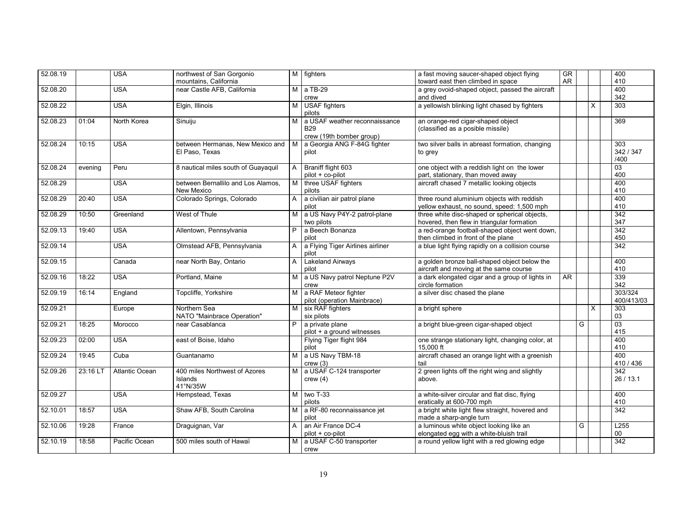| 52.08.19 |          | <b>USA</b>     | northwest of San Gorgonio                            |                | M fighters                                                              | a fast moving saucer-shaped object flying                                                   | <b>GR</b> |   |          | 400                           |
|----------|----------|----------------|------------------------------------------------------|----------------|-------------------------------------------------------------------------|---------------------------------------------------------------------------------------------|-----------|---|----------|-------------------------------|
|          |          |                | mountains, California                                |                |                                                                         | toward east then climbed in space                                                           | <b>AR</b> |   |          | 410                           |
| 52.08.20 |          | <b>USA</b>     | near Castle AFB. California                          |                | $M$ a TB-29<br>crew                                                     | a grey ovoid-shaped object, passed the aircraft<br>and dived                                |           |   |          | 400<br>342                    |
| 52.08.22 |          | <b>USA</b>     | Elgin, Illinois                                      | м              | <b>USAF</b> fighters<br>pilots                                          | a yellowish blinking light chased by fighters                                               |           |   | $\times$ | 303                           |
| 52.08.23 | 01:04    | North Korea    | Sinuiju                                              | мı             | a USAF weather reconnaissance<br><b>B29</b><br>crew (19th bomber group) | an orange-red cigar-shaped object<br>(classified as a posible missile)                      |           |   |          | 369                           |
| 52.08.24 | 10:15    | <b>USA</b>     | between Hermanas. New Mexico and<br>El Paso, Texas   | M <sub>1</sub> | a Georgia ANG F-84G fighter<br>pilot                                    | two silver balls in abreast formation, changing<br>to grey                                  |           |   |          | 303<br>342 / 347<br>/400      |
| 52.08.24 | evening  | Peru           | 8 nautical miles south of Guayaquil                  | A              | Braniff flight 603<br>pilot + co-pilot                                  | one object with a reddish light on the lower<br>part, stationary, than moved away           |           |   |          | 03<br>400                     |
| 52.08.29 |          | <b>USA</b>     | between Bernallilo and Los Alamos,<br>New Mexico     | M              | three USAF fighters<br>pilots                                           | aircraft chased 7 metallic looking objects                                                  |           |   |          | 400<br>410                    |
| 52.08.29 | 20:40    | <b>USA</b>     | Colorado Springs, Colorado                           | A              | a civilian air patrol plane<br>pilot                                    | three round aluminium objects with reddish<br>yellow exhaust, no sound, speed: 1,500 mph    |           |   |          | 400<br>410                    |
| 52.08.29 | 10:50    | Greenland      | West of Thule                                        | М              | a US Navy P4Y-2 patrol-plane<br>two pilots                              | three white disc-shaped or spherical objects,<br>hovered, then flew in triangular formation |           |   |          | 342<br>347                    |
| 52.09.13 | 19:40    | <b>USA</b>     | Allentown, Pennsylvania                              | P              | a Beech Bonanza<br>pilot                                                | a red-orange football-shaped object went down,<br>then climbed in front of the plane        |           |   |          | 342<br>450                    |
| 52.09.14 |          | <b>USA</b>     | Olmstead AFB, Pennsylvania                           | A              | a Flying Tiger Airlines airliner<br>pilot                               | a blue light flying rapidly on a collision course                                           |           |   |          | $\overline{342}$              |
| 52.09.15 |          | Canada         | near North Bay, Ontario                              | A              | <b>Lakeland Airways</b><br>pilot                                        | a golden bronze ball-shaped object below the<br>aircraft and moving at the same course      |           |   |          | 400<br>410                    |
| 52.09.16 | 18:22    | <b>USA</b>     | Portland, Maine                                      | M.             | a US Navy patrol Neptune P2V<br>crew                                    | a dark elongated cigar and a group of lights in<br>circle formation                         | <b>AR</b> |   |          | 339<br>342                    |
| 52.09.19 | 16:14    | England        | Topcliffe, Yorkshire                                 | M I            | a RAF Meteor fighter<br>pilot (operation Mainbrace)                     | a silver disc chased the plane                                                              |           |   |          | 303/324<br>400/413/03         |
| 52.09.21 |          | Europe         | Northern Sea<br>NATO "Mainbrace Operation"           | M              | six RAF fighters<br>six pilots                                          | a bright sphere                                                                             |           |   | X        | 303<br>03                     |
| 52.09.21 | 18:25    | Morocco        | near Casablanca                                      | P              | a private plane<br>pilot + a ground witnesses                           | a bright blue-green cigar-shaped object                                                     |           | G |          | $\overline{03}$<br>415        |
| 52.09.23 | 02:00    | <b>USA</b>     | east of Boise, Idaho                                 |                | Flying Tiger flight 984<br>pilot                                        | one strange stationary light, changing color, at<br>15,000 ft                               |           |   |          | 400<br>410                    |
| 52.09.24 | 19:45    | Cuba           | Guantanamo                                           | М              | a US Navy TBM-18<br>crew(3)                                             | aircraft chased an orange light with a greenish<br>tail                                     |           |   |          | 400<br>410 / 436              |
| 52.09.26 | 23:16 LT | Atlantic Ocean | 400 miles Northwest of Azores<br>Islands<br>41°N/35W | M              | a USAF C-124 transporter<br>crew(4)                                     | 2 green lights off the right wing and slightly<br>above.                                    |           |   |          | $\overline{342}$<br>26 / 13.1 |
| 52.09.27 |          | <b>USA</b>     | Hempstead, Texas                                     | M              | two T-33<br>pilots                                                      | a white-silver circular and flat disc, flying<br>eratically at 600-700 mph                  |           |   |          | 400<br>410                    |
| 52.10.01 | 18:57    | <b>USA</b>     | Shaw AFB, South Carolina                             | M              | a RF-80 reconnaissance jet<br>pilot                                     | a bright white light flew straight, hovered and<br>made a sharp-angle turn                  |           |   |          | 342                           |
| 52.10.06 | 19:28    | France         | Draguignan, Var                                      | A              | an Air France DC-4<br>pilot + co-pilot                                  | a luminous white object looking like an<br>elongated egg with a white-bluish trail          |           | G |          | L255<br>$00\,$                |
| 52.10.19 | 18:58    | Pacific Ocean  | 500 miles south of Hawaï                             | M I            | a USAF C-50 transporter<br>crew                                         | a round yellow light with a red glowing edge                                                |           |   |          | 342                           |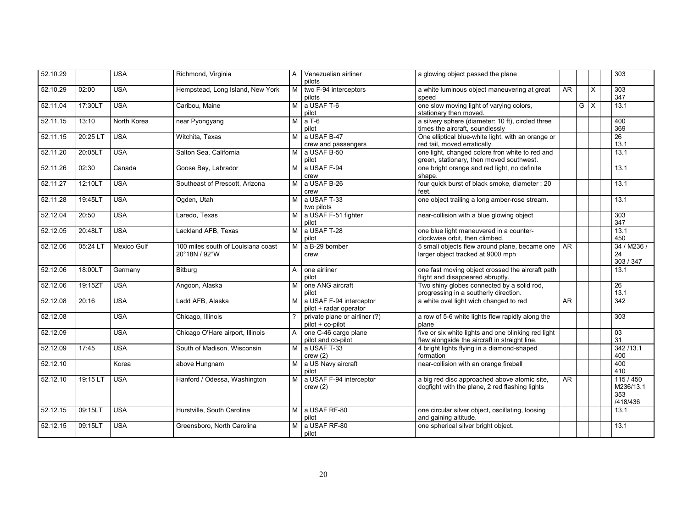| 52.10.29 |          | <b>USA</b>  | Richmond, Virginia                                  | A              | Venezuelian airliner<br>pilots                    | a glowing object passed the plane                                                                    |           |   |          | 303                                       |
|----------|----------|-------------|-----------------------------------------------------|----------------|---------------------------------------------------|------------------------------------------------------------------------------------------------------|-----------|---|----------|-------------------------------------------|
| 52.10.29 | 02:00    | <b>USA</b>  | Hempstead, Long Island, New York                    | M              | two F-94 interceptors<br>pilots                   | a white luminous object maneuvering at great<br>speed                                                | AR        |   | $\times$ | 303<br>347                                |
| 52.11.04 | 17:30LT  | <b>USA</b>  | Caribou, Maine                                      | M              | a USAF T-6<br>pilot                               | one slow moving light of varying colors,<br>stationary then moved.                                   |           | G | $\times$ | 13.1                                      |
| 52.11.15 | 13:10    | North Korea | near Pyongyang                                      | M              | $aT-6$<br>pilot                                   | a silvery sphere (diameter: 10 ft), circled three<br>times the aircraft, soundlessly                 |           |   |          | 400<br>369                                |
| 52.11.15 | 20:25 LT | <b>USA</b>  | Witchita, Texas                                     | M <sub>1</sub> | a USAF B-47<br>crew and passengers                | One elliptical blue-white light, with an orange or<br>red tail, moved erratically.                   |           |   |          | $\overline{26}$<br>13.1                   |
| 52.11.20 | 20:05LT  | <b>USA</b>  | Salton Sea, California                              | M              | a USAF B-50<br>pilot                              | one light, changed colore fron white to red and<br>green, stationary, then moved southwest.          |           |   |          | 13.1                                      |
| 52.11.26 | 02:30    | Canada      | Goose Bay, Labrador                                 | M I            | a USAF F-94<br>crew                               | one bright orange and red light, no definite<br>shape.                                               |           |   |          | 13.1                                      |
| 52.11.27 | 12:10LT  | <b>USA</b>  | Southeast of Prescott. Arizona                      | М              | a USAF B-26<br>crew                               | four quick burst of black smoke, diameter : 20<br>feet.                                              |           |   |          | 13.1                                      |
| 52.11.28 | 19:45LT  | <b>USA</b>  | Ogden, Utah                                         | M.             | a USAF T-33<br>two pilots                         | one object trailing a long amber-rose stream.                                                        |           |   |          | 13.1                                      |
| 52.12.04 | 20:50    | <b>USA</b>  | Laredo, Texas                                       | M I            | a USAF F-51 fighter<br>pilot                      | near-collision with a blue glowing object                                                            |           |   |          | 303<br>347                                |
| 52.12.05 | 20:48LT  | <b>USA</b>  | Lackland AFB. Texas                                 | м              | a USAF T-28<br>pilot                              | one blue light maneuvered in a counter-<br>clockwise orbit, then climbed.                            |           |   |          | 13.1<br>450                               |
| 52.12.06 | 05:24 LT | Mexico Gulf | 100 miles south of Louisiana coast<br>20°18N / 92°W | M I            | a B-29 bomber<br>crew                             | 5 small objects flew around plane, became one<br>larger object tracked at 9000 mph                   | <b>AR</b> |   |          | 34 / M236 /<br>24<br>303 / 347            |
| 52.12.06 | 18:00LT  | Germany     | Bitburg                                             | A              | one airliner<br>pilot                             | one fast moving object crossed the aircraft path<br>flight and disappeared abruptly.                 |           |   |          | 13.1                                      |
| 52.12.06 | 19:15ZT  | <b>USA</b>  | Angoon, Alaska                                      | м              | one ANG aircraft<br>pilot                         | Two shiny globes connected by a solid rod,<br>progressing in a southerly direction.                  |           |   |          | $\overline{26}$<br>13.1                   |
| 52.12.08 | 20:16    | <b>USA</b>  | Ladd AFB. Alaska                                    | M.             | a USAF F-94 interceptor<br>pilot + radar operator | a white oval light wich changed to red                                                               | AR        |   |          | $\overline{342}$                          |
| 52.12.08 |          | <b>USA</b>  | Chicago, Illinois                                   |                | private plane or airliner (?)<br>pilot + co-pilot | a row of 5-6 white lights flew rapidly along the<br>plane                                            |           |   |          | 303                                       |
| 52.12.09 |          | <b>USA</b>  | Chicago O'Hare airport, Illinois                    | A              | one C-46 cargo plane<br>pilot and co-pilot        | five or six white lights and one blinking red light<br>flew alongside the aircraft in straight line. |           |   |          | 03<br>31                                  |
| 52.12.09 | 17:45    | <b>USA</b>  | South of Madison. Wisconsin                         | M              | a USAF T-33<br>crew(2)                            | 4 bright lights flying in a diamond-shaped<br>formation                                              |           |   |          | 342/13.1<br>400                           |
| 52.12.10 |          | Korea       | above Hungnam                                       | M I            | a US Navy aircraft<br>pilot                       | near-collision with an orange fireball                                                               |           |   |          | 400<br>410                                |
| 52.12.10 | 19:15 LT | <b>USA</b>  | Hanford / Odessa, Washington                        | м              | a USAF F-94 interceptor<br>crew(2)                | a big red disc approached above atomic site,<br>dogfight with the plane, 2 red flashing lights       | <b>AR</b> |   |          | 115 / 450<br>M236/13.1<br>353<br>/418/436 |
| 52.12.15 | 09:15LT  | <b>USA</b>  | Hurstville, South Carolina                          |                | M a USAF RF-80<br>pilot                           | one circular silver object, oscillating, loosing<br>and gaining altitude.                            |           |   |          | 13.1                                      |
| 52.12.15 | 09:15LT  | <b>USA</b>  | Greensboro, North Carolina                          | М              | a USAF RF-80<br>pilot                             | one spherical silver bright object.                                                                  |           |   |          | 13.1                                      |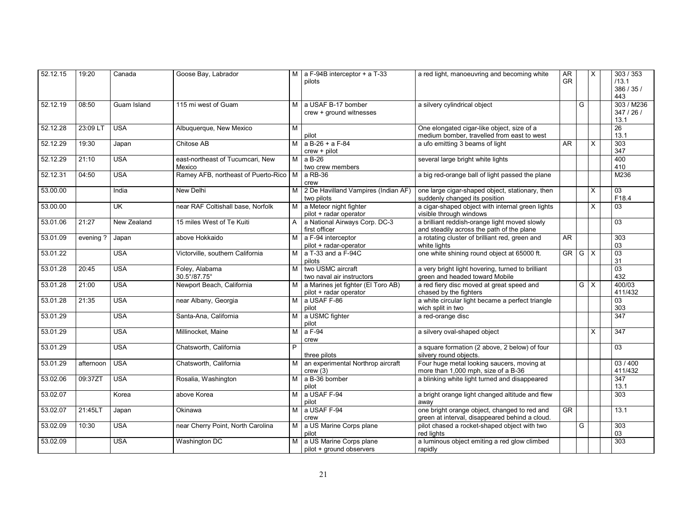| 52.12.15 | 19:20     | Canada                  | Goose Bay, Labrador                        |                | M $\vert$ a F-94B interceptor + a T-33<br>pilots             | a red light, manoeuvring and becoming white                                                    | AR<br><b>GR</b> |   | X                       | 303 / 353<br>/13.1<br>386/35/<br>443 |
|----------|-----------|-------------------------|--------------------------------------------|----------------|--------------------------------------------------------------|------------------------------------------------------------------------------------------------|-----------------|---|-------------------------|--------------------------------------|
| 52.12.19 | 08:50     | Guam Island             | 115 mi west of Guam                        | M              | a USAF B-17 bomber<br>crew + ground witnesses                | a silvery cylindrical object                                                                   |                 | G |                         | 303 / M236<br>347/26/<br>13.1        |
| 52.12.28 | 23:09 LT  | <b>USA</b>              | Albuquerque, New Mexico                    | M              | pilot                                                        | One elongated cigar-like object, size of a<br>medium bomber, travelled from east to west       |                 |   |                         | 26<br>13.1                           |
| 52.12.29 | 19:30     | Japan                   | Chitose AB                                 | M              | $a B-26 + a F-84$<br>$crew + pilot$                          | a ufo emitting 3 beams of light                                                                | AR              |   | X                       | 303<br>347                           |
| 52.12.29 | 21:10     | <b>USA</b>              | east-northeast of Tucumcari, New<br>Mexico | M              | a B-26<br>two crew members                                   | several large bright white lights                                                              |                 |   |                         | 400<br>410                           |
| 52.12.31 | 04:50     | <b>USA</b>              | Ramey AFB, northeast of Puerto-Rico   M    |                | a RB-36<br>crew                                              | a big red-orange ball of light passed the plane                                                |                 |   |                         | M236                                 |
| 53.00.00 |           | India                   | New Delhi                                  | M              | 2 De Havilland Vampires (Indian AF)<br>two pilots            | one large cigar-shaped object, stationary, then<br>suddenly changed its position               |                 |   | X                       | $\overline{03}$<br>F18.4             |
| 53.00.00 |           | $\overline{\mathsf{U}}$ | near RAF Coltishall base, Norfolk          | M              | a Meteor night fighter<br>pilot + radar operator             | a cigar-shaped object with internal green lights<br>visible through windows                    |                 |   | X                       | 03                                   |
| 53.01.06 | 21:27     | New Zealand             | 15 miles West of Te Kuiti                  | $\mathsf{A}$   | a National Airways Corp. DC-3<br>first officer               | a brilliant reddish-orange light moved slowly<br>and steadily across the path of the plane     |                 |   |                         | $\overline{03}$                      |
| 53.01.09 | evening?  | Japan                   | above Hokkaido                             | M              | a F-94 interceptor<br>pilot + radar-operator                 | a rotating cluster of brilliant red, green and<br>white lights                                 | AR              |   |                         | 303<br>03                            |
| 53.01.22 |           | <b>USA</b>              | Victorville, southern California           | M              | a T-33 and a F-94C<br>pilots                                 | one white shining round object at 65000 ft.                                                    | GR I            | G | $\overline{\mathsf{x}}$ | $\overline{03}$<br>31                |
| 53.01.28 | 20:45     | <b>USA</b>              | Foley, Alabama<br>30.5°/87.75°             | M              | two USMC aircraft<br>two naval air instructors               | a very bright light hovering, turned to brilliant<br>green and headed toward Mobile            |                 |   |                         | $\overline{03}$<br>432               |
| 53.01.28 | 21:00     | <b>USA</b>              | Newport Beach, California                  | M              | a Marines jet fighter (El Toro AB)<br>pilot + radar operator | a red fiery disc moved at great speed and<br>chased by the fighters                            |                 |   | $G \times$              | 400/03<br>411/432                    |
| 53.01.28 | 21:35     | <b>USA</b>              | near Albany, Georgia                       | M I            | a USAF F-86<br>pilot                                         | a white circular light became a perfect triangle<br>wich split in two                          |                 |   |                         | 03<br>303                            |
| 53.01.29 |           | <b>USA</b>              | Santa-Ana, California                      | M              | a USMC fighter<br>pilot                                      | a red-orange disc                                                                              |                 |   |                         | $\overline{347}$                     |
| 53.01.29 |           | <b>USA</b>              | Millinocket, Maine                         | M              | a F-94<br>crew                                               | a silvery oval-shaped object                                                                   |                 |   | X                       | 347                                  |
| 53.01.29 |           | <b>USA</b>              | Chatsworth, California                     | P              | three pilots                                                 | a square formation (2 above, 2 below) of four<br>silvery round objects.                        |                 |   |                         | $\overline{03}$                      |
| 53.01.29 | afternoon | <b>USA</b>              | Chatsworth, California                     | м              | an experimental Northrop aircraft<br>crew(3)                 | Four huge metal looking saucers, moving at<br>more than 1,000 mph, size of a B-36              |                 |   |                         | 03/400<br>411/432                    |
| 53.02.06 | 09:37ZT   | <b>USA</b>              | Rosalia, Washington                        | м              | a B-36 bomber<br>pilot                                       | a blinking white light turned and disappeared                                                  |                 |   |                         | $\overline{347}$<br>13.1             |
| 53.02.07 |           | Korea                   | above Korea                                | M              | a USAF F-94<br>pilot                                         | a bright orange light changed altitude and flew<br>away                                        |                 |   |                         | 303                                  |
| 53.02.07 | 21:45LT   | Japan                   | Okinawa                                    | M              | a USAF F-94<br>crew                                          | one bright orange object, changed to red and<br>green at interval, disappeared behind a cloud. | GR              |   |                         | 13.1                                 |
| 53.02.09 | 10:30     | <b>USA</b>              | near Cherry Point, North Carolina          | $\overline{M}$ | a US Marine Corps plane<br>pilot                             | pilot chased a rocket-shaped object with two<br>red lights                                     |                 | G |                         | 303<br>03                            |
| 53.02.09 |           | <b>USA</b>              | Washington DC                              | M              | a US Marine Corps plane<br>pilot + ground observers          | a luminous object emiting a red glow climbed<br>rapidly                                        |                 |   |                         | 303                                  |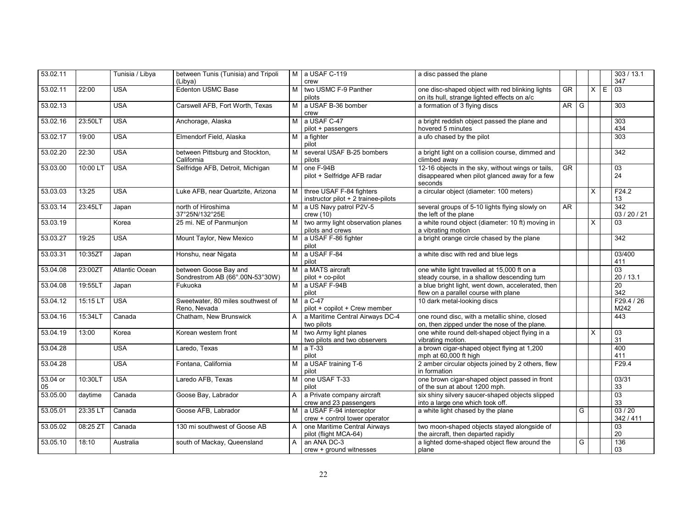| 53.02.11       |          | Tunisia / Libya | between Tunis (Tunisia) and Tripoli<br>(Libya)           |                | M a USAF C-119<br>crew                                          | a disc passed the plane                                                                                       |           |   |          |   | 303 / 13.1<br>347            |
|----------------|----------|-----------------|----------------------------------------------------------|----------------|-----------------------------------------------------------------|---------------------------------------------------------------------------------------------------------------|-----------|---|----------|---|------------------------------|
| 53.02.11       | 22:00    | <b>USA</b>      | <b>Edenton USMC Base</b>                                 | м              | two USMC F-9 Panther<br>pilots                                  | one disc-shaped object with red blinking lights<br>on its hull, strange lighted effects on a/c                | <b>GR</b> |   | $\times$ | E | 03                           |
| 53.02.13       |          | <b>USA</b>      | Carswell AFB, Fort Worth, Texas                          | м              | a USAF B-36 bomber<br>crew                                      | a formation of 3 flying discs                                                                                 | <b>AR</b> | G |          |   | 303                          |
| 53.02.16       | 23:50LT  | <b>USA</b>      | Anchorage, Alaska                                        | М              | a USAF C-47<br>pilot + passengers                               | a bright reddish object passed the plane and<br>hovered 5 minutes                                             |           |   |          |   | 303<br>434                   |
| 53.02.17       | 19:00    | <b>USA</b>      | Elmendorf Field, Alaska                                  | M.             | a fighter<br>pilot                                              | a ufo chased by the pilot                                                                                     |           |   |          |   | 303                          |
| 53.02.20       | 22:30    | <b>USA</b>      | between Pittsburg and Stockton,<br>California            | м              | several USAF B-25 bombers<br>pilots                             | a bright light on a collision course, dimmed and<br>climbed away                                              |           |   |          |   | 342                          |
| 53.03.00       | 10:00 L  | <b>USA</b>      | Selfridge AFB, Detroit, Michigan                         | м              | one F-94B<br>pilot + Selfridge AFB radar                        | 12-16 objects in the sky, without wings or tails,<br>disappeared when pilot glanced away for a few<br>seconds | GR        |   |          |   | $\overline{03}$<br>24        |
| 53.03.03       | 13:25    | <b>USA</b>      | Luke AFB, near Quartzite, Arizona                        | M              | three USAF F-84 fighters<br>instructor pilot + 2 trainee-pilots | a circular object (diameter: 100 meters)                                                                      |           |   | $\times$ |   | F24.2<br>13                  |
| 53.03.14       | 23:45LT  | Japan           | north of Hiroshima<br>37°25N/132°25E                     | М              | a US Navy patrol P2V-5<br>crew(10)                              | several groups of 5-10 lights flying slowly on<br>the left of the plane                                       | <b>AR</b> |   |          |   | 342<br>03 / 20 / 21          |
| 53.03.19       |          | Korea           | 25 mi. NE of Panmunjon                                   | м              | two army light observation planes<br>pilots and crews           | a white round object (diameter: 10 ft) moving in<br>a vibrating motion                                        |           |   | X        |   | 03                           |
| 53.03.27       | 19:25    | <b>USA</b>      | Mount Taylor, New Mexico                                 | M              | a USAF F-86 fighter<br>pilot                                    | a bright orange circle chased by the plane                                                                    |           |   |          |   | 342                          |
| 53.03.31       | 10:35ZT  | Japan           | Honshu, near Nigata                                      | M              | a USAF F-84<br>pilot                                            | a white disc with red and blue legs                                                                           |           |   |          |   | 03/400<br>411                |
| 53.04.08       | 23:00ZT  | Atlantic Ocean  | between Goose Bay and<br>Sondrestrom AB (66°.00N-53°30W) | M <sub>1</sub> | a MATS aircraft<br>pilot + co-pilot                             | one white light travelled at 15,000 ft on a<br>steady course, in a shallow descending turn                    |           |   |          |   | $\overline{03}$<br>20 / 13.1 |
| 53.04.08       | 19:55LT  | Japan           | Fukuoka                                                  | M              | a USAF F-94B<br>pilot                                           | a blue bright light, went down, accelerated, then<br>flew on a parallel course with plane                     |           |   |          |   | $\overline{20}$<br>342       |
| 53.04.12       | 15:15 LT | <b>USA</b>      | Sweetwater, 80 miles southwest of<br>Reno, Nevada        | M <sub>1</sub> | $a \overline{C-47}$<br>pilot + copilot + Crew member            | 10 dark metal-looking discs                                                                                   |           |   |          |   | F29.4 / 26<br>M242           |
| 53.04.16       | 15:34LT  | Canada          | Chatham. New Brunswick                                   | A              | a Maritime Central Airways DC-4<br>two pilots                   | one round disc, with a metallic shine, closed<br>on, then zipped under the nose of the plane.                 |           |   |          |   | 443                          |
| 53.04.19       | 13:00    | Korea           | Korean western front                                     | м              | two Army light planes<br>two pilots and two observers           | one white round delt-shaped object flying in a<br>vibrating motion.                                           |           |   | X        |   | 03<br>31                     |
| 53.04.28       |          | <b>USA</b>      | Laredo, Texas                                            | M              | a T-33<br>pilot                                                 | a brown cigar-shaped object flying at 1,200<br>mph at 60,000 ft high                                          |           |   |          |   | 400<br>411                   |
| 53.04.28       |          | <b>USA</b>      | Fontana, California                                      | M <sub>1</sub> | a USAF training T-6<br>pilot                                    | 2 amber circular objects joined by 2 others, flew<br>in formation                                             |           |   |          |   | F29.4                        |
| 53.04 or<br>05 | 10:30LT  | <b>USA</b>      | Laredo AFB, Texas                                        | м              | one USAF T-33<br>pilot                                          | one brown cigar-shaped object passed in front<br>of the sun at about 1200 mph.                                |           |   |          |   | 03/31<br>33                  |
| 53.05.00       | daytime  | Canada          | Goose Bay, Labrador                                      | A              | a Private company aircraft<br>crew and 23 passengers            | six shiny silvery saucer-shaped objects slipped<br>into a large one which took off.                           |           |   |          |   | $\overline{03}$<br>33        |
| 53.05.01       | 23:35 LT | Canada          | Goose AFB, Labrador                                      | M I            | a USAF F-94 interceptor<br>crew + control tower operator        | a white light chased by the plane                                                                             |           | G |          |   | 03/20<br>342 / 411           |
| 53.05.02       | 08:25 ZT | Canada          | 130 mi southwest of Goose AB                             | A              | one Maritime Central Airways<br>pilot (flight MCA-64)           | two moon-shaped objects stayed alongside of<br>the aircraft, then departed rapidly                            |           |   |          |   | 03<br>20                     |
| 53.05.10       | 18:10    | Australia       | south of Mackay, Queensland                              | A              | an ANA DC-3<br>crew + ground witnesses                          | a lighted dome-shaped object flew around the<br>plane                                                         |           | G |          |   | 136<br>03                    |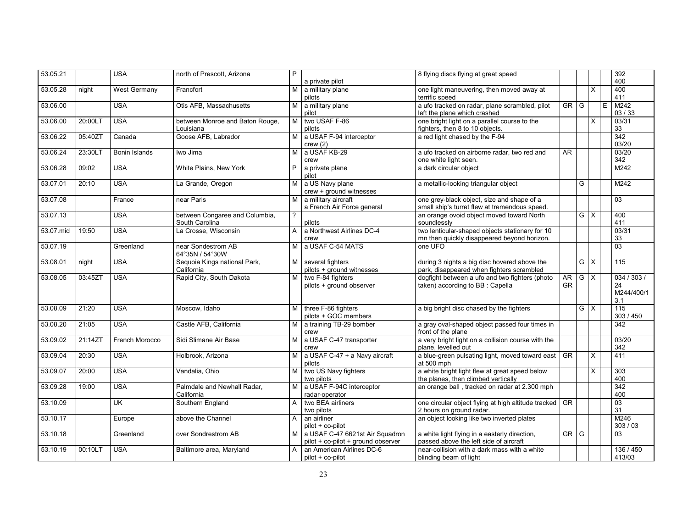| 53.05.21  |         | <b>USA</b>              | north of Prescott, Arizona                       | P              |                                                                       | 8 flying discs flying at great speed                                                           |                        |                         |                         |   | 392                                 |
|-----------|---------|-------------------------|--------------------------------------------------|----------------|-----------------------------------------------------------------------|------------------------------------------------------------------------------------------------|------------------------|-------------------------|-------------------------|---|-------------------------------------|
|           |         |                         |                                                  |                | a private pilot                                                       |                                                                                                |                        |                         |                         |   | 400                                 |
| 53.05.28  | night   | West Germany            | Francfort                                        | M              | a military plane<br>pilots                                            | one light maneuvering, then moved away at<br>terrific speed                                    |                        |                         | X                       |   | 400<br>411                          |
| 53.06.00  |         | <b>USA</b>              | Otis AFB. Massachusetts                          | M              | a military plane<br>pilot                                             | a ufo tracked on radar, plane scrambled, pilot<br>left the plane which crashed                 | $GR$ $G$               |                         |                         | E | M242<br>03/33                       |
| 53.06.00  | 20:00LT | <b>USA</b>              | between Monroe and Baton Rouge,<br>Louisiana     | M              | two USAF F-86<br>pilots                                               | one bright light on a parallel course to the<br>fighters, then 8 to 10 objects.                |                        |                         | X                       |   | 03/31<br>33                         |
| 53.06.22  | 05:40ZT | Canada                  | Goose AFB, Labrador                              | м              | a USAF F-94 interceptor<br>crew(2)                                    | a red light chased by the F-94                                                                 |                        |                         |                         |   | $\overline{342}$<br>03/20           |
| 53.06.24  | 23:30LT | Bonin Islands           | Iwo Jima                                         | М              | a USAF KB-29<br>crew                                                  | a ufo tracked on airborne radar, two red and<br>one white light seen.                          | <b>AR</b>              |                         |                         |   | 03/20<br>342                        |
| 53.06.28  | 09:02   | <b>USA</b>              | White Plains, New York                           | P              | a private plane<br>pilot                                              | a dark circular object                                                                         |                        |                         |                         |   | M242                                |
| 53.07.01  | 20:10   | <b>USA</b>              | La Grande, Oregon                                | м              | a US Navy plane<br>crew + ground witnesses                            | a metallic-looking triangular object                                                           |                        | G                       |                         |   | M242                                |
| 53.07.08  |         | France                  | near Paris                                       | M              | a military aircraft<br>a French Air Force general                     | one grey-black object, size and shape of a<br>small ship's turret flew at tremendous speed.    |                        |                         |                         |   | $\overline{03}$                     |
| 53.07.13  |         | <b>USA</b>              | between Congaree and Columbia,<br>South Carolina | $\overline{?}$ | pilots                                                                | an orange ovoid object moved toward North<br>soundlessly                                       |                        | GX                      |                         |   | 400<br>411                          |
| 53.07.mid | 19:50   | <b>USA</b>              | La Crosse. Wisconsin                             | $\mathsf{A}$   | a Northwest Airlines DC-4<br>crew                                     | two lenticular-shaped objects stationary for 10<br>mn then quickly disappeared beyond horizon. |                        |                         |                         |   | 03/31<br>33                         |
| 53.07.19  |         | Greenland               | near Sondestrom AB<br>64°35N / 54°30W            | M              | a USAF C-54 MATS                                                      | one UFO                                                                                        |                        |                         |                         |   | 03                                  |
| 53.08.01  | night   | <b>USA</b>              | Sequoia Kings national Park,<br>California       | м              | several fighters<br>pilots + ground witnesses                         | during 3 nights a big disc hovered above the<br>park, disappeared when fighters scrambled      |                        | $G \times$              |                         |   | 115                                 |
| 53.08.05  | 03:45ZT | <b>USA</b>              | Rapid City, South Dakota                         | M              | two F-84 fighters<br>pilots + ground observer                         | dogfight between a ufo and two fighters (photo<br>taken) according to BB : Capella             | AR<br><b>GR</b>        | $\overline{G}$          | $\overline{\mathsf{x}}$ |   | 034/303/<br>24<br>M244/400/1<br>3.1 |
| 53.08.09  | 21:20   | <b>USA</b>              | Moscow. Idaho                                    | м              | three F-86 fighters<br>pilots + GOC members                           | a big bright disc chased by the fighters                                                       |                        | $\overline{G}$ $\times$ |                         |   | 115<br>303 / 450                    |
| 53.08.20  | 21:05   | <b>USA</b>              | Castle AFB, California                           | M              | a training TB-29 bomber<br>crew                                       | a gray oval-shaped object passed four times in<br>front of the plane                           |                        |                         |                         |   | 342                                 |
| 53.09.02  | 21:14ZT | French Morocco          | Sidi Slimane Air Base                            | M              | a USAF C-47 transporter<br>crew                                       | a very bright light on a collision course with the<br>plane, levelled out                      |                        |                         |                         |   | 03/20<br>342                        |
| 53.09.04  | 20:30   | <b>USA</b>              | Holbrook, Arizona                                | M              | a USAF C-47 + a Navy aircraft<br>pilots                               | a blue-green pulsating light, moved toward east<br>at 500 mph                                  | $\overline{\text{GR}}$ |                         | $\times$                |   | 411                                 |
| 53.09.07  | 20:00   | <b>USA</b>              | Vandalia, Ohio                                   | M              | two US Navy fighters<br>two pilots                                    | a white bright light flew at great speed below<br>the planes, then climbed vertically          |                        |                         | $\times$                |   | 303<br>400                          |
| 53.09.28  | 19:00   | <b>USA</b>              | Palmdale and Newhall Radar,<br>California        | M              | a USAF F-94C interceptor<br>radar-operator                            | an orange ball, tracked on radar at 2.300 mph                                                  |                        |                         |                         |   | 342<br>400                          |
| 53.10.09  |         | $\overline{\mathsf{U}}$ | Southern England                                 | A              | two BEA airliners<br>two pilots                                       | one circular object flying at high altitude tracked<br>2 hours on ground radar.                | $\overline{\text{GR}}$ |                         |                         |   | 03<br>31                            |
| 53.10.17  |         | Europe                  | above the Channel                                | $\mathsf{A}$   | an airliner<br>pilot + co-pilot                                       | an object looking like two inverted plates                                                     |                        |                         |                         |   | M246<br>303/03                      |
| 53.10.18  |         | Greenland               | over Sondrestrom AB                              | M l            | a USAF C-47 6621st Air Squadron<br>pilot + co-pilot + ground observer | a white light flying in a easterly direction,<br>passed above the left side of aircraft        | $GR$ $G$               |                         |                         |   | 03                                  |
| 53.10.19  | 00:10LT | <b>USA</b>              | Baltimore area, Maryland                         | $\mathsf{A}$   | an American Airlines DC-6<br>pilot + co-pilot                         | near-collision with a dark mass with a white<br>blinding beam of light                         |                        |                         |                         |   | 136 / 450<br>413/03                 |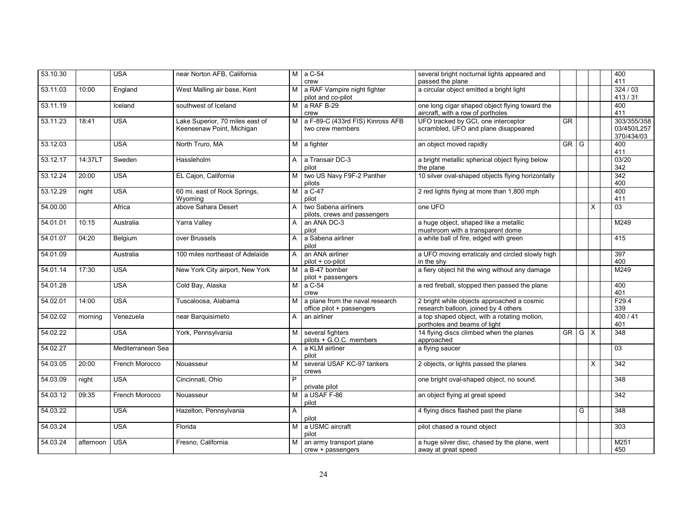| 53.10.30 |           | <b>USA</b>        | near Norton AFB, California                                  |              | $M$ a C-54<br>crew                                           | several bright nocturnal lights appeared and<br>passed the plane                    |                        |            |          | 400<br>411                               |
|----------|-----------|-------------------|--------------------------------------------------------------|--------------|--------------------------------------------------------------|-------------------------------------------------------------------------------------|------------------------|------------|----------|------------------------------------------|
| 53.11.03 | 10:00     | England           | West Malling air base, Kent                                  | M I          | a RAF Vampire night fighter<br>pilot and co-pilot            | a circular object emitted a bright light                                            |                        |            |          | 324/03<br>413/31                         |
| 53.11.19 |           | Iceland           | southwest of Iceland                                         | M            | a RAF B-29<br>crew                                           | one long cigar shaped object flying toward the<br>aircraft, with a row of portholes |                        |            |          | 400<br>411                               |
| 53.11.23 | 18:41     | <b>USA</b>        | Lake Superior, 70 miles east of<br>Keeneenaw Point, Michigan |              | M a F-89-C (433rd FIS) Kinross AFB<br>two crew members       | UFO tracked by GCI, one interceptor<br>scrambled, UFO and plane disappeared         | $\overline{\text{GR}}$ |            |          | 303/355/358<br>03/450/L257<br>370/434/03 |
| 53.12.03 |           | <b>USA</b>        | North Truro, MA                                              |              | M a fighter                                                  | an object moved rapidly                                                             | GR                     | G          |          | 400<br>411                               |
| 53.12.17 | 14:37LT   | Sweden            | Hassleholm                                                   | A            | a Transair DC-3<br>pilot                                     | a bright metallic spherical object flying below<br>the plane                        |                        |            |          | 03/20<br>342                             |
| 53.12.24 | 20:00     | <b>USA</b>        | EL Cajon, California                                         | M            | two US Navy F9F-2 Panther<br>pilots                          | 10 silver oval-shaped objects flying horizontally                                   |                        |            |          | 342<br>400                               |
| 53.12.29 | night     | <b>USA</b>        | 60 mi. east of Rock Springs,<br>Wyoming                      | M            | a C-47<br>pilot                                              | 2 red lights flying at more than 1,800 mph                                          |                        |            |          | 400<br>411                               |
| 54.00.00 |           | Africa            | above Sahara Desert                                          | $\mathsf{A}$ | two Sabena airliners<br>pilots, crews and passengers         | one UFO                                                                             |                        |            | $\times$ | $\overline{03}$                          |
| 54.01.01 | 10:15     | Australia         | Yarra Valley                                                 | A            | an ANA DC-3<br>pilot                                         | a huge object, shaped like a metallic<br>mushroom with a transparent dome           |                        |            |          | M249                                     |
| 54.01.07 | 04:20     | Belgium           | over Brussels                                                | A            | a Sabena airliner<br>pilot                                   | a white ball of fire, edged with green                                              |                        |            |          | 415                                      |
| 54.01.09 |           | Australia         | 100 miles northeast of Adelaïde                              | A            | an ANA airliner<br>pilot + co-pilot                          | a UFO moving erraticaly and circled slowly high<br>in the shy                       |                        |            |          | 397<br>400                               |
| 54.01.14 | 17:30     | <b>USA</b>        | New York City airport, New York                              |              | M a B-47 bomber<br>pilot + passengers                        | a fiery object hit the wing without any damage                                      |                        |            |          | M249                                     |
| 54.01.28 |           | <b>USA</b>        | Cold Bay, Alaska                                             |              | $M$ a C-54<br>crew                                           | a red fireball, stopped then passed the plane                                       |                        |            |          | 400<br>401                               |
| 54.02.01 | 14:00     | <b>USA</b>        | Tuscaloosa, Alabama                                          | м            | a plane from the naval research<br>office pilot + passengers | 2 bright white objects approached a cosmic<br>research balloon, joined by 4 others  |                        |            |          | F29.4<br>339                             |
| 54.02.02 | morning   | Venezuela         | near Barquisimeto                                            | A            | an airliner                                                  | a top shaped object, with a rotating motion,<br>portholes and beams of light        |                        |            |          | 400/41<br>401                            |
| 54.02.22 |           | <b>USA</b>        | York, Pennsylvania                                           | м            | several fighters<br>pilots + G.O.C. members                  | 14 flying discs climbed when the planes<br>approached                               | GR                     | $G \mid X$ |          | 348                                      |
| 54.02.27 |           | Mediterranean Sea |                                                              | A            | a KLM airliner<br>pilot                                      | a flying saucer                                                                     |                        |            |          | 03                                       |
| 54.03.05 | 20:00     | French Morocco    | Nouasseur                                                    | м            | several USAF KC-97 tankers<br>crews                          | 2 objects, or lights passed the planes                                              |                        |            | $\times$ | 342                                      |
| 54.03.09 | night     | <b>USA</b>        | Cincinnati, Ohio                                             | P            | private pilot                                                | one bright oval-shaped object, no sound.                                            |                        |            |          | 348                                      |
| 54.03.12 | 09:35     | French Morocco    | Nouasseur                                                    | M            | a USAF F-86<br>pilot                                         | an object flying at great speed                                                     |                        |            |          | $\overline{342}$                         |
| 54.03.22 |           | <b>USA</b>        | Hazelton, Pennsylvania                                       | A            | pilot                                                        | 4 flying discs flashed past the plane                                               |                        | G          |          | $\overline{348}$                         |
| 54.03.24 |           | <b>USA</b>        | Florida                                                      | M I          | a USMC aircraft<br>pilot                                     | pilot chased a round object                                                         |                        |            |          | 303                                      |
| 54.03.24 | afternoon | <b>USA</b>        | Fresno, California                                           | м            | an army transport plane<br>crew + passengers                 | a huge silver disc, chased by the plane, went<br>away at great speed                |                        |            |          | M251<br>450                              |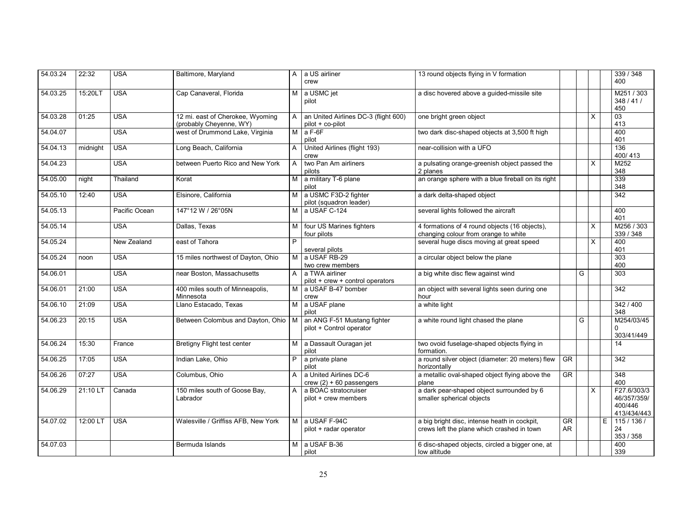| 54.03.24 | 22:32    | <b>USA</b>    | Baltimore, Maryland                                         | A              | a US airliner<br>crew                                    | 13 round objects flying in V formation                                                     |          |   |   |   | 339 / 348<br>400                                     |
|----------|----------|---------------|-------------------------------------------------------------|----------------|----------------------------------------------------------|--------------------------------------------------------------------------------------------|----------|---|---|---|------------------------------------------------------|
| 54.03.25 | 15:20LT  | <b>USA</b>    | Cap Canaveral, Florida                                      | M              | a USMC jet<br>pilot                                      | a disc hovered above a guided-missile site                                                 |          |   |   |   | M251/303<br>348/41/<br>450                           |
| 54.03.28 | 01:25    | <b>USA</b>    | 12 mi. east of Cherokee, Wyoming<br>(probably Cheyenne, WY) | A              | an United Airlines DC-3 (flight 600)<br>pilot + co-pilot | one bright green object                                                                    |          |   | X |   | 03<br>413                                            |
| 54.04.07 |          | <b>USA</b>    | west of Drummond Lake, Virginia                             | M              | $a F-6F$<br>pilot                                        | two dark disc-shaped objects at 3,500 ft high                                              |          |   |   |   | 400<br>401                                           |
| 54.04.13 | midnight | <b>USA</b>    | Long Beach, California                                      | A              | United Airlines (flight 193)<br>crew                     | near-collision with a UFO                                                                  |          |   |   |   | 136<br>400/413                                       |
| 54.04.23 |          | <b>USA</b>    | between Puerto Rico and New York                            | A              | two Pan Am airliners<br>pilots                           | a pulsating orange-greenish object passed the<br>2 planes                                  |          |   | х |   | M252<br>348                                          |
| 54.05.00 | night    | Thailand      | Korat                                                       | м              | a military T-6 plane<br>pilot                            | an orange sphere with a blue fireball on its right                                         |          |   |   |   | 339<br>348                                           |
| 54.05.10 | 12:40    | <b>USA</b>    | Elsinore, California                                        |                | a USMC F3D-2 fighter<br>pilot (squadron leader)          | a dark delta-shaped object                                                                 |          |   |   |   | $\overline{342}$                                     |
| 54.05.13 |          | Pacific Ocean | 147°12 W / 26°05N                                           | м              | a USAF C-124                                             | several lights followed the aircraft                                                       |          |   |   |   | 400<br>401                                           |
| 54.05.14 |          | <b>USA</b>    | Dallas, Texas                                               | м              | four US Marines fighters<br>four pilots                  | 4 formations of 4 round objects (16 objects),<br>changing colour from orange to white      |          |   | X |   | M256 / 303<br>339 / 348                              |
| 54.05.24 |          | New Zealand   | east of Tahora                                              | P              | several pilots                                           | several huge discs moving at great speed                                                   |          |   | X |   | 400<br>401                                           |
| 54.05.24 | noon     | <b>USA</b>    | 15 miles northwest of Dayton, Ohio                          | M              | a USAF RB-29<br>two crew members                         | a circular object below the plane                                                          |          |   |   |   | 303<br>400                                           |
| 54.06.01 |          | <b>USA</b>    | near Boston, Massachusetts                                  | A              | a TWA airliner<br>pilot + crew + control operators       | a big white disc flew against wind                                                         |          | G |   |   | 303                                                  |
| 54.06.01 | 21:00    | <b>USA</b>    | 400 miles south of Minneapolis,<br>Minnesota                | M              | a USAF B-47 bomber<br>crew                               | an object with several lights seen during one<br>hour                                      |          |   |   |   | 342                                                  |
| 54.06.10 | 21:09    | <b>USA</b>    | Llano Estacado, Texas                                       | $\overline{M}$ | a USAF plane<br>pilot                                    | a white light                                                                              |          |   |   |   | 342 / 400<br>348                                     |
| 54.06.23 | 20:15    | <b>USA</b>    | Between Colombus and Dayton, Ohio   M                       |                | an ANG F-51 Mustang fighter<br>pilot + Control operator  | a white round light chased the plane                                                       |          | G |   |   | M254/03/45<br>$\Omega$<br>303/41/449                 |
| 54.06.24 | 15:30    | France        | Bretigny Flight test center                                 | M              | a Dassault Ouragan jet<br>pilot                          | two ovoid fuselage-shaped objects flying in<br>formation.                                  |          |   |   |   | 14                                                   |
| 54.06.25 | 17:05    | <b>USA</b>    | Indian Lake, Ohio                                           |                | a private plane<br>pilot                                 | a round silver object (diameter: 20 meters) flew<br>horizontally                           | GR       |   |   |   | 342                                                  |
| 54.06.26 | 07:27    | <b>USA</b>    | Columbus, Ohio                                              |                | a United Airlines DC-6<br>crew $(2) + 60$ passengers     | a metallic oval-shaped object flying above the<br>plane                                    | GR       |   |   |   | 348<br>400                                           |
| 54.06.29 | 21:10 LT | Canada        | 150 miles south of Goose Bay,<br>Labrador                   |                | a BOAC stratocruiser<br>pilot + crew members             | a dark pear-shaped object surrounded by 6<br>smaller spherical objects                     |          |   | X |   | F27.6/303/3<br>46/357/359/<br>400/446<br>413/434/443 |
| 54.07.02 | 12:00 LT | <b>USA</b>    | Walesville / Griffiss AFB, New York                         | M              | a USAF F-94C<br>pilot + radar operator                   | a big bright disc, intense heath in cockpit,<br>crews left the plane which crashed in town | GR<br>AR |   |   | E | 115/136/<br>24<br>353 / 358                          |
| 54.07.03 |          |               | Bermuda Islands                                             | M              | a USAF B-36<br>pilot                                     | 6 disc-shaped objects, circled a bigger one, at<br>low altitude                            |          |   |   |   | 400<br>339                                           |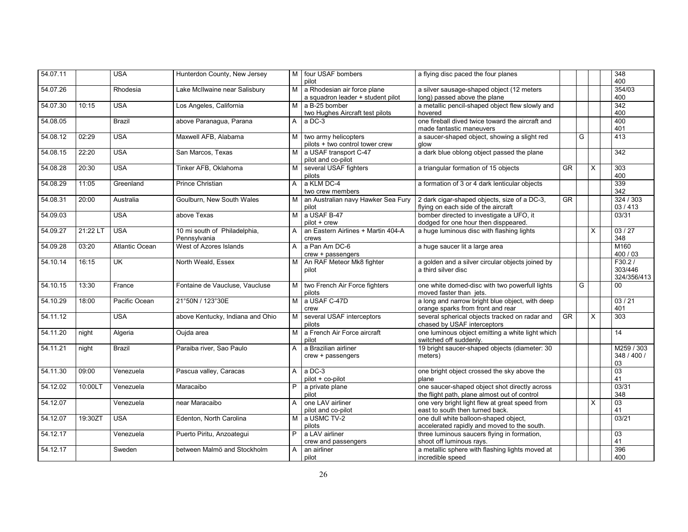| 54.07.11 |          | <b>USA</b>            | Hunterdon County, New Jersey                 |                | M four USAF bombers<br>pilot                                     | a flying disc paced the four planes                                                           |           |   |                | 348<br>400                       |
|----------|----------|-----------------------|----------------------------------------------|----------------|------------------------------------------------------------------|-----------------------------------------------------------------------------------------------|-----------|---|----------------|----------------------------------|
| 54.07.26 |          | Rhodesia              | Lake McIlwaine near Salisbury                | M              | a Rhodesian air force plane<br>a squadron leader + student pilot | a silver sausage-shaped object (12 meters<br>long) passed above the plane                     |           |   |                | 354/03<br>400                    |
| 54.07.30 | 10:15    | <b>USA</b>            | Los Angeles, California                      | M              | a B-25 bomber<br>two Hughes Aircraft test pilots                 | a metallic pencil-shaped object flew slowly and<br>hovered                                    |           |   |                | 342<br>400                       |
| 54.08.05 |          | <b>Brazil</b>         | above Paranagua, Parana                      | A              | a DC-3                                                           | one fireball dived twice toward the aircraft and<br>made fantastic maneuvers                  |           |   |                | 400<br>401                       |
| 54.08.12 | 02:29    | <b>USA</b>            | Maxwell AFB, Alabama                         | M l            | two army helicopters<br>pilots + two control tower crew          | a saucer-shaped object, showing a slight red<br>alow                                          |           | G |                | 413                              |
| 54.08.15 | 22:20    | <b>USA</b>            | San Marcos, Texas                            | M l            | a USAF transport C-47<br>pilot and co-pilot                      | a dark blue oblong object passed the plane                                                    |           |   |                | 342                              |
| 54.08.28 | 20:30    | <b>USA</b>            | Tinker AFB, Oklahoma                         |                | several USAF fighters<br>pilots                                  | a triangular formation of 15 objects                                                          | <b>GR</b> |   | $\times$       | 303<br>400                       |
| 54.08.29 | 11:05    | Greenland             | <b>Prince Christian</b>                      | A              | a KLM DC-4<br>two crew members                                   | a formation of 3 or 4 dark lenticular objects                                                 |           |   |                | 339<br>342                       |
| 54.08.31 | 20:00    | Australia             | Goulburn, New South Wales                    | м              | an Australian navy Hawker Sea Fury<br>pilot                      | 2 dark cigar-shaped objects, size of a DC-3,<br>flying on each side of the aircraft           | $G$ R     |   |                | 324 / 303<br>03/413              |
| 54.09.03 |          | <b>USA</b>            | above Texas                                  | м              | a USAF B-47<br>pilot + crew                                      | bomber directed to investigate a UFO, it<br>dodged for one hour then disppeared.              |           |   |                | 03/31                            |
| 54.09.27 | 21:22 LT | <b>USA</b>            | 10 mi south of Philadelphia,<br>Pennsylvania | A              | an Eastern Airlines + Martin 404-A<br>crews                      | a huge luminous disc with flashing lights                                                     |           |   | $\times$       | 03/27<br>348                     |
| 54.09.28 | 03:20    | <b>Atlantic Ocean</b> | West of Azores Islands                       | A              | a Pan Am DC-6<br>crew + passengers                               | a huge saucer lit a large area                                                                |           |   |                | M160<br>400 / 03                 |
| 54.10.14 | 16:15    | <b>UK</b>             | North Weald, Essex                           | м              | An RAF Meteor Mk8 fighter<br>pilot                               | a golden and a silver circular objects joined by<br>a third silver disc                       |           |   |                | F30.2/<br>303/446<br>324/356/413 |
| 54.10.15 | 13:30    | France                | Fontaine de Vaucluse, Vaucluse               | м              | two French Air Force fighters<br>pilots                          | one white domed-disc with two powerfull lights<br>moved faster than jets.                     |           | G |                | $00\,$                           |
| 54.10.29 | 18:00    | Pacific Ocean         | 21°50N / 123°30E                             | M              | a USAF C-47D<br>crew                                             | a long and narrow bright blue object, with deep<br>orange sparks from front and rear          |           |   |                | 03/21<br>401                     |
| 54.11.12 |          | <b>USA</b>            | above Kentucky, Indiana and Ohio             | м              | several USAF interceptors<br>pilots                              | several spherical objects tracked on radar and<br>chased by USAF interceptors                 | GR        |   | X              | 303                              |
| 54.11.20 | night    | Algeria               | Oujda area                                   | м              | a French Air Force aircraft<br>pilot                             | one luminous object emitting a white light which<br>switched off suddenly.                    |           |   |                | $\overline{14}$                  |
| 54.11.21 | night    | <b>Brazil</b>         | Paraiba river, Sao Paulo                     | A              | a Brazilian airliner<br>crew + passengers                        | 19 bright saucer-shaped objects (diameter: 30<br>meters)                                      |           |   |                | M259 / 303<br>348 / 400 /<br>03  |
| 54.11.30 | 09:00    | Venezuela             | Pascua valley, Caracas                       | $\mathsf{A}$   | $a$ DC-3<br>pilot + co-pilot                                     | one bright object crossed the sky above the<br>plane                                          |           |   |                | 03<br>41                         |
| 54.12.02 | 10:00LT  | Venezuela             | Maracaibo                                    | P              | a private plane<br>pilot                                         | one saucer-shaped object shot directly across<br>the flight path, plane almost out of control |           |   |                | 03/31<br>348                     |
| 54.12.07 |          | Venezuela             | near Maracaibo                               | A              | one LAV airliner<br>pilot and co-pilot                           | one very bright light flew at great speed from<br>east to south then turned back.             |           |   | $\overline{X}$ | 03<br>41                         |
| 54.12.07 | 19:30ZT  | <b>USA</b>            | Edenton, North Carolina                      | M <sub>1</sub> | a USMC TV-2<br>pilots                                            | one dull white balloon-shaped object,<br>accelerated rapidly and moved to the south.          |           |   |                | 03/21                            |
| 54.12.17 |          | Venezuela             | Puerto Piritu, Anzoategui                    | P.             | a LAV airliner<br>crew and passengers                            | three luminous saucers flying in formation,<br>shoot off luminous rays.                       |           |   |                | 03<br>41                         |
| 54.12.17 |          | Sweden                | between Malmö and Stockholm                  | A              | an airliner<br>pilot                                             | a metallic sphere with flashing lights moved at<br>incredible speed                           |           |   |                | 396<br>400                       |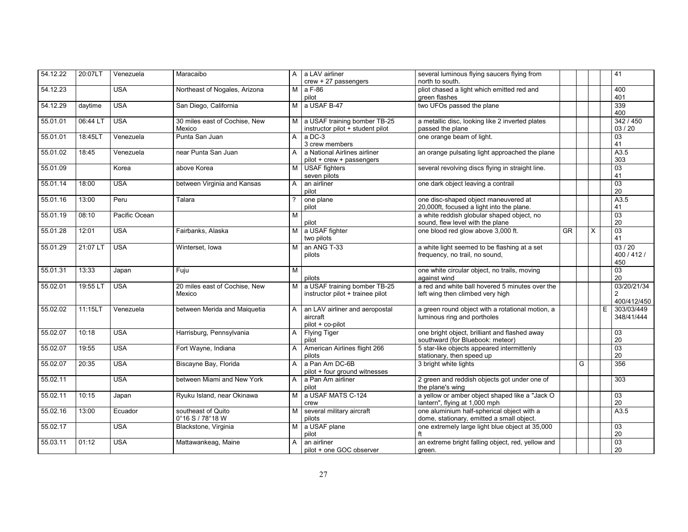| 54.12.22 | 20:07LT  | Venezuela     | Maracaibo                     | $\mathsf{A}$   | a LAV airliner                   | several luminous flying saucers flying from       |    |   |          |   | 41                |
|----------|----------|---------------|-------------------------------|----------------|----------------------------------|---------------------------------------------------|----|---|----------|---|-------------------|
|          |          |               |                               |                | $crew + 27$ passengers           | north to south.                                   |    |   |          |   |                   |
| 54.12.23 |          | <b>USA</b>    | Northeast of Nogales, Arizona | M              | a F-86                           | pliot chased a light which emitted red and        |    |   |          |   | 400               |
|          |          |               |                               |                | pilot                            | green flashes                                     |    |   |          |   | 401               |
| 54.12.29 | daytime  | <b>USA</b>    | San Diego, California         | M              | a USAF B-47                      | two UFOs passed the plane                         |    |   |          |   | 339               |
|          |          |               |                               |                |                                  |                                                   |    |   |          |   | 400               |
| 55.01.01 | 06:44 LT | <b>USA</b>    | 30 miles east of Cochise, New | M              | a USAF training bomber TB-25     | a metallic disc, looking like 2 inverted plates   |    |   |          |   | 342 / 450         |
|          |          |               | Mexico                        |                | instructor pilot + student pilot | passed the plane                                  |    |   |          |   | 03/20             |
| 55.01.01 | 18:45LT  | Venezuela     | Punta San Juan                | A              | a DC-3                           | one orange beam of light.                         |    |   |          |   | $\overline{03}$   |
|          |          |               |                               |                | 3 crew members                   |                                                   |    |   |          |   | 41                |
| 55.01.02 | 18:45    | Venezuela     | near Punta San Juan           | A              | a National Airlines airliner     | an orange pulsating light approached the plane    |    |   |          |   | A3.5              |
|          |          |               |                               |                | pilot + crew + passengers        |                                                   |    |   |          |   | 303               |
| 55.01.09 |          | Korea         | above Korea                   | M              | <b>USAF</b> fighters             | several revolving discs flying in straight line.  |    |   |          |   | 03                |
|          |          |               |                               |                | seven pilots                     |                                                   |    |   |          |   | 41                |
| 55.01.14 | 18:00    | <b>USA</b>    | between Virginia and Kansas   | A              | an airliner                      |                                                   |    |   |          |   | 03                |
|          |          |               |                               |                |                                  | one dark object leaving a contrail                |    |   |          |   | $20\,$            |
|          |          |               |                               |                | pilot                            |                                                   |    |   |          |   |                   |
| 55.01.16 | 13:00    | Peru          | Talara                        |                | one plane                        | one disc-shaped object maneuvered at              |    |   |          |   | A3.5              |
|          |          |               |                               |                | pilot                            | 20,000ft, focused a light into the plane.         |    |   |          |   | 41                |
| 55.01.19 | 08:10    | Pacific Ocean |                               | М              |                                  | a white reddish globular shaped object, no        |    |   |          |   | 03                |
|          |          |               |                               |                | pilot                            | sound, flew level with the plane                  |    |   |          |   | 20                |
| 55.01.28 | 12:01    | <b>USA</b>    | Fairbanks, Alaska             | M <sub>1</sub> | a USAF fighter                   | one blood red glow above 3,000 ft.                | GR |   | $\times$ |   | $\overline{03}$   |
|          |          |               |                               |                | two pilots                       |                                                   |    |   |          |   | 41                |
| 55.01.29 | 21:07 L  | <b>USA</b>    | Winterset, Iowa               | М              | an ANG T-33                      | a white light seemed to be flashing at a set      |    |   |          |   | 03/20             |
|          |          |               |                               |                | pilots                           | frequency, no trail, no sound,                    |    |   |          |   | 400 / 412 /       |
|          |          |               |                               |                |                                  |                                                   |    |   |          |   | 450               |
| 55.01.31 | 13:33    | Japan         | Fuju                          | M              |                                  | one white circular object, no trails, moving      |    |   |          |   | $\overline{03}$   |
|          |          |               |                               |                | pilots                           | against wind                                      |    |   |          |   | 20                |
| 55.02.01 | 19:55 LT | <b>USA</b>    | 20 miles east of Cochise, New | M              | a USAF training bomber TB-25     | a red and white ball hovered 5 minutes over the   |    |   |          |   | 03/20/21/34       |
|          |          |               | Mexico                        |                | instructor pilot + trainee pilot | left wing then climbed very high                  |    |   |          |   | 2                 |
|          |          |               |                               |                |                                  |                                                   |    |   |          |   | 400/412/450       |
| 55.02.02 | 11:15LT  | Venezuela     | between Merida and Maiquetia  | A              | an LAV airliner and aeropostal   | a green round object with a rotational motion, a  |    |   |          | E | 303/03/449        |
|          |          |               |                               |                |                                  |                                                   |    |   |          |   | 348/41/444        |
|          |          |               |                               |                | aircraft                         | luminous ring and portholes                       |    |   |          |   |                   |
|          |          |               |                               |                | pilot + co-pilot                 |                                                   |    |   |          |   |                   |
| 55.02.07 | 10:18    | <b>USA</b>    | Harrisburg, Pennsylvania      | A              | <b>Flying Tiger</b>              | one bright object, brilliant and flashed away     |    |   |          |   | $\overline{03}$   |
|          |          |               |                               |                | pilot                            | southward (for Bluebook: meteor)                  |    |   |          |   | 20                |
| 55.02.07 | 19:55    | <b>USA</b>    | Fort Wayne, Indiana           | A              | American Airlines flight 266     | 5 star-like objects appeared intermittenly        |    |   |          |   | $\overline{03}$   |
|          |          |               |                               |                | pilots                           | stationary, then speed up                         |    |   |          |   | 20                |
| 55.02.07 | 20:35    | <b>USA</b>    | Biscayne Bay, Florida         | A              | a Pan Am DC-6B                   | 3 bright white lights                             |    | G |          |   | 356               |
|          |          |               |                               |                | pilot + four ground witnesses    |                                                   |    |   |          |   |                   |
| 55.02.11 |          | <b>USA</b>    | between Miami and New York    | A              | a Pan Am airliner                | 2 green and reddish objects got under one of      |    |   |          |   | 303               |
|          |          |               |                               |                | pilot                            | the plane's wing                                  |    |   |          |   |                   |
| 55.02.11 | 10:15    | Japan         | Ryuku Island, near Okinawa    | M <sub>1</sub> | a USAF MATS C-124                | a yellow or amber object shaped like a "Jack O    |    |   |          |   | $\overline{03}$   |
|          |          |               |                               |                | crew                             | lantern", flying at 1,000 mph                     |    |   |          |   | 20                |
| 55.02.16 | 13:00    | Ecuador       | southeast of Quito            | M              | several military aircraft        | one aluminium half-spherical object with a        |    |   |          |   | $\overline{A3.5}$ |
|          |          |               | 0°16 S / 78°18 W              |                | pilots                           | dome, stationary, emitted a small object.         |    |   |          |   |                   |
| 55.02.17 |          | <b>USA</b>    | Blackstone, Virginia          | M <sub>1</sub> | a USAF plane                     | one extremely large light blue object at 35,000   |    |   |          |   | 03                |
|          |          |               |                               |                | pilot                            |                                                   |    |   |          |   | 20                |
|          | 01:12    |               |                               |                |                                  |                                                   |    |   |          |   |                   |
| 55.03.11 |          | <b>USA</b>    | Mattawankeag, Maine           | A              | an airliner                      | an extreme bright falling object, red, yellow and |    |   |          |   | 03                |
|          |          |               |                               |                | pilot + one GOC observer         | green.                                            |    |   |          |   | 20                |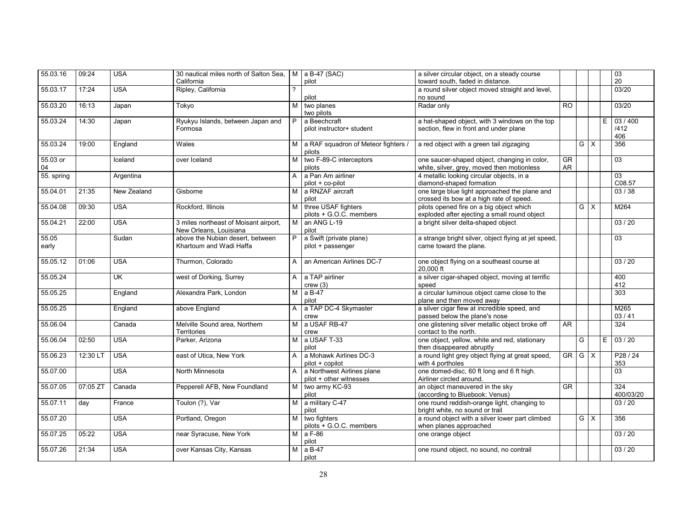| 55.03.16       | 09:24    | <b>USA</b>  | 30 nautical miles north of Salton Sea,   M   a B-47 (SAC)<br>California |              | pilot                                                 | a silver circular object, on a steady course<br>toward south, faded in distance.           |                              |            |                               |   | 03<br>20                    |
|----------------|----------|-------------|-------------------------------------------------------------------------|--------------|-------------------------------------------------------|--------------------------------------------------------------------------------------------|------------------------------|------------|-------------------------------|---|-----------------------------|
| 55.03.17       | 17:24    | <b>USA</b>  | Ripley, California                                                      | ?            |                                                       | a round silver object moved straight and level,                                            |                              |            |                               |   | 03/20                       |
|                |          |             |                                                                         |              | pilot                                                 | no sound                                                                                   |                              |            |                               |   |                             |
| 55.03.20       | 16:13    | Japan       | Tokyo                                                                   | M            | two planes<br>two pilots                              | Radar only                                                                                 | $\overline{RO}$              |            |                               |   | 03/20                       |
| 55.03.24       | 14:30    | Japan       | Ryukyu Islands, between Japan and<br>Formosa                            | P.           | a Beechcraft<br>pilot instructor+ student             | a hat-shaped object, with 3 windows on the top<br>section, flew in front and under plane   |                              |            |                               | E | 03/400<br>/412<br>406       |
| 55.03.24       | 19:00    | England     | Wales                                                                   | M            | a RAF squadron of Meteor fighters /<br>pilots         | a red object with a green tail zigzaging                                                   |                              |            | $G \mid X$                    |   | 356                         |
| 55.03 or<br>04 |          | Iceland     | over Iceland                                                            | м            | two F-89-C interceptors<br>pilots                     | one saucer-shaped object, changing in color,<br>white, silver, grey, moved then motionless | $\overline{\text{GR}}$<br>AR |            |                               |   | 03                          |
| 55. spring     |          | Argentina   |                                                                         | A            | a Pan Am airliner<br>pilot + co-pilot                 | 4 metallic looking circular objects, in a<br>diamond-shaped formation                      |                              |            |                               |   | 03<br>C08.57                |
| 55.04.01       | 21:35    | New Zealand | Gisborne                                                                | M I          | a RNZAF aircraft<br>pilot                             | one large blue light approached the plane and<br>crossed its bow at a high rate of speed.  |                              |            |                               |   | 03/38                       |
| 55.04.08       | 09:30    | <b>USA</b>  | Rockford, Illinois                                                      | м            | three USAF fighters<br>pilots + G.O.C. members        | pilots opened fire on a big object which<br>exploded after ejecting a small round object   |                              |            | $\overline{G}$ $\overline{X}$ |   | M264                        |
| 55.04.21       | 22:00    | <b>USA</b>  | 3 miles northeast of Moisant airport,<br>New Orleans, Louisiana         | M I          | an ANG L-19<br>pilot                                  | a bright silver delta-shaped object                                                        |                              |            |                               |   | 03/20                       |
| 55.05<br>early |          | Sudan       | above the Nubian desert, between<br>Khartoum and Wadi Haffa             | P.           | a Swift (private plane)<br>pilot + passenger          | a strange bright silver, object flying at jet speed,<br>came toward the plane.             |                              |            |                               |   | 03                          |
| 55.05.12       | 01:06    | <b>USA</b>  | Thurmon, Colorado                                                       | $\mathsf{A}$ | an American Airlines DC-7                             | one object flying on a southeast course at<br>20,000 ft                                    |                              |            |                               |   | 03/20                       |
| 55.05.24       |          | <b>UK</b>   | west of Dorking, Surrey                                                 | A            | a TAP airliner<br>crew(3)                             | a silver cigar-shaped object, moving at terrific<br>speed                                  |                              |            |                               |   | 400<br>412                  |
| 55.05.25       |          | England     | Alexandra Park, London                                                  | M            | a B-47<br>pilot                                       | a circular luminous object came close to the<br>plane and then moved away                  |                              |            |                               |   | 303                         |
| 55.05.25       |          | England     | above England                                                           | A            | a TAP DC-4 Skymaster<br>crew                          | a silver cigar flew at incredible speed, and<br>passed below the plane's nose              |                              |            |                               |   | M265<br>03/41               |
| 55.06.04       |          | Canada      | Melville Sound area, Northern<br>Territories                            | M            | a USAF RB-47<br>crew                                  | one glistening silver metallic object broke off<br>contact to the north.                   | AR                           |            |                               |   | 324                         |
| 55.06.04       | 02:50    | <b>USA</b>  | Parker, Arizona                                                         | M            | a USAF T-33<br>pilot                                  | one object, yellow, white and red, stationary<br>then disappeared abruptly                 |                              | G          |                               | E | 03/20                       |
| 55.06.23       | 12:30 L  | <b>USA</b>  | east of Utica. New York                                                 | A            | a Mohawk Airlines DC-3<br>pilot + copilot             | a round light grey object flying at great speed,<br>with 4 portholes                       | GR I                         | $G \mid X$ |                               |   | P <sub>28</sub> / 24<br>353 |
| 55.07.00       |          | <b>USA</b>  | North Minnesota                                                         | $\mathsf{A}$ | a Northwest Airlines plane<br>pilot + other witnesses | one domed-disc, 60 ft long and 6 ft high.<br>Airliner circled around.                      |                              |            |                               |   | 03                          |
| 55.07.05       | 07:05 ZT | Canada      | Pepperell AFB, New Foundland                                            | M            | two army KC-93<br>pilot                               | an object maneuvered in the sky<br>(according to Bluebook: Venus)                          | $\overline{\text{GR}}$       |            |                               |   | 324<br>400/03/20            |
| 55.07.11       | day      | France      | Toulon (?), Var                                                         |              | M a military C-47<br>pilot                            | one round reddish-orange light, changing to<br>bright white, no sound or trail             |                              |            |                               |   | 03/20                       |
| 55.07.20       |          | <b>USA</b>  | Portland, Oregon                                                        | M            | two fighters<br>pilots + G.O.C. members               | a round object with a silver lower part climbed<br>when planes approached                  |                              |            | $G \times$                    |   | 356                         |
| 55.07.25       | 05:22    | <b>USA</b>  | near Syracuse, New York                                                 |              | $M$ a F-86<br>pilot                                   | one orange object                                                                          |                              |            |                               |   | 03/20                       |
| 55.07.26       | 21:34    | <b>USA</b>  | over Kansas City, Kansas                                                | M            | $a B-47$<br>pilot                                     | one round object, no sound, no contrail                                                    |                              |            |                               |   | 03/20                       |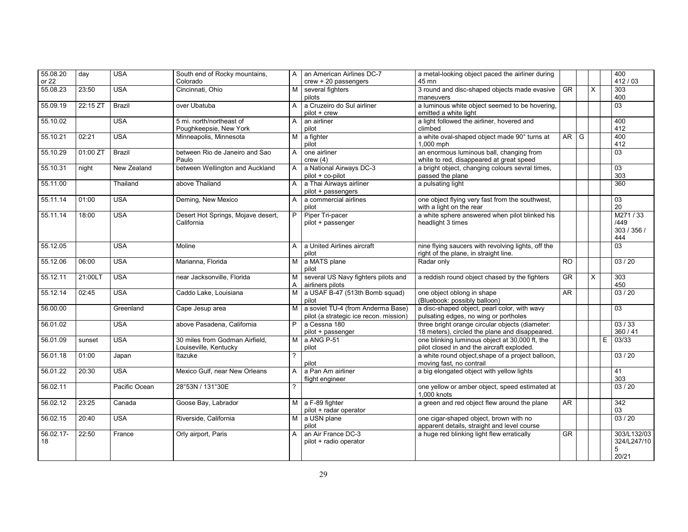| 55.08.20        | day      | <b>USA</b>    | South end of Rocky mountains,                           | A              | an American Airlines DC-7                                                   | a metal-looking object paced the airliner during                                                  |                        |   |          |    | 400<br>412/03                            |
|-----------------|----------|---------------|---------------------------------------------------------|----------------|-----------------------------------------------------------------------------|---------------------------------------------------------------------------------------------------|------------------------|---|----------|----|------------------------------------------|
| or 22           |          |               | Colorado                                                |                | $crew + 20$ passengers                                                      | 45 mn                                                                                             |                        |   |          |    |                                          |
| 55.08.23        | 23:50    | <b>USA</b>    | Cincinnati, Ohio                                        | М              | several fighters<br>pilots                                                  | 3 round and disc-shaped objects made evasive<br>maneuvers                                         | <b>GR</b>              |   | $\times$ |    | 303<br>400                               |
| 55.09.19        | 22:15 ZT | <b>Brazil</b> | over Ubatuba                                            | A              | a Cruzeiro do Sul airliner<br>pilot + crew                                  | a luminous white object seemed to be hovering,<br>emitted a white light                           |                        |   |          |    | 03                                       |
| 55.10.02        |          | <b>USA</b>    | 5 mi. north/northeast of<br>Poughkeepsie, New York      | A              | an airliner<br>pilot                                                        | a light followed the airliner, hovered and<br>climbed                                             |                        |   |          |    | 400<br>412                               |
| 55.10.21        | 02:21    | <b>USA</b>    | Minneapolis, Minnesota                                  | М              | a fighter<br>pilot                                                          | a white oval-shaped object made 90° turns at<br>1,000 mph                                         | <b>AR</b>              | G |          |    | 400<br>412                               |
| 55.10.29        | 01:00 ZT | <b>Brazil</b> | between Rio de Janeiro and Sao<br>Paulo                 | A              | one airliner<br>crew(4)                                                     | an enormous luminous ball, changing from<br>white to red, disappeared at great speed              |                        |   |          |    | 03                                       |
| 55.10.31        | night    | New Zealand   | between Wellington and Auckland                         | A              | a National Airways DC-3<br>pilot + co-pilot                                 | a bright object, changing colours sevral times,<br>passed the plane                               |                        |   |          |    | $\overline{03}$<br>303                   |
| 55.11.00        |          | Thailand      | above Thailand                                          | A              | a Thai Airways airliner<br>pilot + passengers                               | a pulsating light                                                                                 |                        |   |          |    | 360                                      |
| 55.11.14        | 01:00    | <b>USA</b>    | Deming, New Mexico                                      | A              | a commercial airlines<br>pilot                                              | one object flying very fast from the southwest,<br>with a light on the rear                       |                        |   |          |    | 03<br>20                                 |
| 55.11.14        | 18:00    | <b>USA</b>    | Desert Hot Springs, Mojave desert,<br>California        | P.             | Piper Tri-pacer<br>pilot + passenger                                        | a white sphere answered when pilot blinked his<br>headlight 3 times                               |                        |   |          |    | M271/33<br>/449<br>303 / 356 /<br>444    |
| 55.12.05        |          | <b>USA</b>    | Moline                                                  | $\mathsf{A}$   | a United Airlines aircraft<br>pilot                                         | nine flying saucers with revolving lights, off the<br>right of the plane, in straight line.       |                        |   |          |    | 0 <sub>3</sub>                           |
| 55.12.06        | 06:00    | <b>USA</b>    | Marianna, Florida                                       | M <sub>1</sub> | a MATS plane<br>pilot                                                       | Radar only                                                                                        | <b>RO</b>              |   |          |    | 03/20                                    |
| 55.12.11        | 21:00LT  | <b>USA</b>    | near Jacksonville, Florida                              | м<br>A         | several US Navy fighters pilots and<br>airliners pilots                     | a reddish round object chased by the fighters                                                     | $\overline{\text{GR}}$ |   | $\times$ |    | 303<br>450                               |
| 55.12.14        | 02:45    | <b>USA</b>    | Caddo Lake, Louisiana                                   | М              | a USAF B-47 (513th Bomb squad)<br>pilot                                     | one object oblong in shape<br>(Bluebook: possibly balloon)                                        | AR                     |   |          |    | 03 / 20                                  |
| 56.00.00        |          | Greenland     | Cape Jesup area                                         | м              | a soviet TU-4 (from Anderma Base)<br>pilot (a strategic ice recon. mission) | a disc-shaped object, pearl color, with wavy<br>pulsating edges, no wing or portholes             |                        |   |          |    | $\overline{03}$                          |
| 56.01.02        |          | <b>USA</b>    | above Pasadena, California                              | P              | a Cessna 180<br>pilot + passenger                                           | three bright orange circular objects (diameter:<br>18 meters), circled the plane and disappeared. |                        |   |          |    | 03/33<br>360/41                          |
| 56.01.09        | sunset   | <b>USA</b>    | 30 miles from Godman Airfield,<br>Louiseville, Kentucky | M              | a ANG P-51<br>pilot                                                         | one blinking luminous object at 30,000 ft, the<br>pilot closed in and the aircraft exploded.      |                        |   |          | E. | 03/33                                    |
| 56.01.18        | 01:00    | Japan         | Itazuke                                                 | $\overline{?}$ | pilot                                                                       | a white round object, shape of a project balloon,<br>moving fast, no contrail                     |                        |   |          |    | 03/20                                    |
| 56.01.22        | 20:30    | <b>USA</b>    | Mexico Gulf, near New Orleans                           | A              | a Pan Am airliner<br>flight engineer                                        | a big elongated object with yellow lights                                                         |                        |   |          |    | 41<br>303                                |
| 56.02.11        |          | Pacific Ocean | 28°53N / 131°30E                                        | ?              |                                                                             | one yellow or amber object, speed estimated at<br>1.000 knots                                     |                        |   |          |    | 03/20                                    |
| 56.02.12        | 23:25    | Canada        | Goose Bay, Labrador                                     |                | M a F-89 fighter<br>pilot + radar operator                                  | a green and red object flew around the plane                                                      | AR                     |   |          |    | $\overline{342}$<br>03                   |
| 56.02.15        | 20:40    | <b>USA</b>    | Riverside, California                                   | M I            | a USN plane<br>pilot                                                        | one cigar-shaped object, brown with no<br>apparent details, straight and level course             |                        |   |          |    | 03/20                                    |
| 56.02.17-<br>18 | 22:50    | France        | Orly airport, Paris                                     | A              | an Air France DC-3<br>pilot + radio operator                                | a huge red blinking light flew erratically                                                        | <b>GR</b>              |   |          |    | 303/L132/03<br>324/L247/10<br>5<br>20/21 |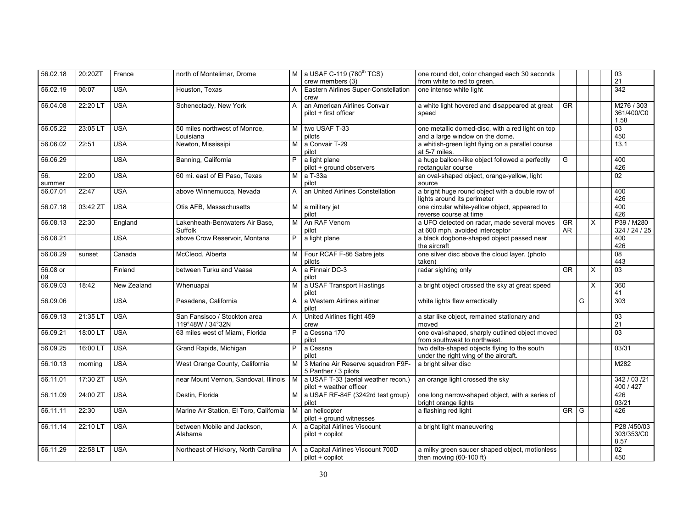| 56.02.18       | 20:20ZT  | France      | north of Montelimar, Drome                                                      |                | M $\vert$ a USAF C-119 (780 <sup>th</sup> TCS)<br>crew members (3) | one round dot, color changed each 30 seconds<br>from white to red to green.           |                 |   |   | $\frac{03}{21}$                   |
|----------------|----------|-------------|---------------------------------------------------------------------------------|----------------|--------------------------------------------------------------------|---------------------------------------------------------------------------------------|-----------------|---|---|-----------------------------------|
| 56.02.19       | 06:07    | <b>USA</b>  | Houston, Texas                                                                  | A              | Eastern Airlines Super-Constellation<br>crew                       | one intense white light                                                               |                 |   |   | $\overline{342}$                  |
| 56.04.08       | 22:20 LT | <b>USA</b>  | Schenectady, New York                                                           | A              | an American Airlines Convair<br>pilot + first officer              | a white light hovered and disappeared at great<br>speed                               | <b>GR</b>       |   |   | M276 / 303<br>361/400/C0<br>1.58  |
| 56.05.22       | 23:05 LT | <b>USA</b>  | 50 miles northwest of Monroe,<br>Louisiana                                      | M              | two USAF T-33<br>pilots                                            | one metallic domed-disc, with a red light on top<br>and a large window on the dome.   |                 |   |   | 03<br>450                         |
| 56.06.02       | 22:51    | <b>USA</b>  | Newton, Mississipi                                                              | M              | a Convair T-29<br>pilot                                            | a whitish-green light flying on a parallel course<br>at 5-7 miles.                    |                 |   |   | 13.1                              |
| 56.06.29       |          | <b>USA</b>  | Banning, California                                                             | P              | a light plane<br>pilot + ground observers                          | a huge balloon-like object followed a perfectly<br>rectangular course                 | G               |   |   | 400<br>426                        |
| 56.<br>summer  | 22:00    | <b>USA</b>  | 60 mi. east of El Paso, Texas                                                   | M              | $a$ T-33a<br>pilot                                                 | an oval-shaped object, orange-yellow, light<br>source                                 |                 |   |   | $\overline{02}$                   |
| 56.07.01       | 22:47    | <b>USA</b>  | above Winnemucca, Nevada                                                        | A              | an United Airlines Constellation                                   | a bright huge round object with a double row of<br>lights around its perimeter        |                 |   |   | 400<br>426                        |
| 56.07.18       | 03:42 ZT | <b>USA</b>  | Otis AFB, Massachusetts                                                         |                | M a military jet<br>pilot                                          | one circular white-yellow object, appeared to<br>reverse course at time               |                 |   |   | 400<br>426                        |
| 56.08.13       | 22:30    | England     | Lakenheath-Bentwaters Air Base,<br>Suffolk                                      | M              | An RAF Venom<br>pilot                                              | a UFO detected on radar, made several moves<br>at 600 mph, avoided interceptor        | <b>GR</b><br>AR |   | X | P39 / M280<br>324 / 24 / 25       |
| 56.08.21       |          | <b>USA</b>  | above Crow Reservoir, Montana                                                   | P              | a light plane                                                      | a black dogbone-shaped object passed near<br>the aircraft                             |                 |   |   | 400<br>426                        |
| 56.08.29       | sunset   | Canada      | McCleod, Alberta                                                                | м              | Four RCAF F-86 Sabre jets<br>pilots                                | one silver disc above the cloud layer. (photo<br>taken)                               |                 |   |   | 08<br>443                         |
| 56.08 or<br>09 |          | Finland     | between Turku and Vaasa                                                         | A              | a Finnair DC-3<br>pilot                                            | radar sighting only                                                                   | <b>GR</b>       |   | X | 03                                |
| 56.09.03       | 18:42    | New Zealand | Whenuapai                                                                       | м              | a USAF Transport Hastings<br>pilot                                 | a bright object crossed the sky at great speed                                        |                 |   | X | 360<br>41                         |
| 56.09.06       |          | <b>USA</b>  | Pasadena, California                                                            | A              | a Western Airlines airliner<br>pilot                               | white lights flew erractically                                                        |                 | G |   | 303                               |
| 56.09.13       | 21:35 LT | <b>USA</b>  | San Fansisco / Stockton area<br>119°48W / 34°32N                                | A              | United Airlines flight 459<br>crew                                 | a star like object, remained stationary and<br>moved                                  |                 |   |   | 03<br>21                          |
| 56.09.21       | 18:00 LT | <b>USA</b>  | 63 miles west of Miami, Florida                                                 | P              | a Cessna 170<br>pilot                                              | one oval-shaped, sharply outlined object moved<br>from southwest to northwest.        |                 |   |   | $\overline{03}$                   |
| 56.09.25       | 16:00 LT | <b>USA</b>  | Grand Rapids, Michigan                                                          | P.             | a Cessna<br>pilot                                                  | two delta-shaped objects flying to the south<br>under the right wing of the aircraft. |                 |   |   | 03/31                             |
| 56.10.13       | morning  | <b>USA</b>  | West Orange County, California                                                  |                | M 3 Marine Air Reserve squadron F9F-<br>5 Panther / 3 pilots       | a bright silver disc                                                                  |                 |   |   | M282                              |
| 56.11.01       | 17:30 ZT | <b>USA</b>  | near Mount Vernon, Sandoval, Illinois   M   a USAF T-33 (aerial weather recon.) |                | pilot + weather officer                                            | an orange light crossed the sky                                                       |                 |   |   | 342 / 03 / 21<br>400 / 427        |
| 56.11.09       | 24:00 ZT | <b>USA</b>  | Destin, Florida                                                                 |                | M a USAF RF-84F (3242rd test group)<br>pilot                       | one long narrow-shaped object, with a series of<br>bright orange lights               |                 |   |   | 426<br>03/21                      |
| 56.11.11       | 22:30    | <b>USA</b>  | Marine Air Station, El Toro, California   M                                     |                | an helicopter<br>pilot + ground witnesses                          | a flashing red light                                                                  | GR G            |   |   | 426                               |
| 56.11.14       | 22:10 LT | <b>USA</b>  | between Mobile and Jackson,<br>Alabama                                          | A              | a Capital Airlines Viscount<br>pilot + copilot                     | a bright light maneuvering                                                            |                 |   |   | P28 /450/03<br>303/353/C0<br>8.57 |
| 56.11.29       | 22:58 LT | <b>USA</b>  | Northeast of Hickory, North Carolina                                            | $\overline{A}$ | a Capital Airlines Viscount 700D<br>pilot + copilot                | a milky green saucer shaped object, motionless<br>then moving (60-100 ft)             |                 |   |   | 02<br>450                         |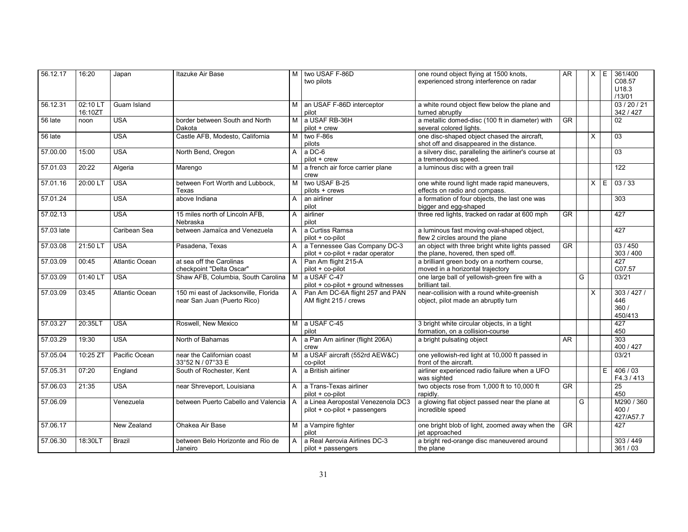| 56.12.17   | 16:20               | Japan          | Itazuke Air Base                                                    | M              | two USAF F-86D<br>two pilots                                       | one round object flying at 1500 knots,<br>experienced strong interference on radar       | AR                     |   | $X$ $E$      |   | 361/400<br>C08.57<br>U18.3<br>/13/01  |
|------------|---------------------|----------------|---------------------------------------------------------------------|----------------|--------------------------------------------------------------------|------------------------------------------------------------------------------------------|------------------------|---|--------------|---|---------------------------------------|
| 56.12.31   | 02:10 LT<br>16:10ZT | Guam Island    |                                                                     | M I            | an USAF F-86D interceptor<br>pilot                                 | a white round object flew below the plane and<br>turned abruptly                         |                        |   |              |   | 03/20/21<br>342 / 427                 |
| 56 late    | noon                | <b>USA</b>     | border between South and North<br>Dakota                            | M              | a USAF RB-36H<br>$pilot + crew$                                    | a metallic domed-disc (100 ft in diameter) with<br>several colored lights.               | $\overline{\text{GR}}$ |   |              |   | 02                                    |
| 56 late    |                     | <b>USA</b>     | Castle AFB, Modesto, California                                     | M              | two F-86s<br>pilots                                                | one disc-shaped object chased the aircraft,<br>shot off and disappeared in the distance. |                        |   | $\mathsf{x}$ |   | $\overline{03}$                       |
| 57.00.00   | 15:00               | <b>USA</b>     | North Bend, Oregon                                                  | A              | a DC-6<br>pilot + crew                                             | a silvery disc, paralleling the airliner's course at<br>a tremendous speed.              |                        |   |              |   | 03                                    |
| 57.01.03   | 20:22               | Algeria        | Marengo                                                             | M              | a french air force carrier plane<br>crew                           | a luminous disc with a green trail                                                       |                        |   |              |   | 122                                   |
| 57.01.16   | 20:00 LT            | <b>USA</b>     | between Fort Worth and Lubbock.<br>Texas                            | M              | two USAF B-25<br>pilots + crews                                    | one white round light made rapid maneuvers,<br>effects on radio and compass.             |                        |   | $\times$     | E | 03/33                                 |
| 57.01.24   |                     | <b>USA</b>     | above Indiana                                                       | A              | an airliner<br>pilot                                               | a formation of four objects, the last one was<br>bigger and egg-shaped                   |                        |   |              |   | 303                                   |
| 57.02.13   |                     | <b>USA</b>     | 15 miles north of Lincoln AFB,<br>Nebraska                          | A              | airliner<br>pilot                                                  | three red lights, tracked on radar at 600 mph                                            | GR.                    |   |              |   | 427                                   |
| 57.03 late |                     | Caribean Sea   | between Jamaïca and Venezuela                                       | A              | a Curtiss Ramsa<br>pilot + co-pilot                                | a luminous fast moving oval-shaped object,<br>flew 2 circles around the plane            |                        |   |              |   | 427                                   |
| 57.03.08   | 21:50 LT            | <b>USA</b>     | Pasadena, Texas                                                     | $\overline{A}$ | a Tennessee Gas Company DC-3<br>pilot + co-pilot + radar operator  | an object with three bright white lights passed<br>the plane, hovered, then sped off.    | <b>GR</b>              |   |              |   | 03/450<br>303 / 400                   |
| 57.03.09   | 00:45               | Atlantic Ocean | at sea off the Carolinas<br>checkpoint "Delta Oscar"                | A              | Pan Am flight 215-A<br>pilot + co-pilot                            | a brilliant green body on a northern course,<br>moved in a horizontal trajectory         |                        |   |              |   | 427<br>C07.57                         |
| 57.03.09   | 01:40 L             | <b>USA</b>     | Shaw AFB, Columbia, South Carolina   M                              |                | a USAF C-47<br>pilot + co-pilot + ground witnesses                 | one large ball of yellowish-green fire with a<br>brilliant tail.                         |                        | G |              |   | 03/21                                 |
| 57.03.09   | 03:45               | Atlantic Ocean | 150 mi east of Jacksonville, Florida<br>near San Juan (Puerto Rico) | $\overline{A}$ | Pan Am DC-6A flight 257 and PAN<br>AM flight 215 / crews           | near-collision with a round white-greenish<br>object, pilot made an abruptly turn        |                        |   | X            |   | 303 / 427 /<br>446<br>360/<br>450/413 |
| 57.03.27   | 20:35LT             | <b>USA</b>     | Roswell, New Mexico                                                 |                | M a USAF C-45<br>pilot                                             | 3 bright white circular objects, in a tight<br>formation, on a collision-course          |                        |   |              |   | 427<br>450                            |
| 57.03.29   | 19:30               | <b>USA</b>     | North of Bahamas                                                    | A              | a Pan Am airliner (flight 206A)<br>crew                            | a bright pulsating object                                                                | <b>AR</b>              |   |              |   | 303<br>400 / 427                      |
| 57.05.04   | 10:25 ZT            | Pacific Ocean  | near the Californian coast<br>33°52 N / 07°33 E                     | M I            | a USAF aircraft (552rd AEW&C)<br>co-pilot                          | one yellowish-red light at 10,000 ft passed in<br>front of the aircraft.                 |                        |   |              |   | 03/21                                 |
| 57.05.31   | 07:20               | England        | South of Rochester, Kent                                            | $\mathsf{A}$   | a British airliner                                                 | airliner experienced radio failure when a UFO<br>was sighted                             |                        |   |              | E | 406/03<br>F4.3/413                    |
| 57.06.03   | 21:35               | <b>USA</b>     | near Shreveport, Louisiana                                          | $\mathsf{A}$   | a Trans-Texas airliner<br>pilot + co-pilot                         | two objects rose from 1,000 ft to 10,000 ft<br>rapidly.                                  | <b>GR</b>              |   |              |   | $\overline{25}$<br>450                |
| 57.06.09   |                     | Venezuela      | between Puerto Cabello and Valencia A                               |                | a Linea Aeropostal Venezenola DC3<br>pilot + co-pilot + passengers | a glowing flat object passed near the plane at<br>incredible speed                       |                        | G |              |   | M290 / 360<br>400 /<br>427/A57.7      |
| 57.06.17   |                     | New Zealand    | Ohakea Air Base                                                     |                | M a Vampire fighter<br>pilot                                       | one bright blob of light, zoomed away when the<br>jet approached                         | $\overline{\text{GR}}$ |   |              |   | 427                                   |
| 57.06.30   | 18:30LT             | <b>Brazil</b>  | between Belo Horizonte and Rio de<br>Janeiro                        | $\mathsf{A}$   | a Real Aerovia Airlines DC-3<br>pilot + passengers                 | a bright red-orange disc maneuvered around<br>the plane                                  |                        |   |              |   | 303 / 449<br>361/03                   |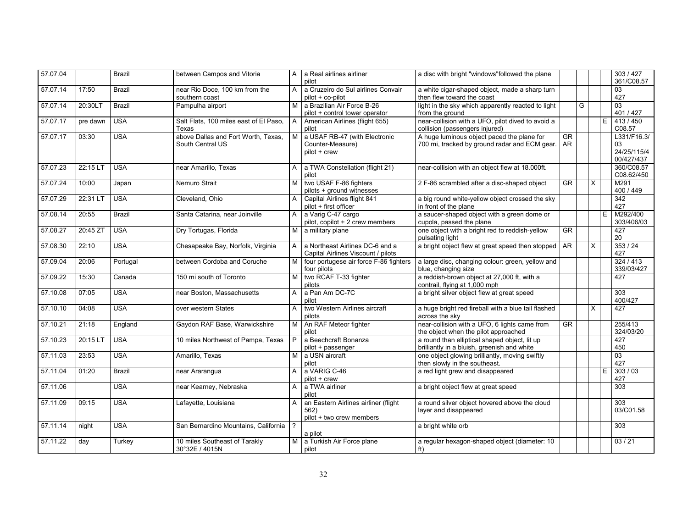| 57.07.04 |          | <b>Brazil</b> | between Campos and Vitoria                       | A              | a Real airlines airliner<br>pilot                      | a disc with bright "windows" followed the plane                              |                        |   |          |    | 303 / 427<br>361/C08.57 |
|----------|----------|---------------|--------------------------------------------------|----------------|--------------------------------------------------------|------------------------------------------------------------------------------|------------------------|---|----------|----|-------------------------|
| 57.07.14 | 17:50    | <b>Brazil</b> | near Rio Doce, 100 km from the<br>southern coast | A              | a Cruzeiro do Sul airlines Convair<br>pilot + co-pilot | a white cigar-shaped object, made a sharp turn<br>then flew toward the coast |                        |   |          |    | 03<br>427               |
| 57.07.14 | 20:30LT  | <b>Brazil</b> | Pampulha airport                                 | M.             | a Brazilian Air Force B-26                             | light in the sky which apparently reacted to light                           |                        | G |          |    | 03                      |
|          |          |               |                                                  |                | pilot + control tower operator                         | from the ground                                                              |                        |   |          |    | 401 / 427               |
| 57.07.17 | pre dawn | <b>USA</b>    | Salt Flats, 100 miles east of El Paso,           | A              | American Airlines (flight 655)                         | near-collision with a UFO, pilot dived to avoid a                            |                        |   |          | E  | 413 / 450               |
|          |          |               | Texas                                            |                | pilot                                                  | collision (passengers injured)                                               |                        |   |          |    | C08.57                  |
| 57.07.17 | 03:30    | <b>USA</b>    | above Dallas and Fort Worth, Texas,              | М              | a USAF RB-47 (with Electronic                          | A huge luminous object paced the plane for                                   | $\overline{\text{GR}}$ |   |          |    | L331/F16.3/             |
|          |          |               | South Central US                                 |                | Counter-Measure)                                       | 700 mi, tracked by ground radar and ECM gear.                                | AR                     |   |          |    | 03                      |
|          |          |               |                                                  |                | pilot + crew                                           |                                                                              |                        |   |          |    | 24/25/115/4             |
|          |          |               |                                                  |                |                                                        |                                                                              |                        |   |          |    | 00/427/437              |
| 57.07.23 | 22:15 LT | <b>USA</b>    | near Amarillo. Texas                             | A              | a TWA Constellation (flight 21)                        | near-collision with an object flew at 18.000ft.                              |                        |   |          |    | 360/C08.57              |
|          |          |               |                                                  |                | pilot                                                  |                                                                              |                        |   |          |    | C08.62/450              |
| 57.07.24 | 10:00    | Japan         | Nemuro Strait                                    | M              | two USAF F-86 fighters                                 | 2 F-86 scrambled after a disc-shaped object                                  | <b>GR</b>              |   | X        |    | M291                    |
|          |          |               |                                                  |                | pilots + around witnesses                              |                                                                              |                        |   |          |    | 400 / 449               |
| 57.07.29 | 22:31 LT | <b>USA</b>    | Cleveland, Ohio                                  | A              | Capital Airlines flight 841                            | a big round white-yellow object crossed the sky                              |                        |   |          |    | 342                     |
|          |          |               |                                                  |                | pilot + first officer                                  | in front of the plane                                                        |                        |   |          |    | 427                     |
| 57.08.14 | 20:55    | <b>Brazil</b> | Santa Catarina, near Joinville                   | $\mathsf{A}$   | a Varig C-47 cargo                                     | a saucer-shaped object with a green dome or                                  |                        |   |          | E  | M292/400                |
|          |          |               |                                                  |                | pilot, copilot + 2 crew members                        | cupola, passed the plane                                                     |                        |   |          |    | 303/406/03              |
| 57.08.27 | 20:45 ZT | <b>USA</b>    | Dry Tortugas, Florida                            |                | M a military plane                                     | one object with a bright red to reddish-yellow                               | <b>GR</b>              |   |          |    | 427                     |
|          |          |               |                                                  |                |                                                        | pulsating light                                                              |                        |   |          |    | 20                      |
| 57.08.30 | 22:10    | <b>USA</b>    | Chesapeake Bay, Norfolk, Virginia                | A              | a Northeast Airlines DC-6 and a                        | a bright object flew at great speed then stopped                             | AR                     |   | $\times$ |    | 353/24                  |
|          |          |               |                                                  |                | Capital Airlines Viscount / pilots                     |                                                                              |                        |   |          |    | 427                     |
| 57.09.04 | 20:06    | Portugal      | between Cordoba and Coruche                      | M              | four portugese air force F-86 fighters                 | a large disc, changing colour: green, yellow and                             |                        |   |          |    | 324/413                 |
|          |          |               |                                                  |                | four pilots                                            | blue, changing size                                                          |                        |   |          |    | 339/03/427              |
| 57.09.22 | 15:30    | Canada        | 150 mi south of Toronto                          | M              | two RCAF T-33 fighter                                  | a reddish-brown object at 27,000 ft, with a                                  |                        |   |          |    | 427                     |
|          |          |               |                                                  |                | pilots                                                 | contrail, flying at 1,000 mph                                                |                        |   |          |    |                         |
| 57.10.08 | 07:05    | <b>USA</b>    | near Boston, Massachusetts                       | A              | a Pan Am DC-7C                                         | a bright silver object flew at great speed                                   |                        |   |          |    | 303                     |
|          |          |               |                                                  |                | pilot                                                  |                                                                              |                        |   |          |    | 400/427                 |
| 57.10.10 | 04:08    | <b>USA</b>    | over western States                              | A              | two Western Airlines aircraft                          | a huge bright red fireball with a blue tail flashed                          |                        |   | $\times$ |    | 427                     |
|          |          |               |                                                  |                | pilots                                                 | across the sky                                                               |                        |   |          |    |                         |
| 57.10.21 | 21:18    | England       | Gaydon RAF Base, Warwickshire                    | M I            | An RAF Meteor fighter                                  | near-collision with a UFO, 6 lights came from                                | <b>GR</b>              |   |          |    | 255/413                 |
|          |          |               |                                                  |                | pilot                                                  | the object when the pilot approached                                         |                        |   |          |    | 324/03/20               |
| 57.10.23 | 20:15 LT | <b>USA</b>    | 10 miles Northwest of Pampa, Texas               | P              | a Beechcraft Bonanza                                   | a round than elliptical shaped object, lit up                                |                        |   |          |    | 427                     |
|          |          |               |                                                  |                | pilot + passenger                                      | brilliantly in a bluish, greenish and white                                  |                        |   |          |    | 450                     |
| 57.11.03 | 23:53    | <b>USA</b>    | Amarillo, Texas                                  | M <sub>1</sub> | a USN aircraft                                         | one object glowing brilliantly, moving swiftly                               |                        |   |          |    | 03                      |
|          |          |               |                                                  |                | pilot                                                  | then slowly in the southeast.                                                |                        |   |          |    | 427                     |
| 57.11.04 | 01:20    | <b>Brazil</b> | near Ararangua                                   | A              | a VARIG C-46                                           | a red light grew and disappeared                                             |                        |   |          | E. | 303/03                  |
|          |          |               |                                                  |                | pilot + crew                                           |                                                                              |                        |   |          |    | 427                     |
| 57.11.06 |          | <b>USA</b>    |                                                  |                | a TWA airliner                                         |                                                                              |                        |   |          |    | 303                     |
|          |          |               | near Kearney, Nebraska                           | A              |                                                        | a bright object flew at great speed                                          |                        |   |          |    |                         |
|          |          |               |                                                  |                | pilot                                                  |                                                                              |                        |   |          |    |                         |
| 57.11.09 | 09:15    | <b>USA</b>    | Lafayette, Louisiana                             | A              | an Eastern Airlines airliner (flight                   | a round silver object hovered above the cloud                                |                        |   |          |    | 303                     |
|          |          |               |                                                  |                | 562)                                                   | layer and disappeared                                                        |                        |   |          |    | 03/C01.58               |
|          |          |               |                                                  |                | pilot + two crew members                               |                                                                              |                        |   |          |    |                         |
| 57.11.14 | night    | <b>USA</b>    | San Bernardino Mountains, California             | $\overline{?}$ |                                                        | a bright white orb                                                           |                        |   |          |    | 303                     |
|          |          |               |                                                  |                | a pilot                                                |                                                                              |                        |   |          |    |                         |
| 57.11.22 | day      | Turkey        | 10 miles Southeast of Tarakly                    | M              | a Turkish Air Force plane                              | a regular hexagon-shaped object (diameter: 10                                |                        |   |          |    | 03/21                   |
|          |          |               | 30°32E / 4015N                                   |                | pilot                                                  | ft)                                                                          |                        |   |          |    |                         |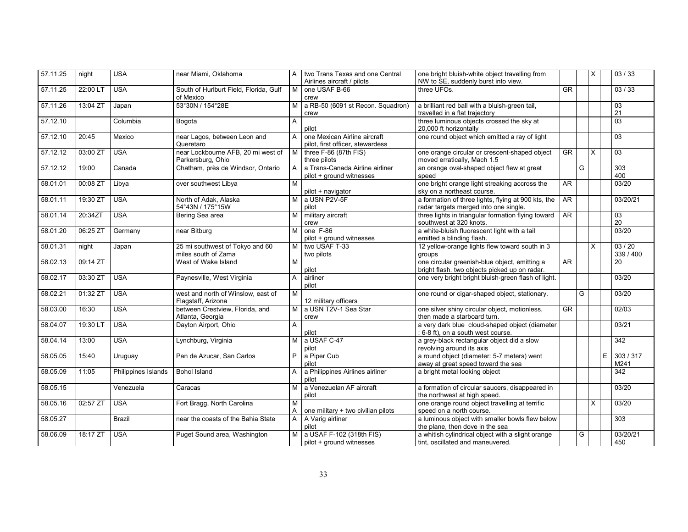| 57.11.25 | night    | <b>USA</b>          | near Miami, Oklahoma                   | A              | two Trans Texas and one Central    | one bright bluish-white object travelling from                                   |           |   | X        | 03/33        |
|----------|----------|---------------------|----------------------------------------|----------------|------------------------------------|----------------------------------------------------------------------------------|-----------|---|----------|--------------|
|          |          |                     |                                        |                | Airlines aircraft / pilots         | NW to SE, suddenly burst into view.                                              |           |   |          |              |
| 57.11.25 | 22:00 LT | <b>USA</b>          | South of Hurlburt Field, Florida, Gulf | M              | one USAF B-66                      | three UFOs.                                                                      | <b>GR</b> |   |          | 03/33        |
|          |          |                     | of Mexico                              |                | crew                               |                                                                                  |           |   |          |              |
| 57.11.26 | 13:04 ZT | Japan               | 53°30N / 154°28E                       | м              | a RB-50 (6091 st Recon. Squadron)  | a brilliant red ball with a bluish-green tail,<br>travelled in a flat trajectory |           |   |          | 03<br>21     |
|          |          |                     |                                        |                | crew                               |                                                                                  |           |   |          |              |
| 57.12.10 |          | Columbia            | Bogota                                 | A              | pilot                              | three luminous objects crossed the sky at<br>20,000 ft horizontally              |           |   |          | 03           |
| 57.12.10 | 20:45    | Mexico              | near Lagos, between Leon and           | A              | one Mexican Airline aircraft       | one round object which emitted a ray of light                                    |           |   |          | 03           |
|          |          |                     | Queretaro                              |                | pilot, first officer, stewardess   |                                                                                  |           |   |          |              |
| 57.12.12 | 03:00 ZT | <b>USA</b>          | near Lockbourne AFB, 20 mi west of     | M              | three F-86 (87th FIS)              | one orange circular or crescent-shaped object                                    | <b>GR</b> |   | X        | 03           |
|          |          |                     | Parkersburg, Ohio                      |                | three pilots                       | moved erratically, Mach 1.5                                                      |           |   |          |              |
| 57.12.12 | 19:00    | Canada              | Chatham, près de Windsor, Ontario      | $\mathsf{A}$   | a Trans-Canada Airline airliner    | an orange oval-shaped object flew at great                                       |           | G |          | 303          |
|          |          |                     |                                        |                | pilot + ground witnesses           | speed                                                                            |           |   |          | 400          |
| 58.01.01 | 00:08 ZT | Libya               | over southwest Libya                   | M              |                                    | one bright orange light streaking accross the                                    | AR        |   |          | 03/20        |
|          |          |                     |                                        |                | pilot + navigator                  | sky on a northeast course.                                                       |           |   |          |              |
| 58.01.11 | 19:30 ZT | <b>USA</b>          | North of Adak, Alaska                  |                | M a USN P2V-5F                     | a formation of three lights, flying at 900 kts, the                              | AR        |   |          | 03/20/21     |
|          |          |                     | 54°43N / 175°15W                       |                | pilot                              | radar targets merged into one single.                                            |           |   |          |              |
| 58.01.14 | 20:34ZT  | <b>USA</b>          | Bering Sea area                        | M              | military aircraft                  | three lights in triangular formation flying toward                               | AR        |   |          | 03           |
|          |          |                     |                                        |                | crew                               | southwest at 320 knots.                                                          |           |   |          | 20           |
| 58.01.20 | 06:25 ZT | Germany             | near Bitburg                           | M              | one F-86                           | a white-bluish fluorescent light with a tail                                     |           |   |          | 03/20        |
|          |          |                     |                                        |                | pilot + ground witnesses           | emitted a blinding flash.                                                        |           |   |          |              |
| 58.01.31 | night    | Japan               | 25 mi southwest of Tokyo and 60        | м              | two USAF T-33                      | 12 yellow-orange lights flew toward south in 3                                   |           |   | $\times$ | 03/20        |
|          |          |                     | miles south of Zama                    |                | two pilots                         | groups                                                                           |           |   |          | 339 / 400    |
| 58.02.13 | 09:14 ZT |                     | West of Wake Island                    | M              |                                    | one circular greenish-blue object, emitting a                                    | AR        |   |          | 20           |
|          |          |                     |                                        |                | pilot                              | bright flash. two objects picked up on radar.                                    |           |   |          |              |
| 58.02.17 | 03:30 ZT | <b>USA</b>          | Paynesville, West Virginia             | A              | airliner                           | one very bright bright bluish-green flash of light.                              |           |   |          | 03/20        |
|          |          |                     |                                        |                | pilot                              |                                                                                  |           |   |          |              |
| 58.02.21 | 01:32 ZT | <b>USA</b>          | west and north of Winslow, east of     | M              |                                    | one round or cigar-shaped object, stationary.                                    |           | G |          | 03/20        |
|          |          |                     | Flagstaff, Arizona                     |                | 12 military officers               |                                                                                  |           |   |          |              |
| 58.03.00 | 16:30    | <b>USA</b>          | between Crestview, Florida, and        | M              | a USN T2V-1 Sea Star               | one silver shiny circular object, motionless,                                    | <b>GR</b> |   |          | 02/03        |
|          |          |                     | Atlanta, Georgia                       |                | crew                               | then made a starboard turn.                                                      |           |   |          |              |
| 58.04.07 | 19:30 LT | <b>USA</b>          | Dayton Airport, Ohio                   | A              |                                    | a very dark blue cloud-shaped object (diameter                                   |           |   |          | 03/21        |
|          |          |                     |                                        |                | pilot                              | : 6-8 ft), on a south west course.                                               |           |   |          |              |
| 58.04.14 | 13:00    | <b>USA</b>          | Lynchburg, Virginia                    |                | M a USAF C-47                      | a grey-black rectangular object did a slow                                       |           |   |          | 342          |
|          |          |                     |                                        |                | pilot                              | revolving around its axis                                                        |           |   |          |              |
| 58.05.05 | 15:40    | Uruguay             | Pan de Azucar, San Carlos              | P I            | a Piper Cub                        | a round object (diameter: 5-7 meters) went                                       |           |   |          | E<br>303/317 |
|          |          |                     |                                        |                | pilot                              | away at great speed toward the sea                                               |           |   |          | M241         |
| 58.05.09 | 11:05    | Philippines Islands | <b>Bohol Island</b>                    | $\mathsf{A}$   | a Philippines Airlines airliner    | a bright metal looking object                                                    |           |   |          | 342          |
|          |          |                     |                                        |                | pilot                              |                                                                                  |           |   |          |              |
| 58.05.15 |          | Venezuela           | Caracas                                | M              | a Venezuelan AF aircraft           | a formation of circular saucers, disappeared in                                  |           |   |          | 03/20        |
|          |          |                     |                                        |                | pilot                              | the northwest at high speed.                                                     |           |   |          |              |
| 58.05.16 | 02:57 ZT | <b>USA</b>          | Fort Bragg, North Carolina             | M              |                                    | one orange round object travelling at terrific                                   |           |   | X        | 03/20        |
|          |          |                     |                                        | A              | one military + two civilian pilots | speed on a north course.                                                         |           |   |          |              |
| 58.05.27 |          | <b>Brazil</b>       | near the coasts of the Bahia State     | $\overline{A}$ | A Varig airliner                   | a luminous object with smaller bowls flew below                                  |           |   |          | 303          |
|          |          |                     |                                        |                | pilot                              | the plane, then dove in the sea                                                  |           |   |          |              |
| 58.06.09 | 18:17 ZT | <b>USA</b>          | Puget Sound area, Washington           | M I            | a USAF F-102 (318th FIS)           | a whitish cylindrical object with a slight orange                                |           | G |          | 03/20/21     |
|          |          |                     |                                        |                | pilot + ground witnesses           | tint, oscillated and maneuvered.                                                 |           |   |          | 450          |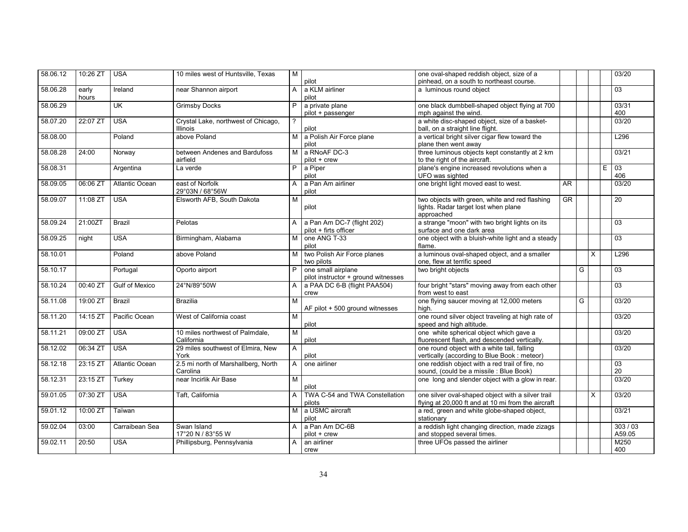| 58.06.12 | 10:26 ZT       | <b>USA</b>            | 10 miles west of Huntsville, Texas              | M              |                                                           | one oval-shaped reddish object, size of a                                                               |           |   |          | 03/20           |
|----------|----------------|-----------------------|-------------------------------------------------|----------------|-----------------------------------------------------------|---------------------------------------------------------------------------------------------------------|-----------|---|----------|-----------------|
|          |                |                       |                                                 |                | pilot                                                     | pinhead, on a south to northeast course.                                                                |           |   |          |                 |
| 58.06.28 | early<br>hours | Ireland               | near Shannon airport                            | A              | a KLM airliner<br>pilot                                   | a luminous round object                                                                                 |           |   |          | 03              |
| 58.06.29 |                | <b>UK</b>             | <b>Grimsby Docks</b>                            | P              | a private plane                                           | one black dumbbell-shaped object flying at 700                                                          |           |   |          | 03/31           |
|          |                |                       |                                                 |                | pilot + passenger                                         | mph against the wind.                                                                                   |           |   |          | 400             |
| 58.07.20 | $22:07$ ZT     | <b>USA</b>            | Crystal Lake, northwest of Chicago,             | $\overline{?}$ |                                                           | a white disc-shaped object, size of a basket-                                                           |           |   |          | 03/20           |
|          |                |                       | <b>Illinois</b>                                 |                | pilot                                                     | ball, on a straight line flight.                                                                        |           |   |          |                 |
| 58.08.00 |                | Poland                | above Poland                                    | M I            | a Polish Air Force plane<br>pilot                         | a vertical bright silver cigar flew toward the<br>plane then went away                                  |           |   |          | L296            |
| 58.08.28 | 24:00          | Norway                | between Andenes and Bardufoss<br>airfield       | M              | a RNoAF DC-3<br>$pilot + crew$                            | three luminous objects kept constantly at 2 km<br>to the right of the aircraft.                         |           |   |          | 03/21           |
| 58.08.31 |                | Argentina             | La verde                                        | $\overline{P}$ | a Piper                                                   | plane's engine increased revolutions when a                                                             |           |   |          | Ε<br>03         |
|          |                |                       |                                                 |                | pilot                                                     | UFO was sighted                                                                                         |           |   |          | 406             |
| 58.09.05 | 06:06 ZT       | <b>Atlantic Ocean</b> | east of Norfolk<br>29°03N / 68°56W              | A              | a Pan Am airliner<br>pilot                                | one bright light moved east to west.                                                                    | AR        |   |          | 03/20           |
| 58.09.07 | 11:08 ZT       | <b>USA</b>            | Elsworth AFB, South Dakota                      | M              | pilot                                                     | two objects with green, white and red flashing<br>lights. Radar target lost when plane<br>approached    | <b>GR</b> |   |          | 20              |
| 58.09.24 | 21:00ZT        | <b>Brazil</b>         | Pelotas                                         | $\mathsf{A}$   | a Pan Am DC-7 (flight 202)<br>pilot + firts officer       | a strange "moon" with two bright lights on its<br>surface and one dark area                             |           |   |          | $\overline{03}$ |
| 58.09.25 | night          | <b>USA</b>            | Birmingham, Alabama                             | M              | one ANG T-33<br>pilot                                     | one object with a bluish-white light and a steady<br>flame.                                             |           |   |          | $\overline{03}$ |
| 58.10.01 |                | Poland                | above Poland                                    | M              | two Polish Air Force planes<br>two pilots                 | a luminous oval-shaped object, and a smaller<br>one, flew at terrific speed                             |           |   | $\times$ | L296            |
| 58.10.17 |                | Portugal              | Oporto airport                                  | P              | one small airplane<br>pilot instructor + ground witnesses | two bright objects                                                                                      |           | G |          | 03              |
| 58.10.24 | 00:40 ZT       | <b>Gulf of Mexico</b> | 24°N/89°50W                                     | A              | a PAA DC 6-B (flight PAA504)<br>crew                      | four bright "stars" moving away from each other<br>from west to east                                    |           |   |          | 03              |
| 58.11.08 | 19:00 ZT       | Brazil                | <b>Brazilia</b>                                 | M              | AF pilot + 500 ground witnesses                           | one flying saucer moving at 12,000 meters<br>high.                                                      |           | G |          | 03/20           |
| 58.11.20 | 14:15 ZT       | Pacific Ocean         | West of California coast                        | M              | pilot                                                     | one round silver object traveling at high rate of<br>speed and high altitude.                           |           |   |          | 03/20           |
| 58.11.21 | 09:00 ZT       | <b>USA</b>            | 10 miles northwest of Palmdale,<br>California   | M              | pilot                                                     | one white spherical object which gave a<br>fluorescent flash, and descended vertically.                 |           |   |          | 03/20           |
| 58.12.02 | 06:34 ZT       | <b>USA</b>            | 29 miles southwest of Elmira, New<br>York       | A              | pilot                                                     | one round object with a white tail, falling<br>vertically (according to Blue Book: meteor)              |           |   |          | 03/20           |
| 58.12.18 | 23:15 ZT       | Atlantic Ocean        | 2.5 mi north of Marshallberg, North<br>Carolina | $\mathsf{A}$   | one airliner                                              | one reddish object with a red trail of fire, no<br>sound, (could be a missile : Blue Book)              |           |   |          | 03<br>20        |
| 58.12.31 | 23:15 ZT       | Turkey                | near Incirlik Air Base                          | M              | pilot                                                     | one long and slender object with a glow in rear.                                                        |           |   |          | 03/20           |
| 59.01.05 | 07:30 ZT       | <b>USA</b>            | Taft, California                                | A              | TWA C-54 and TWA Constellation<br>pilots                  | one silver oval-shaped object with a silver trail<br>flying at 20,000 ft and at 10 mi from the aircraft |           |   | X        | 03/20           |
| 59.01.12 | 10:00 ZT       | Taïwan                |                                                 | M I            | a USMC aircraft<br>pilot                                  | a red, green and white globe-shaped object,<br>stationarv                                               |           |   |          | 03/21           |
| 59.02.04 | 03:00          | Carraibean Sea        | Swan Island                                     | $\mathsf{A}$   | a Pan Am DC-6B                                            | a reddish light changing direction, made zizags                                                         |           |   |          | 303/03          |
|          |                |                       | 17°20 N / 83°55 W                               |                | pilot + crew                                              | and stopped several times.                                                                              |           |   |          | A59.05          |
| 59.02.11 | 20:50          | <b>USA</b>            | Phillipsburg, Pennsylvania                      | $\mathsf{A}$   | an airliner                                               | three UFOs passed the airliner                                                                          |           |   |          | M250            |
|          |                |                       |                                                 |                | crew                                                      |                                                                                                         |           |   |          | 400             |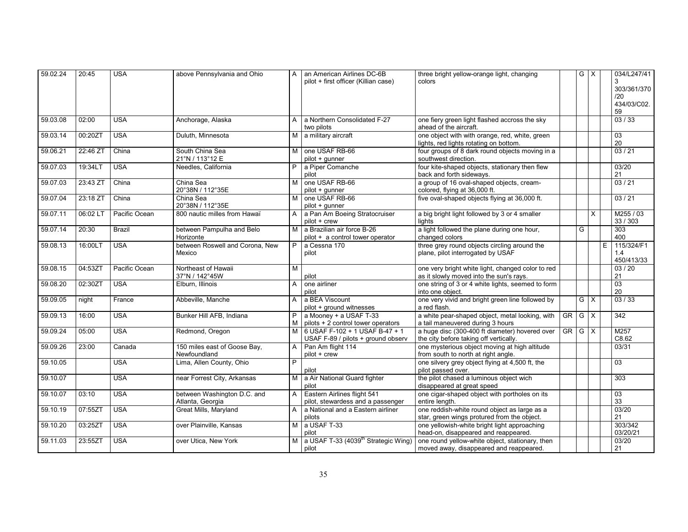| 59.02.24 | 20:45    | <b>USA</b>    | above Pennsylvania and Ohio                     | A              | an American Airlines DC-6B<br>pilot + first officer (Killian case)   | three bright yellow-orange light, changing<br>colors                                         |            | GX                      |                         |   | 034/L247/41<br>3<br>303/361/370 |
|----------|----------|---------------|-------------------------------------------------|----------------|----------------------------------------------------------------------|----------------------------------------------------------------------------------------------|------------|-------------------------|-------------------------|---|---------------------------------|
|          |          |               |                                                 |                |                                                                      |                                                                                              |            |                         |                         |   | /20                             |
|          |          |               |                                                 |                |                                                                      |                                                                                              |            |                         |                         |   | 434/03/C02.<br>59               |
| 59.03.08 | 02:00    | <b>USA</b>    | Anchorage, Alaska                               | A              | a Northern Consolidated F-27<br>two pilots                           | one fiery green light flashed accross the sky<br>ahead of the aircraft.                      |            |                         |                         |   | 03/33                           |
| 59.03.14 | 00:20ZT  | <b>USA</b>    | Duluth, Minnesota                               | M I            | a military aircraft                                                  | one object with with orange, red, white, green<br>lights, red lights rotating on bottom.     |            |                         |                         |   | $\overline{03}$<br>20           |
| 59.06.21 | 22:46 ZT | China         | South China Sea<br>21°N / 113°12 E              | M <sub>1</sub> | one USAF RB-66<br>pilot + qunner                                     | four groups of 8 dark round objects moving in a<br>southwest direction.                      |            |                         |                         |   | 03/21                           |
| 59.07.03 | 19:34LT  | <b>USA</b>    | Needles, California                             | P              | a Piper Comanche<br>pilot                                            | four kite-shaped objects, stationary then flew<br>back and forth sideways.                   |            |                         |                         |   | 03/20<br>21                     |
| 59.07.03 | 23:43 ZT | China         | China Sea<br>20°38N / 112°35E                   | м              | one USAF RB-66<br>pilot + gunner                                     | a group of 16 oval-shaped objects, cream-<br>colored, flying at 36,000 ft.                   |            |                         |                         |   | 03/21                           |
| 59.07.04 | 23:18 ZT | China         | China Sea<br>20°38N / 112°35E                   | М              | one USAF RB-66<br>pilot + qunner                                     | five oval-shaped objects flying at 36,000 ft.                                                |            |                         |                         |   | 03/21                           |
| 59.07.11 | 06:02 LT | Pacific Ocean | 800 nautic milles from Hawaï                    | A              | a Pan Am Boeing Stratocruiser<br>$pilot + crew$                      | a big bright light followed by 3 or 4 smaller<br>lights                                      |            |                         | X                       |   | M255 / 03<br>33 / 303           |
| 59.07.14 | 20:30    | <b>Brazil</b> | between Pampulha and Belo<br>Horizonte          | M              | a Brazilian air force B-26<br>pilot + a control tower operator       | a light followed the plane during one hour,<br>changed colors                                |            | G                       |                         |   | 303<br>400                      |
| 59.08.13 | 16:00LT  | <b>USA</b>    | between Roswell and Corona, New<br>Mexico       | P.             | a Cessna 170<br>pilot                                                | three grey round objects circling around the<br>plane, pilot interrogated by USAF            |            |                         |                         | E | 115/324/F1<br>1.4<br>450/413/33 |
| 59.08.15 | 04:53ZT  | Pacific Ocean | Northeast of Hawaii<br>37°N / 142°45W           | M              | pilot                                                                | one very bright white light, changed color to red<br>as it slowly moved into the sun's rays. |            |                         |                         |   | 03/20<br>21                     |
| 59.08.20 | 02:30ZT  | <b>USA</b>    | Elburn. Illinois                                | A              | one airliner<br>pilot                                                | one string of 3 or 4 white lights, seemed to form<br>into one object.                        |            |                         |                         |   | $\overline{03}$<br>20           |
| 59.09.05 | night    | France        | Abbeville, Manche                               | A              | a BEA Viscount<br>pilot + ground witnesses                           | one very vivid and bright green line followed by<br>a red flash.                             |            | $\overline{G}$ $\times$ |                         |   | 03/33                           |
| 59.09.13 | 16:00    | <b>USA</b>    | Bunker Hill AFB, Indiana                        | P.<br>М        | a Mooney + a USAF T-33<br>pilots + 2 control tower operators         | a white pear-shaped object, metal looking, with<br>a tail maneuvered during 3 hours          | GR   G   X |                         |                         |   | 342                             |
| 59.09.24 | 05:00    | <b>USA</b>    | Redmond, Oregon                                 | м              | 6 USAF F-102 + 1 USAF B-47 + 1<br>USAF F-89 / pilots + ground observ | a huge disc (300-400 ft diameter) hovered over<br>the city before taking off vertically.     | $GR$ $G$   |                         | $\overline{\mathsf{x}}$ |   | M257<br>C8.62                   |
| 59.09.26 | 23:00    | Canada        | 150 miles east of Goose Bay,<br>Newfoundland    | $\mathsf{A}$   | Pan Am flight 114<br>pilot + crew                                    | one mysterious object moving at high altitude<br>from south to north at right angle.         |            |                         |                         |   | 03/31                           |
| 59.10.05 |          | <b>USA</b>    | Lima, Allen County, Ohio                        | P              | pilot                                                                | one silvery grey object flying at 4,500 ft, the<br>pilot passed over.                        |            |                         |                         |   | 03                              |
| 59.10.07 |          | <b>USA</b>    | near Forrest City, Arkansas                     | M              | a Air National Guard fighter<br>pilot                                | the pilot chased a luminous object wich<br>disappeared at great speed                        |            |                         |                         |   | 303                             |
| 59.10.07 | 03:10    | <b>USA</b>    | between Washington D.C. and<br>Atlanta, Georgia | $\mathsf{A}$   | Eastern Airlines flight 541<br>pilot, stewardess and a passenger     | one cigar-shaped object with portholes on its<br>entire length.                              |            |                         |                         |   | $\overline{03}$<br>33           |
| 59.10.19 | 07:55ZT  | <b>USA</b>    | Great Mills, Maryland                           | A              | a National and a Eastern airliner<br>pilots                          | one reddish-white round object as large as a<br>star, green wings protured from the object.  |            |                         |                         |   | 03/20<br>21                     |
| 59.10.20 | 03:25ZT  | <b>USA</b>    | over Plainville, Kansas                         | M <sub>1</sub> | a USAF T-33<br>pilot                                                 | one yellowish-white bright light approaching<br>head-on, disappeared and reappeared.         |            |                         |                         |   | 303/342<br>03/20/21             |
| 59.11.03 | 23:55ZT  | <b>USA</b>    | over Utica, New York                            | M              | a USAF T-33 (4039 <sup>th</sup> Strategic Wing)<br>pilot             | one round yellow-white object, stationary, then<br>moved away, disappeared and reappeared.   |            |                         |                         |   | 03/20<br>21                     |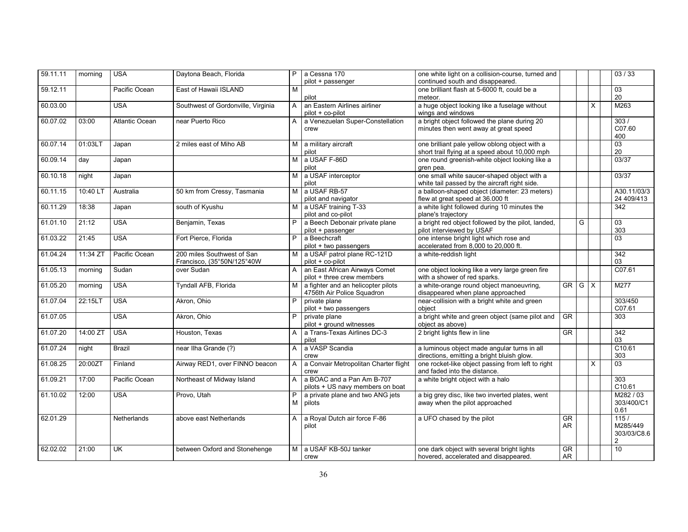| 59.11.11 | morning  | <b>USA</b>            | Daytona Beach, Florida                                   | P.             | a Cessna 170<br>pilot + passenger                                | one white light on a collision-course, turned and<br>continued south and disappeared.            |                                     |   |          | 03 / 33                                           |
|----------|----------|-----------------------|----------------------------------------------------------|----------------|------------------------------------------------------------------|--------------------------------------------------------------------------------------------------|-------------------------------------|---|----------|---------------------------------------------------|
| 59.12.11 |          | Pacific Ocean         | East of Hawaii ISLAND                                    | M              | pilot                                                            | one brilliant flash at 5-6000 ft, could be a<br>meteor.                                          |                                     |   |          | 03<br>20                                          |
| 60.03.00 |          | <b>USA</b>            | Southwest of Gordonville, Virginia                       | A              | an Eastern Airlines airliner<br>pilot + co-pilot                 | a huge object looking like a fuselage without<br>wings and windows                               |                                     |   | $\times$ | M263                                              |
| 60.07.02 | 03:00    | <b>Atlantic Ocean</b> | near Puerto Rico                                         | A              | a Venezuelan Super-Constellation<br>crew                         | a bright object followed the plane during 20<br>minutes then went away at great speed            |                                     |   |          | 303/<br>C07.60<br>400                             |
| 60.07.14 | 01:03LT  | Japan                 | 2 miles east of Miho AB                                  | M.             | a military aircraft<br>pilot                                     | one brilliant pale yellow oblong object with a<br>short trail flying at a speed about 10,000 mph |                                     |   |          | $\overline{03}$<br>20                             |
| 60.09.14 | day      | Japan                 |                                                          | M.             | a USAF F-86D<br>pilot                                            | one round greenish-white object looking like a<br>gren pea.                                      |                                     |   |          | 03/37                                             |
| 60.10.18 | night    | Japan                 |                                                          | м              | a USAF interceptor<br>pilot                                      | one small white saucer-shaped object with a<br>white tail passed by the aircraft right side.     |                                     |   |          | 03/37                                             |
| 60.11.15 | 10:40 LT | Australia             | 50 km from Cressy, Tasmania                              | M              | a USAF RB-57<br>pilot and navigator                              | a balloon-shaped object (diameter: 23 meters)<br>flew at great speed at 36.000 ft                |                                     |   |          | A30.11/03/3<br>24 409/413                         |
| 60.11.29 | 18:38    | Japan                 | south of Kyushu                                          | м              | a USAF training T-33<br>pilot and co-pilot                       | a white light followed during 10 minutes the<br>plane's trajectory                               |                                     |   |          | $\overline{342}$                                  |
| 61.01.10 | 21:12    | <b>USA</b>            | Benjamin, Texas                                          | P              | a Beech Debonair private plane<br>pilot + passenger              | a bright red object followed by the pilot, landed,<br>pilot interviewed by USAF                  |                                     | G |          | 03<br>303                                         |
| 61.03.22 | 21:45    | <b>USA</b>            | Fort Pierce, Florida                                     | P              | a Beechcraft<br>pilot + two passengers                           | one intense bright light which rose and<br>accelerated from 8,000 to 20,000 ft.                  |                                     |   |          | $\overline{03}$                                   |
| 61.04.24 | 11:34 ZT | Pacific Ocean         | 200 miles Southwest of San<br>Francisco, (35°50N/125°40W | м              | a USAF patrol plane RC-121D<br>pilot + co-pilot                  | a white-reddish light                                                                            |                                     |   |          | 342<br>03                                         |
| 61.05.13 | morning  | Sudan                 | over Sudan                                               | A              | an East African Airways Comet<br>pilot + three crew members      | one object looking like a very large green fire<br>with a shower of red sparks.                  |                                     |   |          | C07.61                                            |
| 61.05.20 | morning  | <b>USA</b>            | Tyndall AFB, Florida                                     | м              | a fighter and an helicopter pilots<br>4756th Air Police Squadron | a white-orange round object manoeuvring,<br>disappeared when plane approached                    | $GR$ $G$ $X$                        |   |          | M277                                              |
| 61.07.04 | 22:15LT  | <b>USA</b>            | Akron, Ohio                                              | P              | private plane<br>pilot + two passengers                          | near-collision with a bright white and green<br>object                                           |                                     |   |          | 303/450<br>C07.61                                 |
| 61.07.05 |          | <b>USA</b>            | Akron, Ohio                                              | P              | private plane<br>pilot + ground witnesses                        | a bright white and green object (same pilot and<br>object as above)                              | $\overline{\text{GR}}$              |   |          | 303                                               |
| 61.07.20 | 14:00 ZT | <b>USA</b>            | Houston, Texas                                           | A              | a Trans-Texas Airlines DC-3<br>pilot                             | 2 bright lights flew in line                                                                     | GR                                  |   |          | 342<br>03                                         |
| 61.07.24 | night    | <b>Brazil</b>         | near Ilha Grande (?)                                     | A              | a VASP Scandia<br>crew                                           | a luminous object made angular turns in all<br>directions, emitting a bright bluish glow.        |                                     |   |          | C10.61<br>303                                     |
| 61.08.25 | 20:00ZT  | Finland               | Airway RED1, over FINNO beacon                           | A              | a Convair Metropolitan Charter flight<br>crew                    | one rocket-like object passing from left to right<br>and faded into the distance.                |                                     |   | $\times$ | $\overline{03}$                                   |
| 61.09.21 | 17:00    | Pacific Ocean         | Northeast of Midway Island                               | $\mathsf{A}$   | a BOAC and a Pan Am B-707<br>pilots + US navy members on boat    | a white bright object with a halo                                                                |                                     |   |          | 303<br>C10.61                                     |
| 61.10.02 | 12:00    | <b>USA</b>            | Provo, Utah                                              | M              | a private plane and two ANG jets<br>pilots                       | a big grey disc, like two inverted plates, went<br>away when the pilot approached                |                                     |   |          | M282/03<br>303/400/C1<br>0.61                     |
| 62.01.29 |          | Netherlands           | above east Netherlands                                   | A              | a Royal Dutch air force F-86<br>pilot                            | a UFO chased by the pilot                                                                        | $G$ R<br>AR.                        |   |          | 115/<br>M285/449<br>303/03/C8.6<br>$\overline{2}$ |
| 62.02.02 | 21:00    | <b>UK</b>             | between Oxford and Stonehenge                            | M <sub>1</sub> | a USAF KB-50J tanker<br>crew                                     | one dark object with several bright lights<br>hovered, accelerated and disappeared.              | $\overline{\text{GR}}$<br><b>AR</b> |   |          | $\overline{10}$                                   |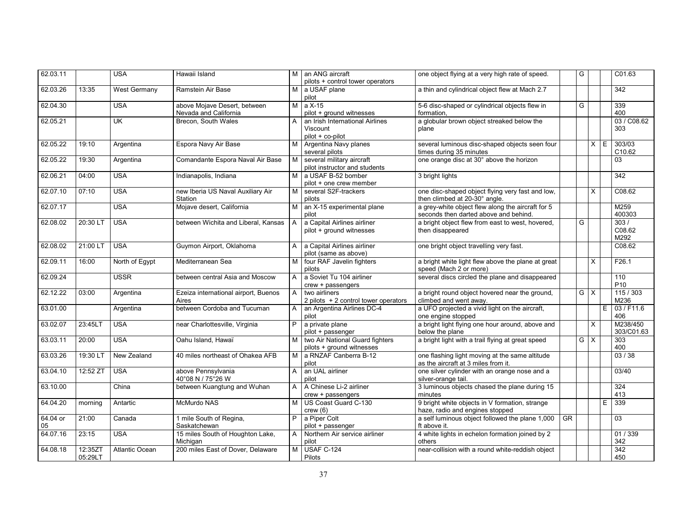| 62.03.11       |                    | <b>USA</b>                | Hawaii Island                                         |                | M an ANG aircraft<br>pilots + control tower operators           | one object flying at a very high rate of speed.                                            |    | G          |                |   | C01.63                 |
|----------------|--------------------|---------------------------|-------------------------------------------------------|----------------|-----------------------------------------------------------------|--------------------------------------------------------------------------------------------|----|------------|----------------|---|------------------------|
| 62.03.26       | 13:35              | West Germany              | Ramstein Air Base                                     |                | M a USAF plane<br>pilot                                         | a thin and cylindrical object flew at Mach 2.7                                             |    |            |                |   | 342                    |
| 62.04.30       |                    | <b>USA</b>                | above Mojave Desert, between<br>Nevada and California | M              | a X-15<br>pilot + ground witnesses                              | 5-6 disc-shaped or cylindrical objects flew in<br>formation.                               |    | G          |                |   | 339<br>400             |
| 62.05.21       |                    | $\overline{\mathsf{U}}$ K | Brecon, South Wales                                   | A              | an Irish International Airlines<br>Viscount<br>pilot + co-pilot | a globular brown object streaked below the<br>plane                                        |    |            |                |   | 03 / C08.62<br>303     |
| 62.05.22       | 19:10              | Argentina                 | Espora Navy Air Base                                  | м              | Argentina Navy planes<br>several pilots                         | several luminous disc-shaped objects seen four<br>times during 35 minutes                  |    |            | $X \rvert E$   |   | 303/03<br>C10.62       |
| 62.05.22       | 19:30              | Argentina                 | Comandante Espora Naval Air Base                      | M.             | several military aircraft<br>pilot instructor and students      | one orange disc at 30° above the horizon                                                   |    |            |                |   | 03                     |
| 62.06.21       | 04:00              | <b>USA</b>                | Indianapolis, Indiana                                 | M <sub>1</sub> | a USAF B-52 bomber<br>pilot + one crew member                   | 3 bright lights                                                                            |    |            |                |   | $\overline{342}$       |
| 62.07.10       | 07:10              | <b>USA</b>                | new Iberia US Naval Auxiliary Air<br>Station          | м              | several S2F-trackers<br>pilots                                  | one disc-shaped object flying very fast and low.<br>then climbed at 20-30° angle.          |    |            | X              |   | C <sub>08.62</sub>     |
| 62.07.17       |                    | <b>USA</b>                | Mojave desert, California                             | М              | an X-15 experimental plane<br>pilot                             | a grey-white object flew along the aircraft for 5<br>seconds then darted above and behind. |    |            |                |   | M259<br>400303         |
| 62.08.02       | 20:30 LT           | <b>USA</b>                | between Wichita and Liberal, Kansas                   | $\mathsf{A}$   | a Capital Airlines airliner<br>pilot + ground witnesses         | a bright object flew from east to west, hovered,<br>then disappeared                       |    | G          |                |   | 303/<br>C08.62<br>M292 |
| 62.08.02       | 21:00 LT           | <b>USA</b>                | Guymon Airport, Oklahoma                              | $\mathsf{A}$   | a Capital Airlines airliner<br>pilot (same as above)            | one bright object travelling very fast.                                                    |    |            |                |   | C <sub>08.62</sub>     |
| 62.09.11       | 16:00              | North of Egypt            | Mediterranean Sea                                     | М              | four RAF Javelin fighters<br>pilots                             | a bright white light flew above the plane at great<br>speed (Mach 2 or more)               |    |            | $\overline{X}$ |   | F26.1                  |
| 62.09.24       |                    | <b>USSR</b>               | between central Asia and Moscow                       | $\mathsf{A}$   | a Soviet Tu 104 airliner<br>crew + passengers                   | several discs circled the plane and disappeared                                            |    |            |                |   | 110<br>P <sub>10</sub> |
| 62.12.22       | 03:00              | Argentina                 | Ezeiza international airport, Buenos<br>Aires         | $\mathsf{A}$   | two airliners<br>2 pilots $+2$ control tower operators          | a bright round object hovered near the ground,<br>climbed and went away.                   |    | G          | $\times$       |   | 115/303<br>M236        |
| 63.01.00       |                    | Argentina                 | between Cordoba and Tucuman                           | $\mathsf{A}$   | an Argentina Airlines DC-4<br>pilot                             | a UFO projected a vivid light on the aircraft,<br>one engine stopped                       |    |            |                | E | 03 / F11.6<br>406      |
| 63.02.07       | 23:45LT            | <b>USA</b>                | near Charlottesville, Virginia                        | P              | a private plane<br>pilot + passenger                            | a bright light flying one hour around, above and<br>below the plane                        |    |            | $\overline{X}$ |   | M238/450<br>303/C01.63 |
| 63.03.11       | 20:00              | <b>USA</b>                | Oahu Island, Hawaï                                    | М              | two Air National Guard fighters<br>pilots + ground witnesses    | a bright light with a trail flying at great speed                                          |    | $G \times$ |                |   | 303<br>400             |
| 63.03.26       | 19:30 LT           | New Zealand               | 40 miles northeast of Ohakea AFB                      | M I            | a RNZAF Canberra B-12<br>pilot                                  | one flashing light moving at the same altitude<br>as the aircraft at 3 miles from it.      |    |            |                |   | 03/38                  |
| 63.04.10       | 12:52 ZT           | <b>USA</b>                | above Pennsylvania<br>40°08 N / 75°26 W               | $\mathsf{A}$   | an UAL airliner<br>pilot                                        | one silver cylinder with an orange nose and a<br>silver-orange tail.                       |    |            |                |   | 03/40                  |
| 63.10.00       |                    | China                     | between Kuangtung and Wuhan                           | $\mathsf{A}$   | A Chinese Li-2 airliner<br>crew + passengers                    | 3 luminous objects chased the plane during 15<br>minutes                                   |    |            |                |   | 324<br>413             |
| 64.04.20       | morning            | Antartic                  | McMurdo NAS                                           | M              | US Coast Guard C-130<br>crew(6)                                 | 9 bright white objects in V formation, strange<br>haze, radio and engines stopped          |    |            |                | E | 339                    |
| 64.04 or<br>05 | 21:00              | Canada                    | 1 mile South of Regina,<br>Saskatchewan               | P              | a Piper Colt<br>pilot + passenger                               | a self luminous object followed the plane 1,000<br>ft above it.                            | GR |            |                |   | 03                     |
| 64.07.16       | 23:15              | <b>USA</b>                | 15 miles South of Houghton Lake,<br>Michigan          | $\mathsf{A}$   | Northern Air service airliner<br>pilot                          | 4 white lights in echelon formation joined by 2<br>others                                  |    |            |                |   | 01/339<br>342          |
| 64.08.18       | 12:35ZT<br>05:29LT | <b>Atlantic Ocean</b>     | 200 miles East of Dover, Delaware                     | M              | <b>USAF C-124</b><br>Pilots                                     | near-collision with a round white-reddish object                                           |    |            |                |   | 342<br>450             |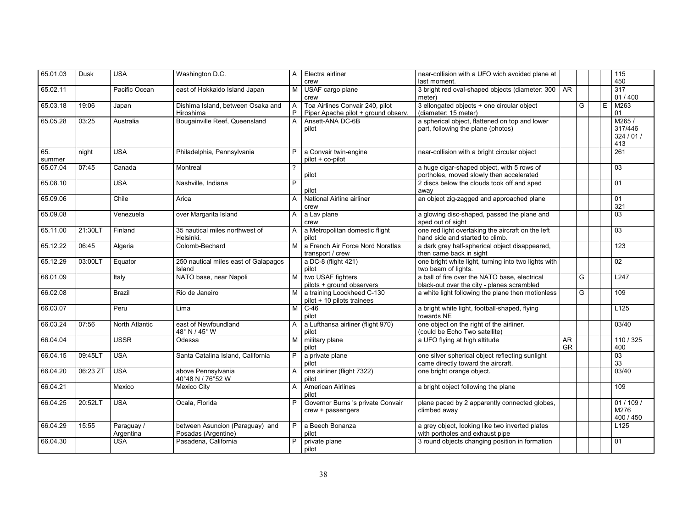| 65.01.03      | Dusk     | <b>USA</b>              | Washington D.C.                                        | $\mathsf{A}$   | Electra airliner<br>crew                                               | near-collision with a UFO wich avoided plane at<br>last moment.                             |                        |   |   | $\frac{115}{115}$<br>450              |
|---------------|----------|-------------------------|--------------------------------------------------------|----------------|------------------------------------------------------------------------|---------------------------------------------------------------------------------------------|------------------------|---|---|---------------------------------------|
| 65.02.11      |          | Pacific Ocean           | east of Hokkaido Island Japan                          | M              | USAF cargo plane<br>crew                                               | 3 bright red oval-shaped objects (diameter: 300<br>meter)                                   | <b>AR</b>              |   |   | 317<br>01 / 400                       |
| 65.03.18      | 19:06    | Japan                   | Dishima Island, between Osaka and<br>Hiroshima         | A<br>P         | Toa Airlines Convair 240, pilot<br>Piper Apache pilot + ground observ. | 3 ellongated objects + one circular object<br>(diameter: 15 meter)                          |                        | G | E | M263<br>01                            |
| 65.05.28      | 03:25    | Australia               | Bougainville Reef, Queensland                          | $\mathsf{A}$   | Ansett-ANA DC-6B<br>pilot                                              | a spherical object, flattened on top and lower<br>part, following the plane (photos)        |                        |   |   | M265/<br>317/446<br>324 / 01 /<br>413 |
| 65.<br>summer | night    | <b>USA</b>              | Philadelphia, Pennsylvania                             | P.             | a Convair twin-engine<br>pilot + co-pilot                              | near-collision with a bright circular object                                                |                        |   |   | 261                                   |
| 65.07.04      | 07:45    | Canada                  | Montreal                                               | $\overline{?}$ | pilot                                                                  | a huge cigar-shaped object, with 5 rows of<br>portholes, moved slowly then accelerated      |                        |   |   | 03                                    |
| 65.08.10      |          | <b>USA</b>              | Nashville, Indiana                                     | $\overline{P}$ | pilot                                                                  | 2 discs below the clouds took off and sped<br>away                                          |                        |   |   | 01                                    |
| 65.09.06      |          | Chile                   | Arica                                                  | A              | National Airline airliner<br>crew                                      | an object zig-zagged and approached plane                                                   |                        |   |   | 01<br>321                             |
| 65.09.08      |          | Venezuela               | over Margarita Island                                  | A              | a Lav plane<br>crew                                                    | a glowing disc-shaped, passed the plane and<br>sped out of sight                            |                        |   |   | 03                                    |
| 65.11.00      | 21:30LT  | Finland                 | 35 nautical miles northwest of<br>Helsinki.            | A              | a Metropolitan domestic flight<br>pilot                                | one red light overtaking the aircraft on the left<br>hand side and started to climb.        |                        |   |   | 03                                    |
| 65.12.22      | 06:45    | Algeria                 | Colomb-Bechard                                         | M              | a French Air Force Nord Noratlas<br>transport / crew                   | a dark grey half-spherical object disappeared,<br>then came back in sight                   |                        |   |   | 123                                   |
| 65.12.29      | 03:00LT  | Equator                 | 250 nautical miles east of Galapagos<br>Island         |                | a DC-8 (flight 421)<br>pilot                                           | one bright white light, turning into two lights with<br>two beam of lights.                 |                        |   |   | $\overline{02}$                       |
| 66.01.09      |          | Italy                   | NATO base, near Napoli                                 | M I            | two USAF fighters<br>pilots + ground observers                         | a ball of fire over the NATO base, electrical<br>black-out over the city - planes scrambled |                        | G |   | L247                                  |
| 66.02.08      |          | <b>Brazil</b>           | Rio de Janeiro                                         |                | M a training Loockheed C-130<br>pilot + 10 pilots trainees             | a white light following the plane then motionless                                           |                        | G |   | 109                                   |
| 66.03.07      |          | Peru                    | Lima                                                   | M              | $C-46$<br>pilot                                                        | a bright white light, football-shaped, flying<br>towards NE                                 |                        |   |   | L <sub>125</sub>                      |
| 66.03.24      | 07:56    | North Atlantic          | east of Newfoundland<br>48° N / 45° W                  | A              | a Lufthansa airliner (flight 970)<br>pilot                             | one object on the right of the airliner.<br>(could be Echo Two satellite)                   |                        |   |   | 03/40                                 |
| 66.04.04      |          | <b>USSR</b>             | Odessa                                                 | M              | military plane<br>pilot                                                | a UFO flying at high altitude                                                               | <b>AR</b><br><b>GR</b> |   |   | 110 / 325<br>400                      |
| 66.04.15      | 09:45LT  | <b>USA</b>              | Santa Catalina Island, California                      | P              | a private plane<br>pilot                                               | one silver spherical object reflecting sunlight<br>came directly toward the aircraft.       |                        |   |   | 03<br>33                              |
| 66.04.20      | 06:23 ZT | <b>USA</b>              | above Pennsylvania<br>40°48 N / 76°52 W                | A              | one airliner (flight 7322)<br>pilot                                    | one bright orange object.                                                                   |                        |   |   | 03/40                                 |
| 66.04.21      |          | Mexico                  | <b>Mexico City</b>                                     | A              | <b>American Airlines</b><br>pilot                                      | a bright object following the plane                                                         |                        |   |   | 109                                   |
| 66.04.25      | 20:52LT  | <b>USA</b>              | Ocala, Florida                                         | P              | Governor Burns 's private Convair<br>crew + passengers                 | plane paced by 2 apparently connected globes,<br>climbed away                               |                        |   |   | 01/109/<br>M276<br>400 / 450          |
| 66.04.29      | 15:55    | Paraguay /<br>Argentina | between Asuncion (Paraguay) and<br>Posadas (Argentine) | $\overline{P}$ | a Beech Bonanza<br>pilot                                               | a grey object, looking like two inverted plates<br>with portholes and exhaust pipe          |                        |   |   | L125                                  |
| 66.04.30      |          | <b>USA</b>              | Pasadena, California                                   | P              | private plane<br>pilot                                                 | 3 round objects changing position in formation                                              |                        |   |   | 01                                    |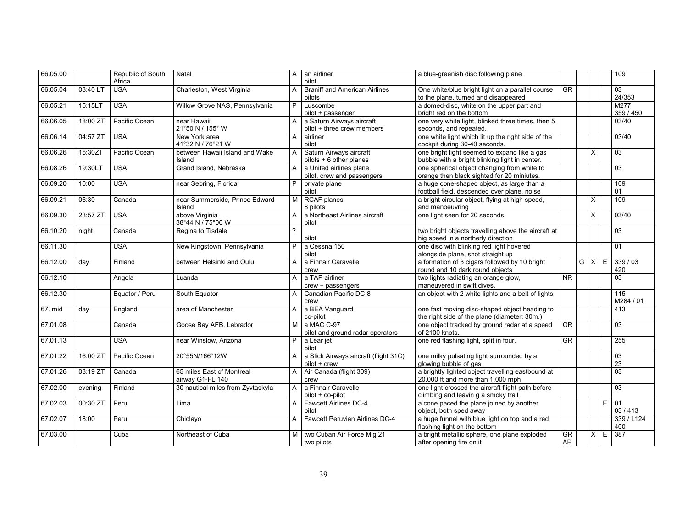| 66.05.00 |          | Republic of South<br>Africa | Natal                                         | A            | an airliner<br>pilot                                    | a blue-greenish disc following plane                                                           |                            |                         |   | 109               |
|----------|----------|-----------------------------|-----------------------------------------------|--------------|---------------------------------------------------------|------------------------------------------------------------------------------------------------|----------------------------|-------------------------|---|-------------------|
| 66.05.04 | 03:40 LT | <b>USA</b>                  | Charleston, West Virginia                     | A            | <b>Braniff and American Airlines</b><br>pilots          | One white/blue bright light on a parallel course<br>to the plane, turned and disappeared       | <b>GR</b>                  |                         |   | 03<br>24/353      |
| 66.05.21 | 15:15LT  | <b>USA</b>                  | Willow Grove NAS, Pennsylvania                | P.           | Luscombe<br>pilot + passenger                           | a domed-disc, white on the upper part and<br>bright red on the bottom                          |                            |                         |   | M277<br>359 / 450 |
| 66.06.05 | 18:00 ZT | Pacific Ocean               | near Hawaii<br>21°50 N / 155° W               | A            | a Saturn Airways aircraft<br>pilot + three crew members | one very white light, blinked three times, then 5<br>seconds, and repeated.                    |                            |                         |   | 03/40             |
| 66.06.14 | 04:57 ZT | <b>USA</b>                  | New York area<br>41°32 N / 76°21 W            | A            | airliner<br>pilot                                       | one white light which lit up the right side of the<br>cockpit during 30-40 seconds.            |                            |                         |   | 03/40             |
| 66.06.26 | 15:30ZT  | Pacific Ocean               | between Hawaii Island and Wake<br>Island      | A            | Saturn Airways aircraft<br>pilots + 6 other planes      | one bright light seemed to expand like a gas<br>bubble with a bright blinking light in center. |                            | X                       |   | $\overline{03}$   |
| 66.08.26 | 19:30LT  | <b>USA</b>                  | Grand Island, Nebraska                        | A            | a United airlines plane<br>pilot, crew and passengers   | one spherical object changing from white to<br>orange then black sighted for 20 miniutes.      |                            |                         |   | $\overline{03}$   |
| 66.09.20 | 10:00    | <b>USA</b>                  | near Sebring, Florida                         | P            | private plane<br>pilot                                  | a huge cone-shaped object, as large than a<br>football field, descended over plane, noise      |                            |                         |   | 109<br>01         |
| 66.09.21 | 06:30    | Canada                      | near Summerside, Prince Edward<br>Island      | M I          | <b>RCAF</b> planes<br>8 pilots                          | a bright circular object, flying at high speed,<br>and manoeuvring                             |                            | X                       |   | 109               |
| 66.09.30 | 23:57 ZT | <b>USA</b>                  | above Virginia<br>38°44 N / 75°06 W           | A            | a Northeast Airlines aircraft<br>pilot                  | one light seen for 20 seconds.                                                                 |                            | $\times$                |   | 03/40             |
| 66.10.20 | night    | Canada                      | Regina to Tisdale                             | 2            | pilot                                                   | two bright objects travelling above the aircraft at<br>hig speed in a northerly direction      |                            |                         |   | 03                |
| 66.11.30 |          | <b>USA</b>                  | New Kingstown, Pennsylvania                   | P            | a Cessna 150<br>pilot                                   | one disc with blinking red light hovered<br>alongside plane, shot straight up                  |                            |                         |   | 01                |
| 66.12.00 | day      | Finland                     | between Helsinki and Oulu                     | A            | a Finnair Caravelle<br>crew                             | a formation of 3 cigars followed by 10 bright<br>round and 10 dark round objects               |                            | $G \times$              | E | 339/03<br>420     |
| 66.12.10 |          | Angola                      | Luanda                                        | $\mathsf{A}$ | a TAP airliner<br>crew + passengers                     | two lights radiating an orange glow,<br>maneuvered in swift dives.                             | $\overline{\overline{MR}}$ |                         |   | 03                |
| 66.12.30 |          | Equator / Peru              | South Equator                                 | A            | Canadian Pacific DC-8<br>crew                           | an object with 2 white lights and a belt of lights                                             |                            |                         |   | 115<br>M284 / 01  |
| 67. mid  | day      | England                     | area of Manchester                            | A            | a BEA Vanguard<br>co-pilot                              | one fast moving disc-shaped object heading to<br>the right side of the plane (diameter: 30m.)  |                            |                         |   | 413               |
| 67.01.08 |          | Canada                      | Goose Bay AFB, Labrador                       | М            | a MAC C-97<br>pilot and ground radar operators          | one object tracked by ground radar at a speed<br>of 2100 knots.                                | $\overline{\text{GR}}$     |                         |   | $\overline{03}$   |
| 67.01.13 |          | <b>USA</b>                  | near Winslow, Arizona                         | P.           | a Lear jet<br>pilot                                     | one red flashing light, split in four.                                                         | $\overline{\text{GR}}$     |                         |   | 255               |
| 67.01.22 | 16:00 ZT | Pacific Ocean               | 20°55N/166°12W                                | A            | a Slick Airways aircraft (flight 31C)<br>pilot + crew   | one milky pulsating light surrounded by a<br>glowing bubble of gas                             |                            |                         |   | 03<br>23          |
| 67.01.26 | 03:19 ZT | Canada                      | 65 miles East of Montreal<br>airway G1-FL 140 | A            | Air Canada (flight 309)<br>crew                         | a brightly lighted object travelling eastbound at<br>20,000 ft and more than 1,000 mph         |                            |                         |   | $\overline{03}$   |
| 67.02.00 | evening  | Finland                     | 30 nautical miles from Zyvtaskyla             | A            | a Finnair Caravelle<br>pilot + co-pilot                 | one light crossed the aircraft flight path before<br>climbing and leavin g a smoky trail       |                            |                         |   | 03                |
| 67.02.03 | 00:30 ZT | Peru                        | Lima                                          | $\mathsf{A}$ | Fawcett Airlines DC-4<br>pilot                          | a cone paced the plane joined by another<br>object, both sped away                             |                            |                         | Ε | 01<br>03 / 413    |
| 67.02.07 | 18:00    | Peru                        | Chiclayo                                      | A            | <b>Fawcett Peruvian Airlines DC-4</b>                   | a huge funnel with blue light on top and a red<br>flashing light on the bottom                 |                            |                         |   | 339 / L124<br>400 |
| 67.03.00 |          | Cuba                        | Northeast of Cuba                             | м            | two Cuban Air Force Mig 21<br>two pilots                | a bright metallic sphere, one plane exploded<br>after opening fire on it                       | GR<br>AR                   | $\overline{\mathsf{x}}$ | E | 387               |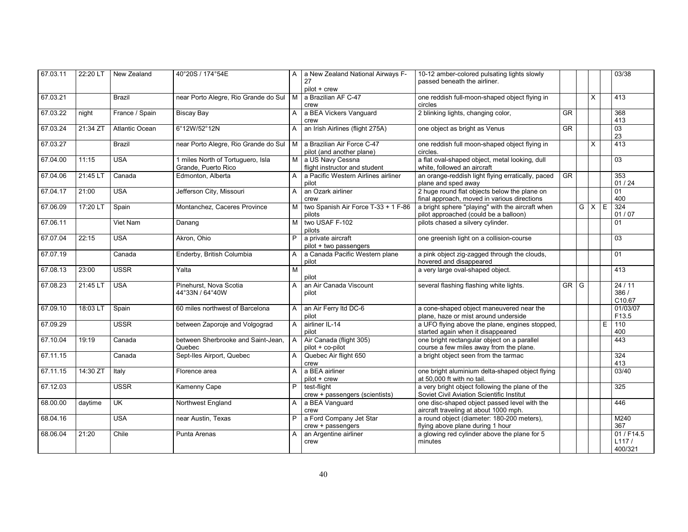| 67.03.11 | 22:20 LT | New Zealand    | 40°20S / 174°54E                                         |                | A   a New Zealand National Airways F-<br>27             | 10-12 amber-colored pulsating lights slowly<br>passed beneath the airliner.                  |                        |                         |   | 03/38                          |
|----------|----------|----------------|----------------------------------------------------------|----------------|---------------------------------------------------------|----------------------------------------------------------------------------------------------|------------------------|-------------------------|---|--------------------------------|
|          |          |                |                                                          |                | pilot + crew                                            |                                                                                              |                        |                         |   |                                |
| 67.03.21 |          | <b>Brazil</b>  | near Porto Alegre, Rio Grande do Sul                     | M              | a Brazilian AF C-47                                     | one reddish full-moon-shaped object flying in                                                |                        | $\mathsf{X}$            |   | 413                            |
|          |          |                |                                                          |                | crew                                                    | circles                                                                                      |                        |                         |   |                                |
| 67.03.22 | night    | France / Spain | <b>Biscay Bay</b>                                        | A              | a BEA Vickers Vanguard<br>crew                          | 2 blinking lights, changing color,                                                           | $\overline{\text{GR}}$ |                         |   | 368<br>413                     |
| 67.03.24 | 21:34 ZT | Atlantic Ocean | 6°12W/52°12N                                             | A              | an Irish Airlines (flight 275A)                         | one object as bright as Venus                                                                | GR                     |                         |   | 03<br>23                       |
| 67.03.27 |          | <b>Brazil</b>  | near Porto Alegre, Rio Grande do Sul                     | $\overline{M}$ | a Brazilian Air Force C-47<br>pilot (and another plane) | one reddish full moon-shaped object flying in<br>circles.                                    |                        | $\mathsf{X}$            |   | 413                            |
| 67.04.00 | 11:15    | <b>USA</b>     | 1 miles North of Tortuguero, Isla<br>Grande, Puerto Rico | M              | a US Navy Cessna<br>flight instructor and student       | a flat oval-shaped object, metal looking, dull<br>white, followed an aircraft                |                        |                         |   | 03                             |
| 67.04.06 | 21:45 LT | Canada         | Edmonton, Alberta                                        | A              | a Pacific Western Airlines airliner<br>pilot            | an orange-reddish light flying erratically, paced<br>plane and sped away                     | <b>GR</b>              |                         |   | 353<br>01/24                   |
| 67.04.17 | 21:00    | <b>USA</b>     | Jefferson City, Missouri                                 | A              | an Ozark airliner<br>crew                               | 2 huge round flat objects below the plane on<br>final approach, moved in various directions  |                        |                         |   | 01<br>400                      |
| 67.06.09 | 17:20 LT | Spain          | Montanchez, Caceres Province                             | M              | two Spanish Air Force T-33 + 1 F-86<br>pilots           | a bright sphere "playing" with the aircraft when<br>pilot approached (could be a balloon)    |                        | $\overline{G}$ $\times$ | E | 324<br>01 / 07                 |
| 67.06.11 |          | Viet Nam       | Danang                                                   | M              | two USAF F-102<br>pilots                                | pilots chased a silvery cylinder.                                                            |                        |                         |   | 01                             |
| 67.07.04 | 22:15    | <b>USA</b>     | Akron, Ohio                                              | P              | a private aircraft<br>pilot + two passengers            | one greenish light on a collision-course                                                     |                        |                         |   | 03                             |
| 67.07.19 |          | Canada         | Enderby, British Columbia                                | A              | a Canada Pacific Western plane<br>pilot                 | a pink object zig-zagged through the clouds,<br>hovered and disappeared                      |                        |                         |   | 01                             |
| 67.08.13 | 23:00    | <b>USSR</b>    | Yalta                                                    | M              | pilot                                                   | a very large oval-shaped object.                                                             |                        |                         |   | 413                            |
| 67.08.23 | 21:45 LT | <b>USA</b>     | Pinehurst, Nova Scotia<br>44°33N / 64°40W                | A              | an Air Canada Viscount<br>pilot                         | several flashing flashing white lights.                                                      | GR G                   |                         |   | 24/11<br>386/<br>C10.67        |
| 67.09.10 | 18:03 LT | Spain          | 60 miles northwest of Barcelona                          | A              | an Air Ferry Itd DC-6<br>pilot                          | a cone-shaped object maneuvered near the<br>plane, haze or mist around underside             |                        |                         |   | 01/03/07<br>F13.5              |
| 67.09.29 |          | <b>USSR</b>    | between Zaporoje and Volgograd                           | $\mathsf{A}$   | airliner IL-14<br>pilot                                 | a UFO flying above the plane, engines stopped,<br>started again when it disappeared          |                        |                         | Е | 110<br>400                     |
| 67.10.04 | 19:19    | Canada         | between Sherbrooke and Saint-Jean,<br>Quebec             | $\overline{A}$ | Air Canada (flight 305)<br>pilot + co-pilot             | one bright rectangular object on a parallel<br>course a few miles away from the plane.       |                        |                         |   | 443                            |
| 67.11.15 |          | Canada         | Sept-Iles Airport, Quebec                                | A              | Quebec Air flight 650<br>crew                           | a bright object seen from the tarmac                                                         |                        |                         |   | 324<br>413                     |
| 67.11.15 | 14:30 ZT | Italy          | Florence area                                            | A              | a BEA airliner<br>pilot + crew                          | one bright aluminium delta-shaped object flying<br>at 50,000 ft with no tail.                |                        |                         |   | 03/40                          |
| 67.12.03 |          | <b>USSR</b>    | Kamenny Cape                                             | P              | test-flight<br>crew + passengers (scientists)           | a very bright object following the plane of the<br>Soviet Civil Aviation Scientific Institut |                        |                         |   | 325                            |
| 68.00.00 | daytime  | UK             | Northwest England                                        | A              | a BEA Vanguard<br>crew                                  | one disc-shaped object passed level with the<br>aircraft traveling at about 1000 mph.        |                        |                         |   | 446                            |
| 68.04.16 |          | <b>USA</b>     | near Austin, Texas                                       | P              | a Ford Company Jet Star<br>crew + passengers            | a round object (diameter: 180-200 meters),<br>flying above plane during 1 hour               |                        |                         |   | M240<br>367                    |
| 68.06.04 | 21:20    | Chile          | Punta Arenas                                             | A              | an Argentine airliner<br>crew                           | a glowing red cylinder above the plane for 5<br>minutes                                      |                        |                         |   | 01 / F14.5<br>L117/<br>400/321 |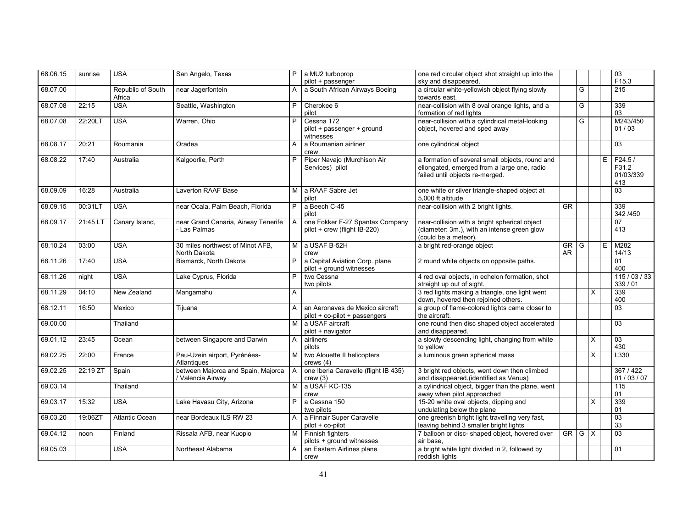| 68.06.15 | sunrise  | <b>USA</b>                  | San Angelo, Texas                                       | P.             | a MU2 turboprop<br>pilot + passenger                             | one red circular object shot straight up into the<br>sky and disappeared.                                                         |                                       |     |                |   | 03<br>F15.3                         |
|----------|----------|-----------------------------|---------------------------------------------------------|----------------|------------------------------------------------------------------|-----------------------------------------------------------------------------------------------------------------------------------|---------------------------------------|-----|----------------|---|-------------------------------------|
| 68.07.00 |          | Republic of South<br>Africa | near Jagerfontein                                       | A              | a South African Airways Boeing                                   | a circular white-yellowish object flying slowly<br>towards east.                                                                  |                                       | G   |                |   | 215                                 |
| 68.07.08 | 22:15    | <b>USA</b>                  | Seattle, Washington                                     | P              | Cherokee 6<br>pilot                                              | near-collision with 8 oval orange lights, and a<br>formation of red lights                                                        |                                       | G   |                |   | 339<br>03                           |
| 68.07.08 | 22:20LT  | <b>USA</b>                  | Warren, Ohio                                            | P              | Cessna 172<br>pilot + passenger + ground<br>witnesses            | near-collision with a cylindrical metal-looking<br>object, hovered and sped away                                                  |                                       | G   |                |   | M243/450<br>01/03                   |
| 68.08.17 | 20:21    | Roumania                    | Oradea                                                  | A              | a Roumanian airliner<br>crew                                     | one cylindrical object                                                                                                            |                                       |     |                |   | $\overline{03}$                     |
| 68.08.22 | 17:40    | Australia                   | Kalgoorlie, Perth                                       | P              | Piper Navajo (Murchison Air<br>Services) pilot                   | a formation of several small objects, round and<br>ellongated, emerged from a large one, radio<br>failed until objects re-merged. |                                       |     |                | Ε | F24.5/<br>F31.2<br>01/03/339<br>413 |
| 68.09.09 | 16:28    | Australia                   | Laverton RAAF Base                                      | м              | a RAAF Sabre Jet<br>pilot                                        | one white or silver triangle-shaped object at<br>5.000 ft altitude                                                                |                                       |     |                |   | 03                                  |
| 68.09.15 | 00:31LT  | <b>USA</b>                  | near Ocala, Palm Beach, Florida                         | P              | a Beech C-45<br>pilot                                            | near-collision with 2 bright lights.                                                                                              | $\overline{\text{GR}}$                |     |                |   | 339<br>342 / 450                    |
| 68.09.17 | 21:45 LT | Canary Island,              | near Grand Canaria, Airway Tenerife<br>- Las Palmas     | $\mathsf{A}$   | one Fokker F-27 Spantax Company<br>pilot + crew (flight IB-220)  | near-collision with a bright spherical object<br>(diameter: 3m.), with an intense green glow<br>(could be a meteor).              |                                       |     |                |   | 07<br>413                           |
| 68.10.24 | 03:00    | <b>USA</b>                  | 30 miles northwest of Minot AFB,<br>North Dakota        | M <sub>1</sub> | a USAF B-52H<br>crew                                             | a bright red-orange object                                                                                                        | $\overline{\mathsf{GR}}$<br><b>AR</b> | G   |                | E | M282<br>14/13                       |
| 68.11.26 | 17:40    | <b>USA</b>                  | Bismarck, North Dakota                                  | P.             | a Capital Aviation Corp. plane<br>pilot + ground witnesses       | 2 round white objects on opposite paths.                                                                                          |                                       |     |                |   | 01<br>400                           |
| 68.11.26 | night    | <b>USA</b>                  | Lake Cyprus, Florida                                    | P              | two Cessna<br>two pilots                                         | 4 red oval objects, in echelon formation, shot<br>straight up out of sight.                                                       |                                       |     |                |   | 115/03/33<br>339 / 01               |
| 68.11.29 | 04:10    | New Zealand                 | Mangamahu                                               | A              |                                                                  | 3 red lights making a triangle, one light went<br>down, hovered then rejoined others.                                             |                                       |     | $\times$       |   | 339<br>400                          |
| 68.12.11 | 16:50    | Mexico                      | Tijuana                                                 | A              | an Aeronaves de Mexico aircraft<br>pilot + co-pilot + passengers | a group of flame-colored lights came closer to<br>the aircraft.                                                                   |                                       |     |                |   | 03                                  |
| 69.00.00 |          | Thailand                    |                                                         | M <sub>1</sub> | a USAF aircraft<br>pilot + navigator                             | one round then disc shaped object accelerated<br>and disappeared.                                                                 |                                       |     |                |   | $\overline{03}$                     |
| 69.01.12 | 23:45    | Ocean                       | between Singapore and Darwin                            | $\mathsf{A}$   | airliners<br>pilots                                              | a slowly descending light, changing from white<br>to yellow                                                                       |                                       |     | $\times$       |   | $\overline{03}$<br>430              |
| 69.02.25 | 22:00    | France                      | Pau-Uzein airport, Pyrénées-<br>Atlantiques             | M              | two Alouette II helicopters<br>crews(4)                          | a luminous green spherical mass                                                                                                   |                                       |     | $\overline{X}$ |   | L330                                |
| 69.02.25 | 22:19 ZT | Spain                       | between Majorca and Spain, Majorca<br>/ Valencia Airway | $\mathsf{A}$   | one Iberia Caravelle (flight IB 435)<br>crew(3)                  | 3 bright red objects, went down then climbed<br>and disappeared.(identified as Venus)                                             |                                       |     |                |   | 367/422<br>01/03/07                 |
| 69.03.14 |          | Thailand                    |                                                         | M              | a USAF KC-135<br>crew                                            | a cylindrical object, bigger than the plane, went<br>away when pilot approached                                                   |                                       |     |                |   | 115<br>01                           |
| 69.03.17 | 15:32    | <b>USA</b>                  | Lake Havasu City, Arizona                               | P.             | a Cessna 150<br>two pilots                                       | 15-20 white oval objects, dipping and<br>undulating below the plane                                                               |                                       |     | $\times$       |   | 339<br>01                           |
| 69.03.20 | 19:06ZT  | <b>Atlantic Ocean</b>       | near Bordeaux ILS RW 23                                 | A              | a Finnair Super Caravelle<br>pilot + co-pilot                    | one greenish bright light travelling very fast,<br>leaving behind 3 smaller bright lights                                         |                                       |     |                |   | $\overline{03}$<br>33               |
| 69.04.12 | noon     | Finland                     | Rissala AFB, near Kuopio                                | M <sub>1</sub> | Finnish fighters<br>pilots + ground witnesses                    | 7 balloon or disc- shaped object, hovered over<br>air base.                                                                       | GR                                    | G X |                |   | $\overline{03}$                     |
| 69.05.03 |          | <b>USA</b>                  | Northeast Alabama                                       | $\mathsf{A}$   | an Eastern Airlines plane<br>crew                                | a bright white light divided in 2, followed by<br>reddish lights                                                                  |                                       |     |                |   | 01                                  |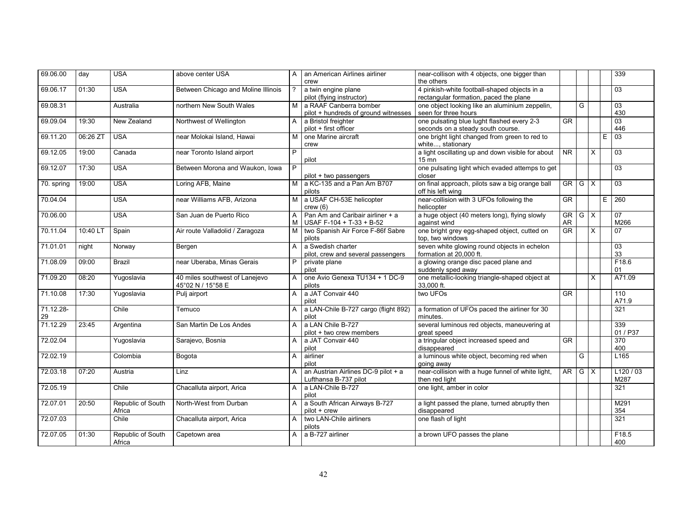| 69.06.00   | day      | <b>USA</b>                  | above center USA                    | A              | an American Airlines airliner                                | near-collison with 4 objects, one bigger than                                          |                          |   |          |    | 339               |
|------------|----------|-----------------------------|-------------------------------------|----------------|--------------------------------------------------------------|----------------------------------------------------------------------------------------|--------------------------|---|----------|----|-------------------|
|            |          |                             |                                     |                | crew                                                         | the others                                                                             |                          |   |          |    |                   |
| 69.06.17   | 01:30    | <b>USA</b>                  | Between Chicago and Moline Illinois | ?              | a twin engine plane<br>pilot (flying instructor)             | 4 pinkish-white football-shaped objects in a<br>rectangular formation, paced the plane |                          |   |          |    | 03                |
| 69.08.31   |          |                             | northern New South Wales            | м              | a RAAF Canberra bomber                                       | one object looking like an aluminium zeppelin,                                         |                          | G |          |    | 03                |
|            |          | Australia                   |                                     |                | pilot + hundreds of ground witnesses                         | seen for three hours                                                                   |                          |   |          |    | 430               |
| 69.09.04   | 19:30    | New Zealand                 | Northwest of Wellington             | A              | a Bristol freighter                                          | one pulsating blue lught flashed every 2-3                                             | $\overline{\text{GR}}$   |   |          |    | $\overline{03}$   |
|            |          |                             |                                     |                | pilot + first officer                                        | seconds on a steady south course.                                                      |                          |   |          |    | 446               |
| 69.11.20   | 06:26 ZT | <b>USA</b>                  | near Molokai Island, Hawai          | М              | one Marine aircraft                                          | one bright light changed from green to red to                                          |                          |   |          | E  | $\overline{03}$   |
|            |          |                             |                                     |                | crew                                                         | white, stationary                                                                      |                          |   |          |    |                   |
| 69.12.05   | 19:00    | Canada                      | near Toronto Island airport         | P              | pilot                                                        | a light oscillating up and down visible for about<br>$15 \text{ mm}$                   | <b>NR</b>                |   | $\times$ |    | $\overline{03}$   |
| 69.12.07   | 17:30    | <b>USA</b>                  | Between Morona and Waukon, Iowa     | $\overline{P}$ |                                                              | one pulsating light which evaded attemps to get                                        |                          |   |          |    | 03                |
|            |          |                             |                                     |                | pilot + two passengers                                       | closer                                                                                 |                          |   |          |    |                   |
| 70. spring | 19:00    | <b>USA</b>                  | Loring AFB, Maine                   | M              | a KC-135 and a Pan Am B707<br>pilots                         | on final approach, pilots saw a big orange ball<br>off his left wing                   | $\overline{\mathsf{GR}}$ | G | X        |    | $\overline{03}$   |
| 70.04.04   |          | <b>USA</b>                  | near Williams AFB, Arizona          | M              | a USAF CH-53E helicopter                                     | near-collision with 3 UFOs following the                                               | <b>GR</b>                |   |          | E. | 260               |
|            |          |                             |                                     |                | crew(6)                                                      | helicopter                                                                             |                          |   |          |    |                   |
| 70.06.00   |          | <b>USA</b>                  | San Juan de Puerto Rico             | A              | Pan Am and Caribair airliner + a                             | a huge object (40 meters long), flying slowly                                          | <b>GR</b>                | G | $\times$ |    | $\overline{07}$   |
|            |          |                             |                                     | М              | USAF F-104 + T-33 + B-52                                     | against wind                                                                           | <b>AR</b>                |   |          |    | M266              |
| 70.11.04   | 10:40 LT | Spain                       | Air route Valladolid / Zaragoza     | м              | two Spanish Air Force F-86f Sabre                            | one bright grey egg-shaped object, cutted on                                           | GR                       |   | X        |    | 07                |
|            |          |                             |                                     |                | pilots                                                       | top, two windows                                                                       |                          |   |          |    |                   |
| 71.01.01   | night    | Norway                      | Bergen                              | A              | a Swedish charter                                            | seven white glowing round objects in echelon                                           |                          |   |          |    | 03                |
|            |          |                             |                                     |                | pilot, crew and several passengers                           | formation at 20,000 ft.                                                                |                          |   |          |    | 33                |
| 71.08.09   | 09:00    | <b>Brazil</b>               | near Uberaba, Minas Gerais          | P              | private plane                                                | a glowing orange disc paced plane and                                                  |                          |   |          |    | F18.6             |
|            |          |                             |                                     |                | pilot                                                        | suddenly sped away                                                                     |                          |   |          |    | 01                |
| 71.09.20   | 08:20    | Yugoslavia                  | 40 miles southwest of Lanejevo      | A              | one Avio Genexa TU134 + 1 DC-9                               | one metallic-looking triangle-shaped object at                                         |                          |   | X        |    | A71.09            |
|            |          |                             | 45°02 N / 15°58 E                   |                | pilots                                                       | 33,000 ft.                                                                             |                          |   |          |    |                   |
| 71.10.08   | 17:30    | Yugoslavia                  | Pulj airport                        | A              | a JAT Convair 440                                            | two UFOs                                                                               | <b>GR</b>                |   |          |    | 110               |
|            |          |                             |                                     |                | pilot                                                        |                                                                                        |                          |   |          |    | A71.9             |
| 71.12.28-  |          | Chile                       | Temuco                              | A              | a LAN-Chile B-727 cargo (flight 892)                         | a formation of UFOs paced the airliner for 30                                          |                          |   |          |    | 321               |
| 29         |          |                             |                                     |                | pilot                                                        | minutes.                                                                               |                          |   |          |    |                   |
| 71.12.29   | 23:45    | Argentina                   | San Martin De Los Andes             | A              | a LAN Chile B-727                                            | several luminous red objects, maneuvering at                                           |                          |   |          |    | 339               |
|            |          |                             |                                     |                | pilot + two crew members                                     | great speed                                                                            |                          |   |          |    | 01 / P37          |
| 72.02.04   |          | Yugoslavia                  | Sarajevo, Bosnia                    | A              | a JAT Convair 440                                            | a tringular object increased speed and                                                 | $\overline{\text{GR}}$   |   |          |    | 370               |
|            |          |                             |                                     |                | pilot                                                        | disappeared                                                                            |                          |   |          |    | 400               |
| 72.02.19   |          | Colombia                    | Bogota                              | A              | airliner                                                     | a luminous white object, becoming red when                                             |                          | G |          |    | L165              |
|            |          |                             |                                     |                | pilot                                                        | going away                                                                             |                          |   |          |    |                   |
| 72.03.18   | 07:20    | Austria                     | Linz                                |                | an Austrian Airlines DC-9 pilot + a<br>Lufthansa B-737 pilot | near-collision with a huge funnel of white light,                                      | <b>AR</b>                | G | $\times$ |    | L120 / 03<br>M287 |
|            |          |                             |                                     |                |                                                              | then red light                                                                         |                          |   |          |    |                   |
| 72.05.19   |          | Chile                       | Chacalluta airport, Arica           | A              | a LAN-Chile B-727<br>pilot                                   | one light, amber in color                                                              |                          |   |          |    | 321               |
| 72.07.01   | 20:50    | Republic of South           | North-West from Durban              | A              | a South African Airways B-727                                | a light passed the plane, turned abruptly then                                         |                          |   |          |    | M291              |
|            |          | Africa                      |                                     |                | pilot + crew                                                 | disappeared                                                                            |                          |   |          |    | 354               |
| 72.07.03   |          | Chile                       | Chacalluta airport, Arica           | A              | two LAN-Chile airliners                                      | one flash of light                                                                     |                          |   |          |    | 321               |
|            |          |                             |                                     |                | pilots                                                       |                                                                                        |                          |   |          |    |                   |
| 72.07.05   | 01:30    | Republic of South<br>Africa | Capetown area                       | A              | a B-727 airliner                                             | a brown UFO passes the plane                                                           |                          |   |          |    | F18.5<br>400      |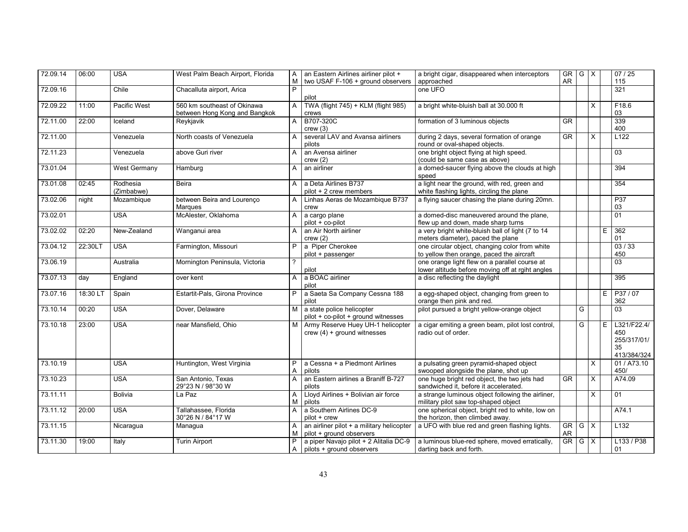| 72.09.14 | 06:00   | <b>USA</b>             | West Palm Beach Airport, Florida                             | A<br>М       | an Eastern Airlines airliner pilot +<br>two USAF F-106 + ground observers | a bright cigar, disappeared when interceptors<br>approached                                       | GR G X<br><b>AR</b> |     |              |   | 07/25<br>115                                           |
|----------|---------|------------------------|--------------------------------------------------------------|--------------|---------------------------------------------------------------------------|---------------------------------------------------------------------------------------------------|---------------------|-----|--------------|---|--------------------------------------------------------|
| 72.09.16 |         | Chile                  | Chacalluta airport, Arica                                    | P            | pilot                                                                     | one UFO                                                                                           |                     |     |              |   | $\overline{321}$                                       |
| 72.09.22 | 11:00   | Pacific West           | 560 km southeast of Okinawa<br>between Hong Kong and Bangkok | A            | TWA (flight 745) + KLM (flight 985)<br>crews                              | a bright white-bluish ball at 30.000 ft                                                           |                     |     | $\times$     |   | F18.6<br>03                                            |
| 72.11.00 | 22:00   | Iceland                | Reykjavik                                                    | $\mathsf{A}$ | B707-320C<br>crew(3)                                                      | formation of 3 luminous objects                                                                   | <b>GR</b>           |     |              |   | 339<br>400                                             |
| 72.11.00 |         | Venezuela              | North coasts of Venezuela                                    | A            | several LAV and Avansa airliners<br>pilots                                | during 2 days, several formation of orange<br>round or oval-shaped objects.                       | <b>GR</b>           |     | $\mathsf{X}$ |   | L122                                                   |
| 72.11.23 |         | Venezuela              | above Guri river                                             | A            | an Avensa airliner<br>crew(2)                                             | one bright object flying at high speed.<br>(could be same case as above)                          |                     |     |              |   | 03                                                     |
| 73.01.04 |         | <b>West Germany</b>    | Hamburg                                                      | A            | an airliner                                                               | a domed-saucer flying above the clouds at high<br>speed                                           |                     |     |              |   | 394                                                    |
| 73.01.08 | 02:45   | Rodhesia<br>(Zimbabwe) | <b>Beira</b>                                                 | A            | a Deta Airlines B737<br>pilot + 2 crew members                            | a light near the ground, with red, green and<br>white flashing lights, circling the plane         |                     |     |              |   | 354                                                    |
| 73.02.06 | night   | Mozambique             | between Beira and Lourenço<br>Marques                        | A            | Linhas Aeras de Mozambique B737<br>crew                                   | a flying saucer chasing the plane during 20mn.                                                    |                     |     |              |   | P37<br>03                                              |
| 73.02.01 |         | <b>USA</b>             | McAlester, Oklahoma                                          | A            | a cargo plane<br>pilot + co-pilot                                         | a domed-disc maneuvered around the plane,<br>flew up and down, made sharp turns                   |                     |     |              |   | 01                                                     |
| 73.02.02 | 02:20   | New-Zealand            | Wanganui area                                                | $\mathsf{A}$ | an Air North airliner<br>crew(2)                                          | a very bright white-bluish ball of light (7 to 14<br>meters diameter), paced the plane            |                     |     |              | E | 362<br>01                                              |
| 73.04.12 | 22:30LT | <b>USA</b>             | Farmington, Missouri                                         | P            | a Piper Cherokee<br>pilot + passenger                                     | one circular object, changing color from white<br>to yellow then orange, paced the aircraft       |                     |     |              |   | 03/33<br>450                                           |
| 73.06.19 |         | Australia              | Mornington Peninsula, Victoria                               | 2            | pilot                                                                     | one orange light flew on a parallel course at<br>lower altitude before moving off at rgiht angles |                     |     |              |   | $\overline{03}$                                        |
| 73.07.13 | day     | England                | over kent                                                    | A            | a BOAC airliner<br>pilot                                                  | a disc reflecting the daylight                                                                    |                     |     |              |   | 395                                                    |
| 73.07.16 | 18:30 L | Spain                  | Estartit-Pals, Girona Province                               | P.           | a Saeta Sa Company Cessna 188<br>pilot                                    | a egg-shaped object, changing from green to<br>orange then pink and red.                          |                     |     |              | E | P37/07<br>362                                          |
| 73.10.14 | 00:20   | <b>USA</b>             | Dover, Delaware                                              | M            | a state police helicopter<br>pilot + co-pilot + ground witnesses          | pilot pursued a bright yellow-orange object                                                       |                     | G   |              |   | 03                                                     |
| 73.10.18 | 23:00   | <b>USA</b>             | near Mansfield, Ohio                                         |              | Army Reserve Huey UH-1 helicopter<br>$crew(4) + ground withesses$         | a cigar emiting a green beam, pilot lost control,<br>radio out of order.                          |                     | G   |              | Ε | L321/F22.4/<br>450<br>255/317/01/<br>35<br>413/384/324 |
| 73.10.19 |         | <b>USA</b>             | Huntington, West Virginia                                    | P<br>A       | a Cessna + a Piedmont Airlines<br>pilots                                  | a pulsating green pyramid-shaped object<br>swooped alongside the plane, shot up                   |                     |     | X            |   | 01 / A73.10<br>450/                                    |
| 73.10.23 |         | <b>USA</b>             | San Antonio, Texas<br>29°23 N / 98°30 W                      | A            | an Eastern airlines a Braniff B-727<br>pilots                             | one huge bright red object, the two jets had<br>sandwiched it, before it accelerated.             | <b>GR</b>           |     | X            |   | A74.09                                                 |
| 73.11.11 |         | <b>Bolivia</b>         | La Paz                                                       | A<br>M       | Lloyd Airlines + Bolivian air force<br>pilots                             | a strange luminous object following the airliner,<br>military pilot saw top-shaped object         |                     |     | X            |   | 01                                                     |
| 73.11.12 | 20:00   | <b>USA</b>             | Tallahassee, Florida<br>30°26 N / 84°17 W                    | A            | a Southern Airlines DC-9<br>pilot + crew                                  | one spherical object, bright red to white, low on<br>the horizon, then climbed away.              |                     |     |              |   | $\overline{A74.1}$                                     |
| 73.11.15 |         | Nicaragua              | Managua                                                      | A<br>M       | an airliner pilot + a military helicopter<br>pilot + ground observers     | a UFO with blue red and green flashing lights.                                                    | GR<br>AR.           | G X |              |   | L132                                                   |
| 73.11.30 | 19:00   | Italy                  | <b>Turin Airport</b>                                         | P<br>A       | a piper Navajo pilot + 2 Alitalia DC-9<br>pilots + ground observers       | a luminous blue-red sphere, moved erratically,<br>darting back and forth.                         | $GR$ $G$ $X$        |     |              |   | L133 / P38<br>01                                       |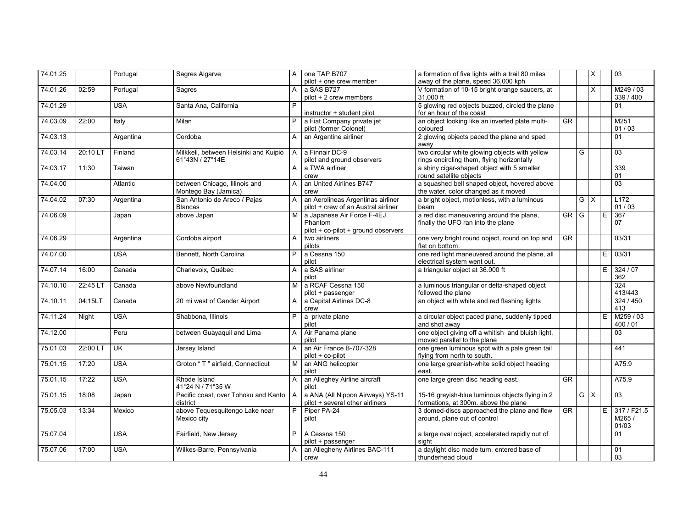| 74.01.25 |          | Portugal   | Sagres Algarve                                           | A            | one TAP B707<br>pilot + one crew member                                      | a formation of five lights with a trail 80 miles<br>away of the plane, speed 36,000 kph      |                        |   | X          |   | 03                          |
|----------|----------|------------|----------------------------------------------------------|--------------|------------------------------------------------------------------------------|----------------------------------------------------------------------------------------------|------------------------|---|------------|---|-----------------------------|
| 74.01.26 | 02:59    | Portugal   | Sagres                                                   | A            | a SAS B727<br>pilot + 2 crew members                                         | V formation of 10-15 bright orange saucers, at<br>31,000 ft                                  |                        |   | $\times$   |   | M249/03<br>339 / 400        |
| 74.01.29 |          | <b>USA</b> | Santa Ana, California                                    | P            | instructor + student pilot                                                   | 5 glowing red objects buzzed, circled the plane<br>for an hour of the coast                  |                        |   |            |   | 01                          |
| 74.03.09 | 22:00    | Italy      | Milan                                                    | P            | a Fiat Company private jet<br>pilot (former Colonel)                         | an object looking like an inverted plate multi-<br>coloured                                  | <b>GR</b>              |   |            |   | M251<br>01 / 03             |
| 74.03.13 |          | Argentina  | Cordoba                                                  | A            | an Argentine airliner                                                        | 2 glowing objects paced the plane and sped<br>awav                                           |                        |   |            |   | 01                          |
| 74.03.14 | 20:10 LT | Finland    | Milkkeli, between Helsinki and Kuipio<br>61°43N / 27°14E | $\mathsf{A}$ | a Finnair DC-9<br>pilot and ground observers                                 | two circular white glowing objects with yellow<br>rings encircling them, flying horizontally |                        | G |            |   | $\overline{03}$             |
| 74.03.17 | 11:30    | Taiwan     |                                                          | A            | a TWA airliner<br>crew                                                       | a shiny cigar-shaped object with 5 smaller<br>round satellite objects                        |                        |   |            |   | 339<br>01                   |
| 74.04.00 |          | Atlantic   | between Chicago, Illinois and<br>Montego Bay (Jamica)    | A            | an United Airlines B747<br>crew                                              | a squashed bell shaped object, hovered above<br>the water, color changed as it moved         |                        |   |            |   | $\overline{03}$             |
| 74.04.02 | 07:30    | Argentina  | San Antonio de Areco / Pajas<br><b>Blancas</b>           | A            | an Aerolineas Argentinas airliner<br>pilot + crew of an Austral airliner     | a bright object, motionless, with a luminous<br>beam                                         |                        |   | $G \times$ |   | L172<br>01/03               |
| 74.06.09 |          | Japan      | above Japan                                              | M            | a Japanese Air Force F-4EJ<br>Phantom<br>pilot + co-pilot + ground observers | a red disc maneuvering around the plane,<br>finally the UFO ran into the plane               | GR                     | G |            | E | 367<br>07                   |
| 74.06.29 |          | Argentina  | Cordoba airport                                          | A            | two airliners<br>pilots                                                      | one very bright round object, round on top and<br>flat on bottom.                            | $\overline{\text{GR}}$ |   |            |   | 03/31                       |
| 74.07.00 |          | <b>USA</b> | Bennett, North Carolina                                  | P            | a Cessna 150<br>pilot                                                        | one red light maneuvered around the plane, all<br>electrical system went out.                |                        |   |            | Ε | 03/31                       |
| 74.07.14 | 16:00    | Canada     | Charlevoix, Québec                                       | A            | a SAS airliner<br>pilot                                                      | a triangular object at 36.000 ft                                                             |                        |   |            | E | 324/07<br>362               |
| 74.10.10 | 22:45 LT | Canada     | above Newfoundland                                       | М            | a RCAF Cessna 150<br>pilot + passenger                                       | a luminous triangular or delta-shaped object<br>followed the plane                           |                        |   |            |   | 324<br>413/443              |
| 74.10.11 | 04:15LT  | Canada     | 20 mi west of Gander Airport                             | A            | a Capital Airlines DC-8<br>crew                                              | an object with white and red flashing lights                                                 |                        |   |            |   | 324 / 450<br>413            |
| 74.11.24 | Night    | <b>USA</b> | Shabbona, Illinois                                       | P            | a private plane<br>pilot                                                     | a circular object paced plane, suddenly tipped<br>and shot away                              |                        |   |            | E | M259 / 03<br>400 / 01       |
| 74.12.00 |          | Peru       | between Guayaquil and Lima                               | A            | Air Panama plane<br>pilot                                                    | one object giving off a whitish and bluish light,<br>moved parallel to the plane             |                        |   |            |   | 03                          |
| 75.01.03 | 22:00 LT | <b>UK</b>  | Jersey Island                                            | A            | an Air France B-707-328<br>pilot + co-pilot                                  | one green luminous spot with a pale green tail<br>flying from north to south.                |                        |   |            |   | 441                         |
| 75.01.15 | 17:20    | <b>USA</b> | Groton "T" airfield. Connecticut                         | M            | an ANG helicopter<br>pilot                                                   | one large greenish-white solid object heading<br>east.                                       |                        |   |            |   | A75.9                       |
| 75.01.15 | 17:22    | <b>USA</b> | Rhode Island<br>41°24 N / 71°35 W                        | A            | an Alleghey Airline aircraft<br>pilot                                        | one large green disc heading east.                                                           | <b>GR</b>              |   |            |   | A75.9                       |
| 75.01.15 | 18:08    | Japan      | Pacific coast, over Tohoku and Kanto   A<br>district     |              | a ANA (All Nippon Airways) YS-11<br>pilot + several other airliners          | 15-16 greyish-blue luminous objects flying in 2<br>formations, at 300m. above the plane      |                        |   | $G \times$ |   | 03                          |
| 75.05.03 | 13:34    | Mexico     | above Tequesquitengo Lake near<br>Mexico city            | P            | Piper PA-24<br>pilot                                                         | 3 domed-discs approached the plane and flew<br>around, plane out of control                  | <b>GR</b>              |   |            | E | 317/F21.5<br>M265/<br>01/03 |
| 75.07.04 |          | <b>USA</b> | Fairfield, New Jersey                                    | P            | A Cessna 150<br>pilot + passenger                                            | a large oval object, accelerated rapidly out of<br>sight                                     |                        |   |            |   | 01                          |
| 75.07.06 | 17:00    | <b>USA</b> | Wilkes-Barre, Pennsylvania                               | $\mathsf{A}$ | an Allegheny Airlines BAC-111<br>crew                                        | a daylight disc made turn, entered base of<br>thunderhead cloud                              |                        |   |            |   | 01<br>03                    |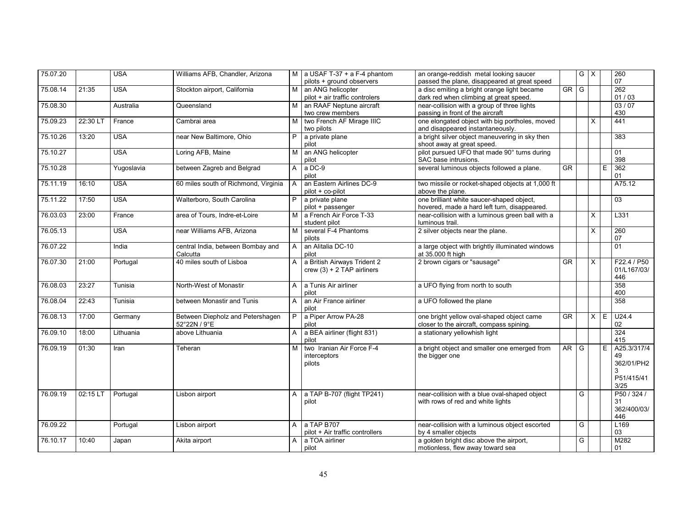| 75.07.20 |          | <b>USA</b> | Williams AFB, Chandler, Arizona      |              | M a USAF T-37 + a F-4 phantom   | an orange-reddish metal looking saucer           |                        | $\overline{G}$ | $\times$ |   | 260         |
|----------|----------|------------|--------------------------------------|--------------|---------------------------------|--------------------------------------------------|------------------------|----------------|----------|---|-------------|
|          |          |            |                                      |              | pilots + ground observers       | passed the plane, disappeared at great speed     |                        |                |          |   | 07          |
| 75.08.14 | 21:35    | <b>USA</b> | Stockton airport, California         | M            | an ANG helicopter               | a disc emiting a bright orange light became      | $GR$ $G$               |                |          |   | 262         |
|          |          |            |                                      |              | pilot + air traffic controlers  | dark red when climbing at great speed.           |                        |                |          |   | 01/03       |
| 75.08.30 |          | Australia  | Queensland                           | M            | an RAAF Neptune aircraft        | near-collision with a group of three lights      |                        |                |          |   | 03/07       |
|          |          |            |                                      |              | two crew members                | passing in front of the aircraft                 |                        |                |          |   | 430         |
| 75.09.23 | 22:30 LT | France     | Cambrai area                         | м            | two French AF Mirage IIIC       | one elongated object with big portholes, moved   |                        |                | X        |   | 441         |
|          |          |            |                                      |              | two pilots                      | and disappeared instantaneously.                 |                        |                |          |   |             |
| 75.10.26 | 13:20    | <b>USA</b> | near New Baltimore, Ohio             | P            | a private plane                 | a bright silver object maneuvering in sky then   |                        |                |          |   | 383         |
|          |          |            |                                      |              | pilot                           | shoot away at great speed.                       |                        |                |          |   |             |
| 75.10.27 |          | <b>USA</b> | Loring AFB, Maine                    | M            | an ANG helicopter               | pilot pursued UFO that made 90° turns during     |                        |                |          |   | 01          |
|          |          |            |                                      |              | pilot                           | SAC base intrusions.                             |                        |                |          |   | 398         |
| 75.10.28 |          | Yugoslavia | between Zagreb and Belgrad           | A            | a DC-9                          | several luminous objects followed a plane.       | GR                     |                |          | E | 362         |
|          |          |            |                                      |              | pilot                           |                                                  |                        |                |          |   | 01          |
| 75.11.19 | 16:10    | <b>USA</b> | 60 miles south of Richmond, Virginia |              | an Eastern Airlines DC-9        | two missile or rocket-shaped objects at 1,000 ft |                        |                |          |   | A75.12      |
|          |          |            |                                      |              | pilot + co-pilot                | above the plane.                                 |                        |                |          |   |             |
| 75.11.22 | 17:50    | <b>USA</b> | Walterboro, South Carolina           |              | a private plane                 | one brilliant white saucer-shaped object,        |                        |                |          |   | 03          |
|          |          |            |                                      |              | pilot + passenger               | hovered, made a hard left turn, disappeared.     |                        |                |          |   |             |
| 76.03.03 | 23:00    | France     | area of Tours, Indre-et-Loire        | M            | a French Air Force T-33         | near-collision with a luminous green ball with a |                        |                | X        |   | L331        |
|          |          |            |                                      |              | student pilot                   | luminous trail.                                  |                        |                |          |   |             |
| 76.05.13 |          | <b>USA</b> | near Williams AFB, Arizona           | M            | several F-4 Phantoms            | 2 silver objects near the plane.                 |                        |                | X        |   | 260         |
|          |          |            |                                      |              | pilots                          |                                                  |                        |                |          |   | 07          |
| 76.07.22 |          | India      | central India, between Bombay and    | A            | an Alitalia DC-10               | a large object with brightly illuminated windows |                        |                |          |   | 01          |
|          |          |            | Calcutta                             |              | pilot                           | at 35.000 ft high                                |                        |                |          |   |             |
| 76.07.30 | 21:00    | Portugal   | 40 miles south of Lisboa             | $\mathsf{A}$ | a British Airways Trident 2     | 2 brown cigars or "sausage"                      | $\overline{\text{GR}}$ |                | $\times$ |   | F22.4 / P50 |
|          |          |            |                                      |              | crew $(3) + 2$ TAP airliners    |                                                  |                        |                |          |   | 01/L167/03/ |
|          |          |            |                                      |              |                                 |                                                  |                        |                |          |   | 446         |
| 76.08.03 | 23:27    | Tunisia    | North-West of Monastir               | A            | a Tunis Air airliner            | a UFO flying from north to south                 |                        |                |          |   | 358         |
|          |          |            |                                      |              | pilot                           |                                                  |                        |                |          |   | 400         |
| 76.08.04 | 22:43    | Tunisia    | between Monastir and Tunis           | A            | an Air France airliner          | a UFO followed the plane                         |                        |                |          |   | 358         |
|          |          |            |                                      |              | pilot                           |                                                  |                        |                |          |   |             |
| 76.08.13 | 17:00    | Germany    | Between Diepholz and Petershagen     | P            | a Piper Arrow PA-28             | one bright yellow oval-shaped object came        | $\overline{\text{GR}}$ |                | $\times$ | E | U24.4       |
|          |          |            | 52°22N / 9°E                         |              | pilot                           | closer to the aircraft, compass spining.         |                        |                |          |   | 02          |
| 76.09.10 | 18:00    | Lithuania  | above Lithuania                      | A            | a BEA airliner (flight 831)     | a stationary yellowhish light                    |                        |                |          |   | 324         |
|          |          |            |                                      |              | pilot                           |                                                  |                        |                |          |   | 415         |
| 76.09.19 | 01:30    | Iran       | Teheran                              | M            | two Iranian Air Force F-4       | a bright object and smaller one emerged from     | AR                     | l G            |          | E | A25.3/317/4 |
|          |          |            |                                      |              | interceptors                    | the bigger one                                   |                        |                |          |   | 49          |
|          |          |            |                                      |              | pilots                          |                                                  |                        |                |          |   | 362/01/PH2  |
|          |          |            |                                      |              |                                 |                                                  |                        |                |          |   | 3           |
|          |          |            |                                      |              |                                 |                                                  |                        |                |          |   | P51/415/41  |
|          |          |            |                                      |              |                                 |                                                  |                        |                |          |   | 3/25        |
| 76.09.19 | 02:15 LT | Portugal   | Lisbon airport                       | A            | a TAP B-707 (flight TP241)      | near-collision with a blue oval-shaped object    |                        | G              |          |   | P50 / 324 / |
|          |          |            |                                      |              | pilot                           | with rows of red and white lights                |                        |                |          |   | 31          |
|          |          |            |                                      |              |                                 |                                                  |                        |                |          |   | 362/400/03/ |
|          |          |            |                                      |              |                                 |                                                  |                        |                |          |   | 446         |
| 76.09.22 |          | Portugal   | Lisbon airport                       | A            | a TAP B707                      | near-collision with a luminous object escorted   |                        | G              |          |   | L169        |
|          |          |            |                                      |              | pilot + Air traffic controllers | by 4 smaller objects                             |                        |                |          |   | 03          |
| 76.10.17 | 10:40    | Japan      | Akita airport                        | A            | a TOA airliner                  | a golden bright disc above the airport,          |                        | G              |          |   | M282        |
|          |          |            |                                      |              | pilot                           | motionless, flew away toward sea                 |                        |                |          |   | 01          |
|          |          |            |                                      |              |                                 |                                                  |                        |                |          |   |             |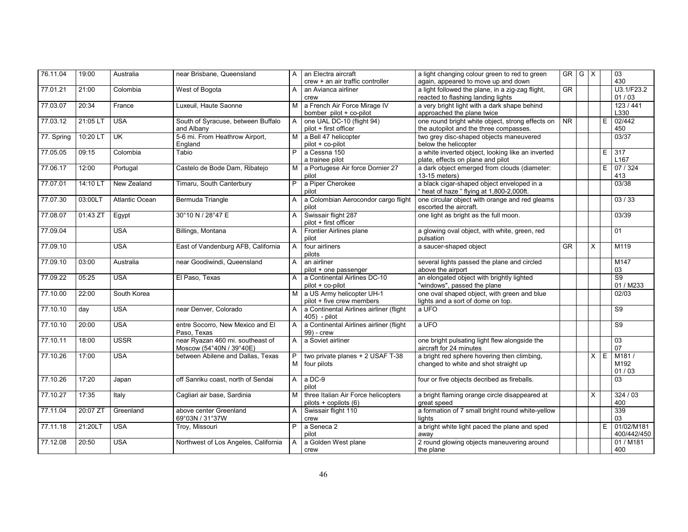| 76.11.04   | 19:00    | Australia      | near Brisbane, Queensland            | $\overline{A}$ | an Electra aircraft                     | a light changing colour green to red to green     | GR                                  | $G \times$ |                |    | 03              |
|------------|----------|----------------|--------------------------------------|----------------|-----------------------------------------|---------------------------------------------------|-------------------------------------|------------|----------------|----|-----------------|
|            |          |                |                                      |                | crew + an air traffic controller        | again, appeared to move up and down               |                                     |            |                |    | 430             |
| 77.01.21   | 21:00    | Colombia       | West of Bogota                       | A              | an Avianca airliner                     | a light followed the plane, in a zig-zag flight,  | <b>GR</b>                           |            |                |    | U3.1/F23.2      |
|            |          |                |                                      |                | crew                                    | reacted to flashing landing lights                |                                     |            |                |    | 01/03           |
| 77.03.07   | 20:34    | France         | Luxeuil, Haute Saonne                | M              | a French Air Force Mirage IV            | a very bright light with a dark shape behind      |                                     |            |                |    | 123/441         |
|            |          |                |                                      |                | bomber pilot + co-pilot                 | approached the plane twice                        |                                     |            |                |    | L330            |
| 77.03.12   | 21:05 LT | <b>USA</b>     | South of Syracuse, between Buffalo   | $\overline{A}$ | one UAL DC-10 (flight 94)               | one round bright white object, strong effects on  | $\overline{\overline{\mathsf{NR}}}$ |            |                | E  | 02/442          |
|            |          |                | and Albany                           |                | pilot + first officer                   | the autopilot and the three compasses.            |                                     |            |                |    | 450             |
| 77. Spring | 10:20 LT | <b>UK</b>      | 5-6 mi. From Heathrow Airport,       | M              | a Bell 47 helicopter                    | two grey disc-shaped objects maneuvered           |                                     |            |                |    | 03/37           |
|            |          |                | England                              |                | pilot + co-pilot                        | below the helicopter                              |                                     |            |                |    |                 |
| 77.05.05   | 09:15    | Colombia       | Tabio                                | P              | a Cessna 150                            | a white inverted object, looking like an inverted |                                     |            |                | E  | 317             |
|            |          |                |                                      |                | a trainee pilot                         | plate, effects on plane and pilot                 |                                     |            |                |    | L167            |
| 77.06.17   | 12:00    | Portugal       | Castelo de Bode Dam, Ribatejo        | м              | a Portugese Air force Dornier 27        | a dark object emerged from clouds (diameter:      |                                     |            |                | E  | 07/324          |
|            |          |                |                                      |                | pilot                                   | 13-15 meters)                                     |                                     |            |                |    | 413             |
| 77.07.01   | 14:10 LT | New Zealand    | Timaru, South Canterbury             | P              | a Piper Cherokee                        | a black cigar-shaped object enveloped in a        |                                     |            |                |    | 03/38           |
|            |          |                |                                      |                | pilot                                   | heat of haze " flying at 1,800-2,000ft.           |                                     |            |                |    |                 |
| 77.07.30   | 03:00LT  | Atlantic Ocean | Bermuda Triangle                     | A              | a Colombian Aerocondor cargo flight     | one circular object with orange and red gleams    |                                     |            |                |    | 03/33           |
|            |          |                |                                      |                | pilot                                   | escorted the aircraft.                            |                                     |            |                |    |                 |
| 77.08.07   | 01:43 ZT |                | 30°10 N / 28°47 E                    | A              | Swissair flight 287                     | one light as bright as the full moon.             |                                     |            |                |    | 03/39           |
|            |          | Egypt          |                                      |                | pilot + first officer                   |                                                   |                                     |            |                |    |                 |
|            |          |                |                                      |                |                                         |                                                   |                                     |            |                |    |                 |
| 77.09.04   |          | <b>USA</b>     | Billings, Montana                    | A              | Frontier Airlines plane                 | a glowing oval object, with white, green, red     |                                     |            |                |    | 01              |
|            |          |                |                                      |                | pilot                                   | pulsation                                         |                                     |            |                |    |                 |
| 77.09.10   |          | <b>USA</b>     | East of Vandenburg AFB, California   | $\overline{A}$ | four airliners                          | a saucer-shaped object                            | $\overline{\text{GR}}$              |            | $\times$       |    | M119            |
|            |          |                |                                      |                | pilots                                  |                                                   |                                     |            |                |    |                 |
| 77.09.10   | 03:00    | Australia      | near Goodiwindi, Queensland          | $\mathsf{A}$   | an airliner                             | several lights passed the plane and circled       |                                     |            |                |    | M147            |
|            |          |                |                                      |                | pilot + one passenger                   | above the airport                                 |                                     |            |                |    | 03              |
| 77.09.22   | 05:25    | <b>USA</b>     | El Paso, Texas                       | $\mathsf{A}$   | a Continental Airlines DC-10            | an elongated object with brightly lighted         |                                     |            |                |    | S <sub>9</sub>  |
|            |          |                |                                      |                | pilot + co-pilot                        | "windows", passed the plane                       |                                     |            |                |    | 01 / M233       |
| 77.10.00   | 22:00    | South Korea    |                                      |                | M a US Army helicopter UH-1             | one oval shaped object, with green and blue       |                                     |            |                |    | 02/03           |
|            |          |                |                                      |                | pilot + five crew members               | lights and a sort of dome on top.                 |                                     |            |                |    |                 |
| 77.10.10   | day      | <b>USA</b>     | near Denver, Colorado                | $\mathsf{A}$   | a Continental Airlines airliner (flight | a UFO                                             |                                     |            |                |    | $\overline{S9}$ |
|            |          |                |                                      |                | 405) - pilot                            |                                                   |                                     |            |                |    |                 |
| 77.10.10   | 20:00    | <b>USA</b>     | entre Socorro, New Mexico and El     | $\mathsf{A}$   | a Continental Airlines airliner (flight | a UFO                                             |                                     |            |                |    | S <sub>9</sub>  |
|            |          |                | Paso. Texas                          |                | 99) - crew                              |                                                   |                                     |            |                |    |                 |
| 77.10.11   | 18:00    | <b>USSR</b>    | near Ryazan 460 mi. southeast of     | $\mathsf{A}$   | a Soviet airliner                       | one bright pulsating light flew alongside the     |                                     |            |                |    | 03              |
|            |          |                | Moscow (54°40N / 39°40E)             |                |                                         | aircraft for 24 minutes                           |                                     |            |                |    | 07              |
| 77.10.26   | 17:00    | <b>USA</b>     | between Abilene and Dallas, Texas    | P              | two private planes + 2 USAF T-38        | a bright red sphere hovering then climbing,       |                                     |            | $\overline{X}$ | E. | M181/           |
|            |          |                |                                      | M              | four pilots                             | changed to white and shot straight up             |                                     |            |                |    | M192            |
|            |          |                |                                      |                |                                         |                                                   |                                     |            |                |    | 01/03           |
| 77.10.26   | 17:20    |                | off Sanriku coast, north of Sendai   | A              | a DC-9                                  |                                                   |                                     |            |                |    | $\overline{03}$ |
|            |          | Japan          |                                      |                | pilot                                   | four or five objects decribed as fireballs.       |                                     |            |                |    |                 |
|            |          |                |                                      |                |                                         |                                                   |                                     |            |                |    |                 |
| 77.10.27   | 17:35    | Italy          | Cagliari air base, Sardinia          | M              | three Italian Air Force helicopters     | a bright flaming orange circle disappeared at     |                                     |            | X              |    | 324/03          |
|            |          |                |                                      |                | pilots + copilots (6)                   | great speed                                       |                                     |            |                |    | 400             |
| 77.11.04   | 20:07 ZT | Greenland      | above center Greenland               | A              | Swissair flight 110                     | a formation of 7 small bright round white-yellow  |                                     |            |                |    | 339             |
|            |          |                | 69°03N / 31°37W                      |                | crew                                    | lights                                            |                                     |            |                |    | 03              |
| 77.11.18   | 21:20LT  | <b>USA</b>     | Troy, Missouri                       | P              | a Seneca 2                              | a bright white light paced the plane and sped     |                                     |            |                | E  | 01/02/M181      |
|            |          |                |                                      |                | pilot                                   | awav                                              |                                     |            |                |    | 400/442/450     |
| 77.12.08   | 20:50    | <b>USA</b>     | Northwest of Los Angeles, California | $\overline{A}$ | a Golden West plane                     | 2 round glowing objects maneuvering around        |                                     |            |                |    | 01 / M181       |
|            |          |                |                                      |                | crew                                    | the plane                                         |                                     |            |                |    | 400             |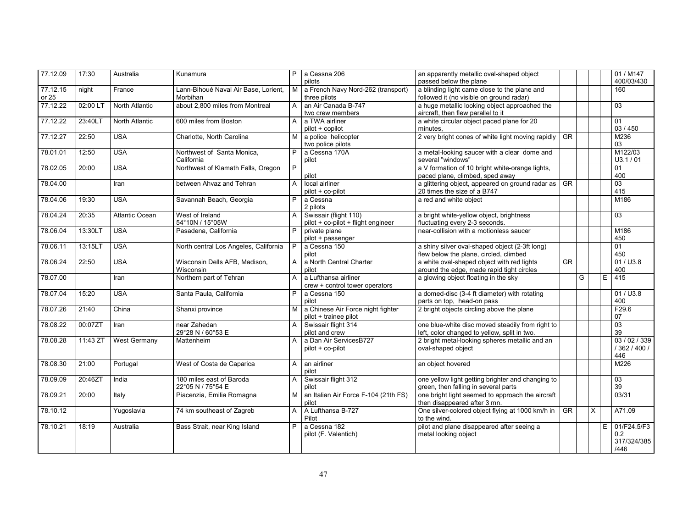| 77.12.09          | 17:30    | Australia             | Kunamura                                         | P.           | a Cessna 206                                       | an apparently metallic oval-shaped object                                                |                        |   |          |   | 01 / M147     |
|-------------------|----------|-----------------------|--------------------------------------------------|--------------|----------------------------------------------------|------------------------------------------------------------------------------------------|------------------------|---|----------|---|---------------|
|                   |          |                       |                                                  |              | pilots                                             | passed below the plane                                                                   |                        |   |          |   | 400/03/430    |
| 77.12.15<br>or 25 | night    | France                | Lann-Bihoué Naval Air Base, Lorient,<br>Morbihan | M            | a French Navy Nord-262 (transport)<br>three pilots | a blinding light came close to the plane and<br>followed it (no visible on ground radar) |                        |   |          |   | 160           |
| 77.12.22          | 02:00 LT | North Atlantic        | about 2,800 miles from Montreal                  | A            | an Air Canada B-747                                | a huge metallic looking object approached the                                            |                        |   |          |   | 03            |
|                   |          |                       |                                                  |              | two crew members                                   | aircraft, then flew parallel to it                                                       |                        |   |          |   |               |
| 77.12.22          | 23:40LT  | North Atlantic        | 600 miles from Boston                            | $\mathsf{A}$ | a TWA airliner                                     | a white circular object paced plane for 20                                               |                        |   |          |   | 01            |
|                   |          |                       |                                                  |              | pilot + copilot                                    | minutes.                                                                                 |                        |   |          |   | 03 / 450      |
| 77.12.27          | 22:50    | <b>USA</b>            | Charlotte, North Carolina                        | м            | a police helicopter<br>two police pilots           | 2 very bright cones of white light moving rapidly                                        | <b>GR</b>              |   |          |   | M236<br>03    |
| 78.01.01          | 12:50    | <b>USA</b>            | Northwest of Santa Monica,                       | P            | a Cessna 170A                                      | a metal-looking saucer with a clear dome and                                             |                        |   |          |   | M122/03       |
|                   |          |                       | California                                       |              | pilot                                              | several "windows"                                                                        |                        |   |          |   | U3.1 / 01     |
| 78.02.05          | 20:00    | <b>USA</b>            | Northwest of Klamath Falls, Oregon               | P            |                                                    | a V formation of 10 bright white-orange lights,                                          |                        |   |          |   | 01            |
|                   |          |                       |                                                  |              | pilot                                              | paced plane, climbed, sped away                                                          |                        |   |          |   | 400           |
| 78.04.00          |          | Iran                  | between Ahvaz and Tehran                         | A            | local airliner                                     | a glittering object, appeared on ground radar as                                         | $\overline{\text{GR}}$ |   |          |   | 03            |
|                   |          |                       |                                                  |              | pilot + co-pilot                                   | 20 times the size of a B747                                                              |                        |   |          |   | 415           |
| 78.04.06          | 19:30    | <b>USA</b>            | Savannah Beach, Georgia                          | P            | a Cessna                                           | a red and white object                                                                   |                        |   |          |   | M186          |
|                   |          |                       |                                                  |              | 2 pilots                                           |                                                                                          |                        |   |          |   |               |
| 78.04.24          | 20:35    | <b>Atlantic Ocean</b> | West of Ireland                                  | $\mathsf{A}$ | Swissair (flight 110)                              | a bright white-yellow object, brightness                                                 |                        |   |          |   | 03            |
|                   |          |                       | 54°10N / 15°05W                                  |              | pilot + co-pilot + flight engineer                 | fluctuating every 2-3 seconds.                                                           |                        |   |          |   |               |
| 78.06.04          | 13:30LT  | <b>USA</b>            | Pasadena, California                             | P.           | private plane                                      | near-collision with a motionless saucer                                                  |                        |   |          |   | M186          |
|                   |          |                       |                                                  |              | pilot + passenger                                  |                                                                                          |                        |   |          |   | 450           |
| 78.06.11          | 13:15LT  | <b>USA</b>            | North central Los Angeles, California            | P            | a Cessna 150                                       | a shiny silver oval-shaped object (2-3ft long)                                           |                        |   |          |   | 01            |
|                   |          |                       |                                                  |              | pilot                                              | flew below the plane, circled, climbed                                                   |                        |   |          |   | 450           |
| 78.06.24          | 22:50    | <b>USA</b>            | Wisconsin Dells AFB, Madison,                    | $\mathsf{A}$ | a North Central Charter                            | a white oval-shaped object with red lights                                               | $\overline{\text{GR}}$ |   |          |   | 01 / U3.8     |
|                   |          |                       | Wisconsin                                        |              | pilot                                              | around the edge, made rapid tight circles                                                |                        |   |          |   | 400           |
| 78.07.00          |          | <b>Iran</b>           | Northern part of Tehran                          | $\mathsf{A}$ | a Lufthansa airliner                               | a glowing object floating in the sky                                                     |                        | G |          | Ε | 415           |
|                   |          |                       |                                                  |              | crew + control tower operators                     |                                                                                          |                        |   |          |   |               |
| 78.07.04          | 15:20    | <b>USA</b>            | Santa Paula, California                          | P            | a Cessna 150                                       | a domed-disc (3-4 ft diameter) with rotating                                             |                        |   |          |   | 01 / U3.8     |
|                   |          |                       |                                                  |              | pilot                                              | parts on top, head-on pass                                                               |                        |   |          |   | 400           |
| 78.07.26          | 21:40    | China                 | Shanxi province                                  | M I          | a Chinese Air Force night fighter                  | 2 bright objects circling above the plane                                                |                        |   |          |   | F29.6         |
|                   |          |                       |                                                  |              | pilot + trainee pilot                              |                                                                                          |                        |   |          |   | 07            |
| 78.08.22          | 00:07ZT  | Iran                  | near Zahedan                                     | A            | Swissair flight 314                                | one blue-white disc moved steadily from right to                                         |                        |   |          |   | 03            |
|                   |          |                       | 29°28 N / 60°53 E                                |              | pilot and crew                                     | left, color changed to yellow, split in two.                                             |                        |   |          |   | 39            |
| 78.08.28          | 11:43 ZT | <b>West Germany</b>   | Mattenheim                                       | A            | a Dan Air ServicesB727                             | 2 bright metal-looking spheres metallic and an                                           |                        |   |          |   | 03 / 02 / 339 |
|                   |          |                       |                                                  |              | $pilot + co-pilot$                                 | oval-shaped object                                                                       |                        |   |          |   | / 362 / 400 / |
|                   |          |                       |                                                  |              |                                                    |                                                                                          |                        |   |          |   | 446           |
| 78.08.30          | 21:00    | Portugal              | West of Costa de Caparica                        | $\mathsf{A}$ | an airliner<br>pilot                               | an object hovered                                                                        |                        |   |          |   | M226          |
| 78.09.09          | 20:46ZT  | India                 | 180 miles east of Baroda                         | A            | Swissair flight 312                                | one yellow light getting brighter and changing to                                        |                        |   |          |   | 03            |
|                   |          |                       | 22°05 N / 75°54 E                                |              | pilot                                              | green, then falling in several parts                                                     |                        |   |          |   | 39            |
| 78.09.21          | 20:00    | Italy                 | Piacenzia, Emilia Romagna                        | M            | an Italian Air Force F-104 (21th FS)<br>pilot      | one bright light seemed to approach the aircraft<br>then disappeared after 3 mn.         |                        |   |          |   | 03/31         |
| 78.10.12          |          | Yugoslavia            | 74 km southeast of Zagreb                        | A            | A Lufthansa B-727                                  | One silver-colored object flying at 1000 km/h in                                         | <b>GR</b>              |   | $\times$ |   | A71.09        |
|                   |          |                       |                                                  |              | Pilot                                              | to the wind.                                                                             |                        |   |          |   |               |
| 78.10.21          | 18:19    | Australia             | Bass Strait, near King Island                    | P            | a Cessna 182                                       | pilot and plane disappeared after seeing a                                               |                        |   |          | E | 01/F24.5/F3   |
|                   |          |                       |                                                  |              | pilot (F. Valentich)                               | metal looking object                                                                     |                        |   |          |   | 0.2           |
|                   |          |                       |                                                  |              |                                                    |                                                                                          |                        |   |          |   | 317/324/385   |
|                   |          |                       |                                                  |              |                                                    |                                                                                          |                        |   |          |   | /446          |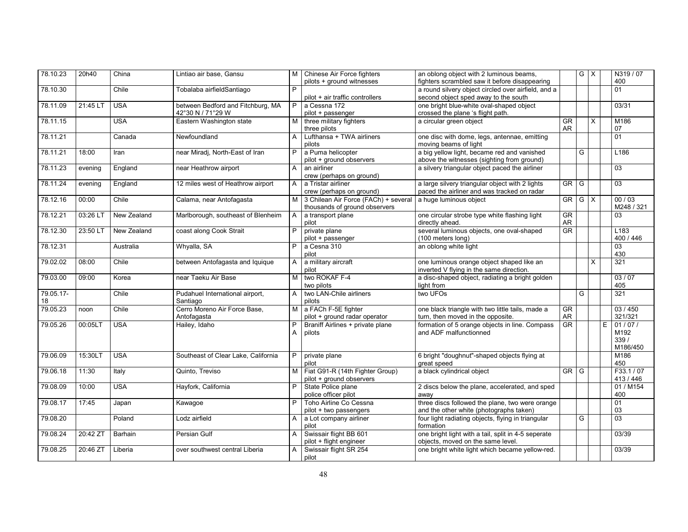| 78.10.23        | 20h40    | China       | Lintiao air base, Gansu                                | M I                 | Chinese Air Force fighters<br>pilots + ground witnesses               | an oblong object with 2 luminous beams,<br>fighters scrambled saw it before disappearing       |                              | GX |          |   | N319 / 07<br>400                   |
|-----------------|----------|-------------|--------------------------------------------------------|---------------------|-----------------------------------------------------------------------|------------------------------------------------------------------------------------------------|------------------------------|----|----------|---|------------------------------------|
| 78.10.30        |          | Chile       | Tobalaba airfieldSantiago                              | P                   | pilot + air traffic controllers                                       | a round silvery object circled over airfield, and a<br>second object sped away to the south    |                              |    |          |   | 01                                 |
| 78.11.09        | 21:45 LT | <b>USA</b>  | between Bedford and Fitchburg, MA<br>42°30 N / 71°29 W | P                   | a Cessna 172<br>pilot + passenger                                     | one bright blue-white oval-shaped object<br>crossed the plane 's flight path.                  |                              |    |          |   | 03/31                              |
| 78.11.15        |          | <b>USA</b>  | Eastern Washington state                               | M                   | three military fighters<br>three pilots                               | a circular green object                                                                        | $\overline{\text{GR}}$<br>AR |    | $\times$ |   | M186<br>07                         |
| 78.11.21        |          | Canada      | Newfoundland                                           | A                   | Lufthansa + TWA airliners<br>pilots                                   | one disc with dome, legs, antennae, emitting<br>moving beams of light                          |                              |    |          |   | 01                                 |
| 78.11.21        | 18:00    | Iran        | near Miradi, North-East of Iran                        | P                   | a Puma helicopter<br>pilot + ground observers                         | a big yellow light, became red and vanished<br>above the witnesses (sighting from ground)      |                              | G  |          |   | L186                               |
| 78.11.23        | evening  | England     | near Heathrow airport                                  | A                   | an airliner<br>crew (perhaps on ground)                               | a silvery triangular object paced the airliner                                                 |                              |    |          |   | 03                                 |
| 78.11.24        | evening  | England     | 12 miles west of Heathrow airport                      | $\mathsf{A}$        | a Tristar airliner<br>crew (perhaps on ground)                        | a large silvery triangular object with 2 lights<br>paced the airliner and was tracked on radar | GR                           | G  |          |   | 03                                 |
| 78.12.16        | 00:00    | Chile       | Calama, near Antofagasta                               | M I                 | 3 Chilean Air Force (FACh) + several<br>thousands of ground observers | a huge luminous object                                                                         | GR                           | GX |          |   | 00/03<br>M248 / 321                |
| 78.12.21        | 03:26 LT | New Zealand | Marlborough, southeast of Blenheim                     | $\overline{A}$      | a transport plane<br>pilot                                            | one circular strobe type white flashing light<br>directly ahead.                               | <b>GR</b><br>AR              |    |          |   | 03                                 |
| 78.12.30        | 23:50 LT | New Zealand | coast along Cook Strait                                | P                   | private plane<br>pilot + passenger                                    | several luminous objects, one oval-shaped<br>(100 meters long)                                 | <b>GR</b>                    |    |          |   | L <sub>183</sub><br>400 / 446      |
| 78.12.31        |          | Australia   | Whyalla, SA                                            | P.                  | a Cesna 310<br>pilot                                                  | an oblong white light                                                                          |                              |    |          |   | 03<br>430                          |
| 79.02.02        | 08:00    | Chile       | between Antofagasta and Iquique                        | $\mathsf{A}$        | a military aircraft<br>pilot                                          | one luminous orange object shaped like an<br>inverted V flying in the same direction.          |                              |    | $\times$ |   | 321                                |
| 79.03.00        | 09:00    | Korea       | near Taeku Air Base                                    | $\overline{M}$      | two ROKAF F-4<br>two pilots                                           | a disc-shaped object, radiating a bright golden<br>light from                                  |                              |    |          |   | 03/07<br>405                       |
| 79.05.17-<br>18 |          | Chile       | Pudahuel International airport,<br>Santiago            | A                   | two LAN-Chile airliners<br>pilots                                     | two UFOs                                                                                       |                              | G  |          |   | 321                                |
| 79.05.23        | noon     | Chile       | Cerro Moreno Air Force Base,<br>Antofagasta            | M                   | a FACh F-5E fighter<br>pilot + ground radar operator                  | one black triangle with two little tails, made a<br>turn, then moved in the opposite.          | $\overline{\text{GR}}$<br>AR |    |          |   | 03/450<br>321/321                  |
| 79.05.26        | 00:05LT  | <b>USA</b>  | Hailey, Idaho                                          | $\overline{P}$<br>A | Braniff Airlines + private plane<br>pilots                            | formation of 5 orange objects in line. Compass<br>and ADF malfunctionned                       | GR                           |    |          | Ε | 01/07/<br>M192<br>339/<br>M186/450 |
| 79.06.09        | 15:30LT  | <b>USA</b>  | Southeast of Clear Lake, California                    | P.                  | private plane<br>pilot                                                | 6 bright "doughnut"-shaped objects flying at<br>great speed                                    |                              |    |          |   | M186<br>450                        |
| 79.06.18        | 11:30    | Italy       | Quinto, Treviso                                        |                     | M   Fiat G91-R (14th Fighter Group)<br>pilot + ground observers       | a black cylindrical object                                                                     | GR                           | G  |          |   | F33.1/07<br>413 / 446              |
| 79.08.09        | 10:00    | <b>USA</b>  | Hayfork, California                                    | P.                  | State Police plane<br>police officer pilot                            | 2 discs below the plane, accelerated, and sped<br>awav                                         |                              |    |          |   | 01 / M154<br>400                   |
| 79.08.17        | 17:45    | Japan       | Kawagoe                                                | P                   | Toho Airline Co Cessna<br>pilot + two passengers                      | three discs followed the plane, two were orange<br>and the other white (photographs taken)     |                              |    |          |   | $\overline{01}$<br>03              |
| 79.08.20        |          | Poland      | Lodz airfield                                          | A                   | a Lot company airliner<br>pilot                                       | four light radiating objects, flying in triangular<br>formation                                |                              | G  |          |   | 03                                 |
| 79.08.24        | 20:42 ZT | Barhain     | Persian Gulf                                           | $\mathsf{A}$        | Swissair flight BB 601<br>pilot + flight engineer                     | one bright light with a tail, split in 4-5 seperate<br>objects, moved on the same level.       |                              |    |          |   | 03/39                              |
| 79.08.25        | 20:46 ZT | Liberia     | over southwest central Liberia                         | A                   | Swissair flight SR 254<br>pilot                                       | one bright white light which became yellow-red.                                                |                              |    |          |   | 03/39                              |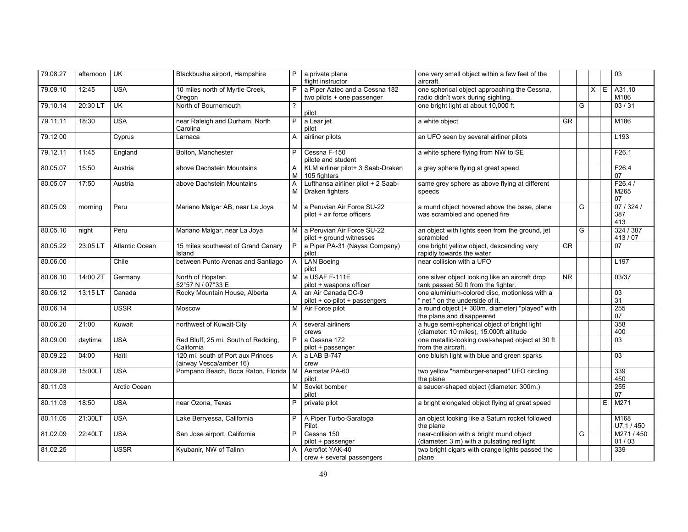| 79.08.27 | afternoon | UK             | Blackbushe airport, Hampshire                                | P              | a private plane<br>flight instructor                         | one very small object within a few feet of the<br>aircraft.                             |           |   |         |   | 03                       |
|----------|-----------|----------------|--------------------------------------------------------------|----------------|--------------------------------------------------------------|-----------------------------------------------------------------------------------------|-----------|---|---------|---|--------------------------|
| 79.09.10 | 12:45     | <b>USA</b>     | 10 miles north of Myrtle Creek,<br>Oregon                    | P              | a Piper Aztec and a Cessna 182<br>two pilots + one passenger | one spherical object approaching the Cessna,<br>radio didn't work during sighting.      |           |   | $X$ $E$ |   | A31.10<br>M186           |
| 79.10.14 | 20:30 LT  | <b>UK</b>      | North of Bournemouth                                         | $\overline{?}$ | pilot                                                        | one bright light at about 10,000 ft                                                     |           | G |         |   | 03/31                    |
| 79.11.11 | 18:30     | <b>USA</b>     | near Raleigh and Durham, North<br>Carolina                   | P              | a Lear jet<br>pilot                                          | a white object                                                                          | <b>GR</b> |   |         |   | M186                     |
| 79.12 00 |           | Cyprus         | Larnaca                                                      | A              | airliner pilots                                              | an UFO seen by several airliner pilots                                                  |           |   |         |   | L <sub>193</sub>         |
| 79.12.11 | 11:45     | England        | Bolton, Manchester                                           | P              | Cessna F-150<br>pilote and student                           | a white sphere flying from NW to SE                                                     |           |   |         |   | F26.1                    |
| 80.05.07 | 15:50     | Austria        | above Dachstein Mountains                                    | A<br>M         | KLM airliner pilot+ 3 Saab-Draken<br>105 fighters            | a grey sphere flying at great speed                                                     |           |   |         |   | F26.4<br>07              |
| 80.05.07 | 17:50     | Austria        | above Dachstein Mountains                                    | A<br>M         | Lufthansa airliner pilot + 2 Saab-<br>Draken fighters        | same grey sphere as above flying at different<br>speeds                                 |           |   |         |   | F26.4/<br>M265<br>07     |
| 80.05.09 | morning   | Peru           | Mariano Malgar AB, near La Joya                              | м              | a Peruvian Air Force SU-22<br>pilot + air force officers     | a round object hovered above the base, plane<br>was scrambled and opened fire           |           | G |         |   | 07 / 324 /<br>387<br>413 |
| 80.05.10 | night     | Peru           | Mariano Malgar, near La Joya                                 | M <sub>1</sub> | a Peruvian Air Force SU-22<br>pilot + ground witnesses       | an object with lights seen from the ground, jet<br>scrambled                            |           | G |         |   | 324 / 387<br>413/07      |
| 80.05.22 | 23:05 LT  | Atlantic Ocean | 15 miles southwest of Grand Canary<br>Island                 | $\overline{P}$ | a Piper PA-31 (Naysa Company)<br>pilot                       | one bright yellow object, descending very<br>rapidly towards the water                  | GR        |   |         |   | 07                       |
| 80.06.00 |           | Chile          | between Punto Arenas and Santiago                            | $\mathsf{A}$   | <b>LAN Boeing</b><br>pilot                                   | near collision with a UFO                                                               |           |   |         |   | L <sub>197</sub>         |
| 80.06.10 | 14:00 ZT  | Germany        | North of Hopsten<br>52°57 N / 07°33 E                        | M              | a USAF F-111E<br>pilot + weapons officer                     | one silver object looking like an aircraft drop<br>tank passed 50 ft from the fighter.  | NR        |   |         |   | 03/37                    |
| 80.06.12 | 13:15 LT  | Canada         | Rocky Mountain House, Alberta                                | A              | an Air Canada DC-9<br>pilot + co-pilot + passengers          | one aluminium-colored disc, motionless with a<br>'net" on the underside of it.          |           |   |         |   | 03<br>31                 |
| 80.06.14 |           | <b>USSR</b>    | <b>Moscow</b>                                                | M <sub>1</sub> | Air Force pilot                                              | a round object (+ 300m. diameter) "played" with<br>the plane and disappeared            |           |   |         |   | 255<br>07                |
| 80.06.20 | 21:00     | Kuwait         | northwest of Kuwait-City                                     | $\mathsf{A}$   | several airliners<br>crews                                   | a huge semi-spherical object of bright light<br>(diameter: 10 miles), 15.000ft altitude |           |   |         |   | 358<br>400               |
| 80.09.00 | daytime   | <b>USA</b>     | Red Bluff, 25 mi. South of Redding,<br>California            | $\overline{P}$ | a Cessna 172<br>pilot + passenger                            | one metallic-looking oval-shaped object at 30 ft<br>from the aircraft.                  |           |   |         |   | $\overline{03}$          |
| 80.09.22 | 04:00     | Haïti          | 120 mi. south of Port aux Princes<br>(airway Vesca/amber 16) | $\overline{A}$ | a LAB B-747<br>crew                                          | one bluish light with blue and green sparks                                             |           |   |         |   | $\overline{03}$          |
| 80.09.28 | 15:00LT   | <b>USA</b>     | Pompano Beach, Boca Raton, Florida M                         |                | Aerostar PA-60<br>pilot                                      | two yellow "hamburger-shaped" UFO circling<br>the plane                                 |           |   |         |   | 339<br>450               |
| 80.11.03 |           | Arctic Ocean   |                                                              | М              | Soviet bomber<br>pilot                                       | a saucer-shaped object (diameter: 300m.)                                                |           |   |         |   | 255<br>07                |
| 80.11.03 | 18:50     | <b>USA</b>     | near Ozona, Texas                                            | P              | private pilot                                                | a bright elongated object flying at great speed                                         |           |   |         | E | M271                     |
| 80.11.05 | 21:30LT   | <b>USA</b>     | Lake Berryessa, California                                   | P              | A Piper Turbo-Saratoga<br>Pilot                              | an object looking like a Saturn rocket followed<br>the plane                            |           |   |         |   | M168<br>U7.1/450         |
| 81.02.09 | 22:40LT   | <b>USA</b>     | San Jose airport, California                                 | P              | Cessna 150<br>pilot + passenger                              | near-collision with a bright round object<br>(diameter: 3 m) with a pulsating red light |           | G |         |   | M271/450<br>01/03        |
| 81.02.25 |           | <b>USSR</b>    | Kyubanir, NW of Talinn                                       | A              | Aeroflot YAK-40<br>crew + several passengers                 | two bright cigars with orange lights passed the<br>plane                                |           |   |         |   | 339                      |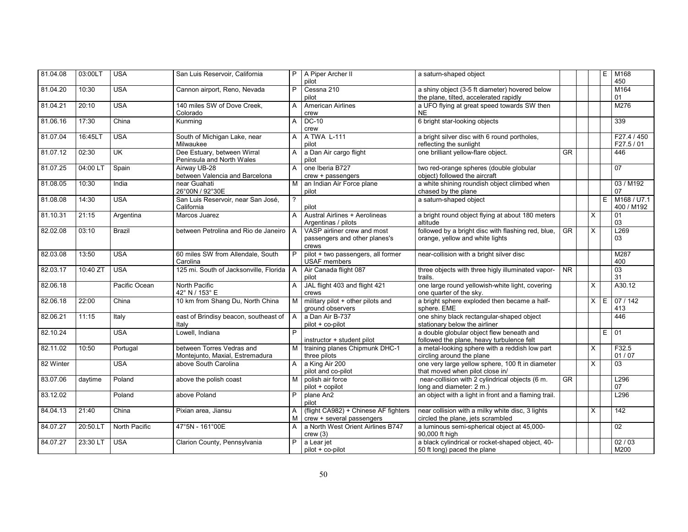| 81.04.08  | 03:00LT                | <b>USA</b>    | San Luis Reservoir, California                   |                | P   A Piper Archer II                                     | a saturn-shaped object                                                                 |                        |          | E  | M168                      |
|-----------|------------------------|---------------|--------------------------------------------------|----------------|-----------------------------------------------------------|----------------------------------------------------------------------------------------|------------------------|----------|----|---------------------------|
| 81.04.20  | 10:30                  | <b>USA</b>    | Cannon airport, Reno, Nevada                     | P              | pilot<br>Cessna 210                                       | a shiny object (3-5 ft diameter) hovered below                                         |                        |          |    | 450<br>M164               |
|           |                        |               |                                                  |                | pilot                                                     | the plane, tilted, accelerated rapidly                                                 |                        |          |    | 01                        |
| 81.04.21  | 20:10                  | <b>USA</b>    | 140 miles SW of Dove Creek,                      | A              | American Airlines                                         | a UFO flying at great speed towards SW then                                            |                        |          |    | M276                      |
|           |                        |               | Colorado                                         |                | crew                                                      | <b>NE</b>                                                                              |                        |          |    |                           |
| 81.06.16  | 17:30                  | China         | Kunming                                          | $\overline{A}$ | $DC-10$<br>crew                                           | 6 bright star-looking objects                                                          |                        |          |    | 339                       |
| 81.07.04  | 16:45LT                | <b>USA</b>    | South of Michigan Lake, near<br>Milwaukee        | A              | A TWA L-111<br>pilot                                      | a bright silver disc with 6 round portholes,<br>reflecting the sunlight                |                        |          |    | F27.4 / 450<br>F27.5/01   |
| 81.07.12  | 02:30                  | <b>UK</b>     | Dee Estuary, between Wirral                      | A              | a Dan Air cargo flight                                    | one brilliant yellow-flare object.                                                     | <b>GR</b>              |          |    | 446                       |
|           |                        |               | Peninsula and North Wales                        |                | pilot                                                     |                                                                                        |                        |          |    |                           |
| 81.07.25  | 04:00 LT               | Spain         | Airway UB-28                                     | A              | one Iberia B727                                           | two red-orange spheres (double globular                                                |                        |          |    | 07                        |
|           |                        |               | between Valencia and Barcelona                   |                | crew + passengers                                         | object) followed the aircraft                                                          |                        |          |    |                           |
| 81.08.05  | 10:30                  | India         | near Guahati                                     | м              | an Indian Air Force plane                                 | a white shining roundish object climbed when                                           |                        |          |    | 03 / M192                 |
|           |                        |               | 26°00N / 92°30E                                  |                | pilot                                                     | chased by the plane                                                                    |                        |          |    | 07                        |
| 81.08.08  | 14:30                  | <b>USA</b>    | San Luis Reservoir, near San José,<br>California | $\gamma$       | pilot                                                     | a saturn-shaped object                                                                 |                        |          | E. | M168 / U7.1<br>400 / M192 |
| 81.10.31  | 21:15                  | Argentina     | Marcos Juarez                                    |                | Austral Airlines + Aerolineas                             | a bright round object flying at about 180 meters                                       |                        | X        |    | 01                        |
|           |                        |               |                                                  |                | Argentinas / pilots                                       | altitude                                                                               |                        |          |    | 03                        |
| 82.02.08  | 03:10                  | <b>Brazil</b> | between Petrolina and Rio de Janeiro   A         |                | VASP airliner crew and most                               | followed by a bright disc with flashing red, blue,                                     | <b>GR</b>              | X        |    | L269                      |
|           |                        |               |                                                  |                | passengers and other planes's                             | orange, yellow and white lights                                                        |                        |          |    | 03                        |
|           | 13:50                  | <b>USA</b>    |                                                  | P              | crews                                                     |                                                                                        |                        |          |    | M287                      |
| 82.03.08  |                        |               | 60 miles SW from Allendale, South<br>Carolina    |                | pilot + two passengers, all former<br><b>USAF</b> members | near-collision with a bright silver disc                                               |                        |          |    | 400                       |
| 82.03.17  | $\overline{10}$ :40 ZT | <b>USA</b>    | 125 mi. South of Jacksonville. Florida A         |                | Air Canada flight 087                                     | three objects with three higly illuminated vapor-                                      | N <sub>R</sub>         |          |    | $\overline{03}$           |
|           |                        |               |                                                  |                | pilot                                                     | trails.                                                                                |                        |          |    | 31                        |
| 82.06.18  |                        | Pacific Ocean | North Pacific                                    | $\mathsf{A}$   | JAL flight 403 and flight 421                             | one large round yellowish-white light, covering                                        |                        | X        |    | A30.12                    |
|           |                        |               | 42° N / 153° E                                   |                | crews                                                     | one quarter of the sky.                                                                |                        |          |    |                           |
| 82.06.18  | 22:00                  | China         | 10 km from Shang Du, North China                 | M              | military pilot + other pilots and<br>ground observers     | a bright sphere exploded then became a half-<br>sphere. EME                            |                        | $\times$ | Ε  | 07/142<br>413             |
| 82.06.21  | 11:15                  | Italy         | east of Brindisy beacon, southeast of            | I A            | a Dan Air B-737                                           | one shiny black rectangular-shaped object                                              |                        |          |    | 446                       |
|           |                        |               | Italy                                            |                | pilot + co-pilot                                          | stationary below the airliner                                                          |                        |          |    |                           |
| 82.10.24  |                        | <b>USA</b>    | Lowell, Indiana                                  | P              | instructor + student pilot                                | a double globular object flew beneath and<br>followed the plane, heavy turbulence felt |                        |          | E. | $\overline{01}$           |
| 82.11.02  | 10:50                  | Portugal      | between Torres Vedras and                        | м              | training planes Chipmunk DHC-1                            | a metal-looking sphere with a reddish low part                                         |                        | X        |    | F32.5                     |
|           |                        |               | Montejunto, Maxial, Estremadura                  |                | three pilots                                              | circling around the plane                                                              |                        |          |    | 01/07                     |
| 82 Winter |                        | <b>USA</b>    | above South Carolina                             | A              | a King Air 200                                            | one very large yellow sphere, 100 ft in diameter                                       |                        | X        |    | $\overline{03}$           |
|           |                        |               |                                                  |                | pilot and co-pilot                                        | that moved when pilot close in/                                                        |                        |          |    |                           |
| 83.07.06  | daytime                | Poland        | above the polish coast                           | M              | polish air force                                          | near-collision with 2 cylindrical objects (6 m.<br>long and diameter: 2 m.)            | $\overline{\text{GR}}$ |          |    | L <sub>296</sub><br>07    |
| 83.12.02  |                        | Poland        | above Poland                                     | P              | pilot + copilot<br>plane An <sub>2</sub>                  | an object with a light in front and a flaming trail.                                   |                        |          |    | L296                      |
|           |                        |               |                                                  |                | pilot                                                     |                                                                                        |                        |          |    |                           |
| 84.04.13  | 21:40                  | China         | Pixian area. Jiansu                              | A              | (flight CA982) + Chinese AF fighters                      | near collision with a milky white disc, 3 lights                                       |                        | $\times$ |    | 142                       |
|           |                        |               |                                                  | M              | crew + several passengers                                 | circled the plane, jets scrambled                                                      |                        |          |    |                           |
| 84.07.27  | 20:50.L                | North Pacific | 47°5N - 161°00E                                  | A              | a North West Orient Airlines B747                         | a luminous semi-spherical object at 45,000-                                            |                        |          |    | 02                        |
|           |                        |               |                                                  |                | crew(3)                                                   | 90,000 ft high                                                                         |                        |          |    |                           |
| 84.07.27  | 23:30 LT               | <b>USA</b>    | Clarion County, Pennsylvania                     | P              | a Lear jet                                                | a black cylindrical or rocket-shaped object, 40-                                       |                        |          |    | 02/03                     |
|           |                        |               |                                                  |                | pilot + co-pilot                                          | 50 ft long) paced the plane                                                            |                        |          |    | M200                      |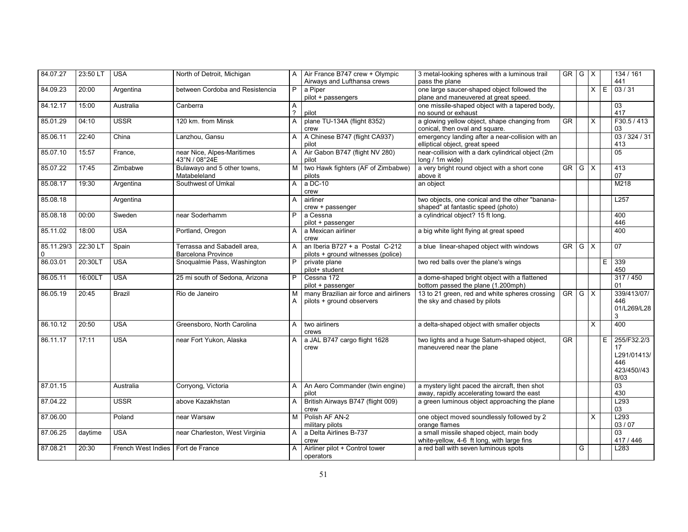| 84.07.27               | 23:50 LT | <b>USA</b>                          | North of Detroit, Michigan                               | $\mathsf{A}$       | Air France B747 crew + Olympic<br>Airways and Lufthansa crews         | 3 metal-looking spheres with a luminous trail<br>pass the plane                             | GR G X       |   |          |   | 134 / 161<br>441                                               |
|------------------------|----------|-------------------------------------|----------------------------------------------------------|--------------------|-----------------------------------------------------------------------|---------------------------------------------------------------------------------------------|--------------|---|----------|---|----------------------------------------------------------------|
| 84.09.23               | 20:00    | Argentina                           | between Cordoba and Resistencia                          | P                  | a Piper<br>pilot + passengers                                         | one large saucer-shaped object followed the<br>plane and maneuvered at great speed.         |              |   | $\times$ | E | 03/31                                                          |
| 84.12.17               | 15:00    | Australia                           | Canberra                                                 | Α<br>$\mathcal{P}$ | pilot                                                                 | one missile-shaped object with a tapered body,<br>no sound or exhaust                       |              |   |          |   | 03<br>417                                                      |
| 85.01.29               | 04:10    | <b>USSR</b>                         | 120 km. from Minsk                                       | A                  | plane TU-134A (flight 8352)<br>crew                                   | a glowing yellow object, shape changing from<br>conical, then oval and square.              | <b>GR</b>    |   | $\times$ |   | F30.5 / 413<br>03                                              |
| 85.06.11               | 22:40    | China                               | Lanzhou, Gansu                                           | A                  | A Chinese B747 (flight CA937)<br>pilot                                | emergency landing after a near-collision with an<br>elliptical object, great speed          |              |   |          |   | 03/324/31<br>413                                               |
| 85.07.10               | 15:57    | France,                             | near Nice, Alpes-Maritimes<br>43°N / 08°24E              | $\mathsf{A}$       | Air Gabon B747 (flight NV 280)<br>pilot                               | near-collision with a dark cylindrical object (2m<br>long / 1m wide)                        |              |   |          |   | $\overline{05}$                                                |
| 85.07.22               | 17:45    | Zimbabwe                            | Bulawayo and 5 other towns,<br>Matabeleland              | M                  | two Hawk fighters (AF of Zimbabwe)<br>pilots                          | a very bright round object with a short cone<br>above it                                    | $GR$ $G$ $X$ |   |          |   | 413<br>07                                                      |
| 85.08.17               | 19:30    | Argentina                           | Southwest of Umkal                                       | A                  | a DC-10<br>crew                                                       | an object                                                                                   |              |   |          |   | M218                                                           |
| 85.08.18               |          | Argentina                           |                                                          | A                  | airliner<br>crew + passenger                                          | two objects, one conical and the other "banana-<br>shaped" at fantastic speed (photo)       |              |   |          |   | L257                                                           |
| 85.08.18               | 00:00    | Sweden                              | near Soderhamm                                           | P                  | a Cessna<br>pilot + passenger                                         | a cylindrical object? 15 ft long.                                                           |              |   |          |   | 400<br>446                                                     |
| 85.11.02               | 18:00    | <b>USA</b>                          | Portland, Oregon                                         | Α                  | a Mexican airliner<br>crew                                            | a big white light flying at great speed                                                     |              |   |          |   | 400                                                            |
| 85.11.29/3<br>$\Omega$ | 22:30 LT | Spain                               | Terrassa and Sabadell area,<br><b>Barcelona Province</b> | A                  | an Iberia B727 + a Postal C-212<br>pilots + ground witnesses (police) | a blue linear-shaped object with windows                                                    | GR   G   X   |   |          |   | $\overline{07}$                                                |
| 86.03.01               | 20:30LT  | <b>USA</b>                          | Snoqualmie Pass, Washington                              | P                  | private plane<br>pilot+ student                                       | two red balls over the plane's wings                                                        |              |   |          | E | 339<br>450                                                     |
| 86.05.11               | 16:00LT  | <b>USA</b>                          | 25 mi south of Sedona, Arizona                           | P                  | Cessna 172<br>pilot + passenger                                       | a dome-shaped bright object with a flattened<br>bottom passed the plane (1.200mph)          |              |   |          |   | 317/450<br>01                                                  |
| 86.05.19               | 20:45    | <b>Brazil</b>                       | Rio de Janeiro                                           | M<br>A             | many Brazilian air force and airliners<br>pilots + ground observers   | 13 to 21 green, red and white spheres crossing<br>the sky and chased by pilots              | $GR$ $G$ $X$ |   |          |   | 339/413/07/<br>446<br>01/L269/L28<br>3                         |
| 86.10.12               | 20:50    | <b>USA</b>                          | Greensboro, North Carolina                               | $\mathsf{A}$       | two airliners<br>crews                                                | a delta-shaped object with smaller objects                                                  |              |   | $\times$ |   | 400                                                            |
| 86.11.17               | 17:11    | <b>USA</b>                          | near Fort Yukon, Alaska                                  | A                  | a JAL B747 cargo flight 1628<br>crew                                  | two lights and a huge Saturn-shaped object,<br>maneuvered near the plane                    | <b>GR</b>    |   |          | E | 255/F32.2/3<br>17<br>L291/01413/<br>446<br>423/450//43<br>8/03 |
| 87.01.15               |          | Australia                           | Corryong, Victoria                                       | A                  | An Aero Commander (twin engine)<br>pilot                              | a mystery light paced the aircraft, then shot<br>away, rapidly accelerating toward the east |              |   |          |   | 03<br>430                                                      |
| 87.04.22               |          | <b>USSR</b>                         | above Kazakhstan                                         | A                  | British Airways B747 (flight 009)<br>crew                             | a green luminous object approaching the plane                                               |              |   |          |   | L293<br>03                                                     |
| 87.06.00               |          | Poland                              | near Warsaw                                              | M                  | Polish AF AN-2<br>military pilots                                     | one object moved soundlessly followed by 2<br>orange flames                                 |              |   | $\times$ |   | L293<br>03 / 07                                                |
| 87.06.25               | daytime  | <b>USA</b>                          | near Charleston, West Virginia                           | $\mathsf{A}$       | a Delta Airlines B-737<br>crew                                        | a small missile shaped object, main body<br>white-yellow, 4-6 ft long, with large fins      |              |   |          |   | 03<br>417 / 446                                                |
| 87.08.21               | 20:30    | French West Indies   Fort de France |                                                          | A                  | Airliner pilot + Control tower<br>operators                           | a red ball with seven luminous spots                                                        |              | G |          |   | L283                                                           |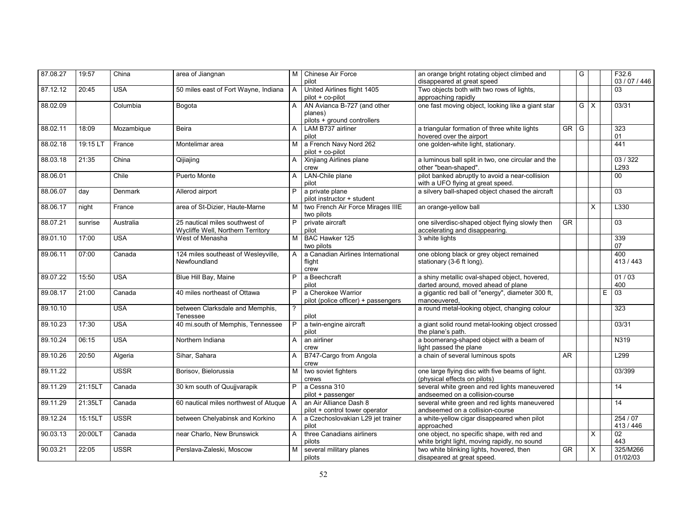| 87.08.27 | 19:57    | China       | area of Jiangnan                                                    | M              | Chinese Air Force<br>pilot                                            | an orange bright rotating object climbed and<br>disappeared at great speed                  |                        | G          |          |   | F32.6<br>03/07/446   |
|----------|----------|-------------|---------------------------------------------------------------------|----------------|-----------------------------------------------------------------------|---------------------------------------------------------------------------------------------|------------------------|------------|----------|---|----------------------|
| 87.12.12 | 20:45    | <b>USA</b>  | 50 miles east of Fort Wayne, Indiana                                | $\mathsf{A}$   | United Airlines flight 1405<br>pilot + co-pilot                       | Two objects both with two rows of lights,<br>approaching rapidly                            |                        |            |          |   | 03                   |
| 88.02.09 |          | Columbia    | Bogota                                                              | A              | AN Avianca B-727 (and other<br>planes)<br>pilots + ground controllers | one fast moving object, looking like a giant star                                           |                        | $G \times$ |          |   | 03/31                |
| 88.02.11 | 18:09    | Mozambique  | Beira                                                               | A              | LAM B737 airliner<br>pilot                                            | a triangular formation of three white lights<br>hovered over the airport                    | GR                     | G          |          |   | 323<br>01            |
| 88.02.18 | 19:15 LT | France      | Montelimar area                                                     | М              | a French Navy Nord 262<br>pilot + co-pilot                            | one golden-white light, stationary.                                                         |                        |            |          |   | 441                  |
| 88.03.18 | 21:35    | China       | Qijiajing                                                           | A              | Xinjiang Airlines plane<br>crew                                       | a luminous ball split in two, one circular and the<br>other "bean-shaped".                  |                        |            |          |   | 03 / 322<br>L293     |
| 88.06.01 |          | Chile       | Puerto Monte                                                        | A              | LAN-Chile plane<br>pilot                                              | pilot banked abruptly to avoid a near-collision<br>with a UFO flying at great speed.        |                        |            |          |   | 00                   |
| 88.06.07 | day      | Denmark     | Allerod airport                                                     | P              | a private plane<br>pilot instructor + student                         | a silvery ball-shaped object chased the aircraft                                            |                        |            |          |   | 03                   |
| 88.06.17 | night    | France      | area of St-Dizier, Haute-Marne                                      | м              | two French Air Force Mirages IIIE<br>two pilots                       | an orange-yellow ball                                                                       |                        |            | X        |   | L330                 |
| 88.07.21 | sunrise  | Australia   | 25 nautical miles southwest of<br>Wycliffe Well, Northern Territory | P.             | private aircraft<br>pilot                                             | one silverdisc-shaped object flying slowly then<br>accelerating and disappearing.           | $G$ R                  |            |          |   | $\overline{03}$      |
| 89.01.10 | 17:00    | <b>USA</b>  | West of Menasha                                                     | M              | BAC Hawker 125<br>two pilots                                          | 3 white lights                                                                              |                        |            |          |   | 339<br>07            |
| 89.06.11 | 07:00    | Canada      | 124 miles southeast of Wesleyville,<br>Newfoundland                 | $\mathsf{A}$   | a Canadian Airlines International<br>flight<br>crew                   | one oblong black or grey object remained<br>stationary (3-6 ft long).                       |                        |            |          |   | 400<br>413/443       |
| 89.07.22 | 15:50    | <b>USA</b>  | Blue Hill Bay, Maine                                                | P              | a Beechcraft<br>pilot                                                 | a shiny metallic oval-shaped object, hovered,<br>darted around, moved ahead of plane        |                        |            |          |   | 01/03<br>400         |
| 89.08.17 | 21:00    | Canada      | 40 miles northeast of Ottawa                                        | P              | a Cherokee Warrior<br>pilot (police officer) + passengers             | a gigantic red ball of "energy", diameter 300 ft,<br>manoeuvered,                           |                        |            |          | E | $\overline{03}$      |
| 89.10.10 |          | <b>USA</b>  | between Clarksdale and Memphis,<br>Tenessee                         | $\overline{?}$ | pilot                                                                 | a round metal-looking object, changing colour                                               |                        |            |          |   | 323                  |
| 89.10.23 | 17:30    | <b>USA</b>  | 40 mi.south of Memphis, Tennessee                                   | P              | a twin-engine aircraft<br>pilot                                       | a giant solid round metal-looking object crossed<br>the plane's path.                       |                        |            |          |   | 03/31                |
| 89.10.24 | 06:15    | <b>USA</b>  | Northern Indiana                                                    | $\mathsf{A}$   | an airliner<br>crew                                                   | a boomerang-shaped object with a beam of<br>light passed the plane                          |                        |            |          |   | N319                 |
| 89.10.26 | 20:50    | Algeria     | Sihar, Sahara                                                       | A              | B747-Cargo from Angola<br>crew                                        | a chain of several luminous spots                                                           | AR                     |            |          |   | L299                 |
| 89.11.22 |          | <b>USSR</b> | Borisov, Bielorussia                                                | M              | two soviet fighters<br>crews                                          | one large flying disc with five beams of light.<br>(physical effects on pilots)             |                        |            |          |   | 03/399               |
| 89.11.29 | 21:15LT  | Canada      | 30 km south of Quujjvarapik                                         | P.             | a Cessna 310<br>pilot + passenger                                     | several white green and red lights maneuvered<br>andseemed on a collision-course            |                        |            |          |   | 14                   |
| 89.11.29 | 21:35LT  | Canada      | 60 nautical miles northwest of Atuque   A                           |                | an Air Alliance Dash 8<br>pilot + control tower operator              | several white green and red lights maneuvered<br>andseemed on a collision-course            |                        |            |          |   | 14                   |
| 89.12.24 | 15:15LT  | <b>USSR</b> | between Chelyabinsk and Korkino                                     | A              | a Czechoslovakian L29 jet trainer<br>pilot                            | a white-yellow cigar disappeared when pilot<br>approached                                   |                        |            |          |   | 254/07<br>413 / 446  |
| 90.03.13 | 20:00LT  | Canada      | near Charlo, New Brunswick                                          | $\mathsf{A}$   | three Canadians airliners<br>pilots                                   | one object, no specific shape, with red and<br>white bright light, moving rapidly, no sound |                        |            | $\times$ |   | 02<br>443            |
| 90.03.21 | 22:05    | <b>USSR</b> | Perslava-Zaleski, Moscow                                            | M              | several military planes<br>pilots                                     | two white blinking lights, hovered, then<br>disapeared at great speed.                      | $\overline{\text{GR}}$ |            | X        |   | 325/M266<br>01/02/03 |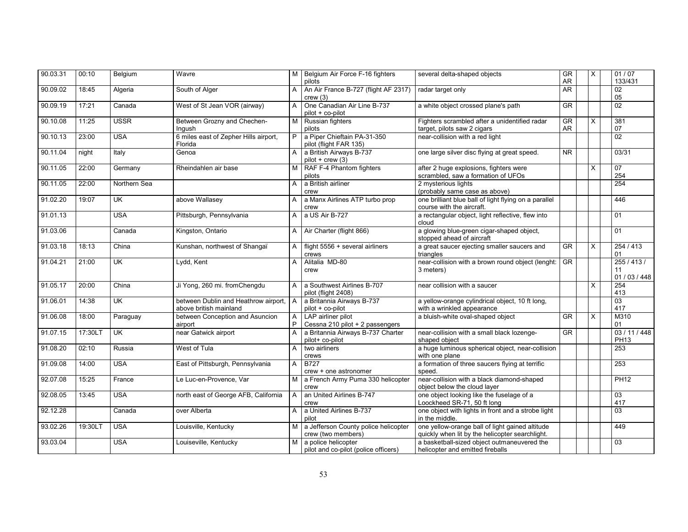| 90.03.31 | 00:10   | Belgium                   | Wavre                                                          |              | M Belgium Air Force F-16 fighters<br>pilots                 | several delta-shaped objects                                                                       | GR<br><b>AR</b>        | $\overline{X}$ | 01/07<br>133/431                |
|----------|---------|---------------------------|----------------------------------------------------------------|--------------|-------------------------------------------------------------|----------------------------------------------------------------------------------------------------|------------------------|----------------|---------------------------------|
| 90.09.02 | 18:45   | Algeria                   | South of Alger                                                 | A            | An Air France B-727 (flight AF 2317)<br>crew(3)             | radar target only                                                                                  | <b>AR</b>              |                | 02<br>05                        |
| 90.09.19 | 17:21   | Canada                    | West of St Jean VOR (airway)                                   | A            | One Canadian Air Line B-737<br>pilot + co-pilot             | a white object crossed plane's path                                                                | <b>GR</b>              |                | $\overline{02}$                 |
| 90.10.08 | 11:25   | <b>USSR</b>               | Between Grozny and Chechen-<br>Ingush                          | M            | Russian fighters<br>pilots                                  | Fighters scrambled after a unidentified radar<br>target, pilots saw 2 cigars                       | GR<br>AR               | X              | 381<br>07                       |
| 90.10.13 | 23:00   | <b>USA</b>                | 6 miles east of Zepher Hills airport,<br>Florida               | P.           | a Piper Chieftain PA-31-350<br>pilot (flight FAR 135)       | near-collision with a red light                                                                    |                        |                | 02                              |
| 90.11.04 | night   | Italy                     | Genoa                                                          | A            | a British Airways B-737<br>$pilot + crew(3)$                | one large silver disc flying at great speed.                                                       | <b>NR</b>              |                | 03/31                           |
| 90.11.05 | 22:00   | Germany                   | Rheindahlen air base                                           | м            | RAF F-4 Phantom fighters<br>pilots                          | after 2 huge explosions, fighters were<br>scrambled, saw a formation of UFOs                       |                        | X              | 07<br>254                       |
| 90.11.05 | 22:00   | Northern Sea              |                                                                | A            | a British airliner<br>crew                                  | 2 mysterious lights<br>(probably same case as above)                                               |                        |                | 254                             |
| 91.02.20 | 19:07   | <b>UK</b>                 | above Wallasey                                                 | A            | a Manx Airlines ATP turbo prop<br>crew                      | one brilliant blue ball of light flying on a parallel<br>course with the aircraft.                 |                        |                | 446                             |
| 91.01.13 |         | <b>USA</b>                | Pittsburgh, Pennsylvania                                       | A            | a US Air B-727                                              | a rectangular object, light reflective, flew into<br>cloud                                         |                        |                | 01                              |
| 91.03.06 |         | Canada                    | Kingston, Ontario                                              | A            | Air Charter (flight 866)                                    | a glowing blue-green cigar-shaped object,<br>stopped ahead of aircraft                             |                        |                | 01                              |
| 91.03.18 | 18:13   | China                     | Kunshan, northwest of Shangaï                                  | A            | flight 5556 + several airliners<br>crews                    | a great saucer ejecting smaller saucers and<br>triangles                                           | $G$ R                  | $\mathsf{X}$   | 254/413<br>01                   |
| 91.04.21 | 21:00   | <b>UK</b>                 | Lydd, Kent                                                     | A            | Alitalia MD-80<br>crew                                      | near-collision with a brown round object (lenght:<br>3 meters)                                     | <b>GR</b>              |                | 255/413/<br>11<br>01 / 03 / 448 |
| 91.05.17 | 20:00   | China                     | Ji Yong, 260 mi. fromChengdu                                   | A            | a Southwest Airlines B-707<br>pilot (flight 2408)           | near collision with a saucer                                                                       |                        | X              | 254<br>413                      |
| 91.06.01 | 14:38   | <b>UK</b>                 | between Dublin and Heathrow airport,<br>above british mainland | $\mathsf{A}$ | a Britannia Airways B-737<br>pilot + co-pilot               | a yellow-orange cylindrical object, 10 ft long,<br>with a wrinkled appearance                      |                        |                | 03<br>417                       |
| 91.06.08 | 18:00   | Paraguay                  | between Conception and Asuncion<br>airport                     | A<br>P       | LAP airliner pilot<br>Cessna 210 pilot + 2 passengers       | a bluish-white oval-shaped object                                                                  | $G$ R                  | X              | M310<br>01                      |
| 91.07.15 | 17:30LT | $\overline{\mathsf{U}}$ K | near Gatwick airport                                           | A            | a Britannia Airways B-737 Charter<br>pilot+ co-pilot        | near-collision with a small black lozenge-<br>shaped object                                        | $\overline{\text{GR}}$ |                | 03 / 11 / 448<br><b>PH13</b>    |
| 91.08.20 | 02:10   | Russia                    | West of Tula                                                   | A            | two airliners<br>crews                                      | a huge luminous spherical object, near-collision<br>with one plane                                 |                        |                | 253                             |
| 91.09.08 | 14:00   | <b>USA</b>                | East of Pittsburgh, Pennsylvania                               | A            | <b>B727</b><br>crew + one astronomer                        | a formation of three saucers flying at terrific<br>speed.                                          |                        |                | 253                             |
| 92.07.08 | 15:25   | France                    | Le Luc-en-Provence, Var                                        | M            | a French Army Puma 330 helicopter<br>crew                   | near-collision with a black diamond-shaped<br>object below the cloud layer                         |                        |                | <b>PH12</b>                     |
| 92.08.05 | 13:45   | <b>USA</b>                | north east of George AFB, California                           | $\mathsf{A}$ | an United Airlines B-747<br>crew                            | one object looking like the fuselage of a<br>Loockheed SR-71, 50 ft long                           |                        |                | $\overline{03}$<br>417          |
| 92.12.28 |         | Canada                    | over Alberta                                                   | A            | a United Airlines B-737<br>pilot                            | one object with lights in front and a strobe light<br>in the middle.                               |                        |                | 03                              |
| 93.02.26 | 19:30LT | <b>USA</b>                | Louisville, Kentucky                                           | M I          | a Jefferson County police helicopter<br>crew (two members)  | one yellow-orange ball of light gained altitude<br>quickly when lit by the helicopter searchlight. |                        |                | 449                             |
| 93.03.04 |         | <b>USA</b>                | Louiseville, Kentucky                                          | M            | a police helicopter<br>pilot and co-pilot (police officers) | a basketball-sized object outmaneuvered the<br>helicopter and emitted fireballs                    |                        |                | $\overline{03}$                 |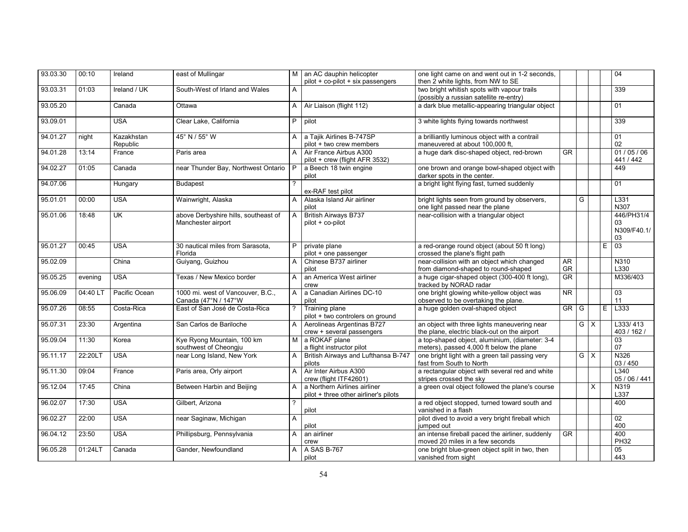| 93.03.30 | 00:10    | Ireland                   | east of Mullingar                                          | M I            | an AC dauphin helicopter<br>pilot + co-pilot + six passengers         | one light came on and went out in 1-2 seconds,<br>then 2 white lights, from NW to SE         |                        |          |                         |    | 04                                    |
|----------|----------|---------------------------|------------------------------------------------------------|----------------|-----------------------------------------------------------------------|----------------------------------------------------------------------------------------------|------------------------|----------|-------------------------|----|---------------------------------------|
| 93.03.31 | 01:03    | Ireland / UK              | South-West of Irland and Wales                             | A              |                                                                       | two bright whitish spots with vapour trails<br>(possibly a russian satellite re-entry)       |                        |          |                         |    | 339                                   |
| 93.05.20 |          | Canada                    | Ottawa                                                     | $\mathsf{A}$   | Air Liaison (flight 112)                                              | a dark blue metallic-appearing triangular object                                             |                        |          |                         |    | 01                                    |
| 93.09.01 |          | <b>USA</b>                | Clear Lake, California                                     | P.             | pilot                                                                 | 3 white lights flying towards northwest                                                      |                        |          |                         |    | 339                                   |
| 94.01.27 | night    | Kazakhstan<br>Republic    | 45° N / 55° W                                              | A              | a Tajik Airlines B-747SP<br>pilot + two crew members                  | a brilliantly luminous object with a contrail<br>maneuvered at about 100,000 ft,             |                        |          |                         |    | 01<br>02                              |
| 94.01.28 | 13:14    | France                    | Paris area                                                 | A              | Air France Airbus A300<br>pilot + crew (flight AFR 3532)              | a huge dark disc-shaped object, red-brown                                                    | <b>GR</b>              |          |                         |    | 01/05/06<br>441 / 442                 |
| 94.02.27 | 01:05    | Canada                    | near Thunder Bay, Northwest Ontario                        | P              | a Beech 18 twin engine<br>pilot                                       | one brown and orange bowl-shaped object with<br>darker spots in the center.                  |                        |          |                         |    | 449                                   |
| 94.07.06 |          | Hungary                   | <b>Budapest</b>                                            |                | ex-RAF test pilot                                                     | a bright light flying fast, turned suddenly                                                  |                        |          |                         |    | 01                                    |
| 95.01.01 | 00:00    | <b>USA</b>                | Wainwright, Alaska                                         | A              | Alaska Island Air airliner<br>pilot                                   | bright lights seen from ground by observers,<br>one light passed near the plane              |                        | G        |                         |    | L331<br>N307                          |
| 95.01.06 | 18:48    | $\overline{\mathsf{U}}$ K | above Derbyshire hills, southeast of<br>Manchester airport | A              | <b>British Airways B737</b><br>pilot + co-pilot                       | near-collision with a triangular object                                                      |                        |          |                         |    | 446/PH31/4<br>03<br>N309/F40.1/<br>03 |
| 95.01.27 | 00:45    | <b>USA</b>                | 30 nautical miles from Sarasota,<br>Florida                | P              | private plane<br>pilot + one passenger                                | a red-orange round object (about 50 ft long)<br>crossed the plane's flight path              |                        |          |                         | E. | 03                                    |
| 95.02.09 |          | China                     | Guiyang, Guizhou                                           | A              | Chinese B737 airliner<br>pilot                                        | near-collision with an object which changed<br>from diamond-shaped to round-shaped           | AR<br>GR               |          |                         |    | N310<br>L330                          |
| 95.05.25 | evening  | <b>USA</b>                | Texas / New Mexico border                                  | A              | an America West airliner<br>crew                                      | a huge cigar-shaped object (300-400 ft long),<br>tracked by NORAD radar                      | <b>GR</b>              |          |                         |    | M336/403                              |
| 95.06.09 | 04:40 LT | Pacific Ocean             | 1000 mi. west of Vancouver, B.C.,<br>Canada (47°N / 147°W  | A              | a Canadian Airlines DC-10<br>pilot                                    | one bright glowing white-yellow object was<br>observed to be overtaking the plane.           | $\overline{\text{NR}}$ |          |                         |    | 03<br>11                              |
| 95.07.26 | 08:55    | Costa-Rica                | East of San José de Costa-Rica                             | $\overline{?}$ | Training plane<br>pilot + two controlers on ground                    | a huge golden oval-shaped object                                                             | <b>GR</b>              | G        |                         |    | $E$ L <sub>333</sub>                  |
| 95.07.31 | 23:30    | Argentina                 | San Carlos de Bariloche                                    | A              | Aerolineas Argentinas B727<br>crew + several passengers               | an object with three lights maneuvering near<br>the plane, electric black-out on the airport |                        | G        | $\overline{\mathsf{x}}$ |    | L333/413<br>403 / 162 /               |
| 95.09.04 | 11:30    | Korea                     | Kye Ryong Mountain, 100 km<br>southwest of Cheongju        | M <sub>1</sub> | a ROKAF plane<br>a flight instructor pilot                            | a top-shaped object, aluminium, (diameter: 3-4<br>meters), passed 4,000 ft below the plane   |                        |          |                         |    | $\overline{03}$<br>07                 |
| 95.11.17 | 22:20LT  | <b>USA</b>                | near Long Island, New York                                 | A              | British Airways and Lufthansa B-747<br>pilots                         | one bright light with a green tail passing very<br>fast from South to North                  |                        | $\Omega$ | $\overline{X}$          |    | N326<br>03 / 450                      |
| 95.11.30 | 09:04    | France                    | Paris area, Orly airport                                   | $\mathsf{A}$   | Air Inter Airbus A300<br>crew (flight ITF42601)                       | a rectangular object with several red and white<br>stripes crossed the sky                   |                        |          |                         |    | L340<br>05 / 06 / 441                 |
| 95.12.04 | 17:45    | China                     | Between Harbin and Beijing                                 | A              | a Northern Airlines airliner<br>pilot + three other airliner's pilots | a green oval object followed the plane's course                                              |                        |          | $\overline{X}$          |    | N319<br>L337                          |
| 96.02.07 | 17:30    | <b>USA</b>                | Gilbert, Arizona                                           | 2              | pilot                                                                 | a red object stopped, turned toward south and<br>vanished in a flash                         |                        |          |                         |    | 400                                   |
| 96.02.27 | 22:00    | <b>USA</b>                | near Saginaw, Michigan                                     | A              | pilot                                                                 | pilot dived to avoid a very bright fireball which<br>jumped out                              |                        |          |                         |    | 02<br>400                             |
| 96.04.12 | 23:50    | <b>USA</b>                | Phillipsburg, Pennsylvania                                 | A              | an airliner<br>crew                                                   | an intense fireball paced the airliner, suddenly<br>moved 20 miles in a few seconds          | $\overline{\text{GR}}$ |          |                         |    | 400<br><b>PH32</b>                    |
| 96.05.28 | 01:24LT  | Canada                    | Gander, Newfoundland                                       | A              | A SAS B-767<br>pilot                                                  | one bright blue-green object split in two, then<br>vanished from sight                       |                        |          |                         |    | 05<br>443                             |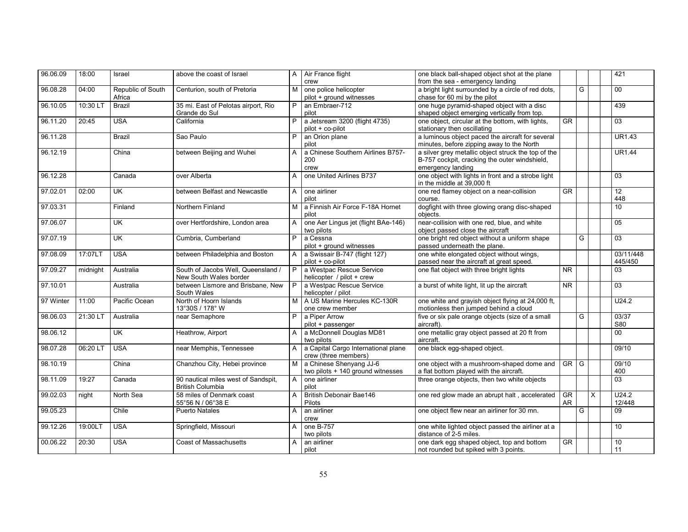| 96.06.09  | 18:00    | Israel                      | above the coast of Israel           |              | A   Air France flight                             | one black ball-shaped object shot at the plane                                     |                |   |          | 421             |
|-----------|----------|-----------------------------|-------------------------------------|--------------|---------------------------------------------------|------------------------------------------------------------------------------------|----------------|---|----------|-----------------|
|           |          |                             |                                     |              | crew                                              | from the sea - emergency landing                                                   |                |   |          |                 |
| 96.08.28  | 04:00    | Republic of South<br>Africa | Centurion, south of Pretoria        | м            | one police helicopter<br>pilot + ground witnesses | a bright light surrounded by a circle of red dots,<br>chase for 60 mi by the pilot |                | G |          | $00\,$          |
| 96.10.05  | 10:30 LT | <b>Brazil</b>               | 35 mi. East of Pelotas airport, Rio | P            | an Embraer-712                                    | one huge pyramid-shaped object with a disc                                         |                |   |          | 439             |
|           |          |                             | Grande do Sul                       |              | pilot                                             | shaped object emerging vertically from top.                                        |                |   |          |                 |
| 96.11.20  | 20:45    | <b>USA</b>                  | California                          | P            | a Jetsream 3200 (flight 4735)                     | one object, circular at the bottom, with lights,                                   | <b>GR</b>      |   |          | 03              |
|           |          |                             |                                     |              | pilot + co-pilot                                  | stationary then oscillating                                                        |                |   |          |                 |
| 96.11.28  |          | <b>Brazil</b>               | Sao Paulo                           |              | an Orion plane                                    | a luminous object paced the aircraft for several                                   |                |   |          | <b>UR1.43</b>   |
|           |          |                             |                                     |              | pilot                                             | minutes, before zipping away to the North                                          |                |   |          |                 |
| 96.12.19  |          | China                       | between Beijing and Wuhei           | A            | a Chinese Southern Airlines B757-                 | a silver grey metallic object struck the top of the                                |                |   |          | <b>UR1.44</b>   |
|           |          |                             |                                     |              | 200                                               | B-757 cockpit, cracking the outer windshield,                                      |                |   |          |                 |
|           |          |                             |                                     |              | crew                                              | emergency landing                                                                  |                |   |          |                 |
| 96.12.28  |          | Canada                      | over Alberta                        | A            | one United Airlines B737                          | one object with lights in front and a strobe light                                 |                |   |          | 03              |
|           |          |                             |                                     |              |                                                   | in the middle at 39,000 ft                                                         |                |   |          |                 |
| 97.02.01  | 02:00    | $\overline{\mathsf{U}}$     | between Belfast and Newcastle       | $\mathsf{A}$ | one airliner                                      | one red flamey object on a near-collision                                          | GR             |   |          | $\overline{12}$ |
|           |          |                             |                                     |              | pilot                                             | course.                                                                            |                |   |          | 448             |
| 97.03.31  |          | Finland                     | Northern Finland                    | M            | a Finnish Air Force F-18A Hornet                  | dogfight with three glowing orang disc-shaped                                      |                |   |          | 10              |
|           |          |                             |                                     |              | pilot                                             | objects.                                                                           |                |   |          |                 |
| 97.06.07  |          | <b>UK</b>                   | over Hertfordshire, London area     | A            | one Aer Lingus jet (flight BAe-146)               | near-collision with one red, blue, and white                                       |                |   |          | 05              |
|           |          |                             |                                     |              | two pilots                                        | object passed close the aircraft                                                   |                |   |          |                 |
| 97.07.19  |          | <b>UK</b>                   | Cumbria, Cumberland                 | P            | a Cessna                                          | one bright red object without a uniform shape                                      |                | G |          | $\overline{03}$ |
|           |          |                             |                                     |              | pilot + ground witnesses                          | passed underneath the plane.                                                       |                |   |          |                 |
| 97.08.09  | 17:07LT  | <b>USA</b>                  | between Philadelphia and Boston     | A            | a Swissair B-747 (flight 127)                     | one white elongated object without wings,                                          |                |   |          | 03/11/448       |
|           |          |                             |                                     |              | pilot + co-pilot                                  | passed near the aircraft at great speed.                                           |                |   |          | 445/450         |
| 97.09.27  | midnight | Australia                   | South of Jacobs Well, Queensland /  | P.           | a Westpac Rescue Service                          | one flat object with three bright lights                                           | N <sub>R</sub> |   |          | 03              |
|           |          |                             | New South Wales border              |              | helicopter / pilot + crew                         |                                                                                    |                |   |          |                 |
| 97.10.01  |          | Australia                   | between Lismore and Brisbane. New   | P.           | a Westpac Rescue Service                          | a burst of white light, lit up the aircraft                                        | <b>NR</b>      |   |          | 03              |
|           |          |                             | South Wales                         |              | helicopter / pilot                                |                                                                                    |                |   |          |                 |
| 97 Winter | 11:00    | Pacific Ocean               | North of Hoorn Islands              |              | A US Marine Hercules KC-130R                      | one white and gravish object flying at 24,000 ft.                                  |                |   |          | U24.2           |
|           |          |                             | 13°30S / 178° W                     |              | one crew member                                   | motionless then jumped behind a cloud                                              |                |   |          |                 |
| 98.06.03  | 21:30 LT | Australia                   | near Semaphore                      | P            | a Piper Arrow                                     | five or six pale orange objects (size of a small                                   |                | G |          | 03/37<br>S80    |
| 98.06.12  |          | <b>UK</b>                   | Heathrow, Airport                   |              | pilot + passenger<br>a McDonnell Douglas MD81     | aircraft).<br>one metallic gray object passed at 20 ft from                        |                |   |          | $\overline{00}$ |
|           |          |                             |                                     | A            | two pilots                                        | aircraft.                                                                          |                |   |          |                 |
| 98.07.28  | 06:20 LT | <b>USA</b>                  | near Memphis, Tennessee             | A            | a Capital Cargo International plane               | one black egg-shaped object.                                                       |                |   |          | 09/10           |
|           |          |                             |                                     |              | crew (three members)                              |                                                                                    |                |   |          |                 |
| 98.10.19  |          | China                       | Chanzhou City, Hebei province       | M.           | a Chinese Shenyang JJ-6                           | one object with a mushroom-shaped dome and                                         | $GR$ $G$       |   |          | 09/10           |
|           |          |                             |                                     |              | two pilots + 140 ground witnesses                 | a flat bottom played with the aircraft.                                            |                |   |          | 400             |
| 98.11.09  | 19:27    | Canada                      | 90 nautical miles west of Sandspit, | A            | one airliner                                      | three orange objects, then two white objects                                       |                |   |          | $\overline{03}$ |
|           |          |                             | <b>British Columbia</b>             |              | pilot                                             |                                                                                    |                |   |          |                 |
| 99.02.03  | night    | North Sea                   | 58 miles of Denmark coast           | A            | <b>British Debonair Bae146</b>                    | one red glow made an abrupt halt, accelerated                                      | <b>GR</b>      |   | $\times$ | U24.2           |
|           |          |                             | 55°56 N / 06°38 E                   |              | Pilots                                            |                                                                                    | <b>AR</b>      |   |          | 12/448          |
| 99.05.23  |          | Chile                       | <b>Puerto Natales</b>               | A            | an airliner                                       | one object flew near an airliner for 30 mn.                                        |                | G |          | 09              |
|           |          |                             |                                     |              | crew                                              |                                                                                    |                |   |          |                 |
| 99.12.26  | 19:00LT  | <b>USA</b>                  | Springfield, Missouri               | A            | one B-757                                         | one white lighted object passed the airliner at a                                  |                |   |          | 10              |
|           |          |                             |                                     |              | two pilots                                        | distance of 2-5 miles.                                                             |                |   |          |                 |
| 00.06.22  | 20:30    | <b>USA</b>                  | <b>Coast of Massachusetts</b>       | A            | an airliner                                       | one dark egg shaped object, top and bottom                                         | <b>GR</b>      |   |          | 10              |
|           |          |                             |                                     |              | pilot                                             | not rounded but spiked with 3 points.                                              |                |   |          | 11              |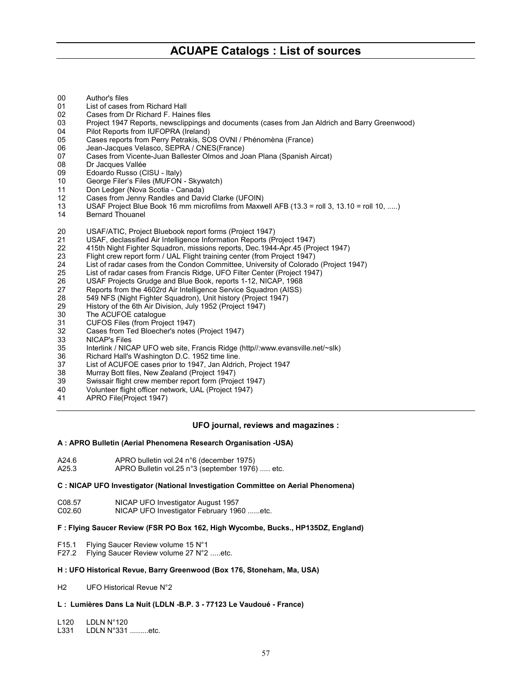- 00 Author's files<br>01 List of cases
- 01 List of cases from Richard Hall<br>02 Cases from Dr Richard F. Hain
- Cases from Dr Richard F. Haines files
- 03 Project 1947 Reports, newsclippings and documents (cases from Jan Aldrich and Barry Greenwood)
- 04 Pilot Reports from IUFOPRA (Ireland)
- 05 Cases reports from Perry Petrakis, SOS OVNI / Phénomèna (France)
- 06 Jean-Jacques Velasco, SEPRA / CNES(France)<br>07 Cases from Vicente-Juan Ballester Olmos and Jo
- Cases from Vicente-Juan Ballester Olmos and Joan Plana (Spanish Aircat)
- 08 Dr Jacques Vallée
- 09 Edoardo Russo (CISU Italy)
- 10 George Filer's Files (MUFON Skywatch)
- 11 Don Ledger (Nova Scotia Canada)
- 12 Cases from Jenny Randles and David Clarke (UFOIN)
- 13 USAF Project Blue Book 16 mm microfilms from Maxwell AFB (13.3 = roll 3, 13.10 = roll 10, .....)
- 14 Bernard Thouanel
- 20 USAF/ATIC, Project Bluebook report forms (Project 1947)
- 21 USAF, declassified Air Intelligence Information Reports (Project 1947)
- 22 415th Night Fighter Squadron, missions reports, Dec.1944-Apr.45 (Project 1947)
- 23 Flight crew report form / UAL Flight training center (from Project 1947)
- List of radar cases from the Condon Committee, University of Colorado (Project 1947)
- 25 List of radar cases from Francis Ridge, UFO Filter Center (Project 1947)
- 26 USAF Projects Grudge and Blue Book, reports 1-12, NICAP, 1968
- 27 Reports from the 4602rd Air Intelligence Service Squadron (AISS)
- 28 549 NFS (Night Fighter Squadron), Unit history (Project 1947)
- 29 History of the 6th Air Division, July 1952 (Project 1947)<br>30 The ACUFOE catalogue
- The ACUFOE catalogue
- 31 CUFOS Files (from Project 1947)
- 32 Cases from Ted Bloecher's notes (Project 1947)
- 33 NICAP's Files
- 35 Interlink / NICAP UFO web site, Francis Ridge (http//:www.evansville.net/~slk)
- 36 Richard Hall's Washington D.C. 1952 time line.
- 37 List of ACUFOE cases prior to 1947, Jan Aldrich, Project 1947
- 38 Murray Bott files, New Zealand (Project 1947)
- Swissair flight crew member report form (Project 1947)
- 40 Volunteer flight officer network, UAL (Project 1947)
- 41 APRO File(Project 1947)

# **UFO journal, reviews and magazines :**

# **A : APRO Bulletin (Aerial Phenomena Research Organisation -USA)**

- A24.6 APRO bulletin vol.24 n°6 (december 1975)<br>A25.3 APRO Bulletin vol.25 n°3 (september 1976
- APRO Bulletin vol.25 n°3 (september 1976) ..... etc.

# **C : NICAP UFO Investigator (National Investigation Committee on Aerial Phenomena)**

- C08.57 NICAP UFO Investigator August 1957
- C02.60 NICAP UFO Investigator February 1960 ......etc.

#### **F : Flying Saucer Review (FSR PO Box 162, High Wycombe, Bucks., HP135DZ, England)**

- F15.1 Flying Saucer Review volume 15 N°1
- Flying Saucer Review volume 27 N°2 .....etc.

# **H : UFO Historical Revue, Barry Greenwood (Box 176, Stoneham, Ma, USA)**

H2 UFO Historical Revue N°2

# **L : Lumières Dans La Nuit (LDLN -B.P. 3 - 77123 Le Vaudoué - France)**

L120 LDLN N°120<br>L331 LDLN N°331

LDLN N°331 .........etc.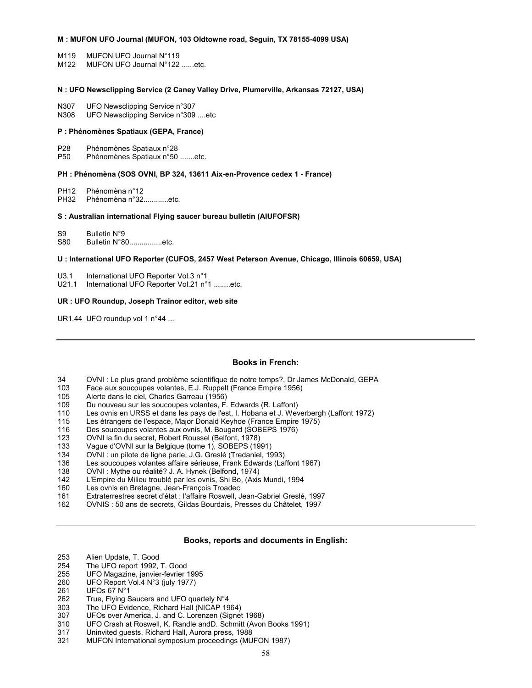# **M : MUFON UFO Journal (MUFON, 103 Oldtowne road, Seguin, TX 78155-4099 USA)**

- M119 MUFON UFO Journal N°119
- M122 MUFON UFO Journal N°122 ......etc.

## **N : UFO Newsclipping Service (2 Caney Valley Drive, Plumerville, Arkansas 72127, USA)**

- N307 UFO Newsclipping Service n°307<br>N308 UFO Newsclipping Service n°309
- UFO Newsclipping Service n°309 ....etc

## **P : Phénomènes Spatiaux (GEPA, France)**

- P28 Phénomènes Spatiaux n°28
- P50 Phénomènes Spatiaux n°50 .......etc.

## **PH : Phénomèna (SOS OVNI, BP 324, 13611 Aix-en-Provence cedex 1 - France)**

PH12 Phénomèna n°12

PH32 Phénomèna n°32............etc.

#### **S : Australian international Flying saucer bureau bulletin (AIUFOFSR)**

S9 Bulletin N°9

S80 Bulletin N°80.................etc.

# **U : International UFO Reporter (CUFOS, 2457 West Peterson Avenue, Chicago, Illinois 60659, USA)**

- U3.1 International UFO Reporter Vol.3 n°1
- U21.1 International UFO Reporter Vol.21 n°1 ........etc.

# **UR : UFO Roundup, Joseph Trainor editor, web site**

UR1.44 UFO roundup vol 1 n°44 ...

## **Books in French:**

- 34 OVNI : Le plus grand problème scientifique de notre temps?, Dr James McDonald, GEPA<br>103 Face aux soucoupes volantes, E.J. Ruppelt (France Empire 1956)
- Face aux soucoupes volantes, E.J. Ruppelt (France Empire 1956)
- 105 Alerte dans le ciel, Charles Garreau (1956)
- 109 Du nouveau sur les soucoupes volantes, F. Edwards (R. Laffont)
- 110 Les ovnis en URSS et dans les pays de l'est, I. Hobana et J. Weverbergh (Laffont 1972)
- 115 Les étrangers de l'espace, Major Donald Keyhoe (France Empire 1975)
- 116 Des soucoupes volantes aux ovnis, M. Bougard (SOBEPS 1976)
- 123 OVNI la fin du secret, Robert Roussel (Belfont, 1978)
- 133 Vague d'OVNI sur la Belgique (tome 1), SOBEPS (1991)<br>134 OVNI : un pilote de ligne parle. J.G. Greslé (Tredaniel. 19
- 
- 134 OVNI : un pilote de ligne parle, J.G. Greslé (Tredaniel, 1993)<br>136 Les soucoupes volantes affaire sérieuse, Frank Edwards (La Les soucoupes volantes affaire sérieuse, Frank Edwards (Laffont 1967)
- 138 OVNI : Mythe ou réalité? J. A. Hynek (Belfond, 1974)
- 142 L'Empire du Milieu troublé par les ovnis, Shi Bo, (Axis Mundi, 1994
- 160 Les ovnis en Bretagne, Jean-François Troadec
- 161 Extraterrestres secret d'état : l'affaire Roswell, Jean-Gabriel Greslé, 1997
- 162 OVNIS : 50 ans de secrets, Gildas Bourdais, Presses du Châtelet, 1997

#### **Books, reports and documents in English:**

- 253 Alien Update, T. Good
- 254 The UFO report 1992, T. Good<br>255 UFO Magazine, janvier-fevrier
- 255 UFO Magazine, janvier-fevrier 1995<br>260 UFO Report Vol.4 N°3 (iuly 1977)
- UFO Report Vol.4 N°3 (july 1977)
- 261 UFOs 67 N°1
- 262 True, Flying Saucers and UFO quartely N°4
- 303 The UFO Evidence, Richard Hall (NICAP 1964)
- 307 UFOs over America, J. and C. Lorenzen (Signet 1968)
- 310 UFO Crash at Roswell, K. Randle andD. Schmitt (Avon Books 1991)
- 317 Uninvited guests, Richard Hall, Aurora press, 1988
- 321 MUFON International symposium proceedings (MUFON 1987)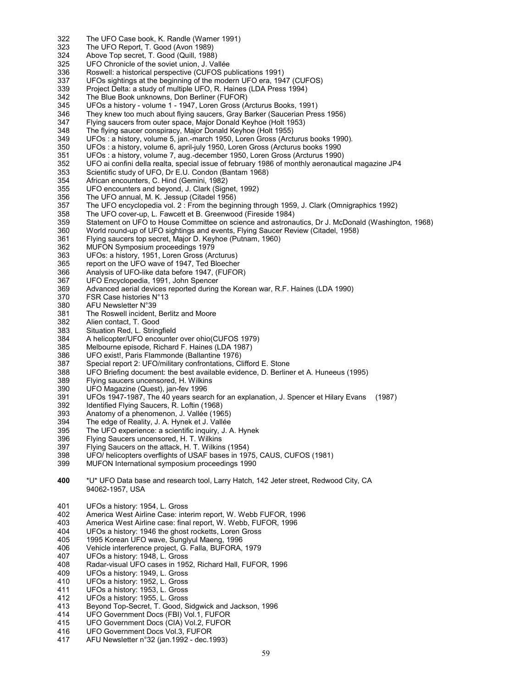- 322 The UFO Case book, K. Randle (Warner 1991)
- 323 The UFO Report, T. Good (Avon 1989)
- 324 Above Top secret, T. Good (Quill, 1988)
- 325 UFO Chronicle of the soviet union, J. Vallée<br>336 Roswell: a historical perspective (CUFOS pu
- 336 Roswell: a historical perspective (CUFOS publications 1991)<br>337 UFOs sightings at the beginning of the modern UFO era, 194
- UFOs sightings at the beginning of the modern UFO era, 1947 (CUFOS)
- 339 Project Delta: a study of multiple UFO, R. Haines (LDA Press 1994)<br>342 The Blue Book unknowns. Don Berliner (FUFOR)
- 342 The Blue Book unknowns, Don Berliner (FUFOR)<br>345 UFOs a history volume 1 1947. Loren Gross (A
- 345 UFOs a history volume 1 1947, Loren Gross (Arcturus Books, 1991)
- 346 They knew too much about flying saucers, Gray Barker (Saucerian Press 1956)<br>347 Flying saucers from outer space. Maior Donald Keyhoe (Holt 1953)
- Flying saucers from outer space, Major Donald Keyhoe (Holt 1953)
- 348 The flying saucer conspiracy, Major Donald Keyhoe (Holt 1955)
- 349 UFOs : a history, volume 5, jan.-march 1950, Loren Gross (Arcturus books 1990).
- UFOs : a history, volume 6, april-july 1950, Loren Gross (Arcturus books 1990
- 351 UFOs : a history, volume 7, aug.-december 1950, Loren Gross (Arcturus 1990)
- 352 UFO ai confini della realta, special issue of february 1986 of monthly aeronautical magazine JP4
- 353 Scientific study of UFO, Dr E.U. Condon (Bantam 1968)
- 354 African encounters, C. Hind (Gemini, 1982)
- UFO encounters and beyond, J. Clark (Signet, 1992)
- 356 The UFO annual, M. K. Jessup (Citadel 1956)
- 357 The UFO encyclopedia vol. 2 : From the beginning through 1959, J. Clark (Omnigraphics 1992)
- The UFO cover-up, L. Fawcett et B. Greenwood (Fireside 1984)
- 359 Statement on UFO to House Committee on science and astronautics, Dr J. McDonald (Washington, 1968)
- World round-up of UFO sightings and events, Flying Saucer Review (Citadel, 1958)
- 361 Flying saucers top secret, Major D. Keyhoe (Putnam, 1960)
- 362 MUFON Symposium proceedings 1979
- 363 UFOs: a history, 1951, Loren Gross (Arcturus)
- 365 report on the UFO wave of 1947, Ted Bloecher
- 366 Analysis of UFO-like data before 1947, (FUFOR)
- 367 UFO Encyclopedia, 1991, John Spencer
- 369 Advanced aerial devices reported during the Korean war, R.F. Haines (LDA 1990)
- 370 FSR Case histories N°13<br>380 AFU Newsletter N°39
- AFU Newsletter N°39
- 381 The Roswell incident, Berlitz and Moore<br>382 Alien contact. T. Good
- 382 Alien contact, T. Good<br>383 Situation Red, L. String
- Situation Red, L. Stringfield
- 384 A helicopter/UFO encounter over ohio(CUFOS 1979)
- 385 Melbourne episode, Richard F. Haines (LDA 1987)
- 386 UFO exist!, Paris Flammonde (Ballantine 1976)
- 387 Special report 2: UFO/military confrontations, Clifford E. Stone<br>388 UFO Briefing document: the best available evidence. D. Berling
- UFO Briefing document: the best available evidence, D. Berliner et A. Huneeus (1995)
- 389 Flying saucers uncensored, H. Wilkins
- 390 UFO Magazine (Quest), jan-fev 1996
- 391 UFOs 1947-1987, The 40 years search for an explanation, J. Spencer et Hilary Evans (1987)
- 392 Identified Flying Saucers, R. Loftin (1968)
- 393 Anatomy of a phenomenon, J. Vallée (1965)
- The edge of Reality, J. A. Hynek et J. Vallée
- 395 The UFO experience: a scientific inquiry, J. A. Hynek<br>396 Flying Saucers uncensored. H. T. Wilkins
- Flying Saucers uncensored, H. T. Wilkins
- 397 Flying Saucers on the attack, H. T. Wilkins (1954)
- 398 UFO nelicopters overflights of USAF bases in 1975, CAUS, CUFOS (1981)<br>399 MUFON International symposium proceedings 1990
- MUFON International symposium proceedings 1990
- **400** \*U\* UFO Data base and research tool, Larry Hatch, 142 Jeter street, Redwood City, CA 94062-1957, USA
- 401 UFOs a history: 1954, L. Gross<br>402 America West Airline Case: inte
- America West Airline Case: interim report, W. Webb FUFOR, 1996
- 403 America West Airline case: final report, W. Webb, FUFOR, 1996
- 404 UFOs a history: 1946 the ghost rocketts, Loren Gross
- 405 1995 Korean UFO wave, Sunglyul Maeng, 1996
- 406 Vehicle interference project, G. Falla, BUFORA, 1979
- 407 UFOs a history: 1948, L. Gross
- Radar-visual UFO cases in 1952, Richard Hall, FUFOR, 1996
- 409 UFOs a history: 1949, L. Gross
- 410 UFOs a history: 1952, L. Gross
- 411 UFOs a history: 1953, L. Gross
- 412 UFOs a history: 1955, L. Gross
- 413 Beyond Top-Secret, T. Good, Sidgwick and Jackson, 1996
- 414 UFO Government Docs (FBI) Vol.1, FUFOR
- 415 UFO Government Docs (CIA) Vol.2, FUFOR<br>416 UFO Government Docs Vol.3, FUFOR
- UFO Government Docs Vol.3, FUFOR
- 417 AFU Newsletter n°32 (jan.1992 dec.1993)